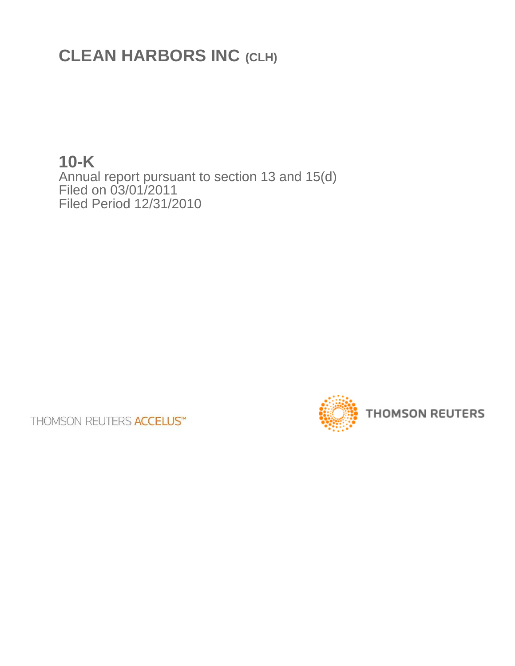# **CLEAN HARBORS INC (CLH)**

**10-K** Annual report pursuant to section 13 and 15(d) Filed on 03/01/2011 Filed Period 12/31/2010

**THOMSON REUTERS ACCELUS™** 

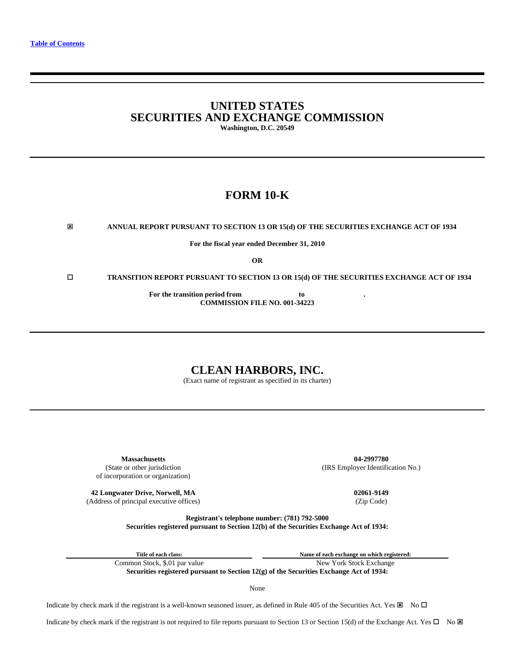## **UNITED STATES SECURITIES AND EXCHANGE COMMISSION**

**Washington, D.C. 20549**

## **FORM 10-K**

**EXECUTE ANNUAL REPORT PURSUANT TO SECTION 13 OR 15(d) OF THE SECURITIES EXCHANGE ACT OF 1934** 

**For the fiscal year ended December 31, 2010**

**OR**

## o **TRANSITION REPORT PURSUANT TO SECTION 13 OR 15(d) OF THE SECURITIES EXCHANGE ACT OF 1934**

**For the transition period from to . COMMISSION FILE NO. 001-34223**

## **CLEAN HARBORS, INC.**

(Exact name of registrant as specified in its charter)

**Massachusetts** (State or other jurisdiction of incorporation or organization)

**04-2997780** (IRS Employer Identification No.)

**42 Longwater Drive, Norwell, MA** (Address of principal executive offices)

**02061-9149** (Zip Code)

**Registrant's telephone number: (781) 792-5000 Securities registered pursuant to Section 12(b) of the Securities Exchange Act of 1934:**

**Title of each class: Name of each exchange on which registered:** Common Stock, \$.01 par value New York Stock Exchange

**Securities registered pursuant to Section 12(g) of the Securities Exchange Act of 1934:**

None

Indicate by check mark if the registrant is a well-known seasoned issuer, as defined in Rule 405 of the Securities Act. Yes  $\boxtimes$  No  $\square$ 

Indicate by check mark if the registrant is not required to file reports pursuant to Section 13 or Section 15(d) of the Exchange Act. Yes  $\Box$  No  $\boxtimes$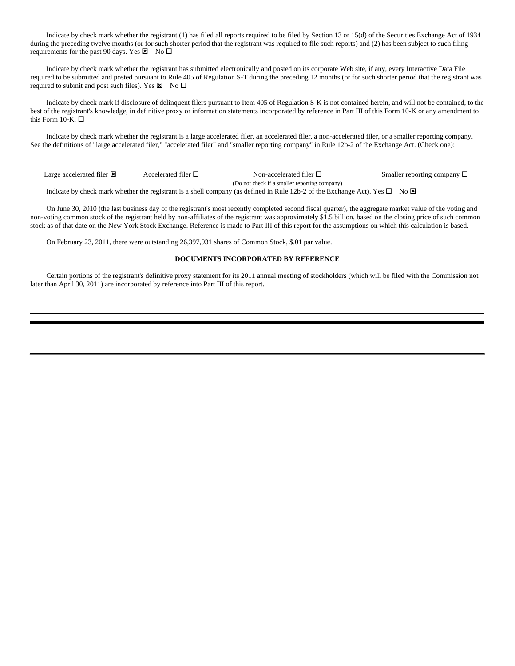Indicate by check mark whether the registrant (1) has filed all reports required to be filed by Section 13 or 15(d) of the Securities Exchange Act of 1934 during the preceding twelve months (or for such shorter period that the registrant was required to file such reports) and (2) has been subject to such filing requirements for the past 90 days. Yes  $\boxtimes$  No  $\square$ 

 Indicate by check mark whether the registrant has submitted electronically and posted on its corporate Web site, if any, every Interactive Data File required to be submitted and posted pursuant to Rule 405 of Regulation S-T during the preceding 12 months (or for such shorter period that the registrant was required to submit and post such files). Yes  $\boxtimes$  No  $\square$ 

 Indicate by check mark if disclosure of delinquent filers pursuant to Item 405 of Regulation S-K is not contained herein, and will not be contained, to the best of the registrant's knowledge, in definitive proxy or information statements incorporated by reference in Part III of this Form 10-K or any amendment to this Form 10-K.  $\square$ 

 Indicate by check mark whether the registrant is a large accelerated filer, an accelerated filer, a non-accelerated filer, or a smaller reporting company. See the definitions of "large accelerated filer," "accelerated filer" and "smaller reporting company" in Rule 12b-2 of the Exchange Act. (Check one):

Large accelerated filer  $\boxtimes$  Accelerated filer  $\square$  Non-accelerated filer  $\square$ (Do not check if a smaller reporting company) Smaller reporting company  $\Box$ 

Indicate by check mark whether the registrant is a shell company (as defined in Rule 12b-2 of the Exchange Act). Yes  $\Box$  No  $\boxtimes$ 

 On June 30, 2010 (the last business day of the registrant's most recently completed second fiscal quarter), the aggregate market value of the voting and non-voting common stock of the registrant held by non-affiliates of the registrant was approximately \$1.5 billion, based on the closing price of such common stock as of that date on the New York Stock Exchange. Reference is made to Part III of this report for the assumptions on which this calculation is based.

On February 23, 2011, there were outstanding 26,397,931 shares of Common Stock, \$.01 par value.

## **DOCUMENTS INCORPORATED BY REFERENCE**

 Certain portions of the registrant's definitive proxy statement for its 2011 annual meeting of stockholders (which will be filed with the Commission not later than April 30, 2011) are incorporated by reference into Part III of this report.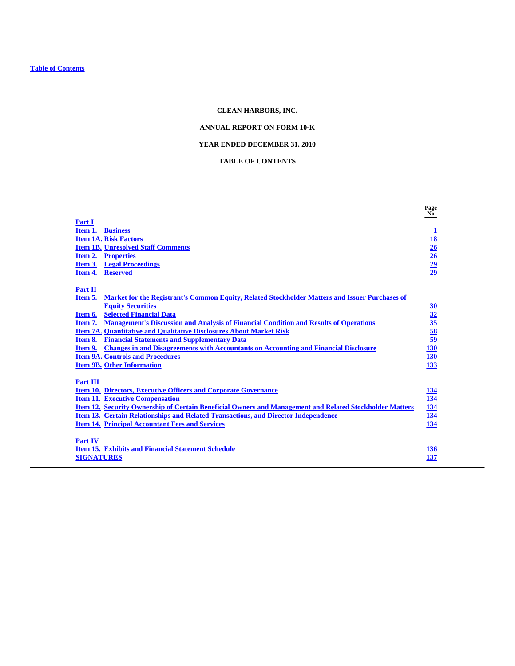## **CLEAN HARBORS, INC.**

## **ANNUAL REPORT ON FORM 10-K**

## **YEAR ENDED DECEMBER 31, 2010**

## **TABLE OF CONTENTS**

|                                                                                                           | Page                                                  |
|-----------------------------------------------------------------------------------------------------------|-------------------------------------------------------|
|                                                                                                           | No                                                    |
| Part I                                                                                                    |                                                       |
| <b>Business</b><br>Item 1.                                                                                | $\mathbf 1$                                           |
| <b>Item 1A. Risk Factors</b>                                                                              | 18                                                    |
| <b>Item 1B. Unresolved Staff Comments</b>                                                                 |                                                       |
| Item 2.<br><b>Properties</b>                                                                              |                                                       |
| Item 3.<br><b>Legal Proceedings</b>                                                                       | $\frac{26}{29}$<br>$\frac{29}{29}$                    |
| <b>Reserved</b><br>Item 4.                                                                                |                                                       |
|                                                                                                           |                                                       |
| Part II                                                                                                   |                                                       |
| Market for the Registrant's Common Equity, Related Stockholder Matters and Issuer Purchases of<br>Item 5. |                                                       |
| <b>Equity Securities</b>                                                                                  |                                                       |
| <b>Selected Financial Data</b><br>Item 6.                                                                 |                                                       |
| <b>Management's Discussion and Analysis of Financial Condition and Results of Operations</b><br>Item 7.   | $\frac{30}{32}$<br>$\frac{32}{58}$<br>$\frac{58}{59}$ |
| <b>Item 7A. Quantitative and Qualitative Disclosures About Market Risk</b>                                |                                                       |
| Item 8.<br><b>Financial Statements and Supplementary Data</b>                                             |                                                       |
| <b>Changes in and Disagreements with Accountants on Accounting and Financial Disclosure</b><br>Item 9.    | 130                                                   |
| <b>Item 9A. Controls and Procedures</b>                                                                   | 130                                                   |
| <b>Item 9B. Other Information</b>                                                                         | 133                                                   |
|                                                                                                           |                                                       |
|                                                                                                           |                                                       |
| <b>Part III</b>                                                                                           |                                                       |
| <b>Item 10. Directors, Executive Officers and Corporate Governance</b>                                    | 134                                                   |
| <b>Item 11. Executive Compensation</b>                                                                    | <u>134</u>                                            |
| Item 12. Security Ownership of Certain Beneficial Owners and Management and Related Stockholder Matters   | <u>134</u>                                            |
| <b>Item 13. Certain Relationships and Related Transactions, and Director Independence</b>                 | <u>134</u>                                            |
| <b>Item 14. Principal Accountant Fees and Services</b>                                                    | 134                                                   |
|                                                                                                           |                                                       |
| <b>Part IV</b>                                                                                            |                                                       |
| <b>Item 15. Exhibits and Financial Statement Schedule</b>                                                 | <b>136</b>                                            |
| <b>SIGNATURES</b>                                                                                         | 137                                                   |
|                                                                                                           |                                                       |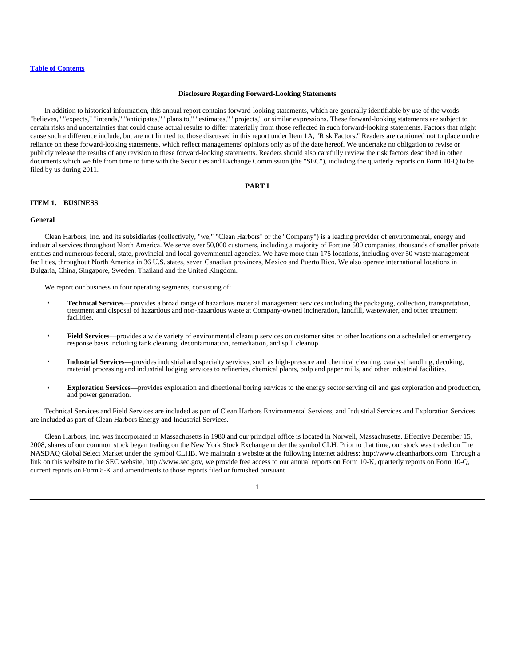#### **Disclosure Regarding Forward-Looking Statements**

<span id="page-4-0"></span> In addition to historical information, this annual report contains forward-looking statements, which are generally identifiable by use of the words "believes," "expects," "intends," "anticipates," "plans to," "estimates," "projects," or similar expressions. These forward-looking statements are subject to certain risks and uncertainties that could cause actual results to differ materially from those reflected in such forward-looking statements. Factors that might cause such a difference include, but are not limited to, those discussed in this report under Item 1A, "Risk Factors." Readers are cautioned not to place undue reliance on these forward-looking statements, which reflect managements' opinions only as of the date hereof. We undertake no obligation to revise or publicly release the results of any revision to these forward-looking statements. Readers should also carefully review the risk factors described in other documents which we file from time to time with the Securities and Exchange Commission (the "SEC"), including the quarterly reports on Form 10-Q to be filed by us during 2011.

#### **PART I**

#### **ITEM 1. BUSINESS**

#### **General**

 Clean Harbors, Inc. and its subsidiaries (collectively, "we," "Clean Harbors" or the "Company") is a leading provider of environmental, energy and industrial services throughout North America. We serve over 50,000 customers, including a majority of Fortune 500 companies, thousands of smaller private entities and numerous federal, state, provincial and local governmental agencies. We have more than 175 locations, including over 50 waste management facilities, throughout North America in 36 U.S. states, seven Canadian provinces, Mexico and Puerto Rico. We also operate international locations in Bulgaria, China, Singapore, Sweden, Thailand and the United Kingdom.

We report our business in four operating segments, consisting of:

- **Technical Services**—provides a broad range of hazardous material management services including the packaging, collection, transportation, treatment and disposal of hazardous and non-hazardous waste at Company-owned incineration, landfill, wastewater, and other treatment facilities. •
- Field Services—provides a wide variety of environmental cleanup services on customer sites or other locations on a scheduled or emergency response basis including tank cleaning, decontamination, remediation, and spill cleanup. •
- **Industrial Services**—provides industrial and specialty services, such as high-pressure and chemical cleaning, catalyst handling, decoking, material processing and industrial lodging services to refineries, chemical plants, pulp and paper mills, and other industrial facilities. •
- **Exploration Services**—provides exploration and directional boring services to the energy sector serving oil and gas exploration and production, and power generation. •

 Technical Services and Field Services are included as part of Clean Harbors Environmental Services, and Industrial Services and Exploration Services are included as part of Clean Harbors Energy and Industrial Services.

 Clean Harbors, Inc. was incorporated in Massachusetts in 1980 and our principal office is located in Norwell, Massachusetts. Effective December 15, 2008, shares of our common stock began trading on the New York Stock Exchange under the symbol CLH. Prior to that time, our stock was traded on The NASDAQ Global Select Market under the symbol CLHB. We maintain a website at the following Internet address: http://www.cleanharbors.com. Through a link on this website to the SEC website, http://www.sec.gov, we provide free access to our annual reports on Form 10-K, quarterly reports on Form 10-Q, current reports on Form 8-K and amendments to those reports filed or furnished pursuant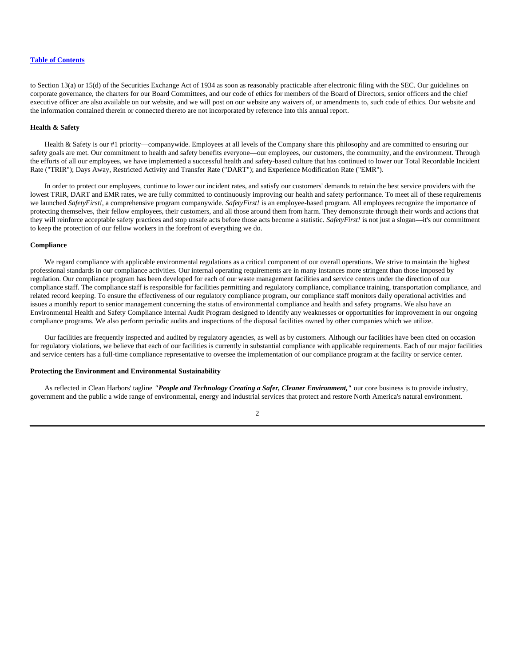to Section 13(a) or 15(d) of the Securities Exchange Act of 1934 as soon as reasonably practicable after electronic filing with the SEC. Our guidelines on corporate governance, the charters for our Board Committees, and our code of ethics for members of the Board of Directors, senior officers and the chief executive officer are also available on our website, and we will post on our website any waivers of, or amendments to, such code of ethics. Our website and the information contained therein or connected thereto are not incorporated by reference into this annual report.

#### **Health & Safety**

 Health & Safety is our #1 priority—companywide. Employees at all levels of the Company share this philosophy and are committed to ensuring our safety goals are met. Our commitment to health and safety benefits everyone—our employees, our customers, the community, and the environment. Through the efforts of all our employees, we have implemented a successful health and safety-based culture that has continued to lower our Total Recordable Incident Rate ("TRIR"); Days Away, Restricted Activity and Transfer Rate ("DART"); and Experience Modification Rate ("EMR").

 In order to protect our employees, continue to lower our incident rates, and satisfy our customers' demands to retain the best service providers with the lowest TRIR, DART and EMR rates, we are fully committed to continuously improving our health and safety performance. To meet all of these requirements we launched *SafetyFirst!*, a comprehensive program companywide. *SafetyFirst!* is an employee-based program. All employees recognize the importance of protecting themselves, their fellow employees, their customers, and all those around them from harm. They demonstrate through their words and actions that they will reinforce acceptable safety practices and stop unsafe acts before those acts become a statistic. *SafetyFirst!* is not just a slogan—it's our commitment to keep the protection of our fellow workers in the forefront of everything we do.

#### **Compliance**

 We regard compliance with applicable environmental regulations as a critical component of our overall operations. We strive to maintain the highest professional standards in our compliance activities. Our internal operating requirements are in many instances more stringent than those imposed by regulation. Our compliance program has been developed for each of our waste management facilities and service centers under the direction of our compliance staff. The compliance staff is responsible for facilities permitting and regulatory compliance, compliance training, transportation compliance, and related record keeping. To ensure the effectiveness of our regulatory compliance program, our compliance staff monitors daily operational activities and issues a monthly report to senior management concerning the status of environmental compliance and health and safety programs. We also have an Environmental Health and Safety Compliance Internal Audit Program designed to identify any weaknesses or opportunities for improvement in our ongoing compliance programs. We also perform periodic audits and inspections of the disposal facilities owned by other companies which we utilize.

 Our facilities are frequently inspected and audited by regulatory agencies, as well as by customers. Although our facilities have been cited on occasion for regulatory violations, we believe that each of our facilities is currently in substantial compliance with applicable requirements. Each of our major facilities and service centers has a full-time compliance representative to oversee the implementation of our compliance program at the facility or service center.

#### **Protecting the Environment and Environmental Sustainability**

 As reflected in Clean Harbors' tagline *"People and Technology Creating a Safer, Cleaner Environment,"* our core business is to provide industry, government and the public a wide range of environmental, energy and industrial services that protect and restore North America's natural environment.

 $\overline{2}$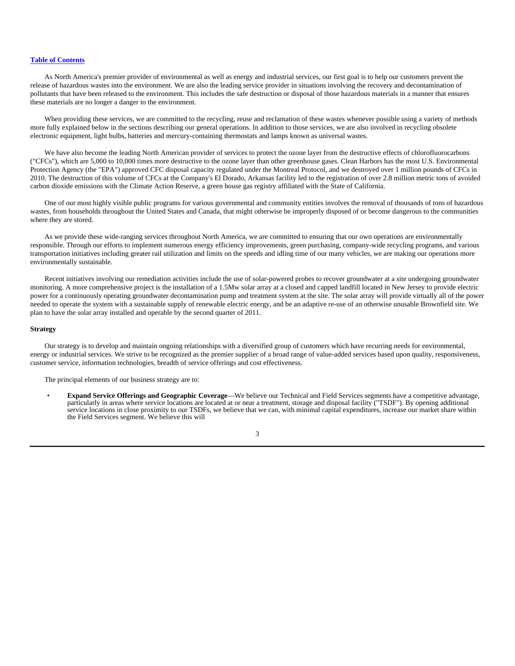As North America's premier provider of environmental as well as energy and industrial services, our first goal is to help our customers prevent the release of hazardous wastes into the environment. We are also the leading service provider in situations involving the recovery and decontamination of pollutants that have been released to the environment. This includes the safe destruction or disposal of those hazardous materials in a manner that ensures these materials are no longer a danger to the environment.

 When providing these services, we are committed to the recycling, reuse and reclamation of these wastes whenever possible using a variety of methods more fully explained below in the sections describing our general operations. In addition to those services, we are also involved in recycling obsolete electronic equipment, light bulbs, batteries and mercury-containing thermostats and lamps known as universal wastes.

 We have also become the leading North American provider of services to protect the ozone layer from the destructive effects of chlorofluorocarbons ("CFCs"), which are 5,000 to 10,000 times more destructive to the ozone layer than other greenhouse gases. Clean Harbors has the most U.S. Environmental Protection Agency (the "EPA") approved CFC disposal capacity regulated under the Montreal Protocol, and we destroyed over 1 million pounds of CFCs in 2010. The destruction of this volume of CFCs at the Company's El Dorado, Arkansas facility led to the registration of over 2.8 million metric tons of avoided carbon dioxide emissions with the Climate Action Reserve, a green house gas registry affiliated with the State of California.

 One of our most highly visible public programs for various governmental and community entities involves the removal of thousands of tons of hazardous wastes, from households throughout the United States and Canada, that might otherwise be improperly disposed of or become dangerous to the communities where they are stored.

 As we provide these wide-ranging services throughout North America, we are committed to ensuring that our own operations are environmentally responsible. Through our efforts to implement numerous energy efficiency improvements, green purchasing, company-wide recycling programs, and various transportation initiatives including greater rail utilization and limits on the speeds and idling time of our many vehicles, we are making our operations more environmentally sustainable.

 Recent initiatives involving our remediation activities include the use of solar-powered probes to recover groundwater at a site undergoing groundwater monitoring. A more comprehensive project is the installation of a 1.5Mw solar array at a closed and capped landfill located in New Jersey to provide electric power for a continuously operating groundwater decontamination pump and treatment system at the site. The solar array will provide virtually all of the power needed to operate the system with a sustainable supply of renewable electric energy, and be an adaptive re-use of an otherwise unusable Brownfield site. We plan to have the solar array installed and operable by the second quarter of 2011.

#### **Strategy**

 Our strategy is to develop and maintain ongoing relationships with a diversified group of customers which have recurring needs for environmental, energy or industrial services. We strive to be recognized as the premier supplier of a broad range of value-added services based upon quality, responsiveness, customer service, information technologies, breadth of service offerings and cost effectiveness.

The principal elements of our business strategy are to:

**Expand Service Offerings and Geographic Coverage**—We believe our Technical and Field Services segments have a competitive advantage, particularly in areas where service locations are located at or near a treatment, storage and disposal facility ("TSDF"). By opening additional service locations in close proximity to our TSDFs, we believe that we can, with minimal capital expenditures, increase our market share within the Field Services segment. We believe this will •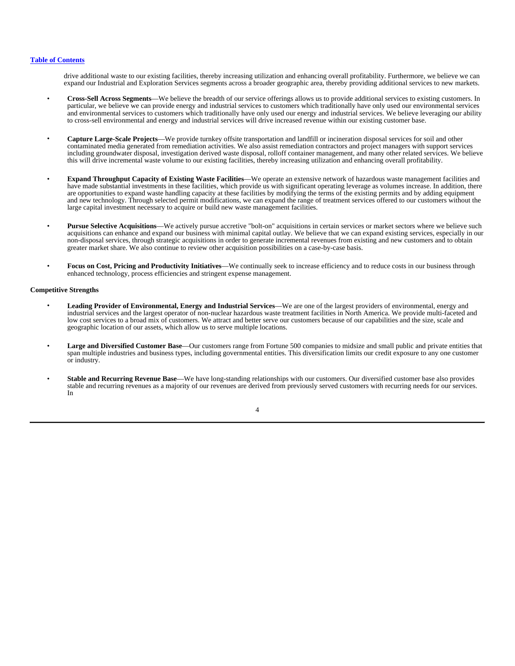drive additional waste to our existing facilities, thereby increasing utilization and enhancing overall profitability. Furthermore, we believe we can expand our Industrial and Exploration Services segments across a broader geographic area, thereby providing additional services to new markets.

- **Cross-Sell Across Segments**—We believe the breadth of our service offerings allows us to provide additional services to existing customers. In particular, we believe we can provide energy and industrial services to customers which traditionally have only used our environmental services and environmental services to customers which traditionally have only used our energy and industrial services. We believe leveraging our ability to cross-sell environmental and energy and industrial services will drive increased revenue within our existing customer base. •
- **Capture Large-Scale Projects**—We provide turnkey offsite transportation and landfill or incineration disposal services for soil and other contaminated media generated from remediation activities. We also assist remediation contractors and project managers with support services including groundwater disposal, investigation derived waste disposal, rolloff container management, and many other related services. We believe this will drive incremental waste volume to our existing facilities, thereby increasing utilization and enhancing overall profitability. •
- **Expand Throughput Capacity of Existing Waste Facilities**—We operate an extensive network of hazardous waste management facilities and have made substantial investments in these facilities, which provide us with significant operating leverage as volumes increase. In addition, there are opportunities to expand waste handling capacity at these facilities by modifying the terms of the existing permits and by adding equipment and new technology. Through selected permit modifications, we can expand the range of treatment services offered to our customers without the large capital investment necessary to acquire or build new waste management facilities. •
- **Pursue Selective Acquisitions**—We actively pursue accretive "bolt-on" acquisitions in certain services or market sectors where we believe such acquisitions can enhance and expand our business with minimal capital outlay. We believe that we can expand existing services, especially in our non-disposal services, through strategic acquisitions in order to generate incremental revenues from existing and new customers and to obtain greater market share. We also continue to review other acquisition possibilities on a case-by-case basis. •
- **Focus on Cost, Pricing and Productivity Initiatives**—We continually seek to increase efficiency and to reduce costs in our business through enhanced technology, process efficiencies and stringent expense management. •

#### **Competitive Strengths**

- **Leading Provider of Environmental, Energy and Industrial Services**—We are one of the largest providers of environmental, energy and industrial services and the largest operator of non-nuclear hazardous waste treatment facilities in North America. We provide multi-faceted and low cost services to a broad mix of customers. We attract and better serve our customers because of our capabilities and the size, scale and geographic location of our assets, which allow us to serve multiple locations. •
- **Large and Diversified Customer Base**—Our customers range from Fortune 500 companies to midsize and small public and private entities that span multiple industries and business types, including governmental entities. This diversification limits our credit exposure to any one customer or industry. •
- **Stable and Recurring Revenue Base**—We have long-standing relationships with our customers. Our diversified customer base also provides stable and recurring revenues as a majority of our revenues are derived from previously served customers with recurring needs for our services. In •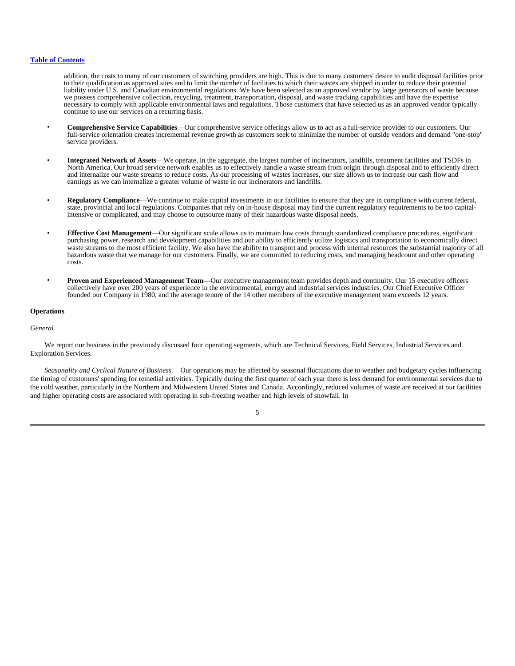addition, the costs to many of our customers of switching providers are high. This is due to many customers' desire to audit disposal facilities prior to their qualification as approved sites and to limit the number of facilities to which their wastes are shipped in order to reduce their potential liability under U.S. and Canadian environmental regulations. We have been selected as an approved vendor by large generators of waste because we possess comprehensive collection, recycling, treatment, transportation, disposal, and waste tracking capabilities and have the expertise necessary to comply with applicable environmental laws and regulations. Those customers that have selected us as an approved vendor typically continue to use our services on a recurring basis.

- **Comprehensive Service Capabilities**—Our comprehensive service offerings allow us to act as a full-service provider to our customers. Our full-service orientation creates incremental revenue growth as customers seek to minimize the number of outside vendors and demand "one-stop" service providers. •
- **Integrated Network of Assets**—We operate, in the aggregate, the largest number of incinerators, landfills, treatment facilities and TSDFs in North America. Our broad service network enables us to effectively handle a waste stream from origin through disposal and to efficiently direct and internalize our waste streams to reduce costs. As our processing of wastes increases, our size allows us to increase our cash flow and earnings as we can internalize a greater volume of waste in our incinerators and landfills. •
- **Regulatory Compliance**—We continue to make capital investments in our facilities to ensure that they are in compliance with current federal, state, provincial and local regulations. Companies that rely on in-house disposal may find the current regulatory requirements to be too capitalintensive or complicated, and may choose to outsource many of their hazardous waste disposal needs. •
- **Effective Cost Management**—Our significant scale allows us to maintain low costs through standardized compliance procedures, significant purchasing power, research and development capabilities and our ability to efficiently utilize logistics and transportation to economically direct waste streams to the most efficient facility. We also have the ability to transport and process with internal resources the substantial majority of all hazardous waste that we manage for our customers. Finally, we are committed to reducing costs, and managing headcount and other operating costs. •
- **Proven and Experienced Management Team**—Our executive management team provides depth and continuity. Our 15 executive officers collectively have over 200 years of experience in the environmental, energy and industrial services industries. Our Chief Executive Officer founded our Company in 1980, and the average tenure of the 14 other members of the executive management team exceeds 12 years. •

#### **Operations**

#### *General*

 We report our business in the previously discussed four operating segments, which are Technical Services, Field Services, Industrial Services and Exploration Services.

 *Seasonality and Cyclical Nature of Business.* Our operations may be affected by seasonal fluctuations due to weather and budgetary cycles influencing the timing of customers' spending for remedial activities. Typically during the first quarter of each year there is less demand for environmental services due to the cold weather, particularly in the Northern and Midwestern United States and Canada. Accordingly, reduced volumes of waste are received at our facilities and higher operating costs are associated with operating in sub-freezing weather and high levels of snowfall. In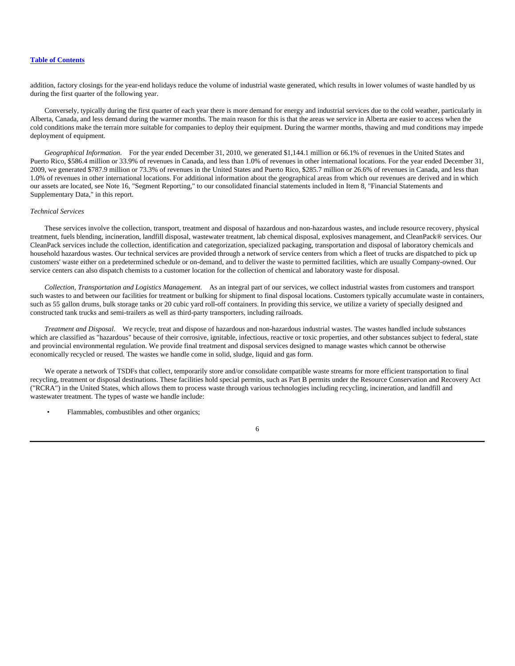addition, factory closings for the year-end holidays reduce the volume of industrial waste generated, which results in lower volumes of waste handled by us during the first quarter of the following year.

 Conversely, typically during the first quarter of each year there is more demand for energy and industrial services due to the cold weather, particularly in Alberta, Canada, and less demand during the warmer months. The main reason for this is that the areas we service in Alberta are easier to access when the cold conditions make the terrain more suitable for companies to deploy their equipment. During the warmer months, thawing and mud conditions may impede deployment of equipment.

Geographical Information. For the year ended December 31, 2010, we generated \$1,144.1 million or 66.1% of revenues in the United States and Puerto Rico, \$586.4 million or 33.9% of revenues in Canada, and less than 1.0% of revenues in other international locations. For the year ended December 31, 2009, we generated \$787.9 million or 73.3% of revenues in the United States and Puerto Rico, \$285.7 million or 26.6% of revenues in Canada, and less than 1.0% of revenues in other international locations. For additional information about the geographical areas from which our revenues are derived and in which our assets are located, see Note 16, "Segment Reporting," to our consolidated financial statements included in Item 8, "Financial Statements and Supplementary Data," in this report.

## *Technical Services*

 These services involve the collection, transport, treatment and disposal of hazardous and non-hazardous wastes, and include resource recovery, physical treatment, fuels blending, incineration, landfill disposal, wastewater treatment, lab chemical disposal, explosives management, and CleanPack® services. Our CleanPack services include the collection, identification and categorization, specialized packaging, transportation and disposal of laboratory chemicals and household hazardous wastes. Our technical services are provided through a network of service centers from which a fleet of trucks are dispatched to pick up customers' waste either on a predetermined schedule or on-demand, and to deliver the waste to permitted facilities, which are usually Company-owned. Our service centers can also dispatch chemists to a customer location for the collection of chemical and laboratory waste for disposal.

 *Collection, Transportation and Logistics Management.* As an integral part of our services, we collect industrial wastes from customers and transport such wastes to and between our facilities for treatment or bulking for shipment to final disposal locations. Customers typically accumulate waste in containers, such as 55 gallon drums, bulk storage tanks or 20 cubic yard roll-off containers. In providing this service, we utilize a variety of specially designed and constructed tank trucks and semi-trailers as well as third-party transporters, including railroads.

 *Treatment and Disposal.* We recycle, treat and dispose of hazardous and non-hazardous industrial wastes. The wastes handled include substances which are classified as "hazardous" because of their corrosive, ignitable, infectious, reactive or toxic properties, and other substances subject to federal, state and provincial environmental regulation. We provide final treatment and disposal services designed to manage wastes which cannot be otherwise economically recycled or reused. The wastes we handle come in solid, sludge, liquid and gas form.

We operate a network of TSDFs that collect, temporarily store and/or consolidate compatible waste streams for more efficient transportation to final recycling, treatment or disposal destinations. These facilities hold special permits, such as Part B permits under the Resource Conservation and Recovery Act ("RCRA") in the United States, which allows them to process waste through various technologies including recycling, incineration, and landfill and wastewater treatment. The types of waste we handle include:

Flammables, combustibles and other organics; •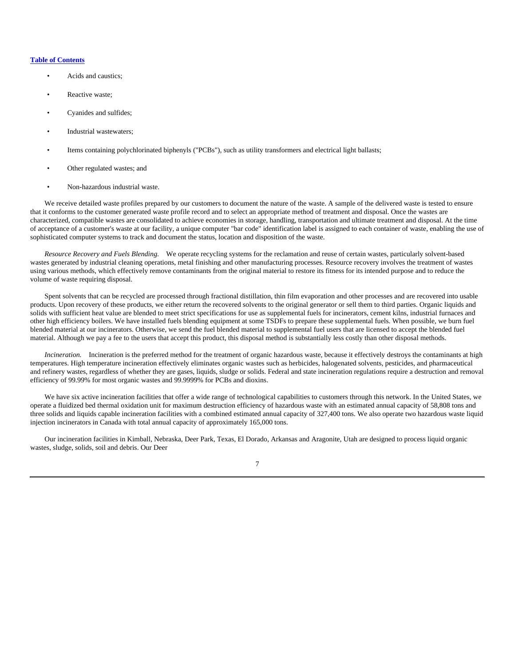- Acids and caustics; •
- Reactive waste; •
- Cyanides and sulfides; •
- Industrial wastewaters; •
- Items containing polychlorinated biphenyls ("PCBs"), such as utility transformers and electrical light ballasts; •
- Other regulated wastes; and •
- Non-hazardous industrial waste. •

 We receive detailed waste profiles prepared by our customers to document the nature of the waste. A sample of the delivered waste is tested to ensure that it conforms to the customer generated waste profile record and to select an appropriate method of treatment and disposal. Once the wastes are characterized, compatible wastes are consolidated to achieve economies in storage, handling, transportation and ultimate treatment and disposal. At the time of acceptance of a customer's waste at our facility, a unique computer "bar code" identification label is assigned to each container of waste, enabling the use of sophisticated computer systems to track and document the status, location and disposition of the waste.

 *Resource Recovery and Fuels Blending.* We operate recycling systems for the reclamation and reuse of certain wastes, particularly solvent-based wastes generated by industrial cleaning operations, metal finishing and other manufacturing processes. Resource recovery involves the treatment of wastes using various methods, which effectively remove contaminants from the original material to restore its fitness for its intended purpose and to reduce the volume of waste requiring disposal.

 Spent solvents that can be recycled are processed through fractional distillation, thin film evaporation and other processes and are recovered into usable products. Upon recovery of these products, we either return the recovered solvents to the original generator or sell them to third parties. Organic liquids and solids with sufficient heat value are blended to meet strict specifications for use as supplemental fuels for incinerators, cement kilns, industrial furnaces and other high efficiency boilers. We have installed fuels blending equipment at some TSDFs to prepare these supplemental fuels. When possible, we burn fuel blended material at our incinerators. Otherwise, we send the fuel blended material to supplemental fuel users that are licensed to accept the blended fuel material. Although we pay a fee to the users that accept this product, this disposal method is substantially less costly than other disposal methods.

 *Incineration.* Incineration is the preferred method for the treatment of organic hazardous waste, because it effectively destroys the contaminants at high temperatures. High temperature incineration effectively eliminates organic wastes such as herbicides, halogenated solvents, pesticides, and pharmaceutical and refinery wastes, regardless of whether they are gases, liquids, sludge or solids. Federal and state incineration regulations require a destruction and removal efficiency of 99.99% for most organic wastes and 99.9999% for PCBs and dioxins.

We have six active incineration facilities that offer a wide range of technological capabilities to customers through this network. In the United States, we operate a fluidized bed thermal oxidation unit for maximum destruction efficiency of hazardous waste with an estimated annual capacity of 58,808 tons and three solids and liquids capable incineration facilities with a combined estimated annual capacity of 327,400 tons. We also operate two hazardous waste liquid injection incinerators in Canada with total annual capacity of approximately 165,000 tons.

 Our incineration facilities in Kimball, Nebraska, Deer Park, Texas, El Dorado, Arkansas and Aragonite, Utah are designed to process liquid organic wastes, sludge, solids, soil and debris. Our Deer

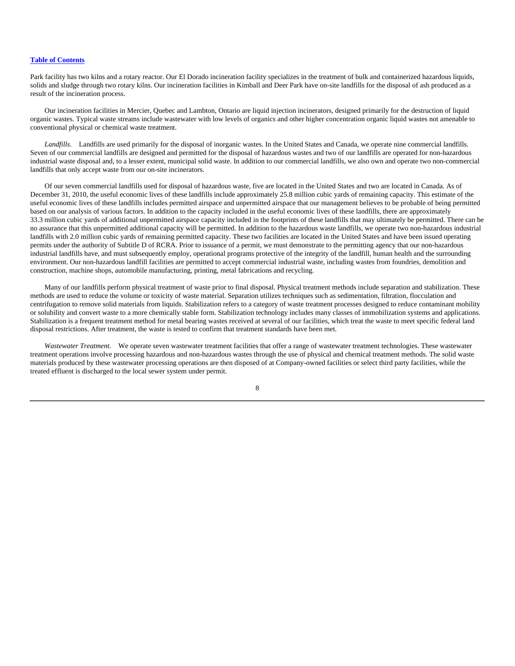Park facility has two kilns and a rotary reactor. Our El Dorado incineration facility specializes in the treatment of bulk and containerized hazardous liquids, solids and sludge through two rotary kilns. Our incineration facilities in Kimball and Deer Park have on-site landfills for the disposal of ash produced as a result of the incineration process.

 Our incineration facilities in Mercier, Quebec and Lambton, Ontario are liquid injection incinerators, designed primarily for the destruction of liquid organic wastes. Typical waste streams include wastewater with low levels of organics and other higher concentration organic liquid wastes not amenable to conventional physical or chemical waste treatment.

 *Landfills.* Landfills are used primarily for the disposal of inorganic wastes. In the United States and Canada, we operate nine commercial landfills. Seven of our commercial landfills are designed and permitted for the disposal of hazardous wastes and two of our landfills are operated for non-hazardous industrial waste disposal and, to a lesser extent, municipal solid waste. In addition to our commercial landfills, we also own and operate two non-commercial landfills that only accept waste from our on-site incinerators.

 Of our seven commercial landfills used for disposal of hazardous waste, five are located in the United States and two are located in Canada. As of December 31, 2010, the useful economic lives of these landfills include approximately 25.8 million cubic yards of remaining capacity. This estimate of the useful economic lives of these landfills includes permitted airspace and unpermitted airspace that our management believes to be probable of being permitted based on our analysis of various factors. In addition to the capacity included in the useful economic lives of these landfills, there are approximately 33.3 million cubic yards of additional unpermitted airspace capacity included in the footprints of these landfills that may ultimately be permitted. There can be no assurance that this unpermitted additional capacity will be permitted. In addition to the hazardous waste landfills, we operate two non-hazardous industrial landfills with 2.0 million cubic yards of remaining permitted capacity. These two facilities are located in the United States and have been issued operating permits under the authority of Subtitle D of RCRA. Prior to issuance of a permit, we must demonstrate to the permitting agency that our non-hazardous industrial landfills have, and must subsequently employ, operational programs protective of the integrity of the landfill, human health and the surrounding environment. Our non-hazardous landfill facilities are permitted to accept commercial industrial waste, including wastes from foundries, demolition and construction, machine shops, automobile manufacturing, printing, metal fabrications and recycling.

 Many of our landfills perform physical treatment of waste prior to final disposal. Physical treatment methods include separation and stabilization. These methods are used to reduce the volume or toxicity of waste material. Separation utilizes techniques such as sedimentation, filtration, flocculation and centrifugation to remove solid materials from liquids. Stabilization refers to a category of waste treatment processes designed to reduce contaminant mobility or solubility and convert waste to a more chemically stable form. Stabilization technology includes many classes of immobilization systems and applications. Stabilization is a frequent treatment method for metal bearing wastes received at several of our facilities, which treat the waste to meet specific federal land disposal restrictions. After treatment, the waste is tested to confirm that treatment standards have been met.

 *Wastewater Treatment.* We operate seven wastewater treatment facilities that offer a range of wastewater treatment technologies. These wastewater treatment operations involve processing hazardous and non-hazardous wastes through the use of physical and chemical treatment methods. The solid waste materials produced by these wastewater processing operations are then disposed of at Company-owned facilities or select third party facilities, while the treated effluent is discharged to the local sewer system under permit.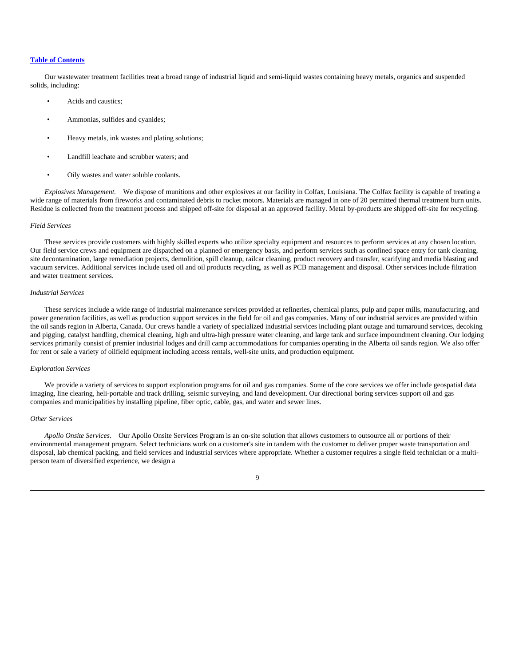Our wastewater treatment facilities treat a broad range of industrial liquid and semi-liquid wastes containing heavy metals, organics and suspended solids, including:

- Acids and caustics; •
- Ammonias, sulfides and cyanides; •
- Heavy metals, ink wastes and plating solutions; •
- Landfill leachate and scrubber waters; and •
- Oily wastes and water soluble coolants. •

*Explosives Management.* We dispose of munitions and other explosives at our facility in Colfax, Louisiana. The Colfax facility is capable of treating a wide range of materials from fireworks and contaminated debris to rocket motors. Materials are managed in one of 20 permitted thermal treatment burn units. Residue is collected from the treatment process and shipped off-site for disposal at an approved facility. Metal by-products are shipped off-site for recycling.

#### *Field Services*

 These services provide customers with highly skilled experts who utilize specialty equipment and resources to perform services at any chosen location. Our field service crews and equipment are dispatched on a planned or emergency basis, and perform services such as confined space entry for tank cleaning, site decontamination, large remediation projects, demolition, spill cleanup, railcar cleaning, product recovery and transfer, scarifying and media blasting and vacuum services. Additional services include used oil and oil products recycling, as well as PCB management and disposal. Other services include filtration and water treatment services.

#### *Industrial Services*

 These services include a wide range of industrial maintenance services provided at refineries, chemical plants, pulp and paper mills, manufacturing, and power generation facilities, as well as production support services in the field for oil and gas companies. Many of our industrial services are provided within the oil sands region in Alberta, Canada. Our crews handle a variety of specialized industrial services including plant outage and turnaround services, decoking and pigging, catalyst handling, chemical cleaning, high and ultra-high pressure water cleaning, and large tank and surface impoundment cleaning. Our lodging services primarily consist of premier industrial lodges and drill camp accommodations for companies operating in the Alberta oil sands region. We also offer for rent or sale a variety of oilfield equipment including access rentals, well-site units, and production equipment.

#### *Exploration Services*

 We provide a variety of services to support exploration programs for oil and gas companies. Some of the core services we offer include geospatial data imaging, line clearing, heli-portable and track drilling, seismic surveying, and land development. Our directional boring services support oil and gas companies and municipalities by installing pipeline, fiber optic, cable, gas, and water and sewer lines.

#### *Other Services*

 *Apollo Onsite Services.* Our Apollo Onsite Services Program is an on-site solution that allows customers to outsource all or portions of their environmental management program. Select technicians work on a customer's site in tandem with the customer to deliver proper waste transportation and disposal, lab chemical packing, and field services and industrial services where appropriate. Whether a customer requires a single field technician or a multiperson team of diversified experience, we design a

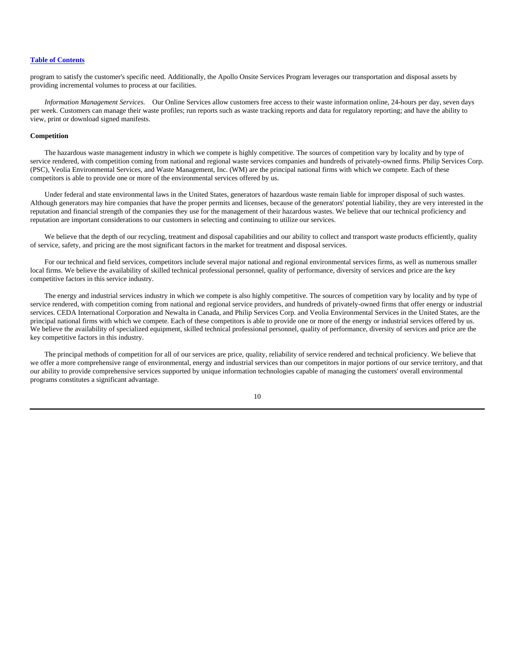program to satisfy the customer's specific need. Additionally, the Apollo Onsite Services Program leverages our transportation and disposal assets by providing incremental volumes to process at our facilities.

 *Information Management Services.* Our Online Services allow customers free access to their waste information online, 24-hours per day, seven days per week. Customers can manage their waste profiles; run reports such as waste tracking reports and data for regulatory reporting; and have the ability to view, print or download signed manifests.

#### **Competition**

 The hazardous waste management industry in which we compete is highly competitive. The sources of competition vary by locality and by type of service rendered, with competition coming from national and regional waste services companies and hundreds of privately-owned firms. Philip Services Corp. (PSC), Veolia Environmental Services, and Waste Management, Inc. (WM) are the principal national firms with which we compete. Each of these competitors is able to provide one or more of the environmental services offered by us.

 Under federal and state environmental laws in the United States, generators of hazardous waste remain liable for improper disposal of such wastes. Although generators may hire companies that have the proper permits and licenses, because of the generators' potential liability, they are very interested in the reputation and financial strength of the companies they use for the management of their hazardous wastes. We believe that our technical proficiency and reputation are important considerations to our customers in selecting and continuing to utilize our services.

We believe that the depth of our recycling, treatment and disposal capabilities and our ability to collect and transport waste products efficiently, quality of service, safety, and pricing are the most significant factors in the market for treatment and disposal services.

 For our technical and field services, competitors include several major national and regional environmental services firms, as well as numerous smaller local firms. We believe the availability of skilled technical professional personnel, quality of performance, diversity of services and price are the key competitive factors in this service industry.

 The energy and industrial services industry in which we compete is also highly competitive. The sources of competition vary by locality and by type of service rendered, with competition coming from national and regional service providers, and hundreds of privately-owned firms that offer energy or industrial services. CEDA International Corporation and Newalta in Canada, and Philip Services Corp. and Veolia Environmental Services in the United States, are the principal national firms with which we compete. Each of these competitors is able to provide one or more of the energy or industrial services offered by us. We believe the availability of specialized equipment, skilled technical professional personnel, quality of performance, diversity of services and price are the key competitive factors in this industry.

 The principal methods of competition for all of our services are price, quality, reliability of service rendered and technical proficiency. We believe that we offer a more comprehensive range of environmental, energy and industrial services than our competitors in major portions of our service territory, and that our ability to provide comprehensive services supported by unique information technologies capable of managing the customers' overall environmental programs constitutes a significant advantage.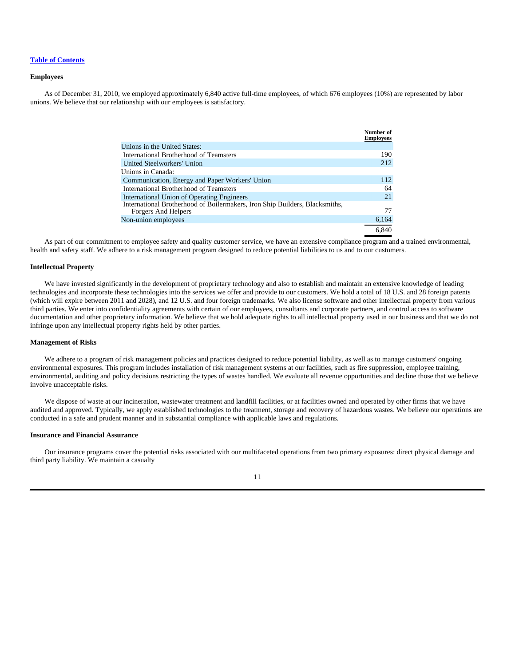#### **Employees**

 As of December 31, 2010, we employed approximately 6,840 active full-time employees, of which 676 employees (10%) are represented by labor unions. We believe that our relationship with our employees is satisfactory.

|                                                                                                    | Number of<br><b>Employees</b> |
|----------------------------------------------------------------------------------------------------|-------------------------------|
| Unions in the United States:                                                                       |                               |
| International Brotherhood of Teamsters                                                             | 190                           |
| United Steelworkers' Union                                                                         | 212                           |
| Unions in Canada:                                                                                  |                               |
| Communication, Energy and Paper Workers' Union                                                     | 112                           |
| International Brotherhood of Teamsters                                                             | 64                            |
| International Union of Operating Engineers                                                         | 21                            |
| International Brotherhood of Boilermakers, Iron Ship Builders, Blacksmiths,<br>Forgers And Helpers | 77                            |
| Non-union employees                                                                                | 6,164                         |
|                                                                                                    | 6.840                         |

 As part of our commitment to employee safety and quality customer service, we have an extensive compliance program and a trained environmental, health and safety staff. We adhere to a risk management program designed to reduce potential liabilities to us and to our customers.

#### **Intellectual Property**

 We have invested significantly in the development of proprietary technology and also to establish and maintain an extensive knowledge of leading technologies and incorporate these technologies into the services we offer and provide to our customers. We hold a total of 18 U.S. and 28 foreign patents (which will expire between 2011 and 2028), and 12 U.S. and four foreign trademarks. We also license software and other intellectual property from various third parties. We enter into confidentiality agreements with certain of our employees, consultants and corporate partners, and control access to software documentation and other proprietary information. We believe that we hold adequate rights to all intellectual property used in our business and that we do not infringe upon any intellectual property rights held by other parties.

### **Management of Risks**

 We adhere to a program of risk management policies and practices designed to reduce potential liability, as well as to manage customers' ongoing environmental exposures. This program includes installation of risk management systems at our facilities, such as fire suppression, employee training, environmental, auditing and policy decisions restricting the types of wastes handled. We evaluate all revenue opportunities and decline those that we believe involve unacceptable risks.

 We dispose of waste at our incineration, wastewater treatment and landfill facilities, or at facilities owned and operated by other firms that we have audited and approved. Typically, we apply established technologies to the treatment, storage and recovery of hazardous wastes. We believe our operations are conducted in a safe and prudent manner and in substantial compliance with applicable laws and regulations.

#### **Insurance and Financial Assurance**

 Our insurance programs cover the potential risks associated with our multifaceted operations from two primary exposures: direct physical damage and third party liability. We maintain a casualty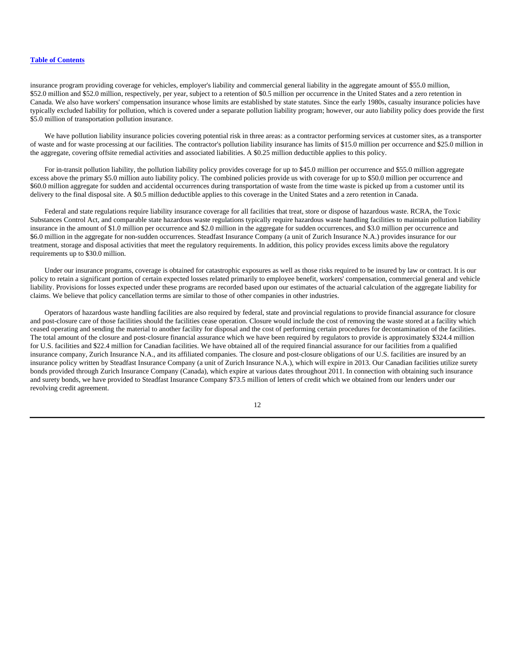insurance program providing coverage for vehicles, employer's liability and commercial general liability in the aggregate amount of \$55.0 million, \$52.0 million and \$52.0 million, respectively, per year, subject to a retention of \$0.5 million per occurrence in the United States and a zero retention in Canada. We also have workers' compensation insurance whose limits are established by state statutes. Since the early 1980s, casualty insurance policies have typically excluded liability for pollution, which is covered under a separate pollution liability program; however, our auto liability policy does provide the first \$5.0 million of transportation pollution insurance.

We have pollution liability insurance policies covering potential risk in three areas: as a contractor performing services at customer sites, as a transporter of waste and for waste processing at our facilities. The contractor's pollution liability insurance has limits of \$15.0 million per occurrence and \$25.0 million in the aggregate, covering offsite remedial activities and associated liabilities. A \$0.25 million deductible applies to this policy.

 For in-transit pollution liability, the pollution liability policy provides coverage for up to \$45.0 million per occurrence and \$55.0 million aggregate excess above the primary \$5.0 million auto liability policy. The combined policies provide us with coverage for up to \$50.0 million per occurrence and \$60.0 million aggregate for sudden and accidental occurrences during transportation of waste from the time waste is picked up from a customer until its delivery to the final disposal site. A \$0.5 million deductible applies to this coverage in the United States and a zero retention in Canada.

 Federal and state regulations require liability insurance coverage for all facilities that treat, store or dispose of hazardous waste. RCRA, the Toxic Substances Control Act, and comparable state hazardous waste regulations typically require hazardous waste handling facilities to maintain pollution liability insurance in the amount of \$1.0 million per occurrence and \$2.0 million in the aggregate for sudden occurrences, and \$3.0 million per occurrence and \$6.0 million in the aggregate for non-sudden occurrences. Steadfast Insurance Company (a unit of Zurich Insurance N.A.) provides insurance for our treatment, storage and disposal activities that meet the regulatory requirements. In addition, this policy provides excess limits above the regulatory requirements up to \$30.0 million.

 Under our insurance programs, coverage is obtained for catastrophic exposures as well as those risks required to be insured by law or contract. It is our policy to retain a significant portion of certain expected losses related primarily to employee benefit, workers' compensation, commercial general and vehicle liability. Provisions for losses expected under these programs are recorded based upon our estimates of the actuarial calculation of the aggregate liability for claims. We believe that policy cancellation terms are similar to those of other companies in other industries.

 Operators of hazardous waste handling facilities are also required by federal, state and provincial regulations to provide financial assurance for closure and post-closure care of those facilities should the facilities cease operation. Closure would include the cost of removing the waste stored at a facility which ceased operating and sending the material to another facility for disposal and the cost of performing certain procedures for decontamination of the facilities. The total amount of the closure and post-closure financial assurance which we have been required by regulators to provide is approximately \$324.4 million for U.S. facilities and \$22.4 million for Canadian facilities. We have obtained all of the required financial assurance for our facilities from a qualified insurance company, Zurich Insurance N.A., and its affiliated companies. The closure and post-closure obligations of our U.S. facilities are insured by an insurance policy written by Steadfast Insurance Company (a unit of Zurich Insurance N.A.), which will expire in 2013. Our Canadian facilities utilize surety bonds provided through Zurich Insurance Company (Canada), which expire at various dates throughout 2011. In connection with obtaining such insurance and surety bonds, we have provided to Steadfast Insurance Company \$73.5 million of letters of credit which we obtained from our lenders under our revolving credit agreement.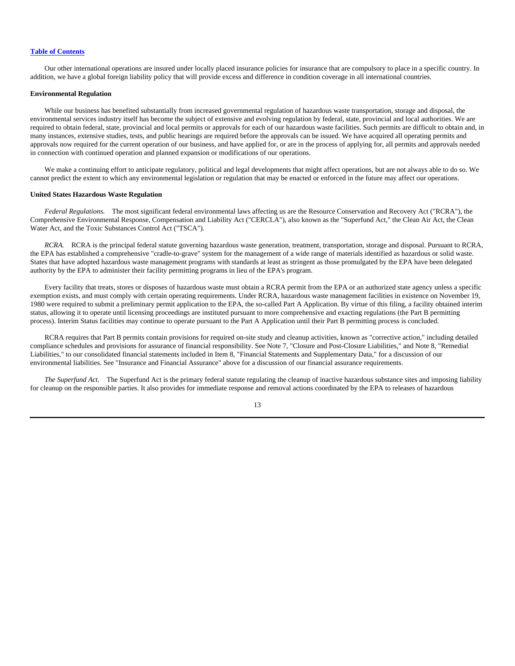Our other international operations are insured under locally placed insurance policies for insurance that are compulsory to place in a specific country. In addition, we have a global foreign liability policy that will provide excess and difference in condition coverage in all international countries.

#### **Environmental Regulation**

 While our business has benefited substantially from increased governmental regulation of hazardous waste transportation, storage and disposal, the environmental services industry itself has become the subject of extensive and evolving regulation by federal, state, provincial and local authorities. We are required to obtain federal, state, provincial and local permits or approvals for each of our hazardous waste facilities. Such permits are difficult to obtain and, in many instances, extensive studies, tests, and public hearings are required before the approvals can be issued. We have acquired all operating permits and approvals now required for the current operation of our business, and have applied for, or are in the process of applying for, all permits and approvals needed in connection with continued operation and planned expansion or modifications of our operations.

 We make a continuing effort to anticipate regulatory, political and legal developments that might affect operations, but are not always able to do so. We cannot predict the extent to which any environmental legislation or regulation that may be enacted or enforced in the future may affect our operations.

#### **United States Hazardous Waste Regulation**

 *Federal Regulations.* The most significant federal environmental laws affecting us are the Resource Conservation and Recovery Act ("RCRA"), the Comprehensive Environmental Response, Compensation and Liability Act ("CERCLA"), also known as the "Superfund Act," the Clean Air Act, the Clean Water Act, and the Toxic Substances Control Act ("TSCA").

 *RCRA.* RCRA is the principal federal statute governing hazardous waste generation, treatment, transportation, storage and disposal. Pursuant to RCRA, the EPA has established a comprehensive "cradle-to-grave" system for the management of a wide range of materials identified as hazardous or solid waste. States that have adopted hazardous waste management programs with standards at least as stringent as those promulgated by the EPA have been delegated authority by the EPA to administer their facility permitting programs in lieu of the EPA's program.

 Every facility that treats, stores or disposes of hazardous waste must obtain a RCRA permit from the EPA or an authorized state agency unless a specific exemption exists, and must comply with certain operating requirements. Under RCRA, hazardous waste management facilities in existence on November 19, 1980 were required to submit a preliminary permit application to the EPA, the so-called Part A Application. By virtue of this filing, a facility obtained interim status, allowing it to operate until licensing proceedings are instituted pursuant to more comprehensive and exacting regulations (the Part B permitting process). Interim Status facilities may continue to operate pursuant to the Part A Application until their Part B permitting process is concluded.

RCRA requires that Part B permits contain provisions for required on-site study and cleanup activities, known as "corrective action," including detailed compliance schedules and provisions for assurance of financial responsibility. See Note 7, "Closure and Post-Closure Liabilities," and Note 8, "Remedial Liabilities," to our consolidated financial statements included in Item 8, "Financial Statements and Supplementary Data," for a discussion of our environmental liabilities. See "Insurance and Financial Assurance" above for a discussion of our financial assurance requirements.

 *The Superfund Act.* The Superfund Act is the primary federal statute regulating the cleanup of inactive hazardous substance sites and imposing liability for cleanup on the responsible parties. It also provides for immediate response and removal actions coordinated by the EPA to releases of hazardous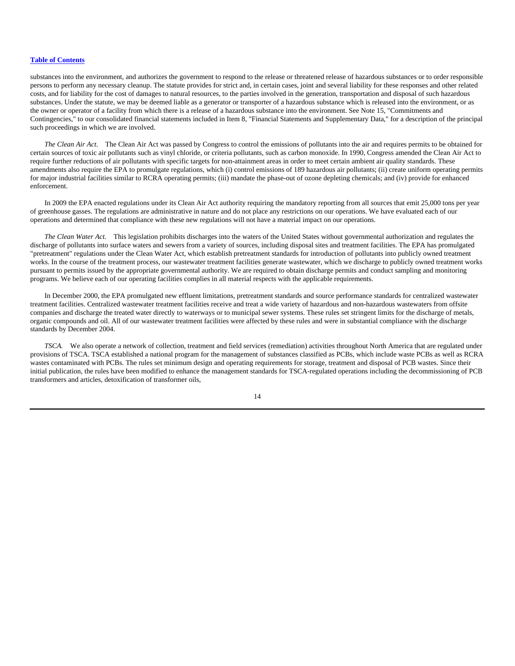substances into the environment, and authorizes the government to respond to the release or threatened release of hazardous substances or to order responsible persons to perform any necessary cleanup. The statute provides for strict and, in certain cases, joint and several liability for these responses and other related costs, and for liability for the cost of damages to natural resources, to the parties involved in the generation, transportation and disposal of such hazardous substances. Under the statute, we may be deemed liable as a generator or transporter of a hazardous substance which is released into the environment, or as the owner or operator of a facility from which there is a release of a hazardous substance into the environment. See Note 15, "Commitments and Contingencies," to our consolidated financial statements included in Item 8, "Financial Statements and Supplementary Data," for a description of the principal such proceedings in which we are involved.

 *The Clean Air Act.* The Clean Air Act was passed by Congress to control the emissions of pollutants into the air and requires permits to be obtained for certain sources of toxic air pollutants such as vinyl chloride, or criteria pollutants, such as carbon monoxide. In 1990, Congress amended the Clean Air Act to require further reductions of air pollutants with specific targets for non-attainment areas in order to meet certain ambient air quality standards. These amendments also require the EPA to promulgate regulations, which (i) control emissions of 189 hazardous air pollutants; (ii) create uniform operating permits for major industrial facilities similar to RCRA operating permits; (iii) mandate the phase-out of ozone depleting chemicals; and (iv) provide for enhanced enforcement.

 In 2009 the EPA enacted regulations under its Clean Air Act authority requiring the mandatory reporting from all sources that emit 25,000 tons per year of greenhouse gasses. The regulations are administrative in nature and do not place any restrictions on our operations. We have evaluated each of our operations and determined that compliance with these new regulations will not have a material impact on our operations.

 *The Clean Water Act.* This legislation prohibits discharges into the waters of the United States without governmental authorization and regulates the discharge of pollutants into surface waters and sewers from a variety of sources, including disposal sites and treatment facilities. The EPA has promulgated "pretreatment" regulations under the Clean Water Act, which establish pretreatment standards for introduction of pollutants into publicly owned treatment works. In the course of the treatment process, our wastewater treatment facilities generate wastewater, which we discharge to publicly owned treatment works pursuant to permits issued by the appropriate governmental authority. We are required to obtain discharge permits and conduct sampling and monitoring programs. We believe each of our operating facilities complies in all material respects with the applicable requirements.

 In December 2000, the EPA promulgated new effluent limitations, pretreatment standards and source performance standards for centralized wastewater treatment facilities. Centralized wastewater treatment facilities receive and treat a wide variety of hazardous and non-hazardous wastewaters from offsite companies and discharge the treated water directly to waterways or to municipal sewer systems. These rules set stringent limits for the discharge of metals, organic compounds and oil. All of our wastewater treatment facilities were affected by these rules and were in substantial compliance with the discharge standards by December 2004.

 *TSCA.* We also operate a network of collection, treatment and field services (remediation) activities throughout North America that are regulated under provisions of TSCA. TSCA established a national program for the management of substances classified as PCBs, which include waste PCBs as well as RCRA wastes contaminated with PCBs. The rules set minimum design and operating requirements for storage, treatment and disposal of PCB wastes. Since their initial publication, the rules have been modified to enhance the management standards for TSCA-regulated operations including the decommissioning of PCB transformers and articles, detoxification of transformer oils,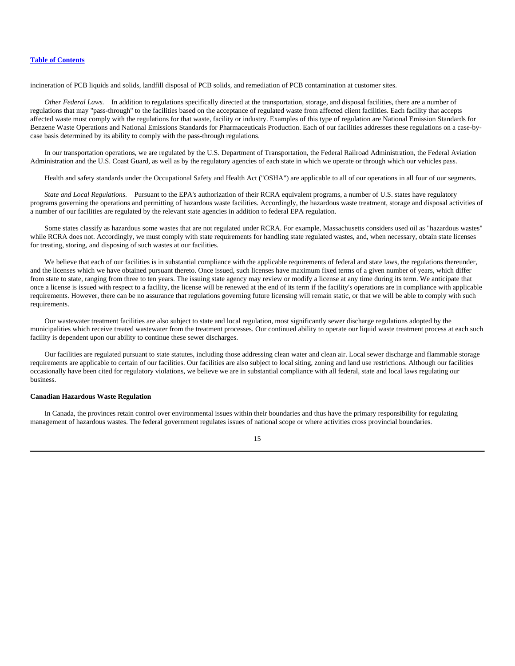incineration of PCB liquids and solids, landfill disposal of PCB solids, and remediation of PCB contamination at customer sites.

*Other Federal Laws.* In addition to regulations specifically directed at the transportation, storage, and disposal facilities, there are a number of regulations that may "pass-through" to the facilities based on the acceptance of regulated waste from affected client facilities. Each facility that accepts affected waste must comply with the regulations for that waste, facility or industry. Examples of this type of regulation are National Emission Standards for Benzene Waste Operations and National Emissions Standards for Pharmaceuticals Production. Each of our facilities addresses these regulations on a case-bycase basis determined by its ability to comply with the pass-through regulations.

 In our transportation operations, we are regulated by the U.S. Department of Transportation, the Federal Railroad Administration, the Federal Aviation Administration and the U.S. Coast Guard, as well as by the regulatory agencies of each state in which we operate or through which our vehicles pass.

Health and safety standards under the Occupational Safety and Health Act ("OSHA") are applicable to all of our operations in all four of our segments.

 *State and Local Regulations.* Pursuant to the EPA's authorization of their RCRA equivalent programs, a number of U.S. states have regulatory programs governing the operations and permitting of hazardous waste facilities. Accordingly, the hazardous waste treatment, storage and disposal activities of a number of our facilities are regulated by the relevant state agencies in addition to federal EPA regulation.

 Some states classify as hazardous some wastes that are not regulated under RCRA. For example, Massachusetts considers used oil as "hazardous wastes" while RCRA does not. Accordingly, we must comply with state requirements for handling state regulated wastes, and, when necessary, obtain state licenses for treating, storing, and disposing of such wastes at our facilities.

We believe that each of our facilities is in substantial compliance with the applicable requirements of federal and state laws, the regulations thereunder, and the licenses which we have obtained pursuant thereto. Once issued, such licenses have maximum fixed terms of a given number of years, which differ from state to state, ranging from three to ten years. The issuing state agency may review or modify a license at any time during its term. We anticipate that once a license is issued with respect to a facility, the license will be renewed at the end of its term if the facility's operations are in compliance with applicable requirements. However, there can be no assurance that regulations governing future licensing will remain static, or that we will be able to comply with such requirements.

 Our wastewater treatment facilities are also subject to state and local regulation, most significantly sewer discharge regulations adopted by the municipalities which receive treated wastewater from the treatment processes. Our continued ability to operate our liquid waste treatment process at each such facility is dependent upon our ability to continue these sewer discharges.

 Our facilities are regulated pursuant to state statutes, including those addressing clean water and clean air. Local sewer discharge and flammable storage requirements are applicable to certain of our facilities. Our facilities are also subject to local siting, zoning and land use restrictions. Although our facilities occasionally have been cited for regulatory violations, we believe we are in substantial compliance with all federal, state and local laws regulating our business.

#### **Canadian Hazardous Waste Regulation**

 In Canada, the provinces retain control over environmental issues within their boundaries and thus have the primary responsibility for regulating management of hazardous wastes. The federal government regulates issues of national scope or where activities cross provincial boundaries.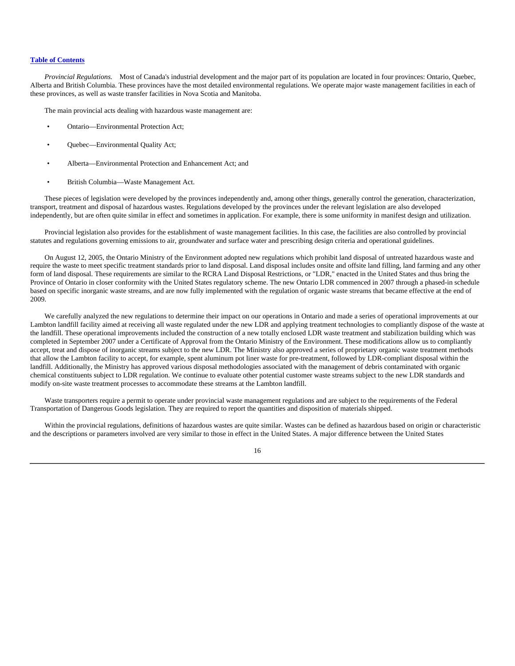*Provincial Regulations.* Most of Canada's industrial development and the major part of its population are located in four provinces: Ontario, Quebec, Alberta and British Columbia. These provinces have the most detailed environmental regulations. We operate major waste management facilities in each of these provinces, as well as waste transfer facilities in Nova Scotia and Manitoba.

The main provincial acts dealing with hazardous waste management are:

- Ontario—Environmental Protection Act; •
- Quebec—Environmental Quality Act; •
- Alberta—Environmental Protection and Enhancement Act; and •
- British Columbia—Waste Management Act. •

 These pieces of legislation were developed by the provinces independently and, among other things, generally control the generation, characterization, transport, treatment and disposal of hazardous wastes. Regulations developed by the provinces under the relevant legislation are also developed independently, but are often quite similar in effect and sometimes in application. For example, there is some uniformity in manifest design and utilization.

 Provincial legislation also provides for the establishment of waste management facilities. In this case, the facilities are also controlled by provincial statutes and regulations governing emissions to air, groundwater and surface water and prescribing design criteria and operational guidelines.

 On August 12, 2005, the Ontario Ministry of the Environment adopted new regulations which prohibit land disposal of untreated hazardous waste and require the waste to meet specific treatment standards prior to land disposal. Land disposal includes onsite and offsite land filling, land farming and any other form of land disposal. These requirements are similar to the RCRA Land Disposal Restrictions, or "LDR," enacted in the United States and thus bring the Province of Ontario in closer conformity with the United States regulatory scheme. The new Ontario LDR commenced in 2007 through a phased-in schedule based on specific inorganic waste streams, and are now fully implemented with the regulation of organic waste streams that became effective at the end of 2009.

We carefully analyzed the new regulations to determine their impact on our operations in Ontario and made a series of operational improvements at our Lambton landfill facility aimed at receiving all waste regulated under the new LDR and applying treatment technologies to compliantly dispose of the waste at the landfill. These operational improvements included the construction of a new totally enclosed LDR waste treatment and stabilization building which was completed in September 2007 under a Certificate of Approval from the Ontario Ministry of the Environment. These modifications allow us to compliantly accept, treat and dispose of inorganic streams subject to the new LDR. The Ministry also approved a series of proprietary organic waste treatment methods that allow the Lambton facility to accept, for example, spent aluminum pot liner waste for pre-treatment, followed by LDR-compliant disposal within the landfill. Additionally, the Ministry has approved various disposal methodologies associated with the management of debris contaminated with organic chemical constituents subject to LDR regulation. We continue to evaluate other potential customer waste streams subject to the new LDR standards and modify on-site waste treatment processes to accommodate these streams at the Lambton landfill.

 Waste transporters require a permit to operate under provincial waste management regulations and are subject to the requirements of the Federal Transportation of Dangerous Goods legislation. They are required to report the quantities and disposition of materials shipped.

 Within the provincial regulations, definitions of hazardous wastes are quite similar. Wastes can be defined as hazardous based on origin or characteristic and the descriptions or parameters involved are very similar to those in effect in the United States. A major difference between the United States

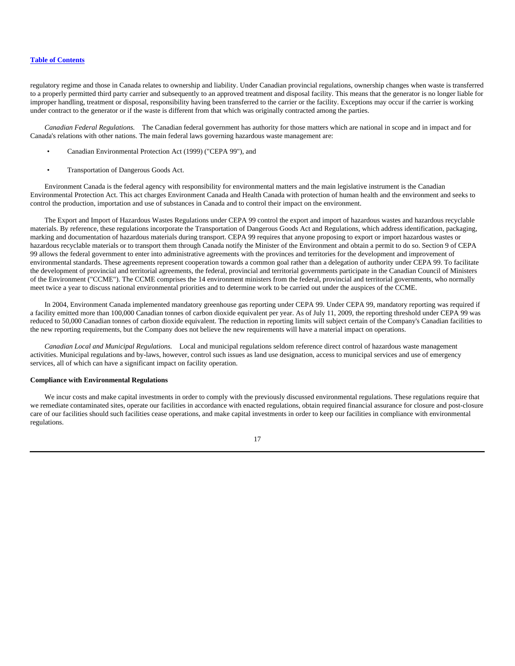regulatory regime and those in Canada relates to ownership and liability. Under Canadian provincial regulations, ownership changes when waste is transferred to a properly permitted third party carrier and subsequently to an approved treatment and disposal facility. This means that the generator is no longer liable for improper handling, treatment or disposal, responsibility having been transferred to the carrier or the facility. Exceptions may occur if the carrier is working under contract to the generator or if the waste is different from that which was originally contracted among the parties.

 *Canadian Federal Regulations.* The Canadian federal government has authority for those matters which are national in scope and in impact and for Canada's relations with other nations. The main federal laws governing hazardous waste management are:

- Canadian Environmental Protection Act (1999) ("CEPA 99"), and •
- Transportation of Dangerous Goods Act. •

 Environment Canada is the federal agency with responsibility for environmental matters and the main legislative instrument is the Canadian Environmental Protection Act. This act charges Environment Canada and Health Canada with protection of human health and the environment and seeks to control the production, importation and use of substances in Canada and to control their impact on the environment.

 The Export and Import of Hazardous Wastes Regulations under CEPA 99 control the export and import of hazardous wastes and hazardous recyclable materials. By reference, these regulations incorporate the Transportation of Dangerous Goods Act and Regulations, which address identification, packaging, marking and documentation of hazardous materials during transport. CEPA 99 requires that anyone proposing to export or import hazardous wastes or hazardous recyclable materials or to transport them through Canada notify the Minister of the Environment and obtain a permit to do so. Section 9 of CEPA 99 allows the federal government to enter into administrative agreements with the provinces and territories for the development and improvement of environmental standards. These agreements represent cooperation towards a common goal rather than a delegation of authority under CEPA 99. To facilitate the development of provincial and territorial agreements, the federal, provincial and territorial governments participate in the Canadian Council of Ministers of the Environment ("CCME"). The CCME comprises the 14 environment ministers from the federal, provincial and territorial governments, who normally meet twice a year to discuss national environmental priorities and to determine work to be carried out under the auspices of the CCME.

 In 2004, Environment Canada implemented mandatory greenhouse gas reporting under CEPA 99. Under CEPA 99, mandatory reporting was required if a facility emitted more than 100,000 Canadian tonnes of carbon dioxide equivalent per year. As of July 11, 2009, the reporting threshold under CEPA 99 was reduced to 50,000 Canadian tonnes of carbon dioxide equivalent. The reduction in reporting limits will subject certain of the Company's Canadian facilities to the new reporting requirements, but the Company does not believe the new requirements will have a material impact on operations.

 *Canadian Local and Municipal Regulations.* Local and municipal regulations seldom reference direct control of hazardous waste management activities. Municipal regulations and by-laws, however, control such issues as land use designation, access to municipal services and use of emergency services, all of which can have a significant impact on facility operation.

#### **Compliance with Environmental Regulations**

 We incur costs and make capital investments in order to comply with the previously discussed environmental regulations. These regulations require that we remediate contaminated sites, operate our facilities in accordance with enacted regulations, obtain required financial assurance for closure and post-closure care of our facilities should such facilities cease operations, and make capital investments in order to keep our facilities in compliance with environmental regulations.

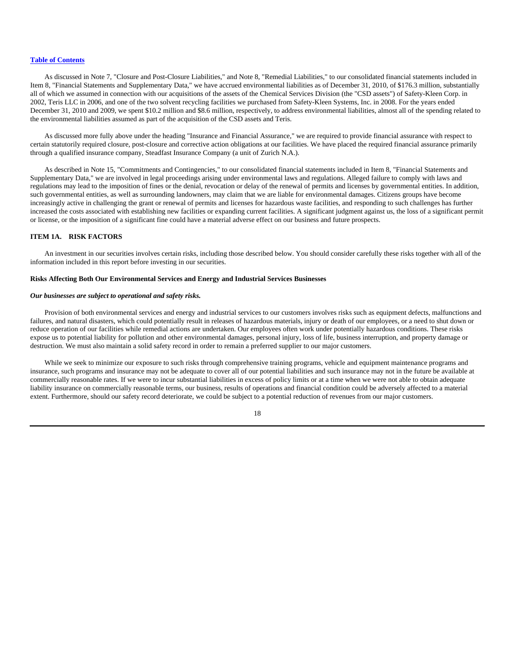<span id="page-21-0"></span> As discussed in Note 7, "Closure and Post-Closure Liabilities," and Note 8, "Remedial Liabilities," to our consolidated financial statements included in Item 8, "Financial Statements and Supplementary Data," we have accrued environmental liabilities as of December 31, 2010, of \$176.3 million, substantially all of which we assumed in connection with our acquisitions of the assets of the Chemical Services Division (the "CSD assets") of Safety-Kleen Corp. in 2002, Teris LLC in 2006, and one of the two solvent recycling facilities we purchased from Safety-Kleen Systems, Inc. in 2008. For the years ended December 31, 2010 and 2009, we spent \$10.2 million and \$8.6 million, respectively, to address environmental liabilities, almost all of the spending related to the environmental liabilities assumed as part of the acquisition of the CSD assets and Teris.

 As discussed more fully above under the heading "Insurance and Financial Assurance," we are required to provide financial assurance with respect to certain statutorily required closure, post-closure and corrective action obligations at our facilities. We have placed the required financial assurance primarily through a qualified insurance company, Steadfast Insurance Company (a unit of Zurich N.A.).

 As described in Note 15, "Commitments and Contingencies," to our consolidated financial statements included in Item 8, "Financial Statements and Supplementary Data," we are involved in legal proceedings arising under environmental laws and regulations. Alleged failure to comply with laws and regulations may lead to the imposition of fines or the denial, revocation or delay of the renewal of permits and licenses by governmental entities. In addition, such governmental entities, as well as surrounding landowners, may claim that we are liable for environmental damages. Citizens groups have become increasingly active in challenging the grant or renewal of permits and licenses for hazardous waste facilities, and responding to such challenges has further increased the costs associated with establishing new facilities or expanding current facilities. A significant judgment against us, the loss of a significant permit or license, or the imposition of a significant fine could have a material adverse effect on our business and future prospects.

## **ITEM 1A. RISK FACTORS**

 An investment in our securities involves certain risks, including those described below. You should consider carefully these risks together with all of the information included in this report before investing in our securities.

#### **Risks Affecting Both Our Environmental Services and Energy and Industrial Services Businesses**

#### *Our businesses are subject to operational and safety risks.*

 Provision of both environmental services and energy and industrial services to our customers involves risks such as equipment defects, malfunctions and failures, and natural disasters, which could potentially result in releases of hazardous materials, injury or death of our employees, or a need to shut down or reduce operation of our facilities while remedial actions are undertaken. Our employees often work under potentially hazardous conditions. These risks expose us to potential liability for pollution and other environmental damages, personal injury, loss of life, business interruption, and property damage or destruction. We must also maintain a solid safety record in order to remain a preferred supplier to our major customers.

 While we seek to minimize our exposure to such risks through comprehensive training programs, vehicle and equipment maintenance programs and insurance, such programs and insurance may not be adequate to cover all of our potential liabilities and such insurance may not in the future be available at commercially reasonable rates. If we were to incur substantial liabilities in excess of policy limits or at a time when we were not able to obtain adequate liability insurance on commercially reasonable terms, our business, results of operations and financial condition could be adversely affected to a material extent. Furthermore, should our safety record deteriorate, we could be subject to a potential reduction of revenues from our major customers.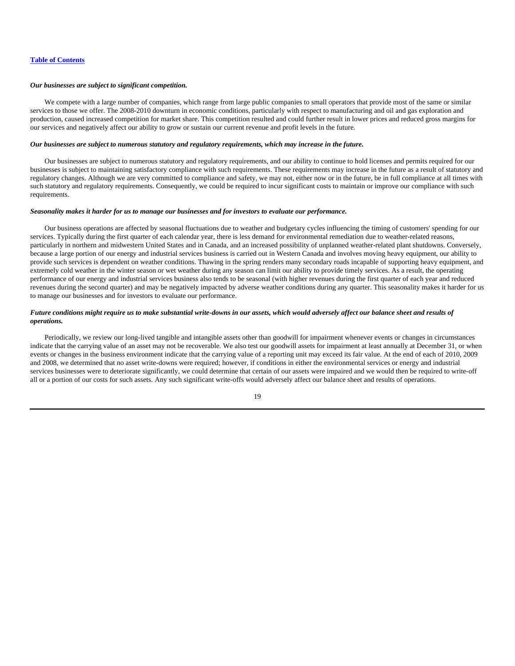#### *Our businesses are subject to significant competition.*

We compete with a large number of companies, which range from large public companies to small operators that provide most of the same or similar services to those we offer. The 2008-2010 downturn in economic conditions, particularly with respect to manufacturing and oil and gas exploration and production, caused increased competition for market share. This competition resulted and could further result in lower prices and reduced gross margins for our services and negatively affect our ability to grow or sustain our current revenue and profit levels in the future.

#### *Our businesses are subject to numerous statutory and regulatory requirements, which may increase in the future.*

 Our businesses are subject to numerous statutory and regulatory requirements, and our ability to continue to hold licenses and permits required for our businesses is subject to maintaining satisfactory compliance with such requirements. These requirements may increase in the future as a result of statutory and regulatory changes. Although we are very committed to compliance and safety, we may not, either now or in the future, be in full compliance at all times with such statutory and regulatory requirements. Consequently, we could be required to incur significant costs to maintain or improve our compliance with such requirements.

#### *Seasonality makes it harder for us to manage our businesses and for investors to evaluate our performance.*

 Our business operations are affected by seasonal fluctuations due to weather and budgetary cycles influencing the timing of customers' spending for our services. Typically during the first quarter of each calendar year, there is less demand for environmental remediation due to weather-related reasons, particularly in northern and midwestern United States and in Canada, and an increased possibility of unplanned weather-related plant shutdowns. Conversely, because a large portion of our energy and industrial services business is carried out in Western Canada and involves moving heavy equipment, our ability to provide such services is dependent on weather conditions. Thawing in the spring renders many secondary roads incapable of supporting heavy equipment, and extremely cold weather in the winter season or wet weather during any season can limit our ability to provide timely services. As a result, the operating performance of our energy and industrial services business also tends to be seasonal (with higher revenues during the first quarter of each year and reduced revenues during the second quarter) and may be negatively impacted by adverse weather conditions during any quarter. This seasonality makes it harder for us to manage our businesses and for investors to evaluate our performance.

#### *Future conditions might require us to make substantial write-downs in our assets, which would adversely affect our balance sheet and results of operations.*

 Periodically, we review our long-lived tangible and intangible assets other than goodwill for impairment whenever events or changes in circumstances indicate that the carrying value of an asset may not be recoverable. We also test our goodwill assets for impairment at least annually at December 31, or when events or changes in the business environment indicate that the carrying value of a reporting unit may exceed its fair value. At the end of each of 2010, 2009 and 2008, we determined that no asset write-downs were required; however, if conditions in either the environmental services or energy and industrial services businesses were to deteriorate significantly, we could determine that certain of our assets were impaired and we would then be required to write-off all or a portion of our costs for such assets. Any such significant write-offs would adversely affect our balance sheet and results of operations.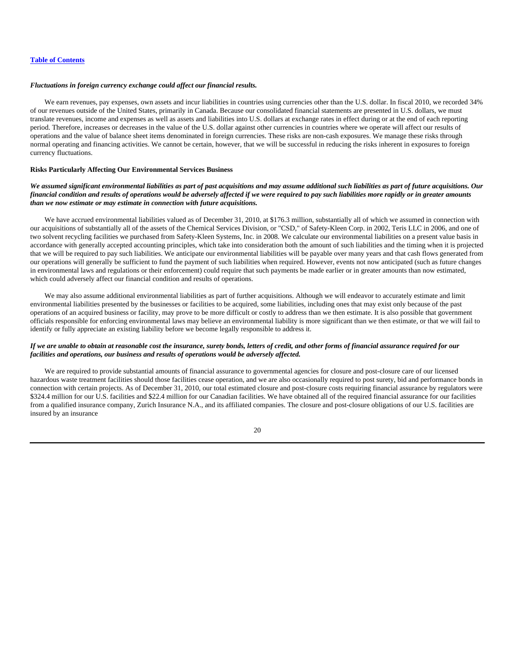#### *Fluctuations in foreign currency exchange could affect our financial results.*

We earn revenues, pay expenses, own assets and incur liabilities in countries using currencies other than the U.S. dollar. In fiscal 2010, we recorded 34% of our revenues outside of the United States, primarily in Canada. Because our consolidated financial statements are presented in U.S. dollars, we must translate revenues, income and expenses as well as assets and liabilities into U.S. dollars at exchange rates in effect during or at the end of each reporting period. Therefore, increases or decreases in the value of the U.S. dollar against other currencies in countries where we operate will affect our results of operations and the value of balance sheet items denominated in foreign currencies. These risks are non-cash exposures. We manage these risks through normal operating and financing activities. We cannot be certain, however, that we will be successful in reducing the risks inherent in exposures to foreign currency fluctuations.

#### **Risks Particularly Affecting Our Environmental Services Business**

### *We assumed significant environmental liabilities as part of past acquisitions and may assume additional such liabilities as part of future acquisitions. Our financial condition and results of operations would be adversely affected if we were required to pay such liabilities more rapidly or in greater amounts than we now estimate or may estimate in connection with future acquisitions.*

 We have accrued environmental liabilities valued as of December 31, 2010, at \$176.3 million, substantially all of which we assumed in connection with our acquisitions of substantially all of the assets of the Chemical Services Division, or "CSD," of Safety-Kleen Corp. in 2002, Teris LLC in 2006, and one of two solvent recycling facilities we purchased from Safety-Kleen Systems, Inc. in 2008. We calculate our environmental liabilities on a present value basis in accordance with generally accepted accounting principles, which take into consideration both the amount of such liabilities and the timing when it is projected that we will be required to pay such liabilities. We anticipate our environmental liabilities will be payable over many years and that cash flows generated from our operations will generally be sufficient to fund the payment of such liabilities when required. However, events not now anticipated (such as future changes in environmental laws and regulations or their enforcement) could require that such payments be made earlier or in greater amounts than now estimated, which could adversely affect our financial condition and results of operations.

 We may also assume additional environmental liabilities as part of further acquisitions. Although we will endeavor to accurately estimate and limit environmental liabilities presented by the businesses or facilities to be acquired, some liabilities, including ones that may exist only because of the past operations of an acquired business or facility, may prove to be more difficult or costly to address than we then estimate. It is also possible that government officials responsible for enforcing environmental laws may believe an environmental liability is more significant than we then estimate, or that we will fail to identify or fully appreciate an existing liability before we become legally responsible to address it.

## *If we are unable to obtain at reasonable cost the insurance, surety bonds, letters of credit, and other forms of financial assurance required for our facilities and operations, our business and results of operations would be adversely affected.*

 We are required to provide substantial amounts of financial assurance to governmental agencies for closure and post-closure care of our licensed hazardous waste treatment facilities should those facilities cease operation, and we are also occasionally required to post surety, bid and performance bonds in connection with certain projects. As of December 31, 2010, our total estimated closure and post-closure costs requiring financial assurance by regulators were \$324.4 million for our U.S. facilities and \$22.4 million for our Canadian facilities. We have obtained all of the required financial assurance for our facilities from a qualified insurance company, Zurich Insurance N.A., and its affiliated companies. The closure and post-closure obligations of our U.S. facilities are insured by an insurance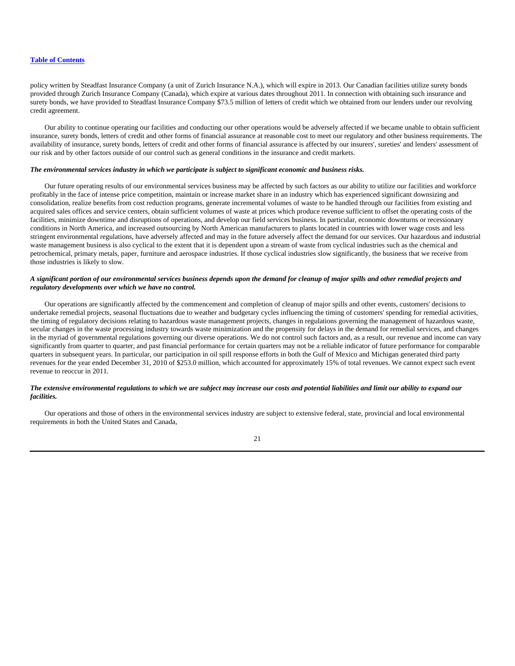policy written by Steadfast Insurance Company (a unit of Zurich Insurance N.A.), which will expire in 2013. Our Canadian facilities utilize surety bonds provided through Zurich Insurance Company (Canada), which expire at various dates throughout 2011. In connection with obtaining such insurance and surety bonds, we have provided to Steadfast Insurance Company \$73.5 million of letters of credit which we obtained from our lenders under our revolving credit agreement.

 Our ability to continue operating our facilities and conducting our other operations would be adversely affected if we became unable to obtain sufficient insurance, surety bonds, letters of credit and other forms of financial assurance at reasonable cost to meet our regulatory and other business requirements. The availability of insurance, surety bonds, letters of credit and other forms of financial assurance is affected by our insurers', sureties' and lenders' assessment of our risk and by other factors outside of our control such as general conditions in the insurance and credit markets.

#### *The environmental services industry in which we participate is subject to significant economic and business risks.*

 Our future operating results of our environmental services business may be affected by such factors as our ability to utilize our facilities and workforce profitably in the face of intense price competition, maintain or increase market share in an industry which has experienced significant downsizing and consolidation, realize benefits from cost reduction programs, generate incremental volumes of waste to be handled through our facilities from existing and acquired sales offices and service centers, obtain sufficient volumes of waste at prices which produce revenue sufficient to offset the operating costs of the facilities, minimize downtime and disruptions of operations, and develop our field services business. In particular, economic downturns or recessionary conditions in North America, and increased outsourcing by North American manufacturers to plants located in countries with lower wage costs and less stringent environmental regulations, have adversely affected and may in the future adversely affect the demand for our services. Our hazardous and industrial waste management business is also cyclical to the extent that it is dependent upon a stream of waste from cyclical industries such as the chemical and petrochemical, primary metals, paper, furniture and aerospace industries. If those cyclical industries slow significantly, the business that we receive from those industries is likely to slow.

#### *A significant portion of our environmental services business depends upon the demand for cleanup of major spills and other remedial projects and regulatory developments over which we have no control.*

 Our operations are significantly affected by the commencement and completion of cleanup of major spills and other events, customers' decisions to undertake remedial projects, seasonal fluctuations due to weather and budgetary cycles influencing the timing of customers' spending for remedial activities, the timing of regulatory decisions relating to hazardous waste management projects, changes in regulations governing the management of hazardous waste, secular changes in the waste processing industry towards waste minimization and the propensity for delays in the demand for remedial services, and changes in the myriad of governmental regulations governing our diverse operations. We do not control such factors and, as a result, our revenue and income can vary significantly from quarter to quarter, and past financial performance for certain quarters may not be a reliable indicator of future performance for comparable quarters in subsequent years. In particular, our participation in oil spill response efforts in both the Gulf of Mexico and Michigan generated third party revenues for the year ended December 31, 2010 of \$253.0 million, which accounted for approximately 15% of total revenues. We cannot expect such event revenue to reoccur in 2011.

### *The extensive environmental regulations to which we are subject may increase our costs and potential liabilities and limit our ability to expand our facilities.*

 Our operations and those of others in the environmental services industry are subject to extensive federal, state, provincial and local environmental requirements in both the United States and Canada,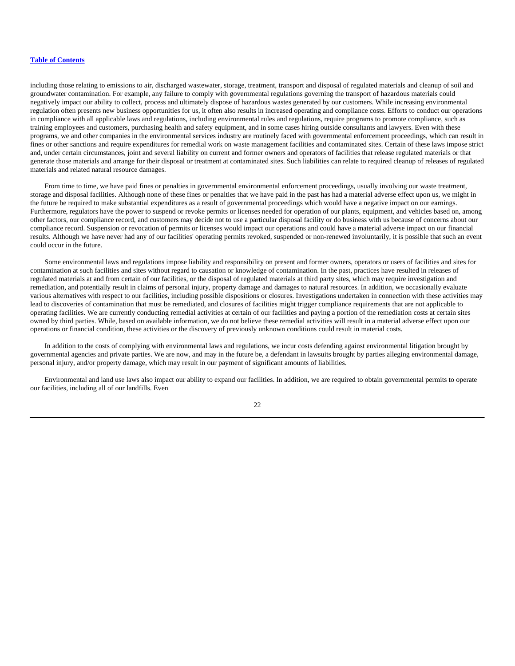including those relating to emissions to air, discharged wastewater, storage, treatment, transport and disposal of regulated materials and cleanup of soil and groundwater contamination. For example, any failure to comply with governmental regulations governing the transport of hazardous materials could negatively impact our ability to collect, process and ultimately dispose of hazardous wastes generated by our customers. While increasing environmental regulation often presents new business opportunities for us, it often also results in increased operating and compliance costs. Efforts to conduct our operations in compliance with all applicable laws and regulations, including environmental rules and regulations, require programs to promote compliance, such as training employees and customers, purchasing health and safety equipment, and in some cases hiring outside consultants and lawyers. Even with these programs, we and other companies in the environmental services industry are routinely faced with governmental enforcement proceedings, which can result in fines or other sanctions and require expenditures for remedial work on waste management facilities and contaminated sites. Certain of these laws impose strict and, under certain circumstances, joint and several liability on current and former owners and operators of facilities that release regulated materials or that generate those materials and arrange for their disposal or treatment at contaminated sites. Such liabilities can relate to required cleanup of releases of regulated materials and related natural resource damages.

 From time to time, we have paid fines or penalties in governmental environmental enforcement proceedings, usually involving our waste treatment, storage and disposal facilities. Although none of these fines or penalties that we have paid in the past has had a material adverse effect upon us, we might in the future be required to make substantial expenditures as a result of governmental proceedings which would have a negative impact on our earnings. Furthermore, regulators have the power to suspend or revoke permits or licenses needed for operation of our plants, equipment, and vehicles based on, among other factors, our compliance record, and customers may decide not to use a particular disposal facility or do business with us because of concerns about our compliance record. Suspension or revocation of permits or licenses would impact our operations and could have a material adverse impact on our financial results. Although we have never had any of our facilities' operating permits revoked, suspended or non-renewed involuntarily, it is possible that such an event could occur in the future.

 Some environmental laws and regulations impose liability and responsibility on present and former owners, operators or users of facilities and sites for contamination at such facilities and sites without regard to causation or knowledge of contamination. In the past, practices have resulted in releases of regulated materials at and from certain of our facilities, or the disposal of regulated materials at third party sites, which may require investigation and remediation, and potentially result in claims of personal injury, property damage and damages to natural resources. In addition, we occasionally evaluate various alternatives with respect to our facilities, including possible dispositions or closures. Investigations undertaken in connection with these activities may lead to discoveries of contamination that must be remediated, and closures of facilities might trigger compliance requirements that are not applicable to operating facilities. We are currently conducting remedial activities at certain of our facilities and paying a portion of the remediation costs at certain sites owned by third parties. While, based on available information, we do not believe these remedial activities will result in a material adverse effect upon our operations or financial condition, these activities or the discovery of previously unknown conditions could result in material costs.

 In addition to the costs of complying with environmental laws and regulations, we incur costs defending against environmental litigation brought by governmental agencies and private parties. We are now, and may in the future be, a defendant in lawsuits brought by parties alleging environmental damage, personal injury, and/or property damage, which may result in our payment of significant amounts of liabilities.

 Environmental and land use laws also impact our ability to expand our facilities. In addition, we are required to obtain governmental permits to operate our facilities, including all of our landfills. Even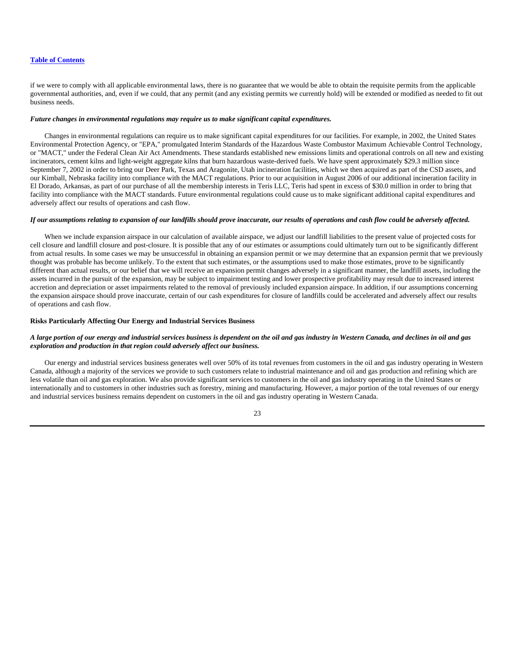if we were to comply with all applicable environmental laws, there is no guarantee that we would be able to obtain the requisite permits from the applicable governmental authorities, and, even if we could, that any permit (and any existing permits we currently hold) will be extended or modified as needed to fit out business needs.

#### *Future changes in environmental regulations may require us to make significant capital expenditures.*

 Changes in environmental regulations can require us to make significant capital expenditures for our facilities. For example, in 2002, the United States Environmental Protection Agency, or "EPA," promulgated Interim Standards of the Hazardous Waste Combustor Maximum Achievable Control Technology, or "MACT," under the Federal Clean Air Act Amendments. These standards established new emissions limits and operational controls on all new and existing incinerators, cement kilns and light-weight aggregate kilns that burn hazardous waste-derived fuels. We have spent approximately \$29.3 million since September 7, 2002 in order to bring our Deer Park, Texas and Aragonite, Utah incineration facilities, which we then acquired as part of the CSD assets, and our Kimball, Nebraska facility into compliance with the MACT regulations. Prior to our acquisition in August 2006 of our additional incineration facility in El Dorado, Arkansas, as part of our purchase of all the membership interests in Teris LLC, Teris had spent in excess of \$30.0 million in order to bring that facility into compliance with the MACT standards. Future environmental regulations could cause us to make significant additional capital expenditures and adversely affect our results of operations and cash flow.

#### *If our assumptions relating to expansion of our landfills should prove inaccurate, our results of operations and cash flow could be adversely affected.*

 When we include expansion airspace in our calculation of available airspace, we adjust our landfill liabilities to the present value of projected costs for cell closure and landfill closure and post-closure. It is possible that any of our estimates or assumptions could ultimately turn out to be significantly different from actual results. In some cases we may be unsuccessful in obtaining an expansion permit or we may determine that an expansion permit that we previously thought was probable has become unlikely. To the extent that such estimates, or the assumptions used to make those estimates, prove to be significantly different than actual results, or our belief that we will receive an expansion permit changes adversely in a significant manner, the landfill assets, including the assets incurred in the pursuit of the expansion, may be subject to impairment testing and lower prospective profitability may result due to increased interest accretion and depreciation or asset impairments related to the removal of previously included expansion airspace. In addition, if our assumptions concerning the expansion airspace should prove inaccurate, certain of our cash expenditures for closure of landfills could be accelerated and adversely affect our results of operations and cash flow.

#### **Risks Particularly Affecting Our Energy and Industrial Services Business**

## *A large portion of our energy and industrial services business is dependent on the oil and gas industry in Western Canada, and declines in oil and gas exploration and production in that region could adversely affect our business.*

 Our energy and industrial services business generates well over 50% of its total revenues from customers in the oil and gas industry operating in Western Canada, although a majority of the services we provide to such customers relate to industrial maintenance and oil and gas production and refining which are less volatile than oil and gas exploration. We also provide significant services to customers in the oil and gas industry operating in the United States or internationally and to customers in other industries such as forestry, mining and manufacturing. However, a major portion of the total revenues of our energy and industrial services business remains dependent on customers in the oil and gas industry operating in Western Canada.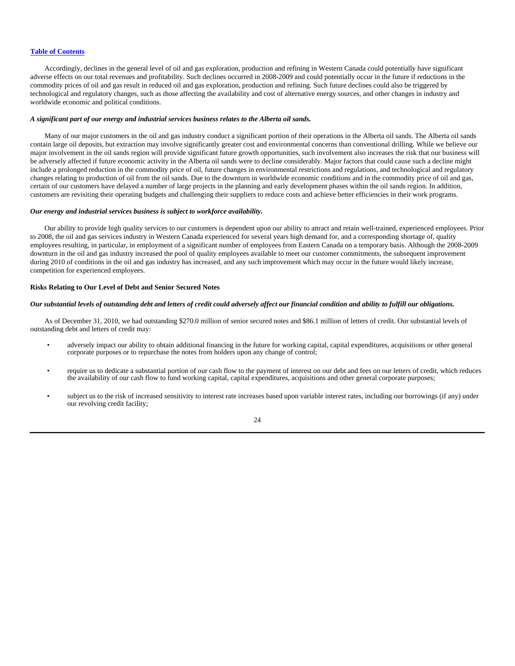Accordingly, declines in the general level of oil and gas exploration, production and refining in Western Canada could potentially have significant adverse effects on our total revenues and profitability. Such declines occurred in 2008-2009 and could potentially occur in the future if reductions in the commodity prices of oil and gas result in reduced oil and gas exploration, production and refining. Such future declines could also be triggered by technological and regulatory changes, such as those affecting the availability and cost of alternative energy sources, and other changes in industry and worldwide economic and political conditions.

#### *A significant part of our energy and industrial services business relates to the Alberta oil sands.*

 Many of our major customers in the oil and gas industry conduct a significant portion of their operations in the Alberta oil sands. The Alberta oil sands contain large oil deposits, but extraction may involve significantly greater cost and environmental concerns than conventional drilling. While we believe our major involvement in the oil sands region will provide significant future growth opportunities, such involvement also increases the risk that our business will be adversely affected if future economic activity in the Alberta oil sands were to decline considerably. Major factors that could cause such a decline might include a prolonged reduction in the commodity price of oil, future changes in environmental restrictions and regulations, and technological and regulatory changes relating to production of oil from the oil sands. Due to the downturn in worldwide economic conditions and in the commodity price of oil and gas, certain of our customers have delayed a number of large projects in the planning and early development phases within the oil sands region. In addition, customers are revisiting their operating budgets and challenging their suppliers to reduce costs and achieve better efficiencies in their work programs.

#### *Our energy and industrial services business is subject to workforce availability.*

 Our ability to provide high quality services to our customers is dependent upon our ability to attract and retain well-trained, experienced employees. Prior to 2008, the oil and gas services industry in Western Canada experienced for several years high demand for, and a corresponding shortage of, quality employees resulting, in particular, in employment of a significant number of employees from Eastern Canada on a temporary basis. Although the 2008-2009 downturn in the oil and gas industry increased the pool of quality employees available to meet our customer commitments, the subsequent improvement during 2010 of conditions in the oil and gas industry has increased, and any such improvement which may occur in the future would likely increase, competition for experienced employees.

#### **Risks Relating to Our Level of Debt and Senior Secured Notes**

## *Our substantial levels of outstanding debt and letters of credit could adversely affect our financial condition and ability to fulfill our obligations.*

 As of December 31, 2010, we had outstanding \$270.0 million of senior secured notes and \$86.1 million of letters of credit. Our substantial levels of outstanding debt and letters of credit may:

- adversely impact our ability to obtain additional financing in the future for working capital, capital expenditures, acquisitions or other general corporate purposes or to repurchase the notes from holders upon any change of control; •
- require us to dedicate a substantial portion of our cash flow to the payment of interest on our debt and fees on our letters of credit, which reduces the availability of our cash flow to fund working capital, capital expenditures, acquisitions and other general corporate purposes; •
- subject us to the risk of increased sensitivity to interest rate increases based upon variable interest rates, including our borrowings (if any) under our revolving credit facility; •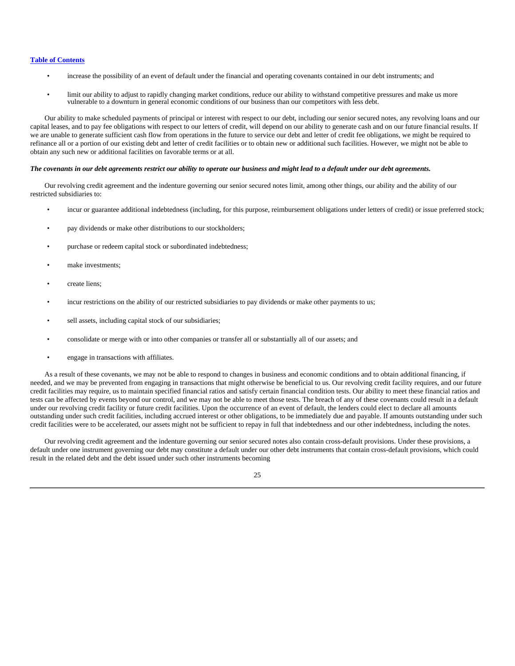- increase the possibility of an event of default under the financial and operating covenants contained in our debt instruments; and •
- limit our ability to adjust to rapidly changing market conditions, reduce our ability to withstand competitive pressures and make us more vulnerable to a downturn in general economic conditions of our business than our competitors with less debt. •

 Our ability to make scheduled payments of principal or interest with respect to our debt, including our senior secured notes, any revolving loans and our capital leases, and to pay fee obligations with respect to our letters of credit, will depend on our ability to generate cash and on our future financial results. If we are unable to generate sufficient cash flow from operations in the future to service our debt and letter of credit fee obligations, we might be required to refinance all or a portion of our existing debt and letter of credit facilities or to obtain new or additional such facilities. However, we might not be able to obtain any such new or additional facilities on favorable terms or at all.

#### *The covenants in our debt agreements restrict our ability to operate our business and might lead to a default under our debt agreements.*

 Our revolving credit agreement and the indenture governing our senior secured notes limit, among other things, our ability and the ability of our restricted subsidiaries to:

- incur or guarantee additional indebtedness (including, for this purpose, reimbursement obligations under letters of credit) or issue preferred stock; •
- pay dividends or make other distributions to our stockholders; •
- purchase or redeem capital stock or subordinated indebtedness; •
- make investments; •
- create liens; •
- incur restrictions on the ability of our restricted subsidiaries to pay dividends or make other payments to us; •
- sell assets, including capital stock of our subsidiaries; •
- consolidate or merge with or into other companies or transfer all or substantially all of our assets; and •
- engage in transactions with affiliates. •

 As a result of these covenants, we may not be able to respond to changes in business and economic conditions and to obtain additional financing, if needed, and we may be prevented from engaging in transactions that might otherwise be beneficial to us. Our revolving credit facility requires, and our future credit facilities may require, us to maintain specified financial ratios and satisfy certain financial condition tests. Our ability to meet these financial ratios and tests can be affected by events beyond our control, and we may not be able to meet those tests. The breach of any of these covenants could result in a default under our revolving credit facility or future credit facilities. Upon the occurrence of an event of default, the lenders could elect to declare all amounts outstanding under such credit facilities, including accrued interest or other obligations, to be immediately due and payable. If amounts outstanding under such credit facilities were to be accelerated, our assets might not be sufficient to repay in full that indebtedness and our other indebtedness, including the notes.

 Our revolving credit agreement and the indenture governing our senior secured notes also contain cross-default provisions. Under these provisions, a default under one instrument governing our debt may constitute a default under our other debt instruments that contain cross-default provisions, which could result in the related debt and the debt issued under such other instruments becoming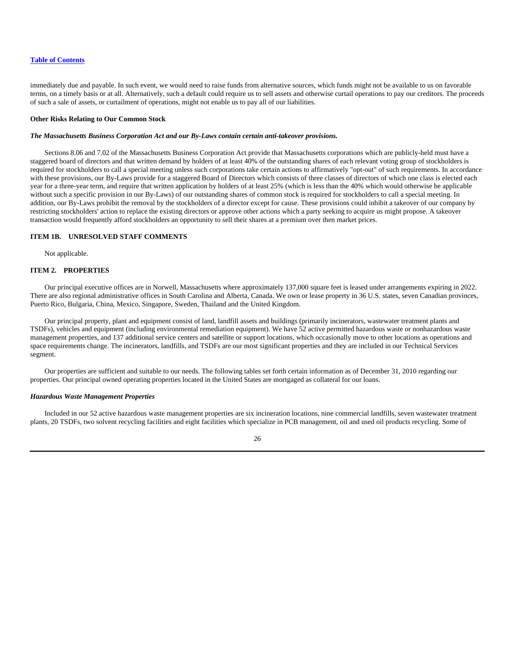<span id="page-29-0"></span>immediately due and payable. In such event, we would need to raise funds from alternative sources, which funds might not be available to us on favorable terms, on a timely basis or at all. Alternatively, such a default could require us to sell assets and otherwise curtail operations to pay our creditors. The proceeds of such a sale of assets, or curtailment of operations, might not enable us to pay all of our liabilities.

#### **Other Risks Relating to Our Common Stock**

#### *The Massachusetts Business Corporation Act and our By-Laws contain certain anti-takeover provisions.*

 Sections 8.06 and 7.02 of the Massachusetts Business Corporation Act provide that Massachusetts corporations which are publicly-held must have a staggered board of directors and that written demand by holders of at least 40% of the outstanding shares of each relevant voting group of stockholders is required for stockholders to call a special meeting unless such corporations take certain actions to affirmatively "opt-out" of such requirements. In accordance with these provisions, our By-Laws provide for a staggered Board of Directors which consists of three classes of directors of which one class is elected each year for a three-year term, and require that written application by holders of at least 25% (which is less than the 40% which would otherwise be applicable without such a specific provision in our By-Laws) of our outstanding shares of common stock is required for stockholders to call a special meeting. In addition, our By-Laws prohibit the removal by the stockholders of a director except for cause. These provisions could inhibit a takeover of our company by restricting stockholders' action to replace the existing directors or approve other actions which a party seeking to acquire us might propose. A takeover transaction would frequently afford stockholders an opportunity to sell their shares at a premium over then market prices.

#### **ITEM 1B. UNRESOLVED STAFF COMMENTS**

Not applicable.

#### **ITEM 2. PROPERTIES**

 Our principal executive offices are in Norwell, Massachusetts where approximately 137,000 square feet is leased under arrangements expiring in 2022. There are also regional administrative offices in South Carolina and Alberta, Canada. We own or lease property in 36 U.S. states, seven Canadian provinces, Puerto Rico, Bulgaria, China, Mexico, Singapore, Sweden, Thailand and the United Kingdom.

 Our principal property, plant and equipment consist of land, landfill assets and buildings (primarily incinerators, wastewater treatment plants and TSDFs), vehicles and equipment (including environmental remediation equipment). We have 52 active permitted hazardous waste or nonhazardous waste management properties, and 137 additional service centers and satellite or support locations, which occasionally move to other locations as operations and space requirements change. The incinerators, landfills, and TSDFs are our most significant properties and they are included in our Technical Services segment.

 Our properties are sufficient and suitable to our needs. The following tables set forth certain information as of December 31, 2010 regarding our properties. Our principal owned operating properties located in the United States are mortgaged as collateral for our loans.

#### *Hazardous Waste Management Properties*

 Included in our 52 active hazardous waste management properties are six incineration locations, nine commercial landfills, seven wastewater treatment plants, 20 TSDFs, two solvent recycling facilities and eight facilities which specialize in PCB management, oil and used oil products recycling. Some of

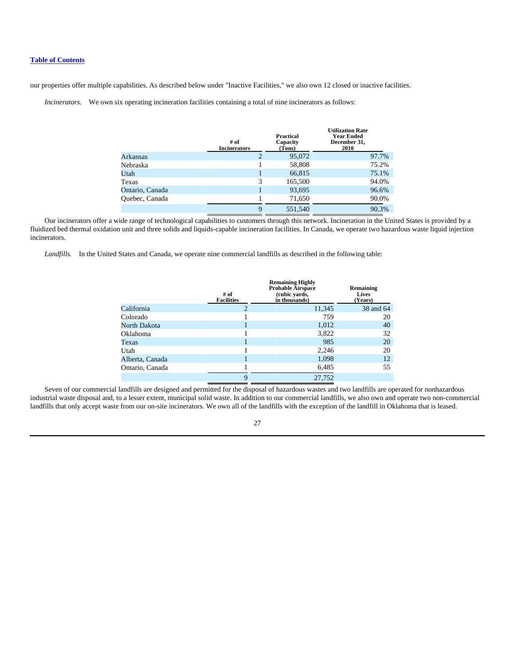our properties offer multiple capabilities. As described below under "Inactive Facilities," we also own 12 closed or inactive facilities.

 *Incinerators.* We own six operating incineration facilities containing a total of nine incinerators as follows:

|                 | # of<br><b>Incinerators</b> | <b>Practical</b><br>Capacity<br>(Tons) | <b>Utilization Rate</b><br><b>Year Ended</b><br>December 31,<br><b>2010</b> |
|-----------------|-----------------------------|----------------------------------------|-----------------------------------------------------------------------------|
| <b>Arkansas</b> | C                           | 95,072                                 | 97.7%                                                                       |
| Nebraska        |                             | 58,808                                 | 75.2%                                                                       |
| Utah            |                             | 66,815                                 | 75.1%                                                                       |
| Texas           | 3                           | 165,500                                | 94.0%                                                                       |
| Ontario, Canada |                             | 93,695                                 | 96.6%                                                                       |
| Quebec, Canada  |                             | 71,650                                 | 90.0%                                                                       |
|                 | 9                           | 551.540                                | 90.3%                                                                       |

 Our incinerators offer a wide range of technological capabilities to customers through this network. Incineration in the United States is provided by a fluidized bed thermal oxidation unit and three solids and liquids-capable incineration facilities. In Canada, we operate two hazardous waste liquid injection incinerators.

 *Landfills.* In the United States and Canada, we operate nine commercial landfills as described in the following table:

|                 | # of<br><b>Facilities</b> | <b>Remaining Highly</b><br><b>Probable Airspace</b><br>(cubic yards,<br>in thousands) | Remaining<br>Lives<br>(Years) |
|-----------------|---------------------------|---------------------------------------------------------------------------------------|-------------------------------|
| California      | $\overline{c}$            | 11,345                                                                                | 38 and 64                     |
| Colorado        |                           | 759                                                                                   | 20                            |
| North Dakota    |                           | 1,012                                                                                 | 40                            |
| Oklahoma        |                           | 3,822                                                                                 | 32                            |
| Texas           |                           | 985                                                                                   | 20                            |
| Utah            |                           | 2,246                                                                                 | 20                            |
| Alberta, Canada |                           | 1,098                                                                                 | 12                            |
| Ontario, Canada |                           | 6,485                                                                                 | 55                            |
|                 | 9                         | 27,752                                                                                |                               |

 Seven of our commercial landfills are designed and permitted for the disposal of hazardous wastes and two landfills are operated for nonhazardous industrial waste disposal and, to a lesser extent, municipal solid waste. In addition to our commercial landfills, we also own and operate two non-commercial landfills that only accept waste from our on-site incinerators. We own all of the landfills with the exception of the landfill in Oklahoma that is leased.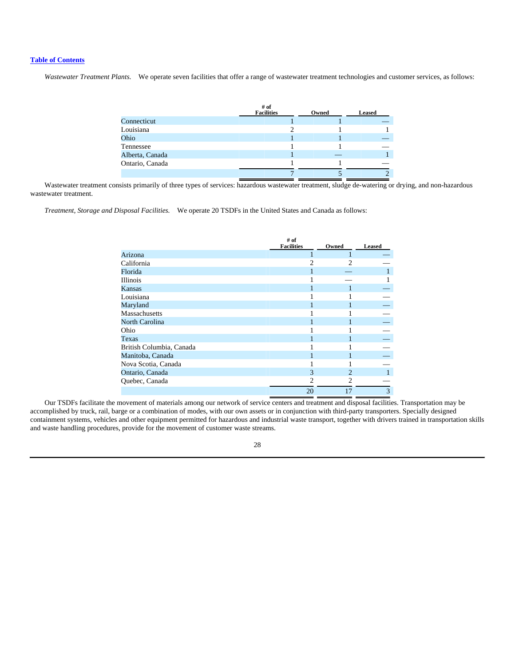*Wastewater Treatment Plants.* We operate seven facilities that offer a range of wastewater treatment technologies and customer services, as follows:

|                 | # of<br><b>Facilities</b> | Owned | <b>Leased</b> |
|-----------------|---------------------------|-------|---------------|
| Connecticut     |                           |       |               |
| Louisiana       |                           |       |               |
| Ohio            |                           |       |               |
| Tennessee       |                           |       |               |
| Alberta, Canada |                           |       |               |
| Ontario, Canada |                           |       |               |
|                 |                           |       |               |

 Wastewater treatment consists primarily of three types of services: hazardous wastewater treatment, sludge de-watering or drying, and non-hazardous wastewater treatment.

 *Treatment, Storage and Disposal Facilities.* We operate 20 TSDFs in the United States and Canada as follows:

|                          | # of<br><b>Facilities</b> |       |               |
|--------------------------|---------------------------|-------|---------------|
|                          |                           | Owned | <b>Leased</b> |
| Arizona                  |                           |       |               |
| California               | 2                         | 2     |               |
| Florida                  |                           |       |               |
| <b>Illinois</b>          |                           |       |               |
| Kansas                   |                           |       |               |
| Louisiana                |                           |       |               |
| Maryland                 |                           |       |               |
| Massachusetts            |                           |       |               |
| <b>North Carolina</b>    |                           |       |               |
| Ohio                     |                           |       |               |
| Texas                    |                           |       |               |
| British Columbia, Canada |                           |       |               |
| Manitoba, Canada         |                           |       |               |
| Nova Scotia, Canada      |                           |       |               |
| Ontario, Canada          | 3                         | っ     |               |
| Quebec, Canada           | 2                         | 2     |               |
|                          | 20                        | 17    | 3             |

 Our TSDFs facilitate the movement of materials among our network of service centers and treatment and disposal facilities. Transportation may be accomplished by truck, rail, barge or a combination of modes, with our own assets or in conjunction with third-party transporters. Specially designed containment systems, vehicles and other equipment permitted for hazardous and industrial waste transport, together with drivers trained in transportation skills and waste handling procedures, provide for the movement of customer waste streams.

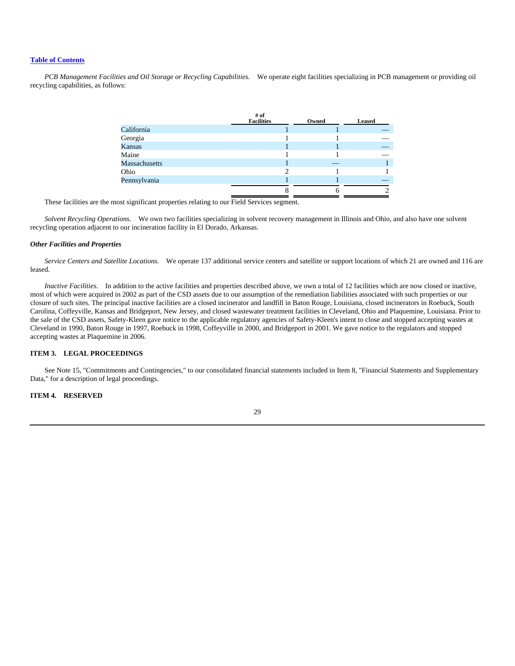<span id="page-32-0"></span> *PCB Management Facilities and Oil Storage or Recycling Capabilities.* We operate eight facilities specializing in PCB management or providing oil recycling capabilities, as follows:

|                      | # of              |       |               |
|----------------------|-------------------|-------|---------------|
|                      | <b>Facilities</b> | Owned | <b>Leased</b> |
| California           |                   |       |               |
| Georgia              |                   |       |               |
| Kansas               |                   |       |               |
| Maine                |                   |       |               |
| <b>Massachusetts</b> |                   |       |               |
| Ohio                 | າ                 |       |               |
| Pennsylvania         |                   |       |               |
|                      |                   |       |               |

These facilities are the most significant properties relating to our Field Services segment.

 *Solvent Recycling Operations.* We own two facilities specializing in solvent recovery management in Illinois and Ohio, and also have one solvent recycling operation adjacent to our incineration facility in El Dorado, Arkansas.

#### *Other Facilities and Properties*

 *Service Centers and Satellite Locations.* We operate 137 additional service centers and satellite or support locations of which 21 are owned and 116 are leased.

 *Inactive Facilities.* In addition to the active facilities and properties described above, we own a total of 12 facilities which are now closed or inactive, most of which were acquired in 2002 as part of the CSD assets due to our assumption of the remediation liabilities associated with such properties or our closure of such sites. The principal inactive facilities are a closed incinerator and landfill in Baton Rouge, Louisiana, closed incinerators in Roebuck, South Carolina, Coffeyville, Kansas and Bridgeport, New Jersey, and closed wastewater treatment facilities in Cleveland, Ohio and Plaquemine, Louisiana. Prior to the sale of the CSD assets, Safety-Kleen gave notice to the applicable regulatory agencies of Safety-Kleen's intent to close and stopped accepting wastes at Cleveland in 1990, Baton Rouge in 1997, Roebuck in 1998, Coffeyville in 2000, and Bridgeport in 2001. We gave notice to the regulators and stopped accepting wastes at Plaquemine in 2006.

### **ITEM 3. LEGAL PROCEEDINGS**

 See Note 15, "Commitments and Contingencies," to our consolidated financial statements included in Item 8, "Financial Statements and Supplementary Data," for a description of legal proceedings.

## **ITEM 4. RESERVED**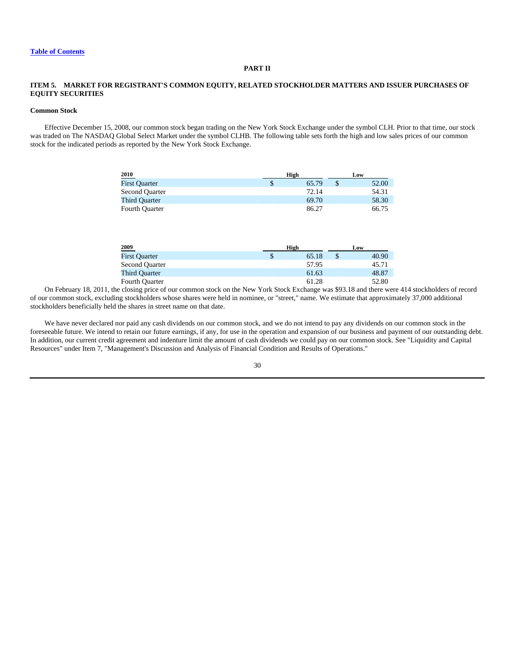#### **PART II**

## <span id="page-33-0"></span>**ITEM 5. MARKET FOR REGISTRANT'S COMMON EQUITY, RELATED STOCKHOLDER MATTERS AND ISSUER PURCHASES OF EQUITY SECURITIES**

#### **Common Stock**

 Effective December 15, 2008, our common stock began trading on the New York Stock Exchange under the symbol CLH. Prior to that time, our stock was traded on The NASDAQ Global Select Market under the symbol CLHB. The following table sets forth the high and low sales prices of our common stock for the indicated periods as reported by the New York Stock Exchange.

| 2010                 | High  | Low   |
|----------------------|-------|-------|
| <b>First Quarter</b> | 65.79 | 52.00 |
| Second Quarter       | 72.14 | 54.31 |
| <b>Third Ouarter</b> | 69.70 | 58.30 |
| Fourth Quarter       | 86.27 | 66.75 |

| 2009                 |   | High  |   | Low   |
|----------------------|---|-------|---|-------|
| <b>First Ouarter</b> | S | 65.18 | S | 40.90 |
| Second Quarter       |   | 57.95 |   | 45.71 |
| <b>Third Ouarter</b> |   | 61.63 |   | 48.87 |
| Fourth Quarter       |   | 61.28 |   | 52.80 |

 On February 18, 2011, the closing price of our common stock on the New York Stock Exchange was \$93.18 and there were 414 stockholders of record of our common stock, excluding stockholders whose shares were held in nominee, or "street," name. We estimate that approximately 37,000 additional stockholders beneficially held the shares in street name on that date.

 We have never declared nor paid any cash dividends on our common stock, and we do not intend to pay any dividends on our common stock in the foreseeable future. We intend to retain our future earnings, if any, for use in the operation and expansion of our business and payment of our outstanding debt. In addition, our current credit agreement and indenture limit the amount of cash dividends we could pay on our common stock. See "Liquidity and Capital Resources" under Item 7, "Management's Discussion and Analysis of Financial Condition and Results of Operations."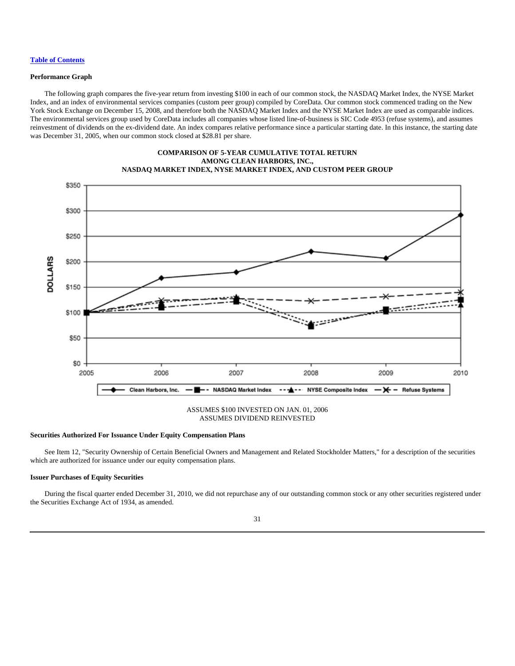#### **Performance Graph**

 The following graph compares the five-year return from investing \$100 in each of our common stock, the NASDAQ Market Index, the NYSE Market Index, and an index of environmental services companies (custom peer group) compiled by CoreData. Our common stock commenced trading on the New York Stock Exchange on December 15, 2008, and therefore both the NASDAQ Market Index and the NYSE Market Index are used as comparable indices. The environmental services group used by CoreData includes all companies whose listed line-of-business is SIC Code 4953 (refuse systems), and assumes reinvestment of dividends on the ex-dividend date. An index compares relative performance since a particular starting date. In this instance, the starting date was December 31, 2005, when our common stock closed at \$28.81 per share.





ASSUMES \$100 INVESTED ON JAN. 01, 2006 ASSUMES DIVIDEND REINVESTED

## **Securities Authorized For Issuance Under Equity Compensation Plans**

 See Item 12, "Security Ownership of Certain Beneficial Owners and Management and Related Stockholder Matters," for a description of the securities which are authorized for issuance under our equity compensation plans.

#### **Issuer Purchases of Equity Securities**

 During the fiscal quarter ended December 31, 2010, we did not repurchase any of our outstanding common stock or any other securities registered under the Securities Exchange Act of 1934, as amended.

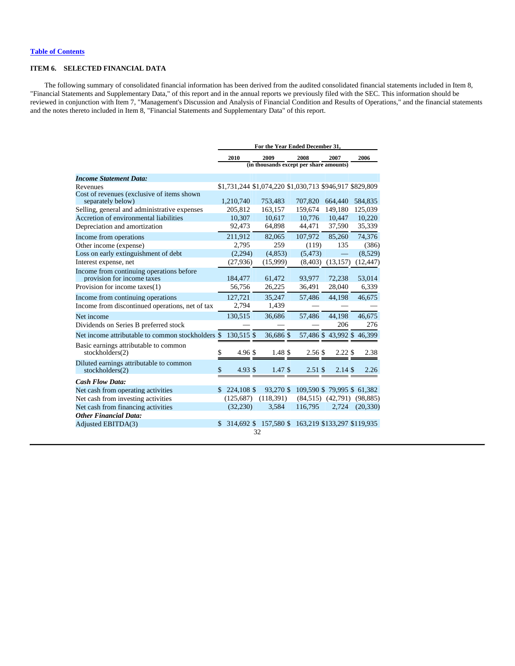## <span id="page-35-0"></span>**ITEM 6. SELECTED FINANCIAL DATA**

 The following summary of consolidated financial information has been derived from the audited consolidated financial statements included in Item 8, "Financial Statements and Supplementary Data," of this report and in the annual reports we previously filed with the SEC. This information should be reviewed in conjunction with Item 7, "Management's Discussion and Analysis of Financial Condition and Results of Operations," and the financial statements and the notes thereto included in Item 8, "Financial Statements and Supplementary Data" of this report.

|                                                                        | For the Year Ended December 31, |            |    |                    |                                                         |                       |                           |
|------------------------------------------------------------------------|---------------------------------|------------|----|--------------------|---------------------------------------------------------|-----------------------|---------------------------|
|                                                                        |                                 | 2010       |    | 2009               | 2008                                                    | 2007                  | 2006                      |
|                                                                        |                                 |            |    |                    | (in thousands except per share amounts)                 |                       |                           |
| <b>Income Statement Data:</b>                                          |                                 |            |    |                    |                                                         |                       |                           |
| Revenues                                                               |                                 |            |    |                    | \$1,731,244 \$1,074,220 \$1,030,713 \$946,917 \$829,809 |                       |                           |
| Cost of revenues (exclusive of items shown<br>separately below)        |                                 | 1,210,740  |    | 753,483            | 707,820                                                 | 664,440               | 584,835                   |
| Selling, general and administrative expenses                           |                                 | 205,812    |    | 163,157            | 159.674                                                 | 149.180               | 125,039                   |
| Accretion of environmental liabilities                                 |                                 | 10,307     |    | 10,617             | 10,776                                                  | 10,447                | 10,220                    |
| Depreciation and amortization                                          |                                 | 92,473     |    | 64,898             | 44,471                                                  | 37,590                | 35,339                    |
| Income from operations                                                 |                                 | 211,912    |    | 82,065             | 107,972                                                 | 85,260                | 74,376                    |
| Other income (expense)                                                 |                                 | 2,795      |    | 259                | (119)                                                   | 135                   | (386)                     |
| Loss on early extinguishment of debt                                   |                                 | (2,294)    |    | (4,853)            | (5, 473)                                                |                       | (8,529)                   |
| Interest expense, net                                                  |                                 | (27,936)   |    | (15,999)           | (8, 403)                                                | (13, 157)             | (12, 447)                 |
| Income from continuing operations before<br>provision for income taxes |                                 | 184,477    |    | 61,472             | 93,977                                                  | 72,238                | 53,014                    |
| Provision for income taxes $(1)$                                       |                                 | 56,756     |    | 26,225             | 36,491                                                  | 28,040                | 6,339                     |
| Income from continuing operations                                      |                                 | 127.721    |    | 35.247             | 57.486                                                  | 44,198                | 46.675                    |
| Income from discontinued operations, net of tax                        |                                 | 2,794      |    | 1,439              |                                                         |                       |                           |
| Net income                                                             |                                 | 130,515    |    | 36,686             | 57,486                                                  | 44.198                | 46.675                    |
| Dividends on Series B preferred stock                                  |                                 |            |    |                    |                                                         | 206                   | 276                       |
| Net income attributable to common stockholders \$                      |                                 | 130,515 \$ |    | 36,686 \$          |                                                         |                       | 57,486 \$43,992 \$46,399  |
| Basic earnings attributable to common<br>stockholders(2)               | \$                              | 4.96 \$    |    | 1.48 \$            | 2.56 \$                                                 | $2.22 \text{ }$ \$    | 2.38                      |
| Diluted earnings attributable to common<br>stockholders(2)             | \$                              | 4.93 \$    |    | $1.47 \text{ }$ \$ | $2.51 \text{ }$ \$                                      | $2.14\text{ }$$       | 2.26                      |
| <b>Cash Flow Data:</b>                                                 |                                 |            |    |                    |                                                         |                       |                           |
| Net cash from operating activities                                     |                                 | 224,108 \$ |    | 93,270 \$          |                                                         |                       | 109,590 \$79,995 \$61,382 |
| Net cash from investing activities                                     |                                 | (125, 687) |    | (118,391)          |                                                         | $(84,515)$ $(42,791)$ | (98, 885)                 |
| Net cash from financing activities                                     |                                 | (32, 230)  |    | 3,584              | 116,795                                                 | 2,724                 | (20, 330)                 |
| <b>Other Financial Data:</b>                                           |                                 |            |    |                    |                                                         |                       |                           |
| Adjusted EBITDA(3)                                                     | \$.                             |            |    |                    | 314,692 \$157,580 \$163,219 \$133,297 \$119,935         |                       |                           |
|                                                                        |                                 |            | 32 |                    |                                                         |                       |                           |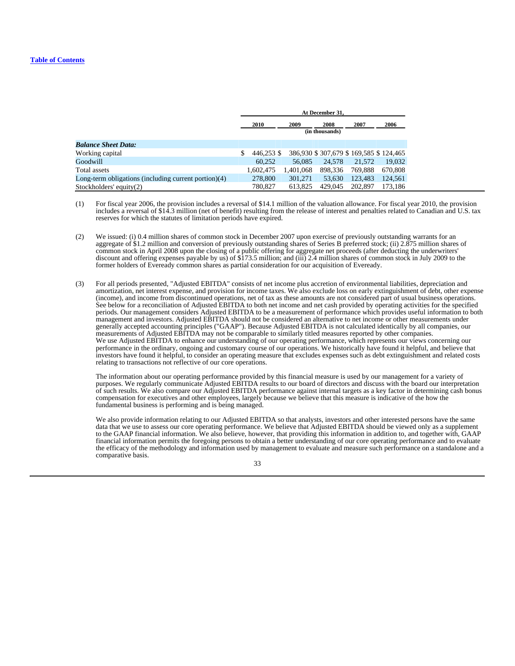|                                                      | At December 31. |            |           |         |                                       |         |  |  |
|------------------------------------------------------|-----------------|------------|-----------|---------|---------------------------------------|---------|--|--|
|                                                      |                 | 2010       | 2009      | 2008    | 2007                                  | 2006    |  |  |
|                                                      | (in thousands)  |            |           |         |                                       |         |  |  |
| <b>Balance Sheet Data:</b>                           |                 |            |           |         |                                       |         |  |  |
| Working capital                                      |                 | 446.253 \$ |           |         | 386,930 \$307,679 \$169,585 \$124,465 |         |  |  |
| Goodwill                                             |                 | 60.252     | 56,085    | 24.578  | 21,572                                | 19.032  |  |  |
| Total assets                                         |                 | 1,602,475  | 1.401.068 | 898.336 | 769.888                               | 670.808 |  |  |
| Long-term obligations (including current portion)(4) |                 | 278,800    | 301.271   | 53.630  | 123.483                               | 124.561 |  |  |
| Stockholders' equity $(2)$                           |                 | 780,827    | 613.825   | 429,045 | 202,897                               | 173.186 |  |  |

For fiscal year 2006, the provision includes a reversal of \$14.1 million of the valuation allowance. For fiscal year 2010, the provision includes a reversal of \$14.3 million (net of benefit) resulting from the release of interest and penalties related to Canadian and U.S. tax reserves for which the statutes of limitation periods have expired. (1)

- We issued: (i) 0.4 million shares of common stock in December 2007 upon exercise of previously outstanding warrants for an aggregate of \$1.2 million and conversion of previously outstanding shares of Series B preferred stock; (ii) 2.875 million shares of common stock in April 2008 upon the closing of a public offering for aggregate net proceeds (after deducting the underwriters' discount and offering expenses payable by us) of \$173.5 million; and (iii) 2.4 million shares of common stock in July 2009 to the former holders of Eveready common shares as partial consideration for our acquisition of Eveready. (2)
- For all periods presented, "Adjusted EBITDA" consists of net income plus accretion of environmental liabilities, depreciation and amortization, net interest expense, and provision for income taxes. We also exclude loss on early extinguishment of debt, other expense (income), and income from discontinued operations, net of tax as these amounts are not considered part of usual business operations. See below for a reconciliation of Adjusted EBITDA to both net income and net cash provided by operating activities for the specified periods. Our management considers Adjusted EBITDA to be a measurement of performance which provides useful information to both management and investors. Adjusted EBITDA should not be considered an alternative to net income or other measurements under generally accepted accounting principles ("GAAP"). Because Adjusted EBITDA is not calculated identically by all companies, our measurements of Adjusted EBITDA may not be comparable to similarly titled measures reported by other companies. We use Adjusted EBITDA to enhance our understanding of our operating performance, which represents our views concerning our performance in the ordinary, ongoing and customary course of our operations. We historically have found it helpful, and believe that investors have found it helpful, to consider an operating measure that excludes expenses such as debt extinguishment and related costs relating to transactions not reflective of our core operations. (3)

The information about our operating performance provided by this financial measure is used by our management for a variety of purposes. We regularly communicate Adjusted EBITDA results to our board of directors and discuss with the board our interpretation of such results. We also compare our Adjusted EBITDA performance against internal targets as a key factor in determining cash bonus compensation for executives and other employees, largely because we believe that this measure is indicative of the how the fundamental business is performing and is being managed.

We also provide information relating to our Adjusted EBITDA so that analysts, investors and other interested persons have the same data that we use to assess our core operating performance. We believe that Adjusted EBITDA should be viewed only as a supplement to the GAAP financial information. We also believe, however, that providing this information in addition to, and together with, GAAP financial information permits the foregoing persons to obtain a better understanding of our core operating performance and to evaluate the efficacy of the methodology and information used by management to evaluate and measure such performance on a standalone and a comparative basis.

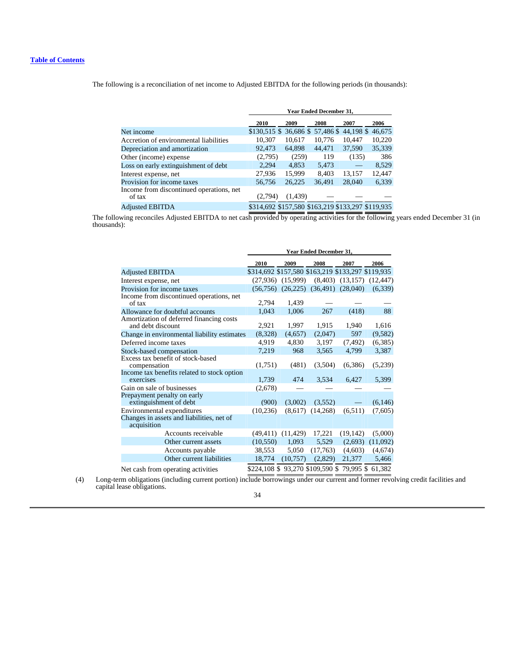The following is a reconciliation of net income to Adjusted EBITDA for the following periods (in thousands):

|                                                    | <b>Year Ended December 31.</b>                    |         |        |           |        |  |  |  |  |
|----------------------------------------------------|---------------------------------------------------|---------|--------|-----------|--------|--|--|--|--|
|                                                    | 2010                                              | 2009    | 2008   | 2007      | 2006   |  |  |  |  |
| Net income                                         | $$130,515$ \$ 36,686 \$ 57,486 \$                 |         |        | 44.198 \$ | 46,675 |  |  |  |  |
| Accretion of environmental liabilities             | 10,307                                            | 10,617  | 10.776 | 10.447    | 10,220 |  |  |  |  |
| Depreciation and amortization                      | 92,473                                            | 64,898  | 44,471 | 37,590    | 35,339 |  |  |  |  |
| Other (income) expense                             | (2,795)                                           | (259)   | 119    | (135)     | 386    |  |  |  |  |
| Loss on early extinguishment of debt               | 2.294                                             | 4.853   | 5.473  | _         | 8.529  |  |  |  |  |
| Interest expense, net                              | 27.936                                            | 15.999  | 8.403  | 13.157    | 12,447 |  |  |  |  |
| Provision for income taxes                         | 56,756                                            | 26,225  | 36,491 | 28,040    | 6,339  |  |  |  |  |
| Income from discontinued operations, net<br>of tax | (2,794)                                           | (1,439) |        |           |        |  |  |  |  |
| <b>Adjusted EBITDA</b>                             | \$314,692 \$157,580 \$163,219 \$133,297 \$119,935 |         |        |           |        |  |  |  |  |

The following reconciles Adjusted EBITDA to net cash provided by operating activities for the following years ended December 31 (in thousands):

|                                                               |           |                       | <b>Year Ended December 31,</b>                    |                                 |          |
|---------------------------------------------------------------|-----------|-----------------------|---------------------------------------------------|---------------------------------|----------|
|                                                               | 2010      | 2009                  | 2008                                              | 2007                            | 2006     |
| <b>Adjusted EBITDA</b>                                        |           |                       | \$314,692 \$157,580 \$163,219 \$133,297 \$119,935 |                                 |          |
| Interest expense, net                                         |           | $(27,936)$ $(15,999)$ |                                                   | $(8,403)$ $(13,157)$ $(12,447)$ |          |
| Provision for income taxes                                    | (56, 756) |                       | $(26,225)$ $(36,491)$                             | (28,040)                        | (6,339)  |
| Income from discontinued operations, net<br>of tax            | 2,794     | 1,439                 |                                                   |                                 |          |
| Allowance for doubtful accounts                               | 1,043     | 1,006                 | 267                                               | (418)                           | 88       |
| Amortization of deferred financing costs<br>and debt discount | 2,921     | 1,997                 | 1,915                                             | 1,940                           | 1,616    |
| Change in environmental liability estimates                   | (8,328)   | (4,657)               | (2,047)                                           | 597                             | (9, 582) |
| Deferred income taxes                                         | 4,919     | 4,830                 | 3,197                                             | (7, 492)                        | (6,385)  |
| Stock-based compensation                                      | 7,219     | 968                   | 3,565                                             | 4,799                           | 3,387    |
| Excess tax benefit of stock-based<br>compensation             | (1,751)   | (481)                 | (3,504)                                           | (6,386)                         | (5,239)  |
| Income tax benefits related to stock option<br>exercises      | 1,739     | 474                   | 3,534                                             | 6,427                           | 5,399    |
| Gain on sale of businesses                                    | (2,678)   |                       |                                                   |                                 |          |
| Prepayment penalty on early<br>extinguishment of debt         | (900)     | (3,002)               | (3,552)                                           |                                 | (6,146)  |
| Environmental expenditures                                    | (10, 236) | (8,617)               | (14,268)                                          | (6,511)                         | (7,605)  |
| Changes in assets and liabilities, net of<br>acquisition      |           |                       |                                                   |                                 |          |
| Accounts receivable                                           |           | $(49,411)$ $(11,429)$ | 17,221                                            | (19, 142)                       | (5,000)  |
| Other current assets                                          | (10, 550) | 1,093                 | 5,529                                             | (2,693)                         | (11,092) |
| Accounts payable                                              | 38,553    | 5,050                 | (17,763)                                          | (4,603)                         | (4,674)  |
| Other current liabilities                                     | 18,774    | (10,757)              | (2,829)                                           | 21,377                          | 5,466    |
| Net cash from operating activities                            |           |                       | \$224,108 \$93,270 \$109,590 \$79,995 \$61,382    |                                 |          |

Long-term obligations (including current portion) include borrowings under our current and former revolving credit facilities and capital lease obligations. (4)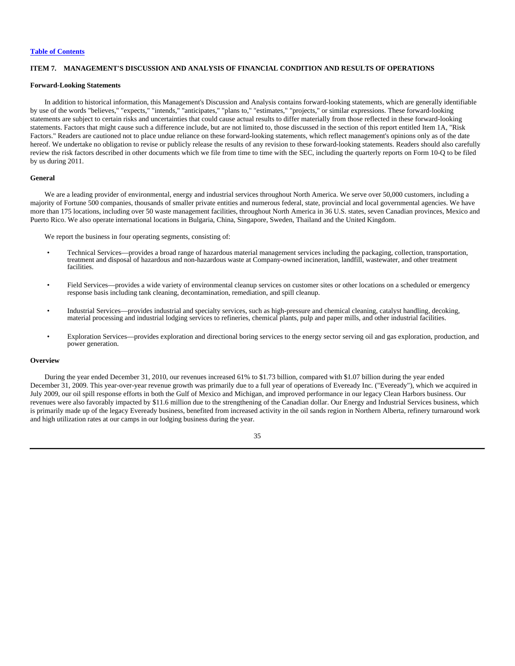### **ITEM 7. MANAGEMENT'S DISCUSSION AND ANALYSIS OF FINANCIAL CONDITION AND RESULTS OF OPERATIONS**

#### **Forward-Looking Statements**

 In addition to historical information, this Management's Discussion and Analysis contains forward-looking statements, which are generally identifiable by use of the words "believes," "expects," "intends," "anticipates," "plans to," "estimates," "projects," or similar expressions. These forward-looking statements are subject to certain risks and uncertainties that could cause actual results to differ materially from those reflected in these forward-looking statements. Factors that might cause such a difference include, but are not limited to, those discussed in the section of this report entitled Item 1A, "Risk Factors." Readers are cautioned not to place undue reliance on these forward-looking statements, which reflect management's opinions only as of the date hereof. We undertake no obligation to revise or publicly release the results of any revision to these forward-looking statements. Readers should also carefully review the risk factors described in other documents which we file from time to time with the SEC, including the quarterly reports on Form 10-Q to be filed by us during 2011.

#### **General**

 We are a leading provider of environmental, energy and industrial services throughout North America. We serve over 50,000 customers, including a majority of Fortune 500 companies, thousands of smaller private entities and numerous federal, state, provincial and local governmental agencies. We have more than 175 locations, including over 50 waste management facilities, throughout North America in 36 U.S. states, seven Canadian provinces, Mexico and Puerto Rico. We also operate international locations in Bulgaria, China, Singapore, Sweden, Thailand and the United Kingdom.

We report the business in four operating segments, consisting of:

- Technical Services—provides a broad range of hazardous material management services including the packaging, collection, transportation, treatment and disposal of hazardous and non-hazardous waste at Company-owned incineration, landfill, wastewater, and other treatment facilities. •
- Field Services—provides a wide variety of environmental cleanup services on customer sites or other locations on a scheduled or emergency response basis including tank cleaning, decontamination, remediation, and spill cleanup. •
- Industrial Services—provides industrial and specialty services, such as high-pressure and chemical cleaning, catalyst handling, decoking, material processing and industrial lodging services to refineries, chemical plants, pulp and paper mills, and other industrial facilities. •
- Exploration Services—provides exploration and directional boring services to the energy sector serving oil and gas exploration, production, and power generation. •

### **Overview**

 During the year ended December 31, 2010, our revenues increased 61% to \$1.73 billion, compared with \$1.07 billion during the year ended December 31, 2009. This year-over-year revenue growth was primarily due to a full year of operations of Eveready Inc. ("Eveready"), which we acquired in July 2009, our oil spill response efforts in both the Gulf of Mexico and Michigan, and improved performance in our legacy Clean Harbors business. Our revenues were also favorably impacted by \$11.6 million due to the strengthening of the Canadian dollar. Our Energy and Industrial Services business, which is primarily made up of the legacy Eveready business, benefited from increased activity in the oil sands region in Northern Alberta, refinery turnaround work and high utilization rates at our camps in our lodging business during the year.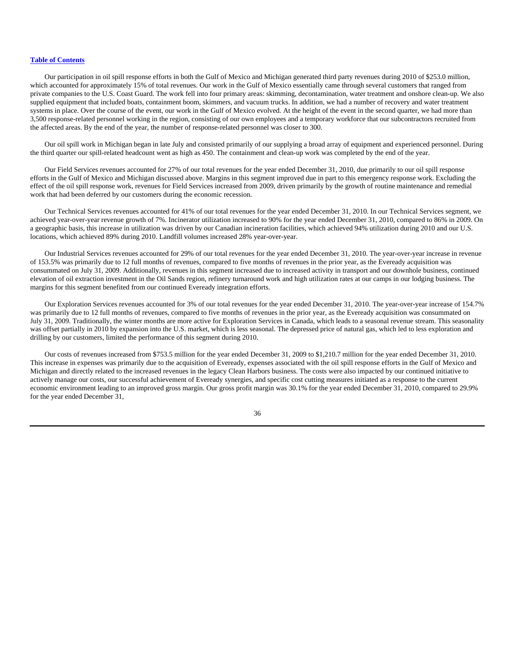Our participation in oil spill response efforts in both the Gulf of Mexico and Michigan generated third party revenues during 2010 of \$253.0 million, which accounted for approximately 15% of total revenues. Our work in the Gulf of Mexico essentially came through several customers that ranged from private companies to the U.S. Coast Guard. The work fell into four primary areas: skimming, decontamination, water treatment and onshore clean-up. We also supplied equipment that included boats, containment boom, skimmers, and vacuum trucks. In addition, we had a number of recovery and water treatment systems in place. Over the course of the event, our work in the Gulf of Mexico evolved. At the height of the event in the second quarter, we had more than 3,500 response-related personnel working in the region, consisting of our own employees and a temporary workforce that our subcontractors recruited from the affected areas. By the end of the year, the number of response-related personnel was closer to 300.

 Our oil spill work in Michigan began in late July and consisted primarily of our supplying a broad array of equipment and experienced personnel. During the third quarter our spill-related headcount went as high as 450. The containment and clean-up work was completed by the end of the year.

 Our Field Services revenues accounted for 27% of our total revenues for the year ended December 31, 2010, due primarily to our oil spill response efforts in the Gulf of Mexico and Michigan discussed above. Margins in this segment improved due in part to this emergency response work. Excluding the effect of the oil spill response work, revenues for Field Services increased from 2009, driven primarily by the growth of routine maintenance and remedial work that had been deferred by our customers during the economic recession.

 Our Technical Services revenues accounted for 41% of our total revenues for the year ended December 31, 2010. In our Technical Services segment, we achieved year-over-year revenue growth of 7%. Incinerator utilization increased to 90% for the year ended December 31, 2010, compared to 86% in 2009. On a geographic basis, this increase in utilization was driven by our Canadian incineration facilities, which achieved 94% utilization during 2010 and our U.S. locations, which achieved 89% during 2010. Landfill volumes increased 28% year-over-year.

 Our Industrial Services revenues accounted for 29% of our total revenues for the year ended December 31, 2010. The year-over-year increase in revenue of 153.5% was primarily due to 12 full months of revenues, compared to five months of revenues in the prior year, as the Eveready acquisition was consummated on July 31, 2009. Additionally, revenues in this segment increased due to increased activity in transport and our downhole business, continued elevation of oil extraction investment in the Oil Sands region, refinery turnaround work and high utilization rates at our camps in our lodging business. The margins for this segment benefited from our continued Eveready integration efforts.

 Our Exploration Services revenues accounted for 3% of our total revenues for the year ended December 31, 2010. The year-over-year increase of 154.7% was primarily due to 12 full months of revenues, compared to five months of revenues in the prior year, as the Eveready acquisition was consummated on July 31, 2009. Traditionally, the winter months are more active for Exploration Services in Canada, which leads to a seasonal revenue stream. This seasonality was offset partially in 2010 by expansion into the U.S. market, which is less seasonal. The depressed price of natural gas, which led to less exploration and drilling by our customers, limited the performance of this segment during 2010.

 Our costs of revenues increased from \$753.5 million for the year ended December 31, 2009 to \$1,210.7 million for the year ended December 31, 2010. This increase in expenses was primarily due to the acquisition of Eveready, expenses associated with the oil spill response efforts in the Gulf of Mexico and Michigan and directly related to the increased revenues in the legacy Clean Harbors business. The costs were also impacted by our continued initiative to actively manage our costs, our successful achievement of Eveready synergies, and specific cost cutting measures initiated as a response to the current economic environment leading to an improved gross margin. Our gross profit margin was 30.1% for the year ended December 31, 2010, compared to 29.9% for the year ended December 31,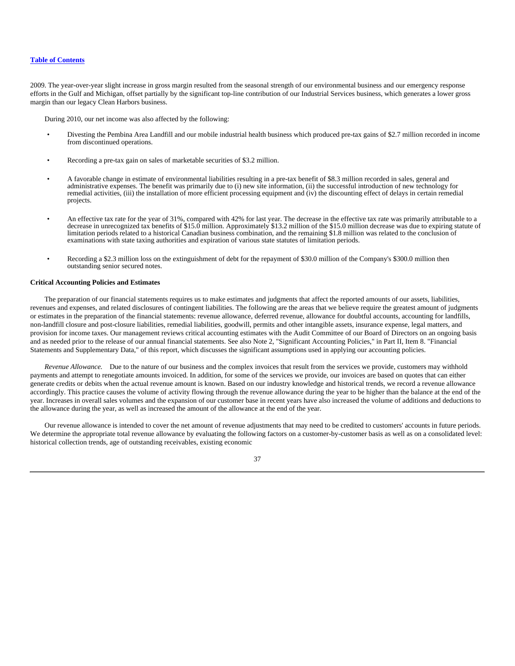2009. The year-over-year slight increase in gross margin resulted from the seasonal strength of our environmental business and our emergency response efforts in the Gulf and Michigan, offset partially by the significant top-line contribution of our Industrial Services business, which generates a lower gross margin than our legacy Clean Harbors business.

During 2010, our net income was also affected by the following:

- Divesting the Pembina Area Landfill and our mobile industrial health business which produced pre-tax gains of \$2.7 million recorded in income from discontinued operations. •
- Recording a pre-tax gain on sales of marketable securities of \$3.2 million. •
- A favorable change in estimate of environmental liabilities resulting in a pre-tax benefit of \$8.3 million recorded in sales, general and administrative expenses. The benefit was primarily due to (i) new site information, (ii) the successful introduction of new technology for remedial activities, (iii) the installation of more efficient processing equipment and (iv) the discounting effect of delays in certain remedial projects. •
- An effective tax rate for the year of 31%, compared with 42% for last year. The decrease in the effective tax rate was primarily attributable to a decrease in unrecognized tax benefits of \$15.0 million. Approximately \$13.2 million of the \$15.0 million decrease was due to expiring statute of limitation periods related to a historical Canadian business combination, and the remaining \$1.8 million was related to the conclusion of examinations with state taxing authorities and expiration of various state statutes of limitation periods. •
- Recording a \$2.3 million loss on the extinguishment of debt for the repayment of \$30.0 million of the Company's \$300.0 million then outstanding senior secured notes. •

#### **Critical Accounting Policies and Estimates**

 The preparation of our financial statements requires us to make estimates and judgments that affect the reported amounts of our assets, liabilities, revenues and expenses, and related disclosures of contingent liabilities. The following are the areas that we believe require the greatest amount of judgments or estimates in the preparation of the financial statements: revenue allowance, deferred revenue, allowance for doubtful accounts, accounting for landfills, non-landfill closure and post-closure liabilities, remedial liabilities, goodwill, permits and other intangible assets, insurance expense, legal matters, and provision for income taxes. Our management reviews critical accounting estimates with the Audit Committee of our Board of Directors on an ongoing basis and as needed prior to the release of our annual financial statements. See also Note 2, "Significant Accounting Policies," in Part II, Item 8. "Financial Statements and Supplementary Data," of this report, which discusses the significant assumptions used in applying our accounting policies.

 *Revenue Allowance.* Due to the nature of our business and the complex invoices that result from the services we provide, customers may withhold payments and attempt to renegotiate amounts invoiced. In addition, for some of the services we provide, our invoices are based on quotes that can either generate credits or debits when the actual revenue amount is known. Based on our industry knowledge and historical trends, we record a revenue allowance accordingly. This practice causes the volume of activity flowing through the revenue allowance during the year to be higher than the balance at the end of the year. Increases in overall sales volumes and the expansion of our customer base in recent years have also increased the volume of additions and deductions to the allowance during the year, as well as increased the amount of the allowance at the end of the year.

 Our revenue allowance is intended to cover the net amount of revenue adjustments that may need to be credited to customers' accounts in future periods. We determine the appropriate total revenue allowance by evaluating the following factors on a customer-by-customer basis as well as on a consolidated level: historical collection trends, age of outstanding receivables, existing economic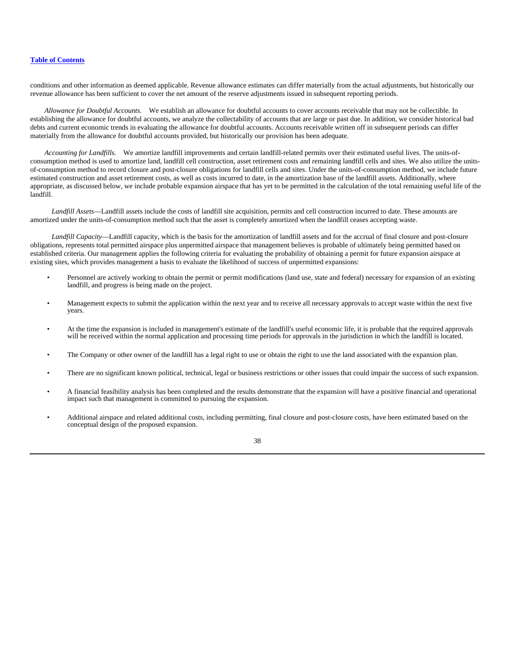conditions and other information as deemed applicable. Revenue allowance estimates can differ materially from the actual adjustments, but historically our revenue allowance has been sufficient to cover the net amount of the reserve adjustments issued in subsequent reporting periods.

 *Allowance for Doubtful Accounts.* We establish an allowance for doubtful accounts to cover accounts receivable that may not be collectible. In establishing the allowance for doubtful accounts, we analyze the collectability of accounts that are large or past due. In addition, we consider historical bad debts and current economic trends in evaluating the allowance for doubtful accounts. Accounts receivable written off in subsequent periods can differ materially from the allowance for doubtful accounts provided, but historically our provision has been adequate.

 *Accounting for Landfills.* We amortize landfill improvements and certain landfill-related permits over their estimated useful lives. The units-ofconsumption method is used to amortize land, landfill cell construction, asset retirement costs and remaining landfill cells and sites. We also utilize the unitsof-consumption method to record closure and post-closure obligations for landfill cells and sites. Under the units-of-consumption method, we include future estimated construction and asset retirement costs, as well as costs incurred to date, in the amortization base of the landfill assets. Additionally, where appropriate, as discussed below, we include probable expansion airspace that has yet to be permitted in the calculation of the total remaining useful life of the landfill.

 *Landfill Assets*—Landfill assets include the costs of landfill site acquisition, permits and cell construction incurred to date. These amounts are amortized under the units-of-consumption method such that the asset is completely amortized when the landfill ceases accepting waste.

 *Landfill Capacity*—Landfill capacity, which is the basis for the amortization of landfill assets and for the accrual of final closure and post-closure obligations, represents total permitted airspace plus unpermitted airspace that management believes is probable of ultimately being permitted based on established criteria. Our management applies the following criteria for evaluating the probability of obtaining a permit for future expansion airspace at existing sites, which provides management a basis to evaluate the likelihood of success of unpermitted expansions:

- Personnel are actively working to obtain the permit or permit modifications (land use, state and federal) necessary for expansion of an existing landfill, and progress is being made on the project. •
- Management expects to submit the application within the next year and to receive all necessary approvals to accept waste within the next five years. •
- At the time the expansion is included in management's estimate of the landfill's useful economic life, it is probable that the required approvals will be received within the normal application and processing time periods for approvals in the jurisdiction in which the landfill is located. •
- The Company or other owner of the landfill has a legal right to use or obtain the right to use the land associated with the expansion plan. •
- There are no significant known political, technical, legal or business restrictions or other issues that could impair the success of such expansion. •
- A financial feasibility analysis has been completed and the results demonstrate that the expansion will have a positive financial and operational impact such that management is committed to pursuing the expansion. •
- Additional airspace and related additional costs, including permitting, final closure and post-closure costs, have been estimated based on the conceptual design of the proposed expansion. •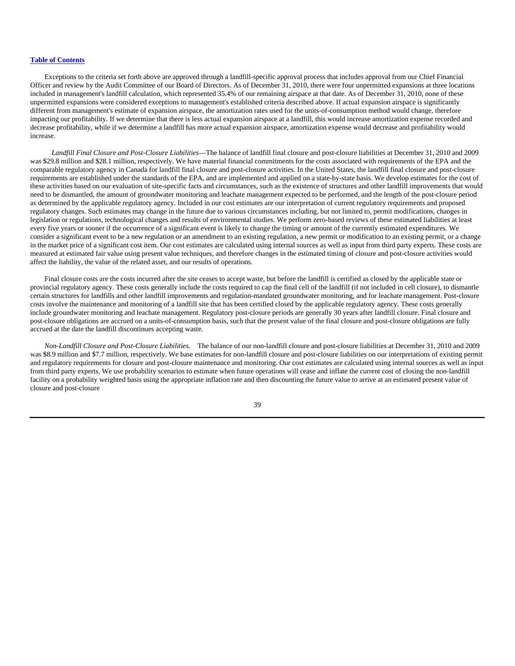Exceptions to the criteria set forth above are approved through a landfill-specific approval process that includes approval from our Chief Financial Officer and review by the Audit Committee of our Board of Directors. As of December 31, 2010, there were four unpermitted expansions at three locations included in management's landfill calculation, which represented 35.4% of our remaining airspace at that date. As of December 31, 2010, none of these unpermitted expansions were considered exceptions to management's established criteria described above. If actual expansion airspace is significantly different from management's estimate of expansion airspace, the amortization rates used for the units-of-consumption method would change, therefore impacting our profitability. If we determine that there is less actual expansion airspace at a landfill, this would increase amortization expense recorded and decrease profitability, while if we determine a landfill has more actual expansion airspace, amortization expense would decrease and profitability would increase.

 *Landfill Final Closure and Post-Closure Liabilities*—The balance of landfill final closure and post-closure liabilities at December 31, 2010 and 2009 was \$29.8 million and \$28.1 million, respectively. We have material financial commitments for the costs associated with requirements of the EPA and the comparable regulatory agency in Canada for landfill final closure and post-closure activities. In the United States, the landfill final closure and post-closure requirements are established under the standards of the EPA, and are implemented and applied on a state-by-state basis. We develop estimates for the cost of these activities based on our evaluation of site-specific facts and circumstances, such as the existence of structures and other landfill improvements that would need to be dismantled, the amount of groundwater monitoring and leachate management expected to be performed, and the length of the post-closure period as determined by the applicable regulatory agency. Included in our cost estimates are our interpretation of current regulatory requirements and proposed regulatory changes. Such estimates may change in the future due to various circumstances including, but not limited to, permit modifications, changes in legislation or regulations, technological changes and results of environmental studies. We perform zero-based reviews of these estimated liabilities at least every five years or sooner if the occurrence of a significant event is likely to change the timing or amount of the currently estimated expenditures. We consider a significant event to be a new regulation or an amendment to an existing regulation, a new permit or modification to an existing permit, or a change in the market price of a significant cost item. Our cost estimates are calculated using internal sources as well as input from third party experts. These costs are measured at estimated fair value using present value techniques, and therefore changes in the estimated timing of closure and post-closure activities would affect the liability, the value of the related asset, and our results of operations.

 Final closure costs are the costs incurred after the site ceases to accept waste, but before the landfill is certified as closed by the applicable state or provincial regulatory agency. These costs generally include the costs required to cap the final cell of the landfill (if not included in cell closure), to dismantle certain structures for landfills and other landfill improvements and regulation-mandated groundwater monitoring, and for leachate management. Post-closure costs involve the maintenance and monitoring of a landfill site that has been certified closed by the applicable regulatory agency. These costs generally include groundwater monitoring and leachate management. Regulatory post-closure periods are generally 30 years after landfill closure. Final closure and post-closure obligations are accrued on a units-of-consumption basis, such that the present value of the final closure and post-closure obligations are fully accrued at the date the landfill discontinues accepting waste.

 *Non-Landfill Closure and Post-Closure Liabilities.* The balance of our non-landfill closure and post-closure liabilities at December 31, 2010 and 2009 was \$8.9 million and \$7.7 million, respectively. We base estimates for non-landfill closure and post-closure liabilities on our interpretations of existing permit and regulatory requirements for closure and post-closure maintenance and monitoring. Our cost estimates are calculated using internal sources as well as input from third party experts. We use probability scenarios to estimate when future operations will cease and inflate the current cost of closing the non-landfill facility on a probability weighted basis using the appropriate inflation rate and then discounting the future value to arrive at an estimated present value of closure and post-closure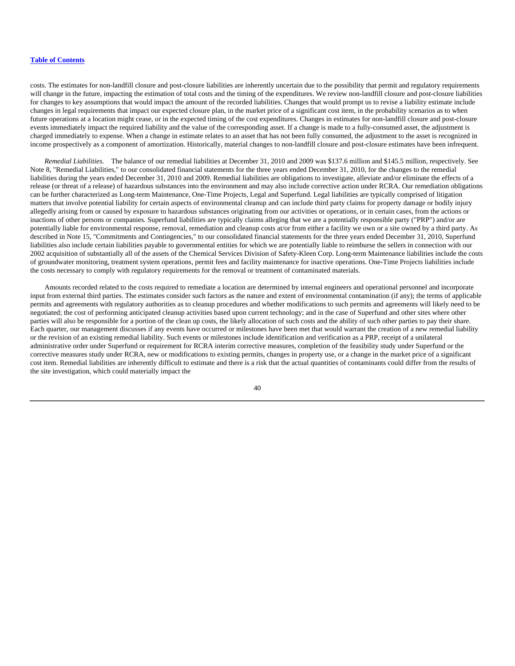costs. The estimates for non-landfill closure and post-closure liabilities are inherently uncertain due to the possibility that permit and regulatory requirements will change in the future, impacting the estimation of total costs and the timing of the expenditures. We review non-landfill closure and post-closure liabilities for changes to key assumptions that would impact the amount of the recorded liabilities. Changes that would prompt us to revise a liability estimate include changes in legal requirements that impact our expected closure plan, in the market price of a significant cost item, in the probability scenarios as to when future operations at a location might cease, or in the expected timing of the cost expenditures. Changes in estimates for non-landfill closure and post-closure events immediately impact the required liability and the value of the corresponding asset. If a change is made to a fully-consumed asset, the adjustment is charged immediately to expense. When a change in estimate relates to an asset that has not been fully consumed, the adjustment to the asset is recognized in income prospectively as a component of amortization. Historically, material changes to non-landfill closure and post-closure estimates have been infrequent.

 *Remedial Liabilities.* The balance of our remedial liabilities at December 31, 2010 and 2009 was \$137.6 million and \$145.5 million, respectively. See Note 8, "Remedial Liabilities," to our consolidated financial statements for the three years ended December 31, 2010, for the changes to the remedial liabilities during the years ended December 31, 2010 and 2009. Remedial liabilities are obligations to investigate, alleviate and/or eliminate the effects of a release (or threat of a release) of hazardous substances into the environment and may also include corrective action under RCRA. Our remediation obligations can be further characterized as Long-term Maintenance, One-Time Projects, Legal and Superfund. Legal liabilities are typically comprised of litigation matters that involve potential liability for certain aspects of environmental cleanup and can include third party claims for property damage or bodily injury allegedly arising from or caused by exposure to hazardous substances originating from our activities or operations, or in certain cases, from the actions or inactions of other persons or companies. Superfund liabilities are typically claims alleging that we are a potentially responsible party ("PRP") and/or are potentially liable for environmental response, removal, remediation and cleanup costs at/or from either a facility we own or a site owned by a third party. As described in Note 15, "Commitments and Contingencies," to our consolidated financial statements for the three years ended December 31, 2010, Superfund liabilities also include certain liabilities payable to governmental entities for which we are potentially liable to reimburse the sellers in connection with our 2002 acquisition of substantially all of the assets of the Chemical Services Division of Safety-Kleen Corp. Long-term Maintenance liabilities include the costs of groundwater monitoring, treatment system operations, permit fees and facility maintenance for inactive operations. One-Time Projects liabilities include the costs necessary to comply with regulatory requirements for the removal or treatment of contaminated materials.

 Amounts recorded related to the costs required to remediate a location are determined by internal engineers and operational personnel and incorporate input from external third parties. The estimates consider such factors as the nature and extent of environmental contamination (if any); the terms of applicable permits and agreements with regulatory authorities as to cleanup procedures and whether modifications to such permits and agreements will likely need to be negotiated; the cost of performing anticipated cleanup activities based upon current technology; and in the case of Superfund and other sites where other parties will also be responsible for a portion of the clean up costs, the likely allocation of such costs and the ability of such other parties to pay their share. Each quarter, our management discusses if any events have occurred or milestones have been met that would warrant the creation of a new remedial liability or the revision of an existing remedial liability. Such events or milestones include identification and verification as a PRP, receipt of a unilateral administrative order under Superfund or requirement for RCRA interim corrective measures, completion of the feasibility study under Superfund or the corrective measures study under RCRA, new or modifications to existing permits, changes in property use, or a change in the market price of a significant cost item. Remedial liabilities are inherently difficult to estimate and there is a risk that the actual quantities of contaminants could differ from the results of the site investigation, which could materially impact the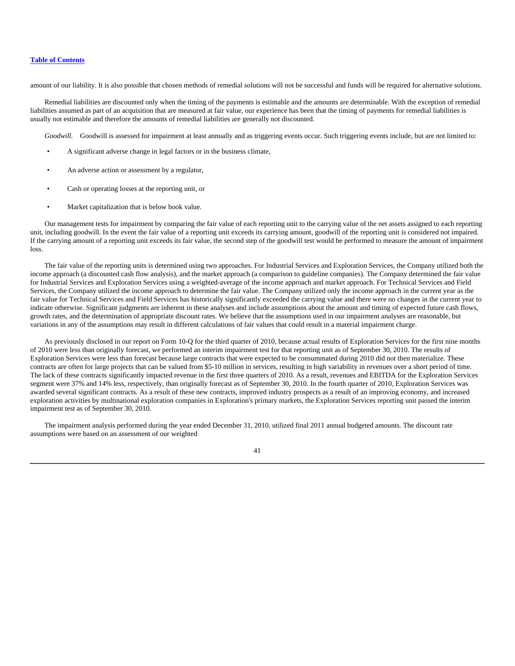amount of our liability. It is also possible that chosen methods of remedial solutions will not be successful and funds will be required for alternative solutions.

 Remedial liabilities are discounted only when the timing of the payments is estimable and the amounts are determinable. With the exception of remedial liabilities assumed as part of an acquisition that are measured at fair value, our experience has been that the timing of payments for remedial liabilities is usually not estimable and therefore the amounts of remedial liabilities are generally not discounted.

*Goodwill.* Goodwill is assessed for impairment at least annually and as triggering events occur. Such triggering events include, but are not limited to:

- A significant adverse change in legal factors or in the business climate, •
- An adverse action or assessment by a regulator, •
- Cash or operating losses at the reporting unit, or •
- Market capitalization that is below book value. •

 Our management tests for impairment by comparing the fair value of each reporting unit to the carrying value of the net assets assigned to each reporting unit, including goodwill. In the event the fair value of a reporting unit exceeds its carrying amount, goodwill of the reporting unit is considered not impaired. If the carrying amount of a reporting unit exceeds its fair value, the second step of the goodwill test would be performed to measure the amount of impairment loss.

 The fair value of the reporting units is determined using two approaches. For Industrial Services and Exploration Services, the Company utilized both the income approach (a discounted cash flow analysis), and the market approach (a comparison to guideline companies). The Company determined the fair value for Industrial Services and Exploration Services using a weighted-average of the income approach and market approach. For Technical Services and Field Services, the Company utilized the income approach to determine the fair value. The Company utilized only the income approach in the current year as the fair value for Technical Services and Field Services has historically significantly exceeded the carrying value and there were no changes in the current year to indicate otherwise. Significant judgments are inherent in these analyses and include assumptions about the amount and timing of expected future cash flows, growth rates, and the determination of appropriate discount rates. We believe that the assumptions used in our impairment analyses are reasonable, but variations in any of the assumptions may result in different calculations of fair values that could result in a material impairment charge.

 As previously disclosed in our report on Form 10-Q for the third quarter of 2010, because actual results of Exploration Services for the first nine months of 2010 were less than originally forecast, we performed an interim impairment test for that reporting unit as of September 30, 2010. The results of Exploration Services were less than forecast because large contracts that were expected to be consummated during 2010 did not then materialize. These contracts are often for large projects that can be valued from \$5-10 million in services, resulting in high variability in revenues over a short period of time. The lack of these contracts significantly impacted revenue in the first three quarters of 2010. As a result, revenues and EBITDA for the Exploration Services segment were 37% and 14% less, respectively, than originally forecast as of September 30, 2010. In the fourth quarter of 2010, Exploration Services was awarded several significant contracts. As a result of these new contracts, improved industry prospects as a result of an improving economy, and increased exploration activities by multinational exploration companies in Exploration's primary markets, the Exploration Services reporting unit passed the interim impairment test as of September 30, 2010.

 The impairment analysis performed during the year ended December 31, 2010, utilized final 2011 annual budgeted amounts. The discount rate assumptions were based on an assessment of our weighted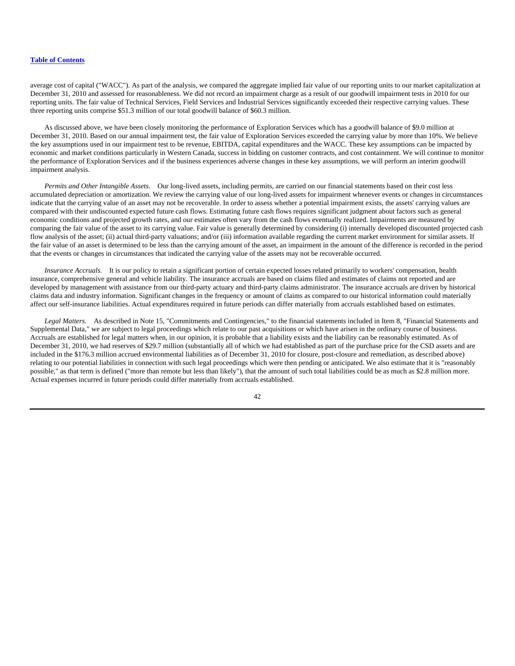average cost of capital ("WACC"). As part of the analysis, we compared the aggregate implied fair value of our reporting units to our market capitalization at December 31, 2010 and assessed for reasonableness. We did not record an impairment charge as a result of our goodwill impairment tests in 2010 for our reporting units. The fair value of Technical Services, Field Services and Industrial Services significantly exceeded their respective carrying values. These three reporting units comprise \$51.3 million of our total goodwill balance of \$60.3 million.

 As discussed above, we have been closely monitoring the performance of Exploration Services which has a goodwill balance of \$9.0 million at December 31, 2010. Based on our annual impairment test, the fair value of Exploration Services exceeded the carrying value by more than 10%. We believe the key assumptions used in our impairment test to be revenue, EBITDA, capital expenditures and the WACC. These key assumptions can be impacted by economic and market conditions particularly in Western Canada, success in bidding on customer contracts, and cost containment. We will continue to monitor the performance of Exploration Services and if the business experiences adverse changes in these key assumptions, we will perform an interim goodwill impairment analysis.

 *Permits and Other Intangible Assets.* Our long-lived assets, including permits, are carried on our financial statements based on their cost less accumulated depreciation or amortization. We review the carrying value of our long-lived assets for impairment whenever events or changes in circumstances indicate that the carrying value of an asset may not be recoverable. In order to assess whether a potential impairment exists, the assets' carrying values are compared with their undiscounted expected future cash flows. Estimating future cash flows requires significant judgment about factors such as general economic conditions and projected growth rates, and our estimates often vary from the cash flows eventually realized. Impairments are measured by comparing the fair value of the asset to its carrying value. Fair value is generally determined by considering (i) internally developed discounted projected cash flow analysis of the asset; (ii) actual third-party valuations; and/or (iii) information available regarding the current market environment for similar assets. If the fair value of an asset is determined to be less than the carrying amount of the asset, an impairment in the amount of the difference is recorded in the period that the events or changes in circumstances that indicated the carrying value of the assets may not be recoverable occurred.

 *Insurance Accruals.* It is our policy to retain a significant portion of certain expected losses related primarily to workers' compensation, health insurance, comprehensive general and vehicle liability. The insurance accruals are based on claims filed and estimates of claims not reported and are developed by management with assistance from our third-party actuary and third-party claims administrator. The insurance accruals are driven by historical claims data and industry information. Significant changes in the frequency or amount of claims as compared to our historical information could materially affect our self-insurance liabilities. Actual expenditures required in future periods can differ materially from accruals established based on estimates.

Legal Matters. As described in Note 15, "Commitments and Contingencies," to the financial statements included in Item 8, "Financial Statements and Supplemental Data," we are subject to legal proceedings which relate to our past acquisitions or which have arisen in the ordinary course of business. Accruals are established for legal matters when, in our opinion, it is probable that a liability exists and the liability can be reasonably estimated. As of December 31, 2010, we had reserves of \$29.7 million (substantially all of which we had established as part of the purchase price for the CSD assets and are included in the \$176.3 million accrued environmental liabilities as of December 31, 2010 for closure, post-closure and remediation, as described above) relating to our potential liabilities in connection with such legal proceedings which were then pending or anticipated. We also estimate that it is "reasonably possible," as that term is defined ("more than remote but less than likely"), that the amount of such total liabilities could be as much as \$2.8 million more. Actual expenses incurred in future periods could differ materially from accruals established.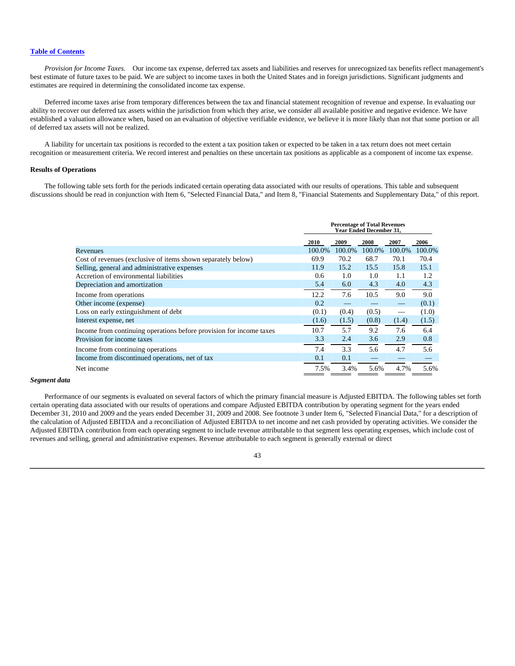*Provision for Income Taxes.* Our income tax expense, deferred tax assets and liabilities and reserves for unrecognized tax benefits reflect management's best estimate of future taxes to be paid. We are subject to income taxes in both the United States and in foreign jurisdictions. Significant judgments and estimates are required in determining the consolidated income tax expense.

 Deferred income taxes arise from temporary differences between the tax and financial statement recognition of revenue and expense. In evaluating our ability to recover our deferred tax assets within the jurisdiction from which they arise, we consider all available positive and negative evidence. We have established a valuation allowance when, based on an evaluation of objective verifiable evidence, we believe it is more likely than not that some portion or all of deferred tax assets will not be realized.

 A liability for uncertain tax positions is recorded to the extent a tax position taken or expected to be taken in a tax return does not meet certain recognition or measurement criteria. We record interest and penalties on these uncertain tax positions as applicable as a component of income tax expense.

#### **Results of Operations**

 The following table sets forth for the periods indicated certain operating data associated with our results of operations. This table and subsequent discussions should be read in conjunction with Item 6, "Selected Financial Data," and Item 8, "Financial Statements and Supplementary Data," of this report.

|                                                                     |             |        | <b>Percentage of Total Revenues</b><br><b>Year Ended December 31.</b> |        |        |
|---------------------------------------------------------------------|-------------|--------|-----------------------------------------------------------------------|--------|--------|
|                                                                     | <b>2010</b> | 2009   | 2008                                                                  | 2007   | 2006   |
| Revenues                                                            | 100.0%      | 100.0% | 100.0%                                                                | 100.0% | 100.0% |
| Cost of revenues (exclusive of items shown separately below)        | 69.9        | 70.2   | 68.7                                                                  | 70.1   | 70.4   |
| Selling, general and administrative expenses                        | 11.9        | 15.2   | 15.5                                                                  | 15.8   | 15.1   |
| Accretion of environmental liabilities                              | 0.6         | 1.0    | 1.0                                                                   | 1.1    | 1.2    |
| Depreciation and amortization                                       | 5.4         | 6.0    | 4.3                                                                   | 4.0    | 4.3    |
| Income from operations                                              | 12.2        | 7.6    | 10.5                                                                  | 9.0    | 9.0    |
| Other income (expense)                                              | 0.2         |        |                                                                       |        | (0.1)  |
| Loss on early extinguishment of debt                                | (0.1)       | (0.4)  | (0.5)                                                                 |        | (1.0)  |
| Interest expense, net                                               | (1.6)       | (1.5)  | (0.8)                                                                 | (1.4)  | (1.5)  |
| Income from continuing operations before provision for income taxes | 10.7        | 5.7    | 9.2                                                                   | 7.6    | 6.4    |
| Provision for income taxes                                          | 3.3         | 2.4    | 3.6                                                                   | 2.9    | 0.8    |
| Income from continuing operations                                   | 7.4         | 3.3    | 5.6                                                                   | 4.7    | 5.6    |
| Income from discontinued operations, net of tax                     | 0.1         | 0.1    |                                                                       |        |        |
| Net income                                                          | 7.5%        | 3.4%   | 5.6%                                                                  | 4.7%   | 5.6%   |

#### *Segment data*

 Performance of our segments is evaluated on several factors of which the primary financial measure is Adjusted EBITDA. The following tables set forth certain operating data associated with our results of operations and compare Adjusted EBITDA contribution by operating segment for the years ended December 31, 2010 and 2009 and the years ended December 31, 2009 and 2008. See footnote 3 under Item 6, "Selected Financial Data," for a description of the calculation of Adjusted EBITDA and a reconciliation of Adjusted EBITDA to net income and net cash provided by operating activities. We consider the Adjusted EBITDA contribution from each operating segment to include revenue attributable to that segment less operating expenses, which include cost of revenues and selling, general and administrative expenses. Revenue attributable to each segment is generally external or direct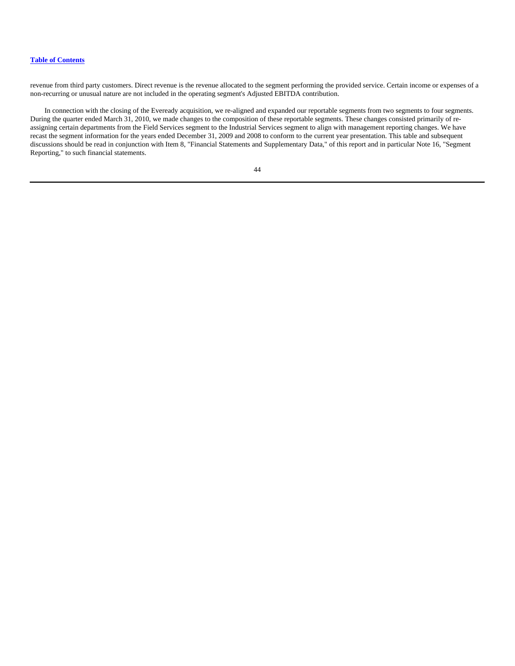revenue from third party customers. Direct revenue is the revenue allocated to the segment performing the provided service. Certain income or expenses of a non-recurring or unusual nature are not included in the operating segment's Adjusted EBITDA contribution.

 In connection with the closing of the Eveready acquisition, we re-aligned and expanded our reportable segments from two segments to four segments. During the quarter ended March 31, 2010, we made changes to the composition of these reportable segments. These changes consisted primarily of reassigning certain departments from the Field Services segment to the Industrial Services segment to align with management reporting changes. We have recast the segment information for the years ended December 31, 2009 and 2008 to conform to the current year presentation. This table and subsequent discussions should be read in conjunction with Item 8, "Financial Statements and Supplementary Data," of this report and in particular Note 16, "Segment Reporting," to such financial statements.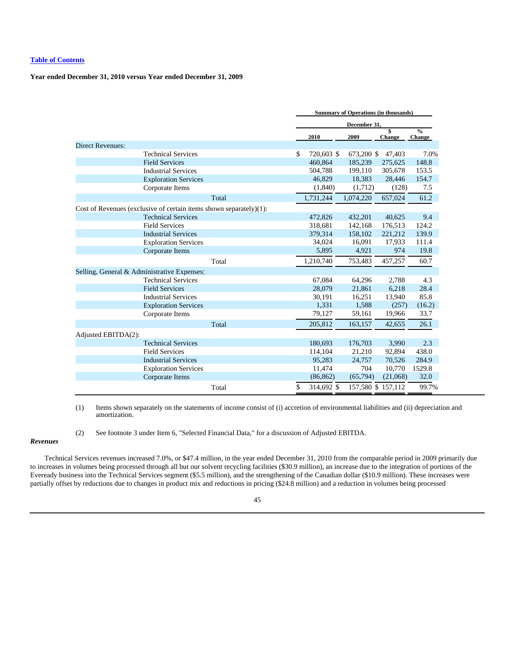#### **Year ended December 31, 2010 versus Year ended December 31, 2009**

|                                                                        |       |    | <b>Summary of Operations (in thousands)</b> |              |                    |                                |  |
|------------------------------------------------------------------------|-------|----|---------------------------------------------|--------------|--------------------|--------------------------------|--|
|                                                                        |       |    |                                             | December 31, |                    |                                |  |
|                                                                        |       |    | 2010                                        | 2009         | \$<br>Change       | $\frac{0}{0}$<br><b>Change</b> |  |
| <b>Direct Revenues:</b>                                                |       |    |                                             |              |                    |                                |  |
| <b>Technical Services</b>                                              |       | S  | 720,603 \$                                  | 673,200 \$   | 47,403             | 7.0%                           |  |
| <b>Field Services</b>                                                  |       |    | 460.864                                     | 185.239      | 275,625            | 148.8                          |  |
| <b>Industrial Services</b>                                             |       |    | 504,788                                     | 199,110      | 305,678            | 153.5                          |  |
| <b>Exploration Services</b>                                            |       |    | 46.829                                      | 18,383       | 28,446             | 154.7                          |  |
| Corporate Items                                                        |       |    | (1,840)                                     | (1,712)      | (128)              | 7.5                            |  |
|                                                                        | Total |    | 1,731,244                                   | 1,074,220    | 657,024            | 61.2                           |  |
| Cost of Revenues (exclusive of certain items shown separately) $(1)$ : |       |    |                                             |              |                    |                                |  |
| <b>Technical Services</b>                                              |       |    | 472,826                                     | 432,201      | 40,625             | 9.4                            |  |
| <b>Field Services</b>                                                  |       |    | 318,681                                     | 142,168      | 176,513            | 124.2                          |  |
| <b>Industrial Services</b>                                             |       |    | 379,314                                     | 158,102      | 221,212            | 139.9                          |  |
| <b>Exploration Services</b>                                            |       |    | 34,024                                      | 16,091       | 17,933             | 111.4                          |  |
| Corporate Items                                                        |       |    | 5,895                                       | 4,921        | 974                | 19.8                           |  |
|                                                                        | Total |    | 1,210,740                                   | 753,483      | 457,257            | 60.7                           |  |
| Selling, General & Administrative Expenses:                            |       |    |                                             |              |                    |                                |  |
| <b>Technical Services</b>                                              |       |    | 67,084                                      | 64,296       | 2,788              | 4.3                            |  |
| <b>Field Services</b>                                                  |       |    | 28,079                                      | 21,861       | 6,218              | 28.4                           |  |
| <b>Industrial Services</b>                                             |       |    | 30,191                                      | 16,251       | 13,940             | 85.8                           |  |
| <b>Exploration Services</b>                                            |       |    | 1,331                                       | 1,588        | (257)              | (16.2)                         |  |
| Corporate Items                                                        |       |    | 79,127                                      | 59,161       | 19,966             | 33.7                           |  |
|                                                                        | Total |    | 205.812                                     | 163.157      | 42.655             | 26.1                           |  |
| Adjusted EBITDA(2):                                                    |       |    |                                             |              |                    |                                |  |
| <b>Technical Services</b>                                              |       |    | 180.693                                     | 176,703      | 3,990              | 2.3                            |  |
| <b>Field Services</b>                                                  |       |    | 114,104                                     | 21,210       | 92,894             | 438.0                          |  |
| <b>Industrial Services</b>                                             |       |    | 95.283                                      | 24,757       | 70,526             | 284.9                          |  |
| <b>Exploration Services</b>                                            |       |    | 11,474                                      | 704          | 10,770             | 1529.8                         |  |
| Corporate Items                                                        |       |    | (86, 862)                                   | (65, 794)    | (21,068)           | 32.0                           |  |
|                                                                        | Total | \$ | 314,692 \$                                  |              | 157,580 \$ 157,112 | 99.7%                          |  |

Items shown separately on the statements of income consist of (i) accretion of environmental liabilities and (ii) depreciation and amortization. (1)

See footnote 3 under Item 6, "Selected Financial Data," for a discussion of Adjusted EBITDA. (2)

#### *Revenues*

 Technical Services revenues increased 7.0%, or \$47.4 million, in the year ended December 31, 2010 from the comparable period in 2009 primarily due to increases in volumes being processed through all but our solvent recycling facilities (\$30.9 million), an increase due to the integration of portions of the Eveready business into the Technical Services segment (\$5.5 million), and the strengthening of the Canadian dollar (\$10.9 million). These increases were partially offset by reductions due to changes in product mix and reductions in pricing (\$24.8 million) and a reduction in volumes being processed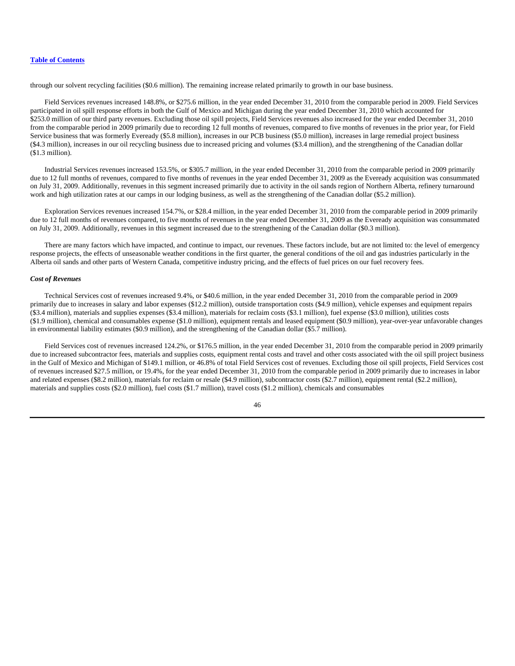through our solvent recycling facilities (\$0.6 million). The remaining increase related primarily to growth in our base business.

 Field Services revenues increased 148.8%, or \$275.6 million, in the year ended December 31, 2010 from the comparable period in 2009. Field Services participated in oil spill response efforts in both the Gulf of Mexico and Michigan during the year ended December 31, 2010 which accounted for \$253.0 million of our third party revenues. Excluding those oil spill projects, Field Services revenues also increased for the year ended December 31, 2010 from the comparable period in 2009 primarily due to recording 12 full months of revenues, compared to five months of revenues in the prior year, for Field Service business that was formerly Eveready (\$5.8 million), increases in our PCB business (\$5.0 million), increases in large remedial project business (\$4.3 million), increases in our oil recycling business due to increased pricing and volumes (\$3.4 million), and the strengthening of the Canadian dollar (\$1.3 million).

 Industrial Services revenues increased 153.5%, or \$305.7 million, in the year ended December 31, 2010 from the comparable period in 2009 primarily due to 12 full months of revenues, compared to five months of revenues in the year ended December 31, 2009 as the Eveready acquisition was consummated on July 31, 2009. Additionally, revenues in this segment increased primarily due to activity in the oil sands region of Northern Alberta, refinery turnaround work and high utilization rates at our camps in our lodging business, as well as the strengthening of the Canadian dollar (\$5.2 million).

 Exploration Services revenues increased 154.7%, or \$28.4 million, in the year ended December 31, 2010 from the comparable period in 2009 primarily due to 12 full months of revenues compared, to five months of revenues in the year ended December 31, 2009 as the Eveready acquisition was consummated on July 31, 2009. Additionally, revenues in this segment increased due to the strengthening of the Canadian dollar (\$0.3 million).

 There are many factors which have impacted, and continue to impact, our revenues. These factors include, but are not limited to: the level of emergency response projects, the effects of unseasonable weather conditions in the first quarter, the general conditions of the oil and gas industries particularly in the Alberta oil sands and other parts of Western Canada, competitive industry pricing, and the effects of fuel prices on our fuel recovery fees.

### *Cost of Revenues*

 Technical Services cost of revenues increased 9.4%, or \$40.6 million, in the year ended December 31, 2010 from the comparable period in 2009 primarily due to increases in salary and labor expenses (\$12.2 million), outside transportation costs (\$4.9 million), vehicle expenses and equipment repairs (\$3.4 million), materials and supplies expenses (\$3.4 million), materials for reclaim costs (\$3.1 million), fuel expense (\$3.0 million), utilities costs (\$1.9 million), chemical and consumables expense (\$1.0 million), equipment rentals and leased equipment (\$0.9 million), year-over-year unfavorable changes in environmental liability estimates (\$0.9 million), and the strengthening of the Canadian dollar (\$5.7 million).

 Field Services cost of revenues increased 124.2%, or \$176.5 million, in the year ended December 31, 2010 from the comparable period in 2009 primarily due to increased subcontractor fees, materials and supplies costs, equipment rental costs and travel and other costs associated with the oil spill project business in the Gulf of Mexico and Michigan of \$149.1 million, or 46.8% of total Field Services cost of revenues. Excluding those oil spill projects, Field Services cost of revenues increased \$27.5 million, or 19.4%, for the year ended December 31, 2010 from the comparable period in 2009 primarily due to increases in labor and related expenses (\$8.2 million), materials for reclaim or resale (\$4.9 million), subcontractor costs (\$2.7 million), equipment rental (\$2.2 million), materials and supplies costs (\$2.0 million), fuel costs (\$1.7 million), travel costs (\$1.2 million), chemicals and consumables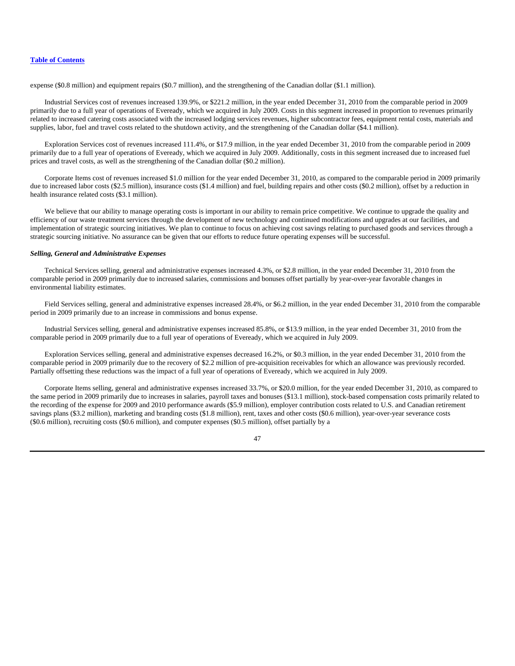expense (\$0.8 million) and equipment repairs (\$0.7 million), and the strengthening of the Canadian dollar (\$1.1 million).

 Industrial Services cost of revenues increased 139.9%, or \$221.2 million, in the year ended December 31, 2010 from the comparable period in 2009 primarily due to a full year of operations of Eveready, which we acquired in July 2009. Costs in this segment increased in proportion to revenues primarily related to increased catering costs associated with the increased lodging services revenues, higher subcontractor fees, equipment rental costs, materials and supplies, labor, fuel and travel costs related to the shutdown activity, and the strengthening of the Canadian dollar (\$4.1 million).

 Exploration Services cost of revenues increased 111.4%, or \$17.9 million, in the year ended December 31, 2010 from the comparable period in 2009 primarily due to a full year of operations of Eveready, which we acquired in July 2009. Additionally, costs in this segment increased due to increased fuel prices and travel costs, as well as the strengthening of the Canadian dollar (\$0.2 million).

 Corporate Items cost of revenues increased \$1.0 million for the year ended December 31, 2010, as compared to the comparable period in 2009 primarily due to increased labor costs (\$2.5 million), insurance costs (\$1.4 million) and fuel, building repairs and other costs (\$0.2 million), offset by a reduction in health insurance related costs (\$3.1 million).

We believe that our ability to manage operating costs is important in our ability to remain price competitive. We continue to upgrade the quality and efficiency of our waste treatment services through the development of new technology and continued modifications and upgrades at our facilities, and implementation of strategic sourcing initiatives. We plan to continue to focus on achieving cost savings relating to purchased goods and services through a strategic sourcing initiative. No assurance can be given that our efforts to reduce future operating expenses will be successful.

### *Selling, General and Administrative Expenses*

 Technical Services selling, general and administrative expenses increased 4.3%, or \$2.8 million, in the year ended December 31, 2010 from the comparable period in 2009 primarily due to increased salaries, commissions and bonuses offset partially by year-over-year favorable changes in environmental liability estimates.

 Field Services selling, general and administrative expenses increased 28.4%, or \$6.2 million, in the year ended December 31, 2010 from the comparable period in 2009 primarily due to an increase in commissions and bonus expense.

 Industrial Services selling, general and administrative expenses increased 85.8%, or \$13.9 million, in the year ended December 31, 2010 from the comparable period in 2009 primarily due to a full year of operations of Eveready, which we acquired in July 2009.

 Exploration Services selling, general and administrative expenses decreased 16.2%, or \$0.3 million, in the year ended December 31, 2010 from the comparable period in 2009 primarily due to the recovery of \$2.2 million of pre-acquisition receivables for which an allowance was previously recorded. Partially offsetting these reductions was the impact of a full year of operations of Eveready, which we acquired in July 2009.

 Corporate Items selling, general and administrative expenses increased 33.7%, or \$20.0 million, for the year ended December 31, 2010, as compared to the same period in 2009 primarily due to increases in salaries, payroll taxes and bonuses (\$13.1 million), stock-based compensation costs primarily related to the recording of the expense for 2009 and 2010 performance awards (\$5.9 million), employer contribution costs related to U.S. and Canadian retirement savings plans (\$3.2 million), marketing and branding costs (\$1.8 million), rent, taxes and other costs (\$0.6 million), year-over-year severance costs (\$0.6 million), recruiting costs (\$0.6 million), and computer expenses (\$0.5 million), offset partially by a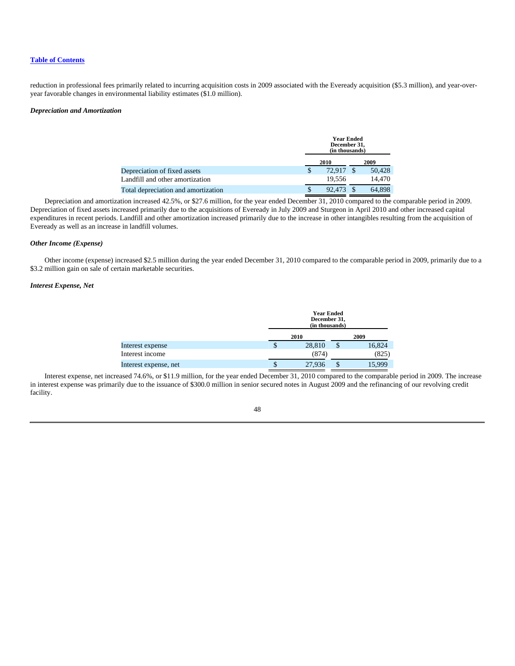reduction in professional fees primarily related to incurring acquisition costs in 2009 associated with the Eveready acquisition (\$5.3 million), and year-overyear favorable changes in environmental liability estimates (\$1.0 million).

#### *Depreciation and Amortization*

|                                     |      | <b>Year Ended</b><br>December 31,<br>(in thousands) |  |        |  |
|-------------------------------------|------|-----------------------------------------------------|--|--------|--|
|                                     | 2010 |                                                     |  | 2009   |  |
| Depreciation of fixed assets        | S    | 72.917                                              |  | 50,428 |  |
| Landfill and other amortization     |      | 19.556                                              |  | 14.470 |  |
| Total depreciation and amortization | \$   | 92,473                                              |  | 64.898 |  |

 Depreciation and amortization increased 42.5%, or \$27.6 million, for the year ended December 31, 2010 compared to the comparable period in 2009. Depreciation of fixed assets increased primarily due to the acquisitions of Eveready in July 2009 and Sturgeon in April 2010 and other increased capital expenditures in recent periods. Landfill and other amortization increased primarily due to the increase in other intangibles resulting from the acquisition of Eveready as well as an increase in landfill volumes.

#### *Other Income (Expense)*

 Other income (expense) increased \$2.5 million during the year ended December 31, 2010 compared to the comparable period in 2009, primarily due to a \$3.2 million gain on sale of certain marketable securities.

#### *Interest Expense, Net*

|                       | <b>Year Ended</b><br>December 31,<br>(in thousands) |        |    |        |  |  |
|-----------------------|-----------------------------------------------------|--------|----|--------|--|--|
|                       |                                                     | 2010   |    | 2009   |  |  |
| Interest expense      | S                                                   | 28,810 | \$ | 16,824 |  |  |
| Interest income       |                                                     | (874)  |    | (825)  |  |  |
| Interest expense, net | \$                                                  | 27,936 | \$ | 15.999 |  |  |

 Interest expense, net increased 74.6%, or \$11.9 million, for the year ended December 31, 2010 compared to the comparable period in 2009. The increase in interest expense was primarily due to the issuance of \$300.0 million in senior secured notes in August 2009 and the refinancing of our revolving credit facility.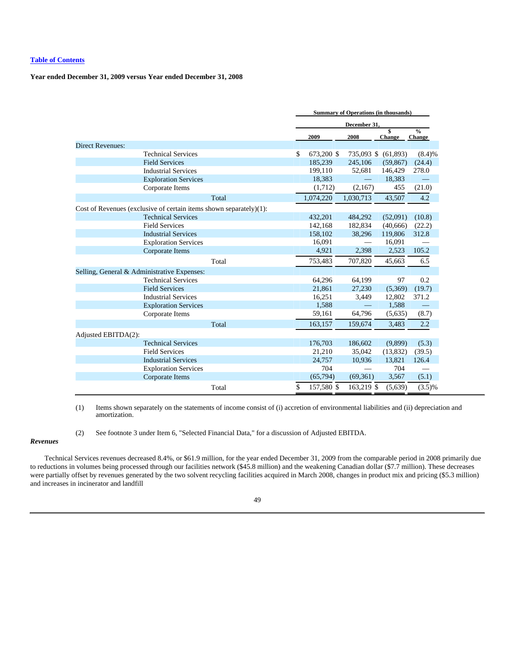#### **Year ended December 31, 2009 versus Year ended December 31, 2008**

|                                             |                                                                    |       |               |            | <b>Summary of Operations (in thousands)</b> |                     |                                |
|---------------------------------------------|--------------------------------------------------------------------|-------|---------------|------------|---------------------------------------------|---------------------|--------------------------------|
|                                             |                                                                    |       |               |            | December 31,                                |                     |                                |
|                                             |                                                                    |       |               | 2009       | 2008                                        | \$<br><b>Change</b> | $\frac{0}{0}$<br><b>Change</b> |
| <b>Direct Revenues:</b>                     |                                                                    |       |               |            |                                             |                     |                                |
|                                             | <b>Technical Services</b>                                          |       | $\mathcal{S}$ | 673,200 \$ | 735,093 \$                                  | (61, 893)           | (8.4)%                         |
|                                             | <b>Field Services</b>                                              |       |               | 185,239    | 245,106                                     | (59, 867)           | (24.4)                         |
|                                             | <b>Industrial Services</b>                                         |       |               | 199,110    | 52,681                                      | 146,429             | 278.0                          |
|                                             | <b>Exploration Services</b>                                        |       |               | 18,383     |                                             | 18,383              |                                |
|                                             | Corporate Items                                                    |       |               | (1,712)    | (2,167)                                     | 455                 | (21.0)                         |
|                                             |                                                                    | Total |               | 1,074,220  | 1,030,713                                   | 43,507              | 4.2                            |
|                                             | Cost of Revenues (exclusive of certain items shown separately)(1): |       |               |            |                                             |                     |                                |
|                                             | <b>Technical Services</b>                                          |       |               | 432,201    | 484,292                                     | (52,091)            | (10.8)                         |
|                                             | <b>Field Services</b>                                              |       |               | 142,168    | 182,834                                     | (40,666)            | (22.2)                         |
|                                             | <b>Industrial Services</b>                                         |       |               | 158,102    | 38,296                                      | 119,806             | 312.8                          |
|                                             | <b>Exploration Services</b>                                        |       |               | 16,091     |                                             | 16,091              |                                |
|                                             | Corporate Items                                                    |       |               | 4,921      | 2,398                                       | 2,523               | 105.2                          |
|                                             |                                                                    | Total |               | 753,483    | 707,820                                     | 45,663              | 6.5                            |
| Selling, General & Administrative Expenses: |                                                                    |       |               |            |                                             |                     |                                |
|                                             | <b>Technical Services</b>                                          |       |               | 64,296     | 64,199                                      | 97                  | 0.2                            |
|                                             | <b>Field Services</b>                                              |       |               | 21,861     | 27,230                                      | (5,369)             | (19.7)                         |
|                                             | <b>Industrial Services</b>                                         |       |               | 16,251     | 3,449                                       | 12,802              | 371.2                          |
|                                             | <b>Exploration Services</b>                                        |       |               | 1,588      |                                             | 1,588               |                                |
|                                             | Corporate Items                                                    |       |               | 59,161     | 64,796                                      | (5,635)             | (8.7)                          |
|                                             |                                                                    | Total |               | 163,157    | 159,674                                     | 3,483               | 2.2                            |
| Adjusted EBITDA(2):                         |                                                                    |       |               |            |                                             |                     |                                |
|                                             | <b>Technical Services</b>                                          |       |               | 176,703    | 186,602                                     | (9,899)             | (5.3)                          |
|                                             | <b>Field Services</b>                                              |       |               | 21,210     | 35,042                                      | (13, 832)           | (39.5)                         |
|                                             | <b>Industrial Services</b>                                         |       |               | 24,757     | 10,936                                      | 13,821              | 126.4                          |
|                                             | <b>Exploration Services</b>                                        |       |               | 704        |                                             | 704                 |                                |
|                                             | Corporate Items                                                    |       |               | (65, 794)  | (69, 361)                                   | 3,567               | (5.1)                          |
|                                             |                                                                    | Total | \$            | 157,580 \$ | 163,219 \$                                  | (5,639)             | $(3.5)\%$                      |

Items shown separately on the statements of income consist of (i) accretion of environmental liabilities and (ii) depreciation and amortization. (1)

# *Revenues*

See footnote 3 under Item 6, "Selected Financial Data," for a discussion of Adjusted EBITDA. (2)

 Technical Services revenues decreased 8.4%, or \$61.9 million, for the year ended December 31, 2009 from the comparable period in 2008 primarily due to reductions in volumes being processed through our facilities network (\$45.8 million) and the weakening Canadian dollar (\$7.7 million). These decreases were partially offset by revenues generated by the two solvent recycling facilities acquired in March 2008, changes in product mix and pricing (\$5.3 million) and increases in incinerator and landfill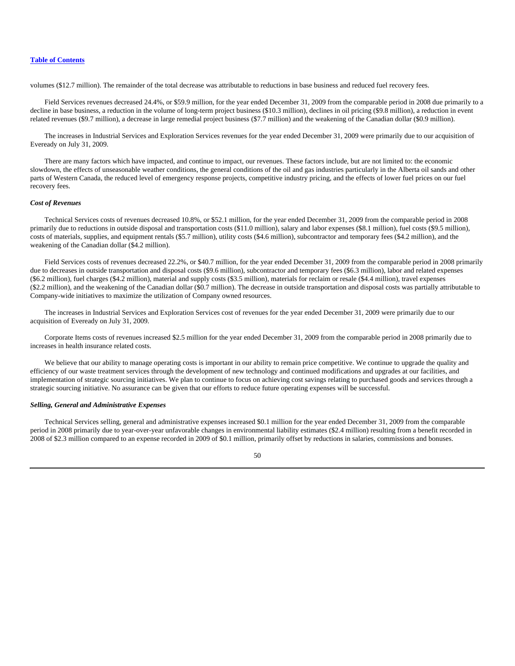volumes (\$12.7 million). The remainder of the total decrease was attributable to reductions in base business and reduced fuel recovery fees.

 Field Services revenues decreased 24.4%, or \$59.9 million, for the year ended December 31, 2009 from the comparable period in 2008 due primarily to a decline in base business, a reduction in the volume of long-term project business (\$10.3 million), declines in oil pricing (\$9.8 million), a reduction in event related revenues (\$9.7 million), a decrease in large remedial project business (\$7.7 million) and the weakening of the Canadian dollar (\$0.9 million).

 The increases in Industrial Services and Exploration Services revenues for the year ended December 31, 2009 were primarily due to our acquisition of Eveready on July 31, 2009.

 There are many factors which have impacted, and continue to impact, our revenues. These factors include, but are not limited to: the economic slowdown, the effects of unseasonable weather conditions, the general conditions of the oil and gas industries particularly in the Alberta oil sands and other parts of Western Canada, the reduced level of emergency response projects, competitive industry pricing, and the effects of lower fuel prices on our fuel recovery fees.

#### *Cost of Revenues*

 Technical Services costs of revenues decreased 10.8%, or \$52.1 million, for the year ended December 31, 2009 from the comparable period in 2008 primarily due to reductions in outside disposal and transportation costs (\$11.0 million), salary and labor expenses (\$8.1 million), fuel costs (\$9.5 million), costs of materials, supplies, and equipment rentals (\$5.7 million), utility costs (\$4.6 million), subcontractor and temporary fees (\$4.2 million), and the weakening of the Canadian dollar (\$4.2 million).

 Field Services costs of revenues decreased 22.2%, or \$40.7 million, for the year ended December 31, 2009 from the comparable period in 2008 primarily due to decreases in outside transportation and disposal costs (\$9.6 million), subcontractor and temporary fees (\$6.3 million), labor and related expenses (\$6.2 million), fuel charges (\$4.2 million), material and supply costs (\$3.5 million), materials for reclaim or resale (\$4.4 million), travel expenses (\$2.2 million), and the weakening of the Canadian dollar (\$0.7 million). The decrease in outside transportation and disposal costs was partially attributable to Company-wide initiatives to maximize the utilization of Company owned resources.

 The increases in Industrial Services and Exploration Services cost of revenues for the year ended December 31, 2009 were primarily due to our acquisition of Eveready on July 31, 2009.

 Corporate Items costs of revenues increased \$2.5 million for the year ended December 31, 2009 from the comparable period in 2008 primarily due to increases in health insurance related costs.

 We believe that our ability to manage operating costs is important in our ability to remain price competitive. We continue to upgrade the quality and efficiency of our waste treatment services through the development of new technology and continued modifications and upgrades at our facilities, and implementation of strategic sourcing initiatives. We plan to continue to focus on achieving cost savings relating to purchased goods and services through a strategic sourcing initiative. No assurance can be given that our efforts to reduce future operating expenses will be successful.

#### *Selling, General and Administrative Expenses*

 Technical Services selling, general and administrative expenses increased \$0.1 million for the year ended December 31, 2009 from the comparable period in 2008 primarily due to year-over-year unfavorable changes in environmental liability estimates (\$2.4 million) resulting from a benefit recorded in 2008 of \$2.3 million compared to an expense recorded in 2009 of \$0.1 million, primarily offset by reductions in salaries, commissions and bonuses.

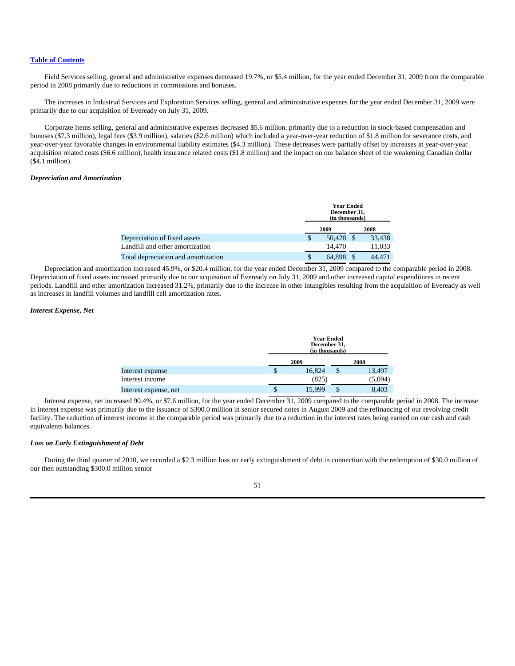Field Services selling, general and administrative expenses decreased 19.7%, or \$5.4 million, for the year ended December 31, 2009 from the comparable period in 2008 primarily due to reductions in commissions and bonuses.

 The increases in Industrial Services and Exploration Services selling, general and administrative expenses for the year ended December 31, 2009 were primarily due to our acquisition of Eveready on July 31, 2009.

 Corporate Items selling, general and administrative expenses decreased \$5.6 million, primarily due to a reduction in stock-based compensation and bonuses (\$7.3 million), legal fees (\$3.9 million), salaries (\$2.6 million) which included a year-over-year reduction of \$1.8 million for severance costs, and year-over-year favorable changes in environmental liability estimates (\$4.3 million). These decreases were partially offset by increases in year-over-year acquisition related costs (\$6.6 million), health insurance related costs (\$1.8 million) and the impact on our balance sheet of the weakening Canadian dollar (\$4.1 million).

#### *Depreciation and Amortization*

|                                     | <b>Year Ended</b><br>December 31,<br>(in thousands) |  |        |  |
|-------------------------------------|-----------------------------------------------------|--|--------|--|
|                                     | 2009                                                |  | 2008   |  |
| Depreciation of fixed assets        | \$<br>50.428                                        |  | 33,438 |  |
| Landfill and other amortization     | 14.470                                              |  | 11.033 |  |
| Total depreciation and amortization | \$<br>44.471<br>64.898                              |  |        |  |

 Depreciation and amortization increased 45.9%, or \$20.4 million, for the year ended December 31, 2009 compared to the comparable period in 2008. Depreciation of fixed assets increased primarily due to our acquisition of Eveready on July 31, 2009 and other increased capital expenditures in recent periods. Landfill and other amortization increased 31.2%, primarily due to the increase in other intangibles resulting from the acquisition of Eveready as well as increases in landfill volumes and landfill cell amortization rates.

### *Interest Expense, Net*

|                       | <b>Year Ended</b><br>December 31,<br>(in thousands) |        |    |         |  |
|-----------------------|-----------------------------------------------------|--------|----|---------|--|
|                       |                                                     | 2009   |    | 2008    |  |
| Interest expense      | \$                                                  | 16,824 | S  | 13,497  |  |
| Interest income       |                                                     | (825)  |    | (5,094) |  |
| Interest expense, net | \$                                                  | 15.999 | \$ | 8.403   |  |

 Interest expense, net increased 90.4%, or \$7.6 million, for the year ended December 31, 2009 compared to the comparable period in 2008. The increase in interest expense was primarily due to the issuance of \$300.0 million in senior secured notes in August 2009 and the refinancing of our revolving credit facility. The reduction of interest income in the comparable period was primarily due to a reduction in the interest rates being earned on our cash and cash equivalents balances.

#### *Loss on Early Extinguishment of Debt*

 During the third quarter of 2010, we recorded a \$2.3 million loss on early extinguishment of debt in connection with the redemption of \$30.0 million of our then outstanding \$300.0 million senior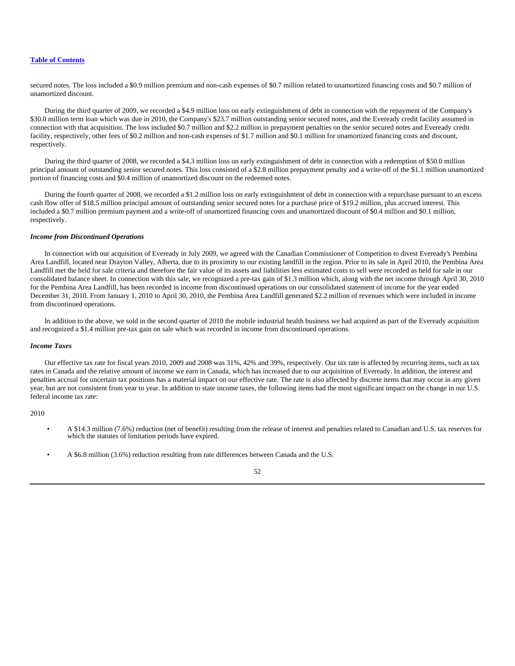secured notes. The loss included a \$0.9 million premium and non-cash expenses of \$0.7 million related to unamortized financing costs and \$0.7 million of unamortized discount.

 During the third quarter of 2009, we recorded a \$4.9 million loss on early extinguishment of debt in connection with the repayment of the Company's \$30.0 million term loan which was due in 2010, the Company's \$23.7 million outstanding senior secured notes, and the Eveready credit facility assumed in connection with that acquisition. The loss included \$0.7 million and \$2.2 million in prepayment penalties on the senior secured notes and Eveready credit facility, respectively, other fees of \$0.2 million and non-cash expenses of \$1.7 million and \$0.1 million for unamortized financing costs and discount, respectively.

 During the third quarter of 2008, we recorded a \$4.3 million loss on early extinguishment of debt in connection with a redemption of \$50.0 million principal amount of outstanding senior secured notes. This loss consisted of a \$2.8 million prepayment penalty and a write-off of the \$1.1 million unamortized portion of financing costs and \$0.4 million of unamortized discount on the redeemed notes.

 During the fourth quarter of 2008, we recorded a \$1.2 million loss on early extinguishment of debt in connection with a repurchase pursuant to an excess cash flow offer of \$18.5 million principal amount of outstanding senior secured notes for a purchase price of \$19.2 million, plus accrued interest. This included a \$0.7 million premium payment and a write-off of unamortized financing costs and unamortized discount of \$0.4 million and \$0.1 million, respectively.

#### *Income from Discontinued Operations*

 In connection with our acquisition of Eveready in July 2009, we agreed with the Canadian Commissioner of Competition to divest Eveready's Pembina Area Landfill, located near Drayton Valley, Alberta, due to its proximity to our existing landfill in the region. Prior to its sale in April 2010, the Pembina Area Landfill met the held for sale criteria and therefore the fair value of its assets and liabilities less estimated costs to sell were recorded as held for sale in our consolidated balance sheet. In connection with this sale, we recognized a pre-tax gain of \$1.3 million which, along with the net income through April 30, 2010 for the Pembina Area Landfill, has been recorded in income from discontinued operations on our consolidated statement of income for the year ended December 31, 2010. From January 1, 2010 to April 30, 2010, the Pembina Area Landfill generated \$2.2 million of revenues which were included in income from discontinued operations.

 In addition to the above, we sold in the second quarter of 2010 the mobile industrial health business we had acquired as part of the Eveready acquisition and recognized a \$1.4 million pre-tax gain on sale which was recorded in income from discontinued operations.

#### *Income Taxes*

 Our effective tax rate for fiscal years 2010, 2009 and 2008 was 31%, 42% and 39%, respectively. Our tax rate is affected by recurring items, such as tax rates in Canada and the relative amount of income we earn in Canada, which has increased due to our acquisition of Eveready. In addition, the interest and penalties accrual for uncertain tax positions has a material impact on our effective rate. The rate is also affected by discrete items that may occur in any given year, but are not consistent from year to year. In addition to state income taxes, the following items had the most significant impact on the change in our U.S. federal income tax rate:

- A \$14.3 million (7.6%) reduction (net of benefit) resulting from the release of interest and penalties related to Canadian and U.S. tax reserves for which the statutes of limitation periods have expired. •
- A \$6.8 million (3.6%) reduction resulting from rate differences between Canada and the U.S. •

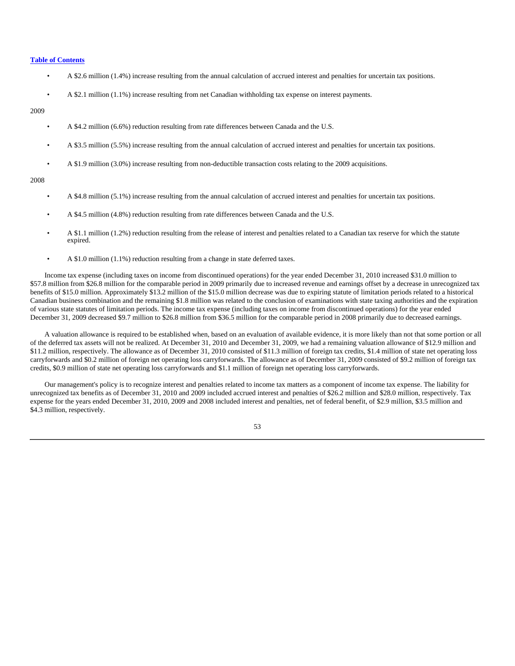- A \$2.6 million (1.4%) increase resulting from the annual calculation of accrued interest and penalties for uncertain tax positions. •
- A \$2.1 million (1.1%) increase resulting from net Canadian withholding tax expense on interest payments. •

2009

- A \$4.2 million (6.6%) reduction resulting from rate differences between Canada and the U.S. •
- A \$3.5 million (5.5%) increase resulting from the annual calculation of accrued interest and penalties for uncertain tax positions. •
- A \$1.9 million (3.0%) increase resulting from non-deductible transaction costs relating to the 2009 acquisitions. •

2008

- A \$4.8 million (5.1%) increase resulting from the annual calculation of accrued interest and penalties for uncertain tax positions. •
- A \$4.5 million (4.8%) reduction resulting from rate differences between Canada and the U.S. •
- A \$1.1 million (1.2%) reduction resulting from the release of interest and penalties related to a Canadian tax reserve for which the statute expired. •
- A \$1.0 million (1.1%) reduction resulting from a change in state deferred taxes. •

 Income tax expense (including taxes on income from discontinued operations) for the year ended December 31, 2010 increased \$31.0 million to \$57.8 million from \$26.8 million for the comparable period in 2009 primarily due to increased revenue and earnings offset by a decrease in unrecognized tax benefits of \$15.0 million. Approximately \$13.2 million of the \$15.0 million decrease was due to expiring statute of limitation periods related to a historical Canadian business combination and the remaining \$1.8 million was related to the conclusion of examinations with state taxing authorities and the expiration of various state statutes of limitation periods. The income tax expense (including taxes on income from discontinued operations) for the year ended December 31, 2009 decreased \$9.7 million to \$26.8 million from \$36.5 million for the comparable period in 2008 primarily due to decreased earnings.

 A valuation allowance is required to be established when, based on an evaluation of available evidence, it is more likely than not that some portion or all of the deferred tax assets will not be realized. At December 31, 2010 and December 31, 2009, we had a remaining valuation allowance of \$12.9 million and \$11.2 million, respectively. The allowance as of December 31, 2010 consisted of \$11.3 million of foreign tax credits, \$1.4 million of state net operating loss carryforwards and \$0.2 million of foreign net operating loss carryforwards. The allowance as of December 31, 2009 consisted of \$9.2 million of foreign tax credits, \$0.9 million of state net operating loss carryforwards and \$1.1 million of foreign net operating loss carryforwards.

 Our management's policy is to recognize interest and penalties related to income tax matters as a component of income tax expense. The liability for unrecognized tax benefits as of December 31, 2010 and 2009 included accrued interest and penalties of \$26.2 million and \$28.0 million, respectively. Tax expense for the years ended December 31, 2010, 2009 and 2008 included interest and penalties, net of federal benefit, of \$2.9 million, \$3.5 million and \$4.3 million, respectively.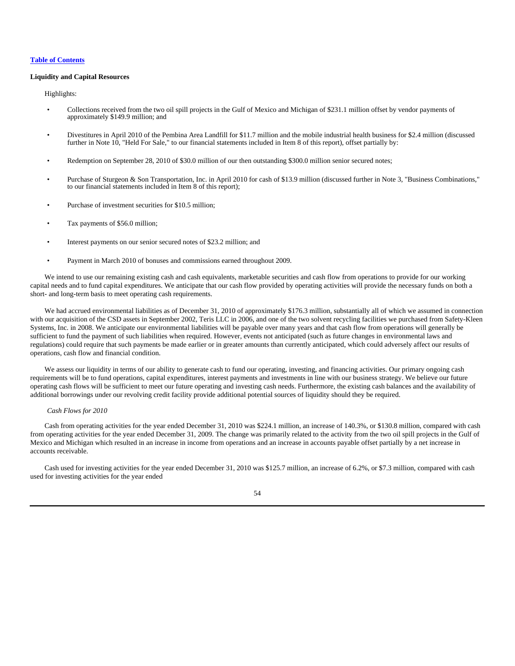#### **Liquidity and Capital Resources**

Highlights:

- Collections received from the two oil spill projects in the Gulf of Mexico and Michigan of \$231.1 million offset by vendor payments of approximately \$149.9 million; and •
- Divestitures in April 2010 of the Pembina Area Landfill for \$11.7 million and the mobile industrial health business for \$2.4 million (discussed further in Note 10, "Held For Sale," to our financial statements included in Item 8 of this report), offset partially by: •
- Redemption on September 28, 2010 of \$30.0 million of our then outstanding \$300.0 million senior secured notes; •
- Purchase of Sturgeon & Son Transportation, Inc. in April 2010 for cash of \$13.9 million (discussed further in Note 3, "Business Combinations," to our financial statements included in Item 8 of this report); •
- Purchase of investment securities for \$10.5 million; •
- Tax payments of \$56.0 million; •
- Interest payments on our senior secured notes of \$23.2 million; and •
- Payment in March 2010 of bonuses and commissions earned throughout 2009. •

 We intend to use our remaining existing cash and cash equivalents, marketable securities and cash flow from operations to provide for our working capital needs and to fund capital expenditures. We anticipate that our cash flow provided by operating activities will provide the necessary funds on both a short- and long-term basis to meet operating cash requirements.

We had accrued environmental liabilities as of December 31, 2010 of approximately \$176.3 million, substantially all of which we assumed in connection with our acquisition of the CSD assets in September 2002, Teris LLC in 2006, and one of the two solvent recycling facilities we purchased from Safety-Kleen Systems, Inc. in 2008. We anticipate our environmental liabilities will be payable over many years and that cash flow from operations will generally be sufficient to fund the payment of such liabilities when required. However, events not anticipated (such as future changes in environmental laws and regulations) could require that such payments be made earlier or in greater amounts than currently anticipated, which could adversely affect our results of operations, cash flow and financial condition.

We assess our liquidity in terms of our ability to generate cash to fund our operating, investing, and financing activities. Our primary ongoing cash requirements will be to fund operations, capital expenditures, interest payments and investments in line with our business strategy. We believe our future operating cash flows will be sufficient to meet our future operating and investing cash needs. Furthermore, the existing cash balances and the availability of additional borrowings under our revolving credit facility provide additional potential sources of liquidity should they be required.

#### *Cash Flows for 2010*

 Cash from operating activities for the year ended December 31, 2010 was \$224.1 million, an increase of 140.3%, or \$130.8 million, compared with cash from operating activities for the year ended December 31, 2009. The change was primarily related to the activity from the two oil spill projects in the Gulf of Mexico and Michigan which resulted in an increase in income from operations and an increase in accounts payable offset partially by a net increase in accounts receivable.

 Cash used for investing activities for the year ended December 31, 2010 was \$125.7 million, an increase of 6.2%, or \$7.3 million, compared with cash used for investing activities for the year ended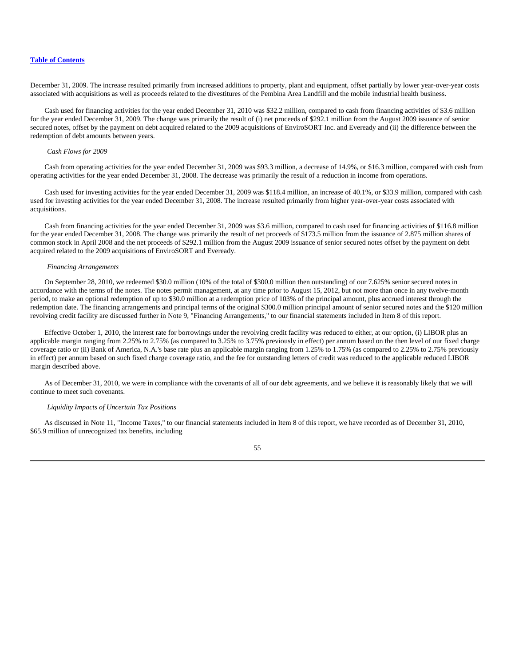December 31, 2009. The increase resulted primarily from increased additions to property, plant and equipment, offset partially by lower year-over-year costs associated with acquisitions as well as proceeds related to the divestitures of the Pembina Area Landfill and the mobile industrial health business.

 Cash used for financing activities for the year ended December 31, 2010 was \$32.2 million, compared to cash from financing activities of \$3.6 million for the year ended December 31, 2009. The change was primarily the result of (i) net proceeds of \$292.1 million from the August 2009 issuance of senior secured notes, offset by the payment on debt acquired related to the 2009 acquisitions of EnviroSORT Inc. and Eveready and (ii) the difference between the redemption of debt amounts between years.

### *Cash Flows for 2009*

 Cash from operating activities for the year ended December 31, 2009 was \$93.3 million, a decrease of 14.9%, or \$16.3 million, compared with cash from operating activities for the year ended December 31, 2008. The decrease was primarily the result of a reduction in income from operations.

 Cash used for investing activities for the year ended December 31, 2009 was \$118.4 million, an increase of 40.1%, or \$33.9 million, compared with cash used for investing activities for the year ended December 31, 2008. The increase resulted primarily from higher year-over-year costs associated with acquisitions.

 Cash from financing activities for the year ended December 31, 2009 was \$3.6 million, compared to cash used for financing activities of \$116.8 million for the year ended December 31, 2008. The change was primarily the result of net proceeds of \$173.5 million from the issuance of 2.875 million shares of common stock in April 2008 and the net proceeds of \$292.1 million from the August 2009 issuance of senior secured notes offset by the payment on debt acquired related to the 2009 acquisitions of EnviroSORT and Eveready.

#### *Financing Arrangements*

 On September 28, 2010, we redeemed \$30.0 million (10% of the total of \$300.0 million then outstanding) of our 7.625% senior secured notes in accordance with the terms of the notes. The notes permit management, at any time prior to August 15, 2012, but not more than once in any twelve-month period, to make an optional redemption of up to \$30.0 million at a redemption price of 103% of the principal amount, plus accrued interest through the redemption date. The financing arrangements and principal terms of the original \$300.0 million principal amount of senior secured notes and the \$120 million revolving credit facility are discussed further in Note 9, "Financing Arrangements," to our financial statements included in Item 8 of this report.

 Effective October 1, 2010, the interest rate for borrowings under the revolving credit facility was reduced to either, at our option, (i) LIBOR plus an applicable margin ranging from 2.25% to 2.75% (as compared to 3.25% to 3.75% previously in effect) per annum based on the then level of our fixed charge coverage ratio or (ii) Bank of America, N.A.'s base rate plus an applicable margin ranging from 1.25% to 1.75% (as compared to 2.25% to 2.75% previously in effect) per annum based on such fixed charge coverage ratio, and the fee for outstanding letters of credit was reduced to the applicable reduced LIBOR margin described above.

 As of December 31, 2010, we were in compliance with the covenants of all of our debt agreements, and we believe it is reasonably likely that we will continue to meet such covenants.

#### *Liquidity Impacts of Uncertain Tax Positions*

 As discussed in Note 11, "Income Taxes," to our financial statements included in Item 8 of this report, we have recorded as of December 31, 2010, \$65.9 million of unrecognized tax benefits, including

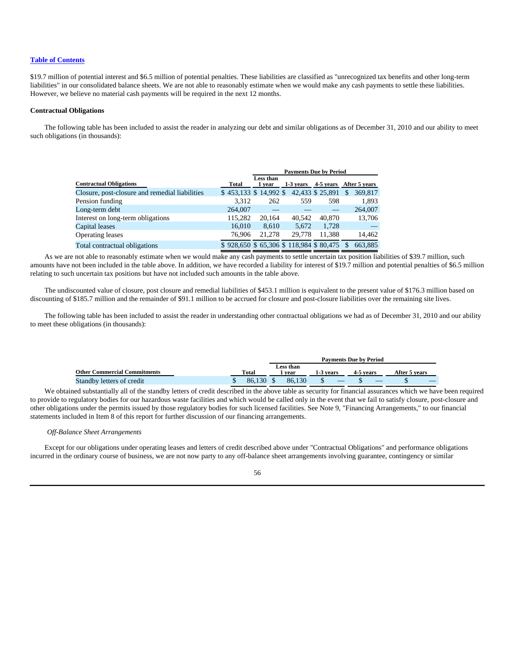\$19.7 million of potential interest and \$6.5 million of potential penalties. These liabilities are classified as "unrecognized tax benefits and other long-term liabilities" in our consolidated balance sheets. We are not able to reasonably estimate when we would make any cash payments to settle these liabilities. However, we believe no material cash payments will be required in the next 12 months.

#### **Contractual Obligations**

 The following table has been included to assist the reader in analyzing our debt and similar obligations as of December 31, 2010 and our ability to meet such obligations (in thousands):

|                                                |                                       | <b>Payments Due by Period</b> |        |                  |                                   |  |  |  |  |
|------------------------------------------------|---------------------------------------|-------------------------------|--------|------------------|-----------------------------------|--|--|--|--|
| <b>Contractual Obligations</b>                 | Total                                 | Less than<br>1 year           |        |                  | 1-3 years 4-5 years After 5 years |  |  |  |  |
| Closure, post-closure and remedial liabilities | $$453,133$ \$ 14,992 \$               |                               |        | 42,433 \$ 25,891 | <sup>\$</sup><br>369,817          |  |  |  |  |
| Pension funding                                | 3.312                                 | 262                           | 559    | 598              | 1,893                             |  |  |  |  |
| Long-term debt                                 | 264,007                               |                               |        |                  | 264,007                           |  |  |  |  |
| Interest on long-term obligations              | 115.282                               | 20.164                        | 40.542 | 40,870           | 13,706                            |  |  |  |  |
| Capital leases                                 | 16.010                                | 8.610                         | 5.672  | 1.728            |                                   |  |  |  |  |
| <b>Operating leases</b>                        | 76,906                                | 21.278                        | 29,778 | 11.388           | 14,462                            |  |  |  |  |
| Total contractual obligations                  | \$928,650 \$65,306 \$118,984 \$80,475 |                               |        |                  | 663.885<br>\$.                    |  |  |  |  |

 As we are not able to reasonably estimate when we would make any cash payments to settle uncertain tax position liabilities of \$39.7 million, such amounts have not been included in the table above. In addition, we have recorded a liability for interest of \$19.7 million and potential penalties of \$6.5 million relating to such uncertain tax positions but have not included such amounts in the table above.

 The undiscounted value of closure, post closure and remedial liabilities of \$453.1 million is equivalent to the present value of \$176.3 million based on discounting of \$185.7 million and the remainder of \$91.1 million to be accrued for closure and post-closure liabilities over the remaining site lives.

 The following table has been included to assist the reader in understanding other contractual obligations we had as of December 31, 2010 and our ability to meet these obligations (in thousands):

|                                     |               | <b>Payments Due by Period</b> |           |        |           |  |               |  |  |  |
|-------------------------------------|---------------|-------------------------------|-----------|--------|-----------|--|---------------|--|--|--|
|                                     |               | Less than                     |           |        |           |  |               |  |  |  |
| <b>Other Commercial Commitments</b> | Total<br>vear |                               | 1-3 vears |        | 4-5 vears |  | After 5 years |  |  |  |
| Standby letters of credit           |               | 86.130 \$                     |           | 86.130 |           |  |               |  |  |  |

We obtained substantially all of the standby letters of credit described in the above table as security for financial assurances which we have been required to provide to regulatory bodies for our hazardous waste facilities and which would be called only in the event that we fail to satisfy closure, post-closure and other obligations under the permits issued by those regulatory bodies for such licensed facilities. See Note 9, "Financing Arrangements," to our financial statements included in Item 8 of this report for further discussion of our financing arrangements.

#### *Off-Balance Sheet Arrangements*

 Except for our obligations under operating leases and letters of credit described above under "Contractual Obligations" and performance obligations incurred in the ordinary course of business, we are not now party to any off-balance sheet arrangements involving guarantee, contingency or similar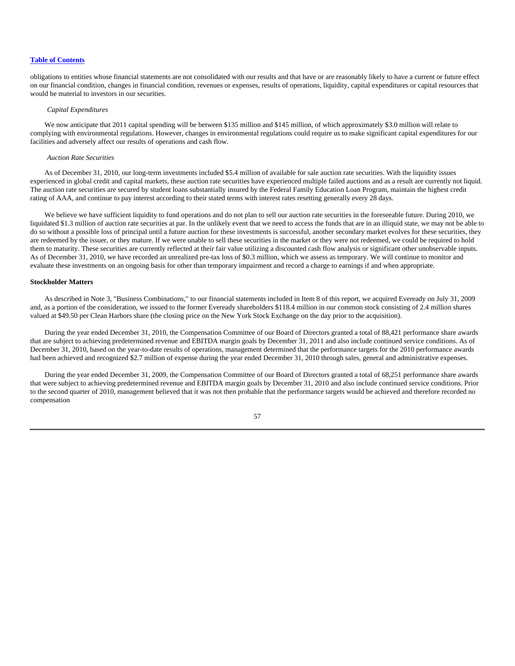obligations to entities whose financial statements are not consolidated with our results and that have or are reasonably likely to have a current or future effect on our financial condition, changes in financial condition, revenues or expenses, results of operations, liquidity, capital expenditures or capital resources that would be material to investors in our securities.

#### *Capital Expenditures*

We now anticipate that 2011 capital spending will be between \$135 million and \$145 million, of which approximately \$3.0 million will relate to complying with environmental regulations. However, changes in environmental regulations could require us to make significant capital expenditures for our facilities and adversely affect our results of operations and cash flow.

#### *Auction Rate Securities*

 As of December 31, 2010, our long-term investments included \$5.4 million of available for sale auction rate securities. With the liquidity issues experienced in global credit and capital markets, these auction rate securities have experienced multiple failed auctions and as a result are currently not liquid. The auction rate securities are secured by student loans substantially insured by the Federal Family Education Loan Program, maintain the highest credit rating of AAA, and continue to pay interest according to their stated terms with interest rates resetting generally every 28 days.

 We believe we have sufficient liquidity to fund operations and do not plan to sell our auction rate securities in the foreseeable future. During 2010, we liquidated \$1.3 million of auction rate securities at par. In the unlikely event that we need to access the funds that are in an illiquid state, we may not be able to do so without a possible loss of principal until a future auction for these investments is successful, another secondary market evolves for these securities, they are redeemed by the issuer, or they mature. If we were unable to sell these securities in the market or they were not redeemed, we could be required to hold them to maturity. These securities are currently reflected at their fair value utilizing a discounted cash flow analysis or significant other unobservable inputs. As of December 31, 2010, we have recorded an unrealized pre-tax loss of \$0.3 million, which we assess as temporary. We will continue to monitor and evaluate these investments on an ongoing basis for other than temporary impairment and record a charge to earnings if and when appropriate.

### **Stockholder Matters**

 As described in Note 3, "Business Combinations," to our financial statements included in Item 8 of this report, we acquired Eveready on July 31, 2009 and, as a portion of the consideration, we issued to the former Eveready shareholders \$118.4 million in our common stock consisting of 2.4 million shares valued at \$49.50 per Clean Harbors share (the closing price on the New York Stock Exchange on the day prior to the acquisition).

 During the year ended December 31, 2010, the Compensation Committee of our Board of Directors granted a total of 88,421 performance share awards that are subject to achieving predetermined revenue and EBITDA margin goals by December 31, 2011 and also include continued service conditions. As of December 31, 2010, based on the year-to-date results of operations, management determined that the performance targets for the 2010 performance awards had been achieved and recognized \$2.7 million of expense during the year ended December 31, 2010 through sales, general and administrative expenses.

 During the year ended December 31, 2009, the Compensation Committee of our Board of Directors granted a total of 68,251 performance share awards that were subject to achieving predetermined revenue and EBITDA margin goals by December 31, 2010 and also include continued service conditions. Prior to the second quarter of 2010, management believed that it was not then probable that the performance targets would be achieved and therefore recorded no compensation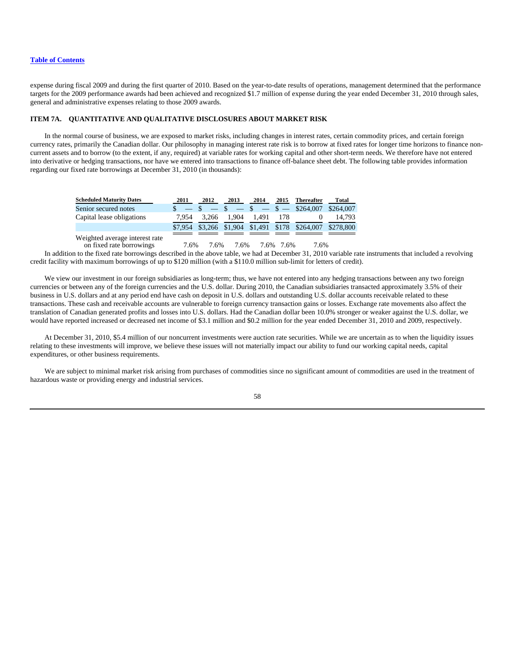expense during fiscal 2009 and during the first quarter of 2010. Based on the year-to-date results of operations, management determined that the performance targets for the 2009 performance awards had been achieved and recognized \$1.7 million of expense during the year ended December 31, 2010 through sales, general and administrative expenses relating to those 2009 awards.

### **ITEM 7A. QUANTITATIVE AND QUALITATIVE DISCLOSURES ABOUT MARKET RISK**

 In the normal course of business, we are exposed to market risks, including changes in interest rates, certain commodity prices, and certain foreign currency rates, primarily the Canadian dollar. Our philosophy in managing interest rate risk is to borrow at fixed rates for longer time horizons to finance noncurrent assets and to borrow (to the extent, if any, required) at variable rates for working capital and other short-term needs. We therefore have not entered into derivative or hedging transactions, nor have we entered into transactions to finance off-balance sheet debt. The following table provides information regarding our fixed rate borrowings at December 31, 2010 (in thousands):

| <b>Scheduled Maturity Dates</b> | 2011  | 2012 | 2013                  | 2014 | 2015 | Thereafter                                                                                                                                                                                                                                                                                                                                                                 | Total  |
|---------------------------------|-------|------|-----------------------|------|------|----------------------------------------------------------------------------------------------------------------------------------------------------------------------------------------------------------------------------------------------------------------------------------------------------------------------------------------------------------------------------|--------|
| Senior secured notes            |       |      |                       |      |      | $\text{\AA}$ $\text{\AA}$ $\text{\AA}$ $\text{\AA}$ $\text{\AA}$ $\text{\AA}$ $\text{\AA}$ $\text{\AA}$ $\text{\AA}$ $\text{\AA}$ $\text{\AA}$ $\text{\AA}$ $\text{\AA}$ $\text{\AA}$ $\text{\AA}$ $\text{\AA}$ $\text{\AA}$ $\text{\AA}$ $\text{\AA}$ $\text{\AA}$ $\text{\AA}$ $\text{\AA}$ $\text{\AA}$ $\text{\AA}$ $\text{\AA}$ $\text{\AA}$ $\text{\AA}$ $\text{\AA$ |        |
| Capital lease obligations       | 7.954 |      | 3.266 1.904 1.491 178 |      |      |                                                                                                                                                                                                                                                                                                                                                                            | 14.793 |
|                                 |       |      |                       |      |      | \$7,954 \$3,266 \$1,904 \$1,491 \$178 \$264,007 \$278,800                                                                                                                                                                                                                                                                                                                  |        |
|                                 |       |      |                       |      |      |                                                                                                                                                                                                                                                                                                                                                                            |        |

Weighted average interest rate

on fixed rate borrowings 7.6% 7.6% 7.6% 7.6% 7.6% 7.6%

 In addition to the fixed rate borrowings described in the above table, we had at December 31, 2010 variable rate instruments that included a revolving credit facility with maximum borrowings of up to \$120 million (with a \$110.0 million sub-limit for letters of credit).

 We view our investment in our foreign subsidiaries as long-term; thus, we have not entered into any hedging transactions between any two foreign currencies or between any of the foreign currencies and the U.S. dollar. During 2010, the Canadian subsidiaries transacted approximately 3.5% of their business in U.S. dollars and at any period end have cash on deposit in U.S. dollars and outstanding U.S. dollar accounts receivable related to these transactions. These cash and receivable accounts are vulnerable to foreign currency transaction gains or losses. Exchange rate movements also affect the translation of Canadian generated profits and losses into U.S. dollars. Had the Canadian dollar been 10.0% stronger or weaker against the U.S. dollar, we would have reported increased or decreased net income of \$3.1 million and \$0.2 million for the year ended December 31, 2010 and 2009, respectively.

 At December 31, 2010, \$5.4 million of our noncurrent investments were auction rate securities. While we are uncertain as to when the liquidity issues relating to these investments will improve, we believe these issues will not materially impact our ability to fund our working capital needs, capital expenditures, or other business requirements.

We are subject to minimal market risk arising from purchases of commodities since no significant amount of commodities are used in the treatment of hazardous waste or providing energy and industrial services.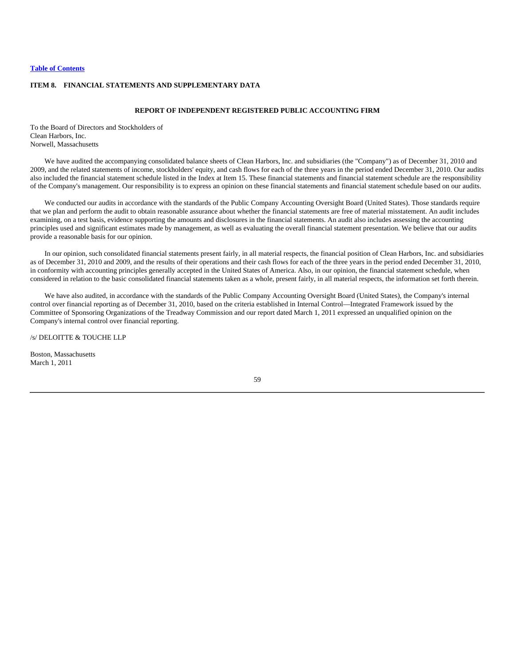#### **ITEM 8. FINANCIAL STATEMENTS AND SUPPLEMENTARY DATA**

## **REPORT OF INDEPENDENT REGISTERED PUBLIC ACCOUNTING FIRM**

To the Board of Directors and Stockholders of Clean Harbors, Inc. Norwell, Massachusetts

 We have audited the accompanying consolidated balance sheets of Clean Harbors, Inc. and subsidiaries (the "Company") as of December 31, 2010 and 2009, and the related statements of income, stockholders' equity, and cash flows for each of the three years in the period ended December 31, 2010. Our audits also included the financial statement schedule listed in the Index at Item 15. These financial statements and financial statement schedule are the responsibility of the Company's management. Our responsibility is to express an opinion on these financial statements and financial statement schedule based on our audits.

 We conducted our audits in accordance with the standards of the Public Company Accounting Oversight Board (United States). Those standards require that we plan and perform the audit to obtain reasonable assurance about whether the financial statements are free of material misstatement. An audit includes examining, on a test basis, evidence supporting the amounts and disclosures in the financial statements. An audit also includes assessing the accounting principles used and significant estimates made by management, as well as evaluating the overall financial statement presentation. We believe that our audits provide a reasonable basis for our opinion.

 In our opinion, such consolidated financial statements present fairly, in all material respects, the financial position of Clean Harbors, Inc. and subsidiaries as of December 31, 2010 and 2009, and the results of their operations and their cash flows for each of the three years in the period ended December 31, 2010, in conformity with accounting principles generally accepted in the United States of America. Also, in our opinion, the financial statement schedule, when considered in relation to the basic consolidated financial statements taken as a whole, present fairly, in all material respects, the information set forth therein.

 We have also audited, in accordance with the standards of the Public Company Accounting Oversight Board (United States), the Company's internal control over financial reporting as of December 31, 2010, based on the criteria established in Internal Control—Integrated Framework issued by the Committee of Sponsoring Organizations of the Treadway Commission and our report dated March 1, 2011 expressed an unqualified opinion on the Company's internal control over financial reporting.

/s/ DELOITTE & TOUCHE LLP

Boston, Massachusetts March 1, 2011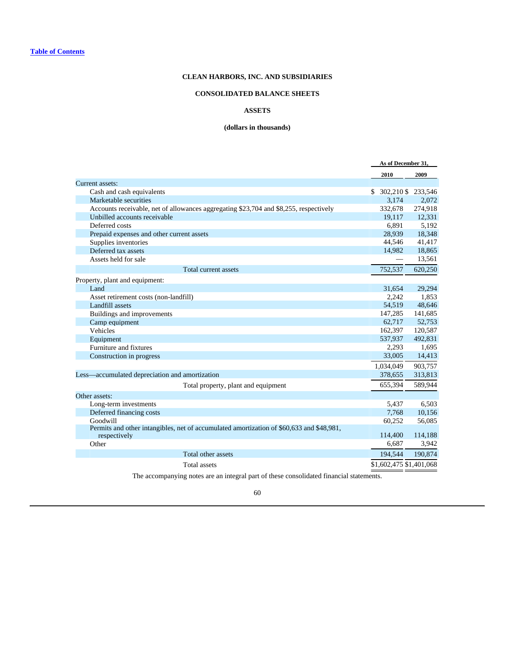## **CONSOLIDATED BALANCE SHEETS**

## **ASSETS**

## **(dollars in thousands)**

|                                                                                                          | As of December 31,      |         |
|----------------------------------------------------------------------------------------------------------|-------------------------|---------|
|                                                                                                          | 2010                    | 2009    |
| Current assets:                                                                                          |                         |         |
| Cash and cash equivalents                                                                                | $$302,210$ \$           | 233,546 |
| Marketable securities                                                                                    | 3,174                   | 2,072   |
| Accounts receivable, net of allowances aggregating \$23,704 and \$8,255, respectively                    | 332.678                 | 274,918 |
| Unbilled accounts receivable                                                                             | 19,117                  | 12,331  |
| Deferred costs                                                                                           | 6,891                   | 5,192   |
| Prepaid expenses and other current assets                                                                | 28,939                  | 18,348  |
| Supplies inventories                                                                                     | 44.546                  | 41,417  |
| Deferred tax assets                                                                                      | 14,982                  | 18,865  |
| Assets held for sale                                                                                     |                         | 13,561  |
| Total current assets                                                                                     | 752,537                 | 620.250 |
| Property, plant and equipment:                                                                           |                         |         |
| Land                                                                                                     | 31,654                  | 29,294  |
| Asset retirement costs (non-landfill)                                                                    | 2,242                   | 1,853   |
| Landfill assets                                                                                          | 54.519                  | 48,646  |
| Buildings and improvements                                                                               | 147,285                 | 141,685 |
| Camp equipment                                                                                           | 62,717                  | 52,753  |
| Vehicles                                                                                                 | 162,397                 | 120,587 |
| Equipment                                                                                                | 537,937                 | 492,831 |
| Furniture and fixtures                                                                                   | 2.293                   | 1,695   |
| Construction in progress                                                                                 | 33,005                  | 14,413  |
|                                                                                                          | 1,034,049               | 903,757 |
| Less—accumulated depreciation and amortization                                                           | 378,655                 | 313,813 |
| Total property, plant and equipment                                                                      | 655,394                 | 589.944 |
| Other assets:                                                                                            |                         |         |
| Long-term investments                                                                                    | 5,437                   | 6,503   |
| Deferred financing costs                                                                                 | 7,768                   | 10,156  |
| Goodwill                                                                                                 | 60,252                  | 56,085  |
| Permits and other intangibles, net of accumulated amortization of \$60,633 and \$48,981,<br>respectively | 114,400                 | 114,188 |
| Other                                                                                                    | 6,687                   | 3,942   |
| Total other assets                                                                                       | 194.544                 | 190,874 |
| <b>Total assets</b>                                                                                      | \$1,602,475 \$1,401,068 |         |

The accompanying notes are an integral part of these consolidated financial statements.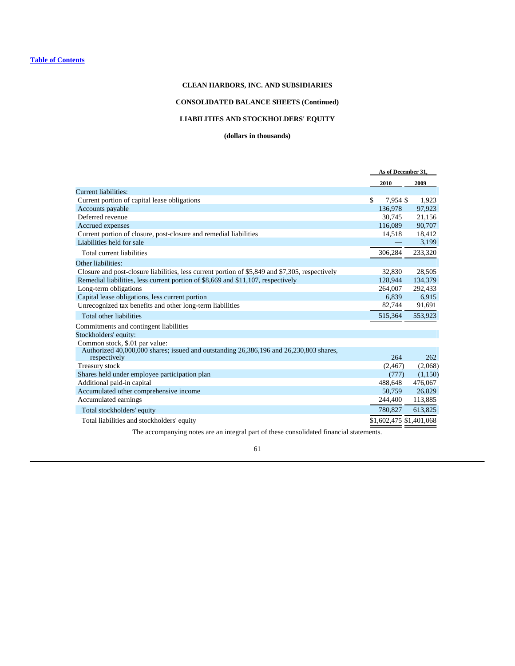# **CONSOLIDATED BALANCE SHEETS (Continued)**

# **LIABILITIES AND STOCKHOLDERS' EQUITY**

## **(dollars in thousands)**

|                                                                                                        |                | As of December 31,      |
|--------------------------------------------------------------------------------------------------------|----------------|-------------------------|
|                                                                                                        | 2010           | 2009                    |
| Current liabilities:                                                                                   |                |                         |
| Current portion of capital lease obligations                                                           | \$<br>7,954 \$ | 1,923                   |
| Accounts payable                                                                                       | 136,978        | 97,923                  |
| Deferred revenue                                                                                       | 30.745         | 21,156                  |
| Accrued expenses                                                                                       | 116,089        | 90,707                  |
| Current portion of closure, post-closure and remedial liabilities                                      | 14,518         | 18,412                  |
| Liabilities held for sale                                                                              |                | 3,199                   |
| Total current liabilities                                                                              | 306,284        | 233,320                 |
| Other liabilities:                                                                                     |                |                         |
| Closure and post-closure liabilities, less current portion of \$5,849 and \$7,305, respectively        | 32,830         | 28,505                  |
| Remedial liabilities, less current portion of \$8,669 and \$11,107, respectively                       | 128.944        | 134,379                 |
| Long-term obligations                                                                                  | 264,007        | 292,433                 |
| Capital lease obligations, less current portion                                                        | 6.839          | 6.915                   |
| Unrecognized tax benefits and other long-term liabilities                                              | 82,744         | 91,691                  |
| Total other liabilities                                                                                | 515,364        | 553,923                 |
| Commitments and contingent liabilities                                                                 |                |                         |
| Stockholders' equity:                                                                                  |                |                         |
| Common stock, \$.01 par value:                                                                         |                |                         |
| Authorized 40,000,000 shares; issued and outstanding 26,386,196 and 26,230,803 shares,<br>respectively | 264            | 262                     |
| Treasury stock                                                                                         | (2, 467)       | (2,068)                 |
| Shares held under employee participation plan                                                          | (777)          | (1,150)                 |
| Additional paid-in capital                                                                             | 488,648        | 476,067                 |
| Accumulated other comprehensive income                                                                 | 50,759         | 26.829                  |
| Accumulated earnings                                                                                   | 244,400        | 113,885                 |
| Total stockholders' equity                                                                             | 780,827        | 613,825                 |
| Total liabilities and stockholders' equity                                                             |                | \$1,602,475 \$1,401,068 |

The accompanying notes are an integral part of these consolidated financial statements.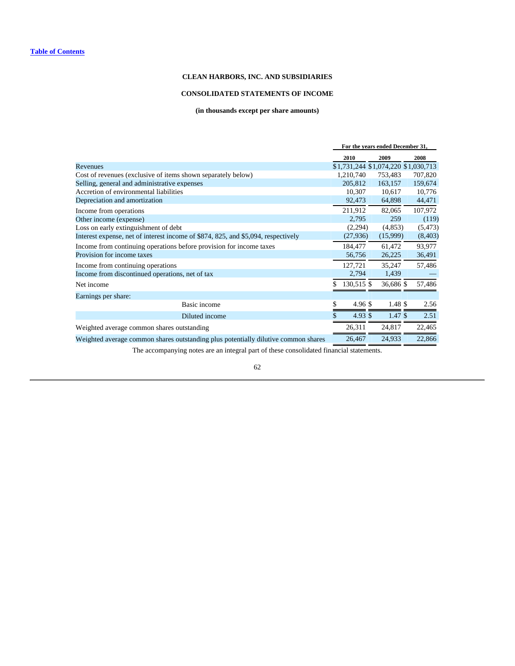## **CONSOLIDATED STATEMENTS OF INCOME**

## **(in thousands except per share amounts)**

|                                                                                    | For the years ended December 31, |                    |                                     |  |          |  |  |
|------------------------------------------------------------------------------------|----------------------------------|--------------------|-------------------------------------|--|----------|--|--|
|                                                                                    |                                  | 2010               | 2009                                |  | 2008     |  |  |
| Revenues                                                                           |                                  |                    | \$1,731,244 \$1,074,220 \$1,030,713 |  |          |  |  |
| Cost of revenues (exclusive of items shown separately below)                       |                                  | 1,210,740          | 753,483                             |  | 707,820  |  |  |
| Selling, general and administrative expenses                                       |                                  | 205,812            | 163,157                             |  | 159,674  |  |  |
| Accretion of environmental liabilities                                             |                                  | 10,307             | 10,617                              |  | 10,776   |  |  |
| Depreciation and amortization                                                      |                                  | 92,473             | 64,898                              |  | 44,471   |  |  |
| Income from operations                                                             |                                  | 211,912            | 82,065                              |  | 107,972  |  |  |
| Other income (expense)                                                             |                                  | 2,795              | 259                                 |  | (119)    |  |  |
| Loss on early extinguishment of debt                                               |                                  | (2,294)            | (4,853)                             |  | (5, 473) |  |  |
| Interest expense, net of interest income of \$874, 825, and \$5,094, respectively  |                                  | (27, 936)          | (15,999)                            |  | (8, 403) |  |  |
| Income from continuing operations before provision for income taxes                |                                  | 184,477            | 61,472                              |  | 93,977   |  |  |
| Provision for income taxes                                                         |                                  | 56,756             | 26,225                              |  | 36,491   |  |  |
| Income from continuing operations                                                  |                                  | 127,721            | 35,247                              |  | 57,486   |  |  |
| Income from discontinued operations, net of tax                                    |                                  | 2,794              | 1,439                               |  |          |  |  |
| Net income                                                                         |                                  | 130,515 \$         | 36,686 \$                           |  | 57,486   |  |  |
| Earnings per share:                                                                |                                  |                    |                                     |  |          |  |  |
| Basic income                                                                       |                                  | 4.96 \$            | 1.48 \$                             |  | 2.56     |  |  |
| Diluted income                                                                     |                                  | $4.93 \text{ }$ \$ | $1.47$ \$                           |  | 2.51     |  |  |
| Weighted average common shares outstanding                                         |                                  | 26,311             | 24,817                              |  | 22,465   |  |  |
| Weighted average common shares outstanding plus potentially dilutive common shares |                                  | 26,467             | 24,933                              |  | 22,866   |  |  |
|                                                                                    |                                  |                    |                                     |  |          |  |  |

The accompanying notes are an integral part of these consolidated financial statements.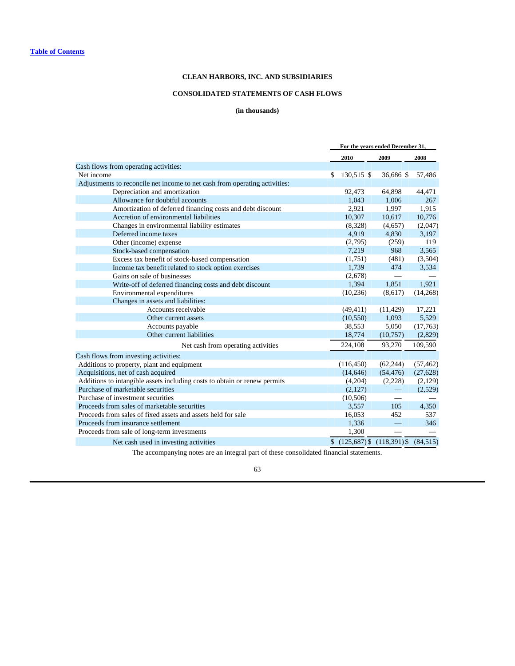## **CONSOLIDATED STATEMENTS OF CASH FLOWS**

## **(in thousands)**

|                                                                            |              | For the years ended December 31,         |                          |           |  |  |  |
|----------------------------------------------------------------------------|--------------|------------------------------------------|--------------------------|-----------|--|--|--|
|                                                                            |              | 2010                                     | 2009                     | 2008      |  |  |  |
| Cash flows from operating activities:                                      |              |                                          |                          |           |  |  |  |
| Net income                                                                 | \$.          | 130,515 \$                               | 36,686 \$                | 57,486    |  |  |  |
| Adjustments to reconcile net income to net cash from operating activities: |              |                                          |                          |           |  |  |  |
| Depreciation and amortization                                              |              | 92,473                                   | 64,898                   | 44,471    |  |  |  |
| Allowance for doubtful accounts                                            |              | 1,043                                    | 1,006                    | 267       |  |  |  |
| Amortization of deferred financing costs and debt discount                 |              | 2,921                                    | 1,997                    | 1,915     |  |  |  |
| Accretion of environmental liabilities                                     |              | 10,307                                   | 10,617                   | 10,776    |  |  |  |
| Changes in environmental liability estimates                               |              | (8,328)                                  | (4,657)                  | (2,047)   |  |  |  |
| Deferred income taxes                                                      |              | 4,919                                    | 4,830                    | 3,197     |  |  |  |
| Other (income) expense                                                     |              | (2,795)                                  | (259)                    | 119       |  |  |  |
| Stock-based compensation                                                   |              | 7,219                                    | 968                      | 3,565     |  |  |  |
| Excess tax benefit of stock-based compensation                             |              | (1,751)                                  | (481)                    | (3,504)   |  |  |  |
| Income tax benefit related to stock option exercises                       |              | 1,739                                    | 474                      | 3,534     |  |  |  |
| Gains on sale of businesses                                                |              | (2,678)                                  | $\qquad \qquad$          |           |  |  |  |
| Write-off of deferred financing costs and debt discount                    |              | 1,394                                    | 1,851                    | 1,921     |  |  |  |
| Environmental expenditures                                                 |              | (10, 236)                                | (8,617)                  | (14,268)  |  |  |  |
| Changes in assets and liabilities:                                         |              |                                          |                          |           |  |  |  |
| Accounts receivable                                                        |              | (49, 411)                                | (11, 429)                | 17,221    |  |  |  |
| Other current assets                                                       |              | (10, 550)                                | 1,093                    | 5,529     |  |  |  |
| Accounts payable                                                           |              | 38,553                                   | 5,050                    | (17,763)  |  |  |  |
| Other current liabilities                                                  |              | 18,774                                   | (10,757)                 | (2,829)   |  |  |  |
| Net cash from operating activities                                         |              | 224,108                                  | 93,270                   | 109,590   |  |  |  |
| Cash flows from investing activities:                                      |              |                                          |                          |           |  |  |  |
| Additions to property, plant and equipment                                 |              | (116, 450)                               | (62, 244)                | (57, 462) |  |  |  |
| Acquisitions, net of cash acquired                                         |              | (14, 646)                                | (54, 476)                | (27, 628) |  |  |  |
| Additions to intangible assets including costs to obtain or renew permits  |              | (4,204)                                  | (2,228)                  | (2,129)   |  |  |  |
| Purchase of marketable securities                                          |              | (2,127)                                  |                          | (2,529)   |  |  |  |
| Purchase of investment securities                                          |              | (10, 506)                                |                          |           |  |  |  |
| Proceeds from sales of marketable securities                               |              | 3,557                                    | 105                      | 4,350     |  |  |  |
| Proceeds from sales of fixed assets and assets held for sale               |              | 16,053                                   | 452                      | 537       |  |  |  |
| Proceeds from insurance settlement                                         |              | 1,336                                    | $\overline{\phantom{0}}$ | 346       |  |  |  |
| Proceeds from sale of long-term investments                                |              | 1,300                                    |                          |           |  |  |  |
| Net cash used in investing activities                                      | $\mathbb{S}$ | $(125,687)$ \$ $(118,391)$ \$ $(84,515)$ |                          |           |  |  |  |
|                                                                            |              |                                          |                          |           |  |  |  |

The accompanying notes are an integral part of these consolidated financial statements.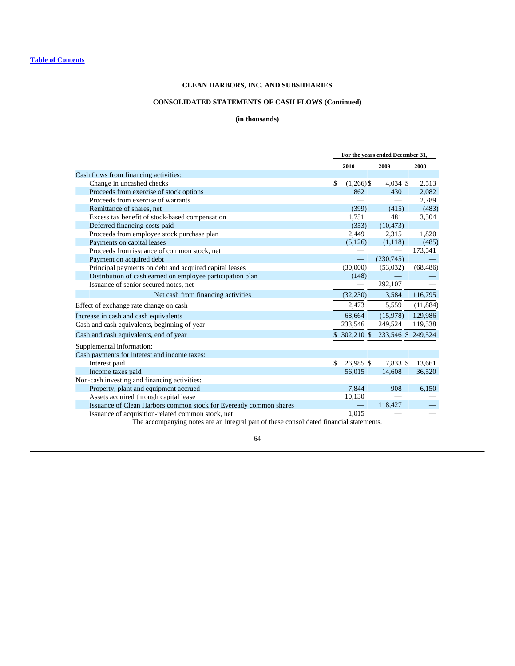# **CLEAN HARBORS, INC. AND SUBSIDIARIES**

# **CONSOLIDATED STATEMENTS OF CASH FLOWS (Continued)**

## **(in thousands)**

|                                                                   | For the years ended December 31, |                          |                   |  |  |  |  |
|-------------------------------------------------------------------|----------------------------------|--------------------------|-------------------|--|--|--|--|
|                                                                   | 2010                             | 2009                     | 2008              |  |  |  |  |
| Cash flows from financing activities:                             |                                  |                          |                   |  |  |  |  |
| Change in uncashed checks                                         | \$<br>$(1,266)$ \$               | $4,034$ \$               | 2,513             |  |  |  |  |
| Proceeds from exercise of stock options                           | 862                              | 430                      | 2,082             |  |  |  |  |
| Proceeds from exercise of warrants                                |                                  | $\overline{\phantom{0}}$ | 2,789             |  |  |  |  |
| Remittance of shares, net                                         | (399)                            | (415)                    | (483)             |  |  |  |  |
| Excess tax benefit of stock-based compensation                    | 1.751                            | 481                      | 3,504             |  |  |  |  |
| Deferred financing costs paid                                     | (353)                            | (10, 473)                |                   |  |  |  |  |
| Proceeds from employee stock purchase plan                        | 2,449                            | 2,315                    | 1,820             |  |  |  |  |
| Payments on capital leases                                        | (5,126)                          | (1,118)                  | (485)             |  |  |  |  |
| Proceeds from issuance of common stock, net                       |                                  |                          | 173,541           |  |  |  |  |
| Payment on acquired debt                                          |                                  | (230,745)                |                   |  |  |  |  |
| Principal payments on debt and acquired capital leases            | (30,000)                         | (53,032)                 | (68, 486)         |  |  |  |  |
| Distribution of cash earned on employee participation plan        | (148)                            |                          |                   |  |  |  |  |
| Issuance of senior secured notes, net                             |                                  | 292,107                  |                   |  |  |  |  |
| Net cash from financing activities                                | (32, 230)                        | 3,584                    | 116,795           |  |  |  |  |
| Effect of exchange rate change on cash                            | 2,473                            | 5,559                    | (11, 884)         |  |  |  |  |
| Increase in cash and cash equivalents                             | 68,664                           | (15,978)                 | 129,986           |  |  |  |  |
| Cash and cash equivalents, beginning of year                      | 233,546                          | 249,524                  | 119,538           |  |  |  |  |
| Cash and cash equivalents, end of year                            | $$302,210$ \$                    |                          | 233,546 \$249,524 |  |  |  |  |
| Supplemental information:                                         |                                  |                          |                   |  |  |  |  |
| Cash payments for interest and income taxes:                      |                                  |                          |                   |  |  |  |  |
| Interest paid                                                     | \$<br>26,985 \$                  | 7,833 \$                 | 13,661            |  |  |  |  |
| Income taxes paid                                                 | 56,015                           | 14,608                   | 36,520            |  |  |  |  |
| Non-cash investing and financing activities:                      |                                  |                          |                   |  |  |  |  |
| Property, plant and equipment accrued                             | 7,844                            | 908                      | 6,150             |  |  |  |  |
| Assets acquired through capital lease                             | 10,130                           |                          |                   |  |  |  |  |
| Issuance of Clean Harbors common stock for Eveready common shares |                                  | 118,427                  |                   |  |  |  |  |
| Issuance of acquisition-related common stock, net                 | 1,015                            |                          |                   |  |  |  |  |
|                                                                   |                                  |                          |                   |  |  |  |  |

The accompanying notes are an integral part of these consolidated financial statements.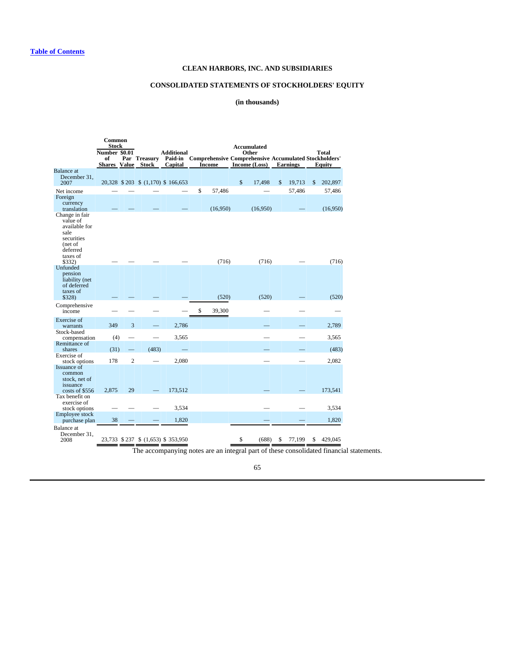# **CONSOLIDATED STATEMENTS OF STOCKHOLDERS' EQUITY**

## **(in thousands)**

|                                                                                                      | Common<br>Stock     |              |                           |                                   |                                                                                         | Accumulated            |                 |                                                                                                      |                |
|------------------------------------------------------------------------------------------------------|---------------------|--------------|---------------------------|-----------------------------------|-----------------------------------------------------------------------------------------|------------------------|-----------------|------------------------------------------------------------------------------------------------------|----------------|
|                                                                                                      | Number \$0.01<br>of |              | <b>Shares Value Stock</b> | <b>Additional</b><br>Capital      | <b>Income</b>                                                                           | Other<br>Income (Loss) | <b>Earnings</b> | <b>Total</b><br>Par Treasury Paid-in Comprehensive Comprehensive Accumulated Stockholders'<br>Equity |                |
| <b>Balance</b> at<br>December 31,<br>2007                                                            |                     |              |                           | 20,328 \$203 \$ (1,170) \$166,653 |                                                                                         | \$<br>17,498           | \$<br>19,713    | \$                                                                                                   | 202,897        |
| Net income<br>Foreign                                                                                |                     |              |                           |                                   | \$<br>57,486                                                                            |                        | 57,486          |                                                                                                      | 57,486         |
| currency<br>translation                                                                              |                     |              |                           |                                   | (16,950)                                                                                | (16,950)               |                 |                                                                                                      | (16,950)       |
| Change in fair<br>value of<br>available for<br>sale<br>securities<br>(net of<br>deferred<br>taxes of |                     |              |                           |                                   |                                                                                         |                        |                 |                                                                                                      |                |
| \$332)<br>Unfunded<br>pension<br>liability (net<br>of deferred<br>taxes of<br>\$328)                 |                     |              |                           |                                   | (716)<br>(520)                                                                          | (716)<br>(520)         |                 |                                                                                                      | (716)<br>(520) |
| Comprehensive<br>income                                                                              |                     |              |                           |                                   | \$<br>39,300                                                                            |                        |                 |                                                                                                      |                |
| Exercise of<br>warrants                                                                              | 349                 | 3            |                           | 2,786                             |                                                                                         |                        |                 |                                                                                                      | 2,789          |
| Stock-based<br>compensation                                                                          | (4)                 |              |                           | 3,565                             |                                                                                         |                        |                 |                                                                                                      | 3,565          |
| Remittance of<br>shares                                                                              | (31)                |              | (483)                     |                                   |                                                                                         |                        |                 |                                                                                                      | (483)          |
| Exercise of<br>stock options                                                                         | 178                 | $\mathbf{2}$ |                           | 2,080                             |                                                                                         |                        |                 |                                                                                                      | 2,082          |
| Issuance of<br>common<br>stock, net of<br>issuance<br>costs of \$556                                 | 2,875               | 29           |                           | 173,512                           |                                                                                         |                        |                 |                                                                                                      | 173,541        |
| Tax benefit on<br>exercise of<br>stock options                                                       |                     |              |                           | 3,534                             |                                                                                         |                        |                 |                                                                                                      | 3,534          |
| Employee stock<br>purchase plan                                                                      | 38                  |              |                           | 1,820                             |                                                                                         |                        |                 |                                                                                                      | 1,820          |
| Balance at<br>December 31,<br>2008                                                                   |                     |              |                           | 23,733 \$237 \$ (1,653) \$353,950 |                                                                                         | \$<br>(688)            | \$<br>77,199    | \$                                                                                                   | 429,045        |
|                                                                                                      |                     |              |                           |                                   | The accompanying notes are an integral part of these consolidated financial statements. |                        |                 |                                                                                                      |                |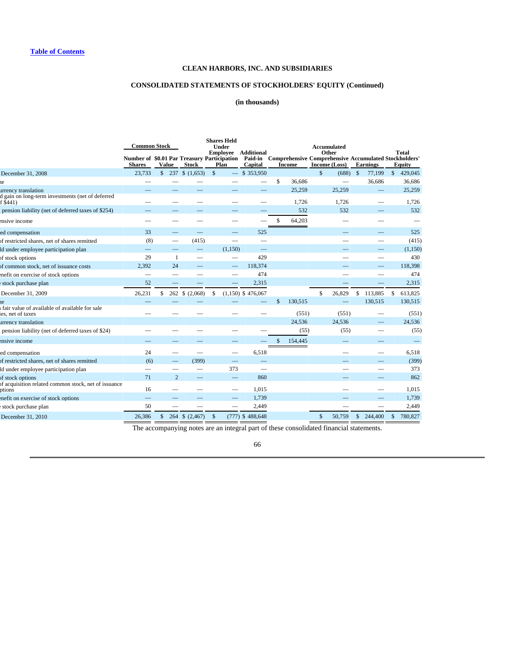# **CONSOLIDATED STATEMENTS OF STOCKHOLDERS' EQUITY (Continued)**

## **(in thousands)**

|                                                                    | <b>Common Stock</b> |                          |                          | <b>Shares Held</b><br>Under                                                   |                                                |               |                                                                        | <b>Accumulated</b><br>Other |               |                 |              | <b>Total</b> |
|--------------------------------------------------------------------|---------------------|--------------------------|--------------------------|-------------------------------------------------------------------------------|------------------------------------------------|---------------|------------------------------------------------------------------------|-----------------------------|---------------|-----------------|--------------|--------------|
|                                                                    | <b>Shares</b>       | <b>Value</b>             | <b>Stock</b>             | <b>Employee</b><br><b>Number of \$0.01 Par Treasury Participation</b><br>Plan | <b>Additional</b><br><b>Paid-in</b><br>Capital |               | <b>Comprehensive Comprehensive Accumulated Stockholders'</b><br>Income | Income (Loss)               |               | <b>Earnings</b> |              | Equity       |
| December 31, 2008                                                  | 23,733              | $\mathbb{S}$             | 237 \$ (1,653)           | $\mathbf{\hat{s}}$<br>$\overline{\phantom{0}}$                                | \$353,950                                      |               |                                                                        | \$<br>(688)                 | $\mathcal{S}$ | 77,199          |              | \$429,045    |
| ıe                                                                 |                     |                          |                          |                                                                               |                                                | \$.           | 36,686                                                                 |                             |               | 36,686          |              | 36,686       |
| urrency translation                                                |                     |                          |                          |                                                                               |                                                |               | 25,259                                                                 | 25,259                      |               |                 |              | 25,259       |
| d gain on long-term investments (net of deferred<br>f \$441)       |                     |                          |                          |                                                                               |                                                |               | 1.726                                                                  | 1,726                       |               |                 |              | 1,726        |
| pension liability (net of deferred taxes of \$254)                 |                     |                          |                          |                                                                               |                                                |               | 532                                                                    | 532                         |               |                 |              | 532          |
| ensive income                                                      |                     |                          |                          |                                                                               |                                                | <sup>\$</sup> | 64,203                                                                 |                             |               |                 |              |              |
| ed compensation                                                    | 33                  |                          |                          | –                                                                             | 525                                            |               |                                                                        |                             |               |                 |              | 525          |
| of restricted shares, net of shares remitted                       | (8)                 | $\overline{\phantom{m}}$ | (415)                    | $\frac{1}{2}$                                                                 |                                                |               |                                                                        |                             |               |                 |              | (415)        |
| d under employee participation plan                                |                     |                          | $\overline{\phantom{0}}$ | (1,150)                                                                       | $\hspace{0.1mm}-\hspace{0.1mm}$                |               |                                                                        |                             |               |                 |              | (1, 150)     |
| of stock options                                                   | 29                  | -1                       |                          |                                                                               | 429                                            |               |                                                                        |                             |               |                 |              | 430          |
| of common stock, net of issuance costs                             | 2,392               | 24                       |                          |                                                                               | 118,374                                        |               |                                                                        |                             |               |                 |              | 118,398      |
| enefit on exercise of stock options                                |                     |                          |                          |                                                                               | 474                                            |               |                                                                        |                             |               |                 |              | 474          |
| stock purchase plan                                                | 52                  |                          |                          |                                                                               | 2.315                                          |               |                                                                        |                             |               |                 |              | 2,315        |
| December 31, 2009                                                  | 26,231              | \$                       | 262 \$ (2,068)           | \$                                                                            | $(1,150)$ \$ 476,067                           |               |                                                                        | \$<br>26,829                | \$            | 113,885         | S            | 613,825      |
| e                                                                  |                     |                          |                          |                                                                               |                                                | $\mathcal{S}$ | 130,515                                                                |                             |               | 130,515         |              | 130,515      |
| fair value of available of available for sale<br>ies, net of taxes |                     |                          |                          |                                                                               |                                                |               | (551)                                                                  | (551)                       |               |                 |              | (551)        |
| urrency translation                                                |                     |                          |                          |                                                                               |                                                |               | 24,536                                                                 | 24,536                      |               |                 |              | 24,536       |
| pension liability (net of deferred taxes of \$24)                  |                     |                          |                          |                                                                               |                                                |               | (55)                                                                   | (55)                        |               |                 |              | (55)         |
| ensive income                                                      |                     |                          |                          |                                                                               |                                                |               | 154,445                                                                |                             |               |                 |              |              |
| ed compensation                                                    | 24                  |                          |                          | $\overline{\phantom{m}}$                                                      | 6,518                                          |               |                                                                        |                             |               |                 |              | 6,518        |
| of restricted shares, net of shares remitted                       | (6)                 |                          | (399)                    |                                                                               |                                                |               |                                                                        |                             |               |                 |              | (399)        |
| d under employee participation plan                                |                     |                          |                          | 373                                                                           | $\hspace{0.1mm}-\hspace{0.1mm}$                |               |                                                                        |                             |               |                 |              | 373          |
| of stock options                                                   | 71                  | $\overline{2}$           |                          |                                                                               | 860                                            |               |                                                                        |                             |               |                 |              | 862          |
| of acquisition related common stock, net of issuance<br>ptions     | 16                  |                          |                          |                                                                               | 1.015                                          |               |                                                                        |                             |               |                 |              | 1.015        |
| enefit on exercise of stock options                                |                     |                          |                          |                                                                               | 1.739                                          |               |                                                                        |                             |               |                 |              | 1,739        |
| stock purchase plan                                                | 50                  |                          |                          |                                                                               | 2,449                                          |               |                                                                        |                             |               |                 |              | 2,449        |
| December 31, 2010                                                  | 26,386              | $\mathbb{S}$             | 264 \$ (2,467)           | $\mathbf{\hat{s}}$                                                            | $(777)$ \$ 488,648                             |               |                                                                        | \$<br>50,759                |               | \$244,400       | $\mathbb{S}$ | 780,827      |

The accompanying notes are an integral part of these consolidated financial statements.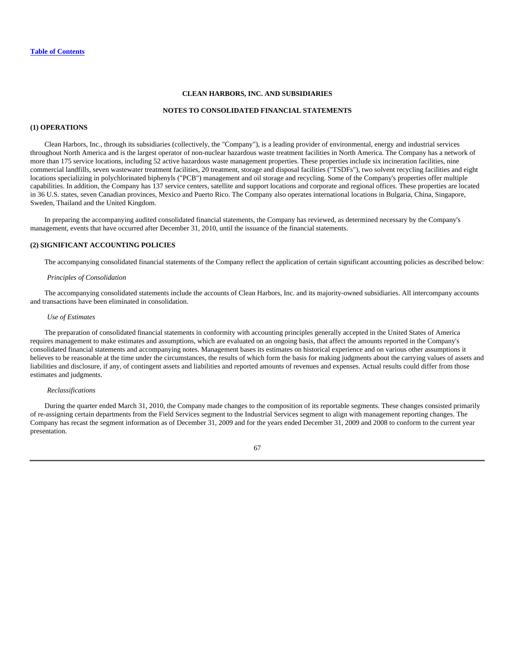### **NOTES TO CONSOLIDATED FINANCIAL STATEMENTS**

### **(1) OPERATIONS**

 Clean Harbors, Inc., through its subsidiaries (collectively, the "Company"), is a leading provider of environmental, energy and industrial services throughout North America and is the largest operator of non-nuclear hazardous waste treatment facilities in North America. The Company has a network of more than 175 service locations, including 52 active hazardous waste management properties. These properties include six incineration facilities, nine commercial landfills, seven wastewater treatment facilities, 20 treatment, storage and disposal facilities ("TSDFs"), two solvent recycling facilities and eight locations specializing in polychlorinated biphenyls ("PCB") management and oil storage and recycling. Some of the Company's properties offer multiple capabilities. In addition, the Company has 137 service centers, satellite and support locations and corporate and regional offices. These properties are located in 36 U.S. states, seven Canadian provinces, Mexico and Puerto Rico. The Company also operates international locations in Bulgaria, China, Singapore, Sweden, Thailand and the United Kingdom.

 In preparing the accompanying audited consolidated financial statements, the Company has reviewed, as determined necessary by the Company's management, events that have occurred after December 31, 2010, until the issuance of the financial statements.

### **(2) SIGNIFICANT ACCOUNTING POLICIES**

The accompanying consolidated financial statements of the Company reflect the application of certain significant accounting policies as described below:

#### *Principles of Consolidation*

 The accompanying consolidated statements include the accounts of Clean Harbors, Inc. and its majority-owned subsidiaries. All intercompany accounts and transactions have been eliminated in consolidation.

#### *Use of Estimates*

 The preparation of consolidated financial statements in conformity with accounting principles generally accepted in the United States of America requires management to make estimates and assumptions, which are evaluated on an ongoing basis, that affect the amounts reported in the Company's consolidated financial statements and accompanying notes. Management bases its estimates on historical experience and on various other assumptions it believes to be reasonable at the time under the circumstances, the results of which form the basis for making judgments about the carrying values of assets and liabilities and disclosure, if any, of contingent assets and liabilities and reported amounts of revenues and expenses. Actual results could differ from those estimates and judgments.

#### *Reclassifications*

 During the quarter ended March 31, 2010, the Company made changes to the composition of its reportable segments. These changes consisted primarily of re-assigning certain departments from the Field Services segment to the Industrial Services segment to align with management reporting changes. The Company has recast the segment information as of December 31, 2009 and for the years ended December 31, 2009 and 2008 to conform to the current year presentation.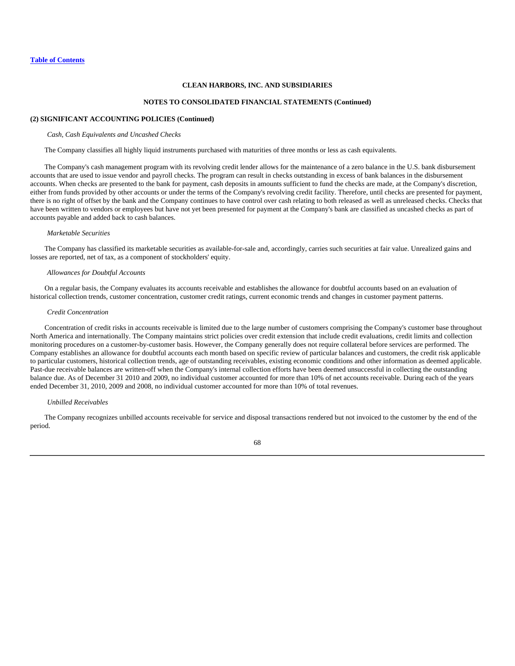## **NOTES TO CONSOLIDATED FINANCIAL STATEMENTS (Continued)**

#### **(2) SIGNIFICANT ACCOUNTING POLICIES (Continued)**

#### *Cash, Cash Equivalents and Uncashed Checks*

The Company classifies all highly liquid instruments purchased with maturities of three months or less as cash equivalents.

 The Company's cash management program with its revolving credit lender allows for the maintenance of a zero balance in the U.S. bank disbursement accounts that are used to issue vendor and payroll checks. The program can result in checks outstanding in excess of bank balances in the disbursement accounts. When checks are presented to the bank for payment, cash deposits in amounts sufficient to fund the checks are made, at the Company's discretion, either from funds provided by other accounts or under the terms of the Company's revolving credit facility. Therefore, until checks are presented for payment, there is no right of offset by the bank and the Company continues to have control over cash relating to both released as well as unreleased checks. Checks that have been written to vendors or employees but have not yet been presented for payment at the Company's bank are classified as uncashed checks as part of accounts payable and added back to cash balances.

#### *Marketable Securities*

 The Company has classified its marketable securities as available-for-sale and, accordingly, carries such securities at fair value. Unrealized gains and losses are reported, net of tax, as a component of stockholders' equity.

#### *Allowances for Doubtful Accounts*

 On a regular basis, the Company evaluates its accounts receivable and establishes the allowance for doubtful accounts based on an evaluation of historical collection trends, customer concentration, customer credit ratings, current economic trends and changes in customer payment patterns.

#### *Credit Concentration*

 Concentration of credit risks in accounts receivable is limited due to the large number of customers comprising the Company's customer base throughout North America and internationally. The Company maintains strict policies over credit extension that include credit evaluations, credit limits and collection monitoring procedures on a customer-by-customer basis. However, the Company generally does not require collateral before services are performed. The Company establishes an allowance for doubtful accounts each month based on specific review of particular balances and customers, the credit risk applicable to particular customers, historical collection trends, age of outstanding receivables, existing economic conditions and other information as deemed applicable. Past-due receivable balances are written-off when the Company's internal collection efforts have been deemed unsuccessful in collecting the outstanding balance due. As of December 31 2010 and 2009, no individual customer accounted for more than 10% of net accounts receivable. During each of the years ended December 31, 2010, 2009 and 2008, no individual customer accounted for more than 10% of total revenues.

#### *Unbilled Receivables*

 The Company recognizes unbilled accounts receivable for service and disposal transactions rendered but not invoiced to the customer by the end of the period.

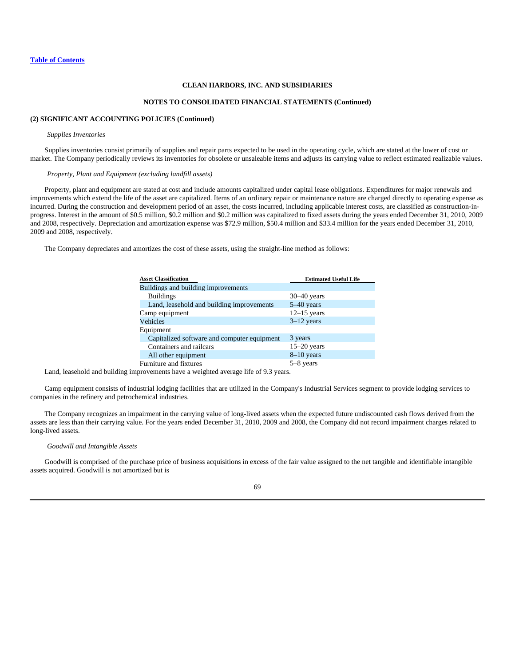# **NOTES TO CONSOLIDATED FINANCIAL STATEMENTS (Continued)**

### **(2) SIGNIFICANT ACCOUNTING POLICIES (Continued)**

### *Supplies Inventories*

 Supplies inventories consist primarily of supplies and repair parts expected to be used in the operating cycle, which are stated at the lower of cost or market. The Company periodically reviews its inventories for obsolete or unsaleable items and adjusts its carrying value to reflect estimated realizable values.

#### *Property, Plant and Equipment (excluding landfill assets)*

 Property, plant and equipment are stated at cost and include amounts capitalized under capital lease obligations. Expenditures for major renewals and improvements which extend the life of the asset are capitalized. Items of an ordinary repair or maintenance nature are charged directly to operating expense as incurred. During the construction and development period of an asset, the costs incurred, including applicable interest costs, are classified as construction-inprogress. Interest in the amount of \$0.5 million, \$0.2 million and \$0.2 million was capitalized to fixed assets during the years ended December 31, 2010, 2009 and 2008, respectively. Depreciation and amortization expense was \$72.9 million, \$50.4 million and \$33.4 million for the years ended December 31, 2010, 2009 and 2008, respectively.

The Company depreciates and amortizes the cost of these assets, using the straight-line method as follows:

| <b>Asset Classification</b>                 | <b>Estimated Useful Life</b> |
|---------------------------------------------|------------------------------|
| Buildings and building improvements         |                              |
| <b>Buildings</b>                            | $30-40$ years                |
| Land, leasehold and building improvements   | $5-40$ years                 |
| Camp equipment                              | $12-15$ years                |
| Vehicles                                    | $3-12$ years                 |
| Equipment                                   |                              |
| Capitalized software and computer equipment | 3 years                      |
| Containers and railcars                     | $15-20$ years                |
| All other equipment                         | $8-10$ years                 |
| Furniture and fixtures                      | $5-8$ years                  |

Land, leasehold and building improvements have a weighted average life of 9.3 years.

 Camp equipment consists of industrial lodging facilities that are utilized in the Company's Industrial Services segment to provide lodging services to companies in the refinery and petrochemical industries.

 The Company recognizes an impairment in the carrying value of long-lived assets when the expected future undiscounted cash flows derived from the assets are less than their carrying value. For the years ended December 31, 2010, 2009 and 2008, the Company did not record impairment charges related to long-lived assets.

#### *Goodwill and Intangible Assets*

 Goodwill is comprised of the purchase price of business acquisitions in excess of the fair value assigned to the net tangible and identifiable intangible assets acquired. Goodwill is not amortized but is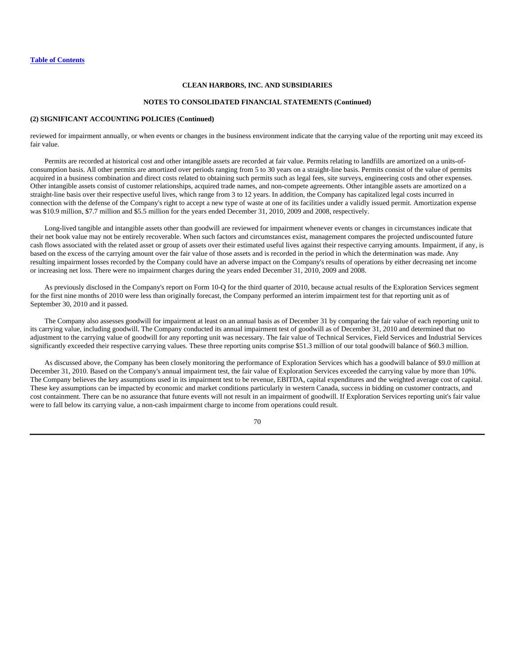# **NOTES TO CONSOLIDATED FINANCIAL STATEMENTS (Continued)**

## **(2) SIGNIFICANT ACCOUNTING POLICIES (Continued)**

reviewed for impairment annually, or when events or changes in the business environment indicate that the carrying value of the reporting unit may exceed its fair value.

 Permits are recorded at historical cost and other intangible assets are recorded at fair value. Permits relating to landfills are amortized on a units-ofconsumption basis. All other permits are amortized over periods ranging from 5 to 30 years on a straight-line basis. Permits consist of the value of permits acquired in a business combination and direct costs related to obtaining such permits such as legal fees, site surveys, engineering costs and other expenses. Other intangible assets consist of customer relationships, acquired trade names, and non-compete agreements. Other intangible assets are amortized on a straight-line basis over their respective useful lives, which range from 3 to 12 years. In addition, the Company has capitalized legal costs incurred in connection with the defense of the Company's right to accept a new type of waste at one of its facilities under a validly issued permit. Amortization expense was \$10.9 million, \$7.7 million and \$5.5 million for the years ended December 31, 2010, 2009 and 2008, respectively.

 Long-lived tangible and intangible assets other than goodwill are reviewed for impairment whenever events or changes in circumstances indicate that their net book value may not be entirely recoverable. When such factors and circumstances exist, management compares the projected undiscounted future cash flows associated with the related asset or group of assets over their estimated useful lives against their respective carrying amounts. Impairment, if any, is based on the excess of the carrying amount over the fair value of those assets and is recorded in the period in which the determination was made. Any resulting impairment losses recorded by the Company could have an adverse impact on the Company's results of operations by either decreasing net income or increasing net loss. There were no impairment charges during the years ended December 31, 2010, 2009 and 2008.

 As previously disclosed in the Company's report on Form 10-Q for the third quarter of 2010, because actual results of the Exploration Services segment for the first nine months of 2010 were less than originally forecast, the Company performed an interim impairment test for that reporting unit as of September 30, 2010 and it passed.

 The Company also assesses goodwill for impairment at least on an annual basis as of December 31 by comparing the fair value of each reporting unit to its carrying value, including goodwill. The Company conducted its annual impairment test of goodwill as of December 31, 2010 and determined that no adjustment to the carrying value of goodwill for any reporting unit was necessary. The fair value of Technical Services, Field Services and Industrial Services significantly exceeded their respective carrying values. These three reporting units comprise \$51.3 million of our total goodwill balance of \$60.3 million.

 As discussed above, the Company has been closely monitoring the performance of Exploration Services which has a goodwill balance of \$9.0 million at December 31, 2010. Based on the Company's annual impairment test, the fair value of Exploration Services exceeded the carrying value by more than 10%. The Company believes the key assumptions used in its impairment test to be revenue, EBITDA, capital expenditures and the weighted average cost of capital. These key assumptions can be impacted by economic and market conditions particularly in western Canada, success in bidding on customer contracts, and cost containment. There can be no assurance that future events will not result in an impairment of goodwill. If Exploration Services reporting unit's fair value were to fall below its carrying value, a non-cash impairment charge to income from operations could result.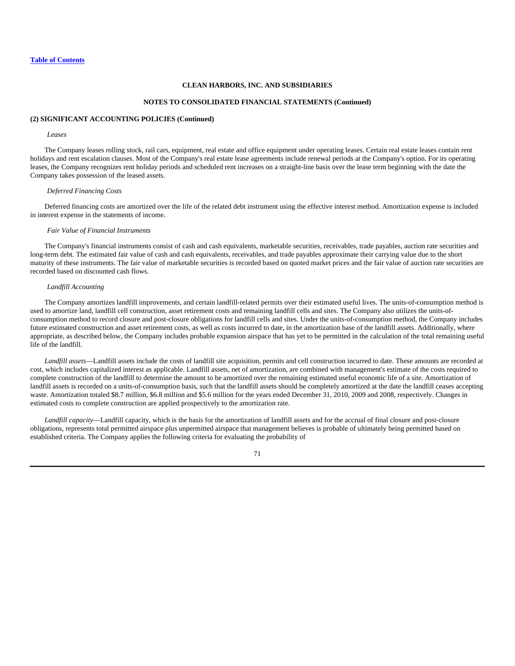# **NOTES TO CONSOLIDATED FINANCIAL STATEMENTS (Continued)**

### **(2) SIGNIFICANT ACCOUNTING POLICIES (Continued)**

#### *Leases*

 The Company leases rolling stock, rail cars, equipment, real estate and office equipment under operating leases. Certain real estate leases contain rent holidays and rent escalation clauses. Most of the Company's real estate lease agreements include renewal periods at the Company's option. For its operating leases, the Company recognizes rent holiday periods and scheduled rent increases on a straight-line basis over the lease term beginning with the date the Company takes possession of the leased assets.

#### *Deferred Financing Costs*

 Deferred financing costs are amortized over the life of the related debt instrument using the effective interest method. Amortization expense is included in interest expense in the statements of income.

#### *Fair Value of Financial Instruments*

 The Company's financial instruments consist of cash and cash equivalents, marketable securities, receivables, trade payables, auction rate securities and long-term debt. The estimated fair value of cash and cash equivalents, receivables, and trade payables approximate their carrying value due to the short maturity of these instruments. The fair value of marketable securities is recorded based on quoted market prices and the fair value of auction rate securities are recorded based on discounted cash flows.

### *Landfill Accounting*

 The Company amortizes landfill improvements, and certain landfill-related permits over their estimated useful lives. The units-of-consumption method is used to amortize land, landfill cell construction, asset retirement costs and remaining landfill cells and sites. The Company also utilizes the units-ofconsumption method to record closure and post-closure obligations for landfill cells and sites. Under the units-of-consumption method, the Company includes future estimated construction and asset retirement costs, as well as costs incurred to date, in the amortization base of the landfill assets. Additionally, where appropriate, as described below, the Company includes probable expansion airspace that has yet to be permitted in the calculation of the total remaining useful life of the landfill.

 *Landfill assets*—Landfill assets include the costs of landfill site acquisition, permits and cell construction incurred to date. These amounts are recorded at cost, which includes capitalized interest as applicable. Landfill assets, net of amortization, are combined with management's estimate of the costs required to complete construction of the landfill to determine the amount to be amortized over the remaining estimated useful economic life of a site. Amortization of landfill assets is recorded on a units-of-consumption basis, such that the landfill assets should be completely amortized at the date the landfill ceases accepting waste. Amortization totaled \$8.7 million, \$6.8 million and \$5.6 million for the years ended December 31, 2010, 2009 and 2008, respectively. Changes in estimated costs to complete construction are applied prospectively to the amortization rate.

 *Landfill capacity*—Landfill capacity, which is the basis for the amortization of landfill assets and for the accrual of final closure and post-closure obligations, represents total permitted airspace plus unpermitted airspace that management believes is probable of ultimately being permitted based on established criteria. The Company applies the following criteria for evaluating the probability of

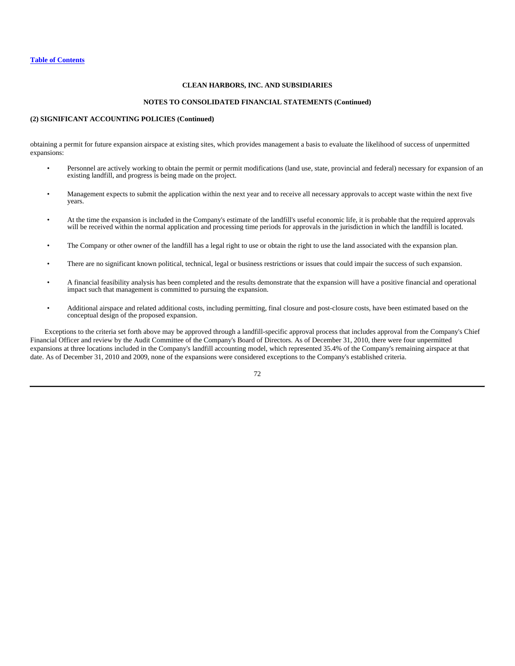# **NOTES TO CONSOLIDATED FINANCIAL STATEMENTS (Continued)**

# **(2) SIGNIFICANT ACCOUNTING POLICIES (Continued)**

obtaining a permit for future expansion airspace at existing sites, which provides management a basis to evaluate the likelihood of success of unpermitted expansions:

- Personnel are actively working to obtain the permit or permit modifications (land use, state, provincial and federal) necessary for expansion of an existing landfill, and progress is being made on the project. •
- Management expects to submit the application within the next year and to receive all necessary approvals to accept waste within the next five years. •
- At the time the expansion is included in the Company's estimate of the landfill's useful economic life, it is probable that the required approvals will be received within the normal application and processing time periods for approvals in the jurisdiction in which the landfill is located. •
- The Company or other owner of the landfill has a legal right to use or obtain the right to use the land associated with the expansion plan. •
- There are no significant known political, technical, legal or business restrictions or issues that could impair the success of such expansion. •
- A financial feasibility analysis has been completed and the results demonstrate that the expansion will have a positive financial and operational impact such that management is committed to pursuing the expansion. •
- Additional airspace and related additional costs, including permitting, final closure and post-closure costs, have been estimated based on the conceptual design of the proposed expansion. •

 Exceptions to the criteria set forth above may be approved through a landfill-specific approval process that includes approval from the Company's Chief Financial Officer and review by the Audit Committee of the Company's Board of Directors. As of December 31, 2010, there were four unpermitted expansions at three locations included in the Company's landfill accounting model, which represented 35.4% of the Company's remaining airspace at that date. As of December 31, 2010 and 2009, none of the expansions were considered exceptions to the Company's established criteria.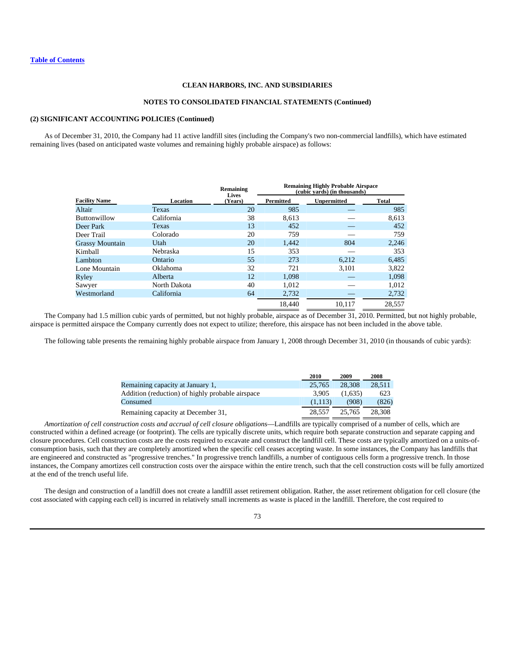# **NOTES TO CONSOLIDATED FINANCIAL STATEMENTS (Continued)**

# **(2) SIGNIFICANT ACCOUNTING POLICIES (Continued)**

 As of December 31, 2010, the Company had 11 active landfill sites (including the Company's two non-commercial landfills), which have estimated remaining lives (based on anticipated waste volumes and remaining highly probable airspace) as follows:

|                        |              | Remaining<br>Lives | <b>Remaining Highly Probable Airspace</b><br>(cubic vards) (in thousands) |                    |        |  |  |
|------------------------|--------------|--------------------|---------------------------------------------------------------------------|--------------------|--------|--|--|
| <b>Facility Name</b>   | Location     | (Years)            | <b>Permitted</b>                                                          | <b>Unpermitted</b> | Total  |  |  |
| Altair                 | Texas        | 20                 | 985                                                                       |                    | 985    |  |  |
| <b>Buttonwillow</b>    | California   | 38                 | 8,613                                                                     |                    | 8,613  |  |  |
| Deer Park              | <b>Texas</b> | 13                 | 452                                                                       |                    | 452    |  |  |
| Deer Trail             | Colorado     | 20                 | 759                                                                       |                    | 759    |  |  |
| <b>Grassy Mountain</b> | Utah         | 20                 | 1,442                                                                     | 804                | 2,246  |  |  |
| Kimball                | Nebraska     | 15                 | 353                                                                       |                    | 353    |  |  |
| Lambton                | Ontario      | 55                 | 273                                                                       | 6,212              | 6,485  |  |  |
| Lone Mountain          | Oklahoma     | 32                 | 721                                                                       | 3.101              | 3,822  |  |  |
| Ryley                  | Alberta      | 12                 | 1,098                                                                     |                    | 1,098  |  |  |
| Sawyer                 | North Dakota | 40                 | 1.012                                                                     |                    | 1,012  |  |  |
| Westmorland            | California   | 64                 | 2,732                                                                     |                    | 2,732  |  |  |
|                        |              |                    | 18.440                                                                    | 10.117             | 28.557 |  |  |

 The Company had 1.5 million cubic yards of permitted, but not highly probable, airspace as of December 31, 2010. Permitted, but not highly probable, airspace is permitted airspace the Company currently does not expect to utilize; therefore, this airspace has not been included in the above table.

The following table presents the remaining highly probable airspace from January 1, 2008 through December 31, 2010 (in thousands of cubic yards):

|                                                  | 2010    | 2009    | 2008   |
|--------------------------------------------------|---------|---------|--------|
| Remaining capacity at January 1,                 | 25,765  | 28.308  | 28.511 |
| Addition (reduction) of highly probable airspace | 3.905   | (1.635) | 623    |
| Consumed                                         | (1.113) | (908)   | (826)  |
| Remaining capacity at December 31,               | 28.557  | 25.765  | 28.308 |

 *Amortization of cell construction costs and accrual of cell closure obligations*—Landfills are typically comprised of a number of cells, which are constructed within a defined acreage (or footprint). The cells are typically discrete units, which require both separate construction and separate capping and closure procedures. Cell construction costs are the costs required to excavate and construct the landfill cell. These costs are typically amortized on a units-ofconsumption basis, such that they are completely amortized when the specific cell ceases accepting waste. In some instances, the Company has landfills that are engineered and constructed as "progressive trenches." In progressive trench landfills, a number of contiguous cells form a progressive trench. In those instances, the Company amortizes cell construction costs over the airspace within the entire trench, such that the cell construction costs will be fully amortized at the end of the trench useful life.

 The design and construction of a landfill does not create a landfill asset retirement obligation. Rather, the asset retirement obligation for cell closure (the cost associated with capping each cell) is incurred in relatively small increments as waste is placed in the landfill. Therefore, the cost required to

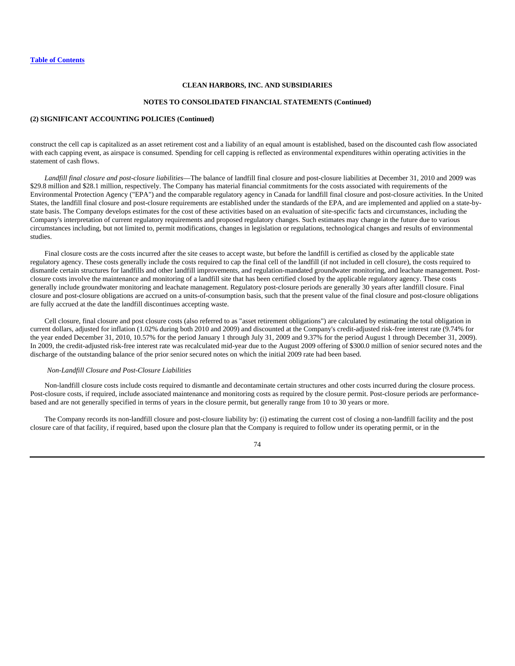# **NOTES TO CONSOLIDATED FINANCIAL STATEMENTS (Continued)**

## **(2) SIGNIFICANT ACCOUNTING POLICIES (Continued)**

construct the cell cap is capitalized as an asset retirement cost and a liability of an equal amount is established, based on the discounted cash flow associated with each capping event, as airspace is consumed. Spending for cell capping is reflected as environmental expenditures within operating activities in the statement of cash flows.

 *Landfill final closure and post-closure liabilities*—The balance of landfill final closure and post-closure liabilities at December 31, 2010 and 2009 was \$29.8 million and \$28.1 million, respectively. The Company has material financial commitments for the costs associated with requirements of the Environmental Protection Agency ("EPA") and the comparable regulatory agency in Canada for landfill final closure and post-closure activities. In the United States, the landfill final closure and post-closure requirements are established under the standards of the EPA, and are implemented and applied on a state-bystate basis. The Company develops estimates for the cost of these activities based on an evaluation of site-specific facts and circumstances, including the Company's interpretation of current regulatory requirements and proposed regulatory changes. Such estimates may change in the future due to various circumstances including, but not limited to, permit modifications, changes in legislation or regulations, technological changes and results of environmental studies.

Final closure costs are the costs incurred after the site ceases to accept waste, but before the landfill is certified as closed by the applicable state regulatory agency. These costs generally include the costs required to cap the final cell of the landfill (if not included in cell closure), the costs required to dismantle certain structures for landfills and other landfill improvements, and regulation-mandated groundwater monitoring, and leachate management. Postclosure costs involve the maintenance and monitoring of a landfill site that has been certified closed by the applicable regulatory agency. These costs generally include groundwater monitoring and leachate management. Regulatory post-closure periods are generally 30 years after landfill closure. Final closure and post-closure obligations are accrued on a units-of-consumption basis, such that the present value of the final closure and post-closure obligations are fully accrued at the date the landfill discontinues accepting waste.

 Cell closure, final closure and post closure costs (also referred to as "asset retirement obligations") are calculated by estimating the total obligation in current dollars, adjusted for inflation (1.02% during both 2010 and 2009) and discounted at the Company's credit-adjusted risk-free interest rate (9.74% for the year ended December 31, 2010, 10.57% for the period January 1 through July 31, 2009 and 9.37% for the period August 1 through December 31, 2009). In 2009, the credit-adjusted risk-free interest rate was recalculated mid-year due to the August 2009 offering of \$300.0 million of senior secured notes and the discharge of the outstanding balance of the prior senior secured notes on which the initial 2009 rate had been based.

#### *Non-Landfill Closure and Post-Closure Liabilities*

 Non-landfill closure costs include costs required to dismantle and decontaminate certain structures and other costs incurred during the closure process. Post-closure costs, if required, include associated maintenance and monitoring costs as required by the closure permit. Post-closure periods are performancebased and are not generally specified in terms of years in the closure permit, but generally range from 10 to 30 years or more.

 The Company records its non-landfill closure and post-closure liability by: (i) estimating the current cost of closing a non-landfill facility and the post closure care of that facility, if required, based upon the closure plan that the Company is required to follow under its operating permit, or in the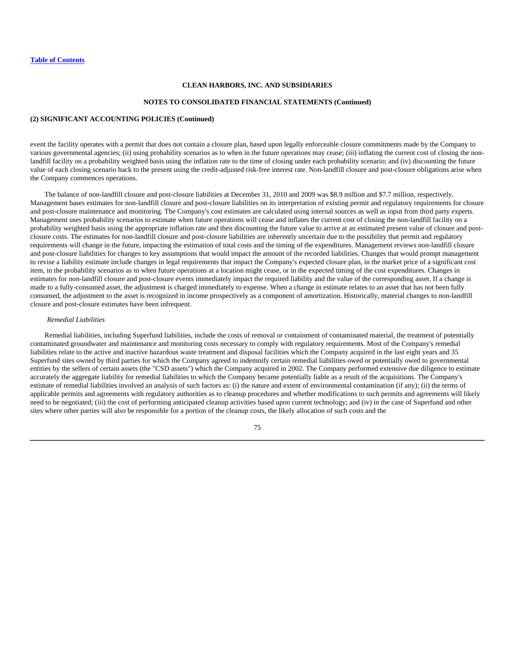# **NOTES TO CONSOLIDATED FINANCIAL STATEMENTS (Continued)**

#### **(2) SIGNIFICANT ACCOUNTING POLICIES (Continued)**

event the facility operates with a permit that does not contain a closure plan, based upon legally enforceable closure commitments made by the Company to various governmental agencies; (ii) using probability scenarios as to when in the future operations may cease; (iii) inflating the current cost of closing the nonlandfill facility on a probability weighted basis using the inflation rate to the time of closing under each probability scenario; and (iv) discounting the future value of each closing scenario back to the present using the credit-adjusted risk-free interest rate. Non-landfill closure and post-closure obligations arise when the Company commences operations.

 The balance of non-landfill closure and post-closure liabilities at December 31, 2010 and 2009 was \$8.9 million and \$7.7 million, respectively. Management bases estimates for non-landfill closure and post-closure liabilities on its interpretation of existing permit and regulatory requirements for closure and post-closure maintenance and monitoring. The Company's cost estimates are calculated using internal sources as well as input from third party experts. Management uses probability scenarios to estimate when future operations will cease and inflates the current cost of closing the non-landfill facility on a probability weighted basis using the appropriate inflation rate and then discounting the future value to arrive at an estimated present value of closure and postclosure costs. The estimates for non-landfill closure and post-closure liabilities are inherently uncertain due to the possibility that permit and regulatory requirements will change in the future, impacting the estimation of total costs and the timing of the expenditures. Management reviews non-landfill closure and post-closure liabilities for changes to key assumptions that would impact the amount of the recorded liabilities. Changes that would prompt management to revise a liability estimate include changes in legal requirements that impact the Company's expected closure plan, in the market price of a significant cost item, in the probability scenarios as to when future operations at a location might cease, or in the expected timing of the cost expenditures. Changes in estimates for non-landfill closure and post-closure events immediately impact the required liability and the value of the corresponding asset. If a change is made to a fully-consumed asset, the adjustment is charged immediately to expense. When a change in estimate relates to an asset that has not been fully consumed, the adjustment to the asset is recognized in income prospectively as a component of amortization. Historically, material changes to non-landfill closure and post-closure estimates have been infrequent.

#### *Remedial Liabilities*

 Remedial liabilities, including Superfund liabilities, include the costs of removal or containment of contaminated material, the treatment of potentially contaminated groundwater and maintenance and monitoring costs necessary to comply with regulatory requirements. Most of the Company's remedial liabilities relate to the active and inactive hazardous waste treatment and disposal facilities which the Company acquired in the last eight years and 35 Superfund sites owned by third parties for which the Company agreed to indemnify certain remedial liabilities owed or potentially owed to governmental entities by the sellers of certain assets (the "CSD assets") which the Company acquired in 2002. The Company performed extensive due diligence to estimate accurately the aggregate liability for remedial liabilities to which the Company became potentially liable as a result of the acquisitions. The Company's estimate of remedial liabilities involved an analysis of such factors as: (i) the nature and extent of environmental contamination (if any); (ii) the terms of applicable permits and agreements with regulatory authorities as to cleanup procedures and whether modifications to such permits and agreements will likely need to be negotiated; (iii) the cost of performing anticipated cleanup activities based upon current technology; and (iv) in the case of Superfund and other sites where other parties will also be responsible for a portion of the cleanup costs, the likely allocation of such costs and the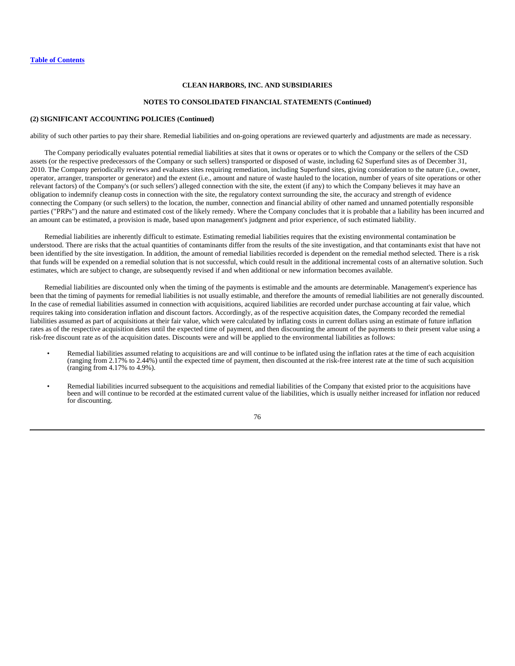# **NOTES TO CONSOLIDATED FINANCIAL STATEMENTS (Continued)**

# **(2) SIGNIFICANT ACCOUNTING POLICIES (Continued)**

ability of such other parties to pay their share. Remedial liabilities and on-going operations are reviewed quarterly and adjustments are made as necessary.

 The Company periodically evaluates potential remedial liabilities at sites that it owns or operates or to which the Company or the sellers of the CSD assets (or the respective predecessors of the Company or such sellers) transported or disposed of waste, including 62 Superfund sites as of December 31, 2010. The Company periodically reviews and evaluates sites requiring remediation, including Superfund sites, giving consideration to the nature (i.e., owner, operator, arranger, transporter or generator) and the extent (i.e., amount and nature of waste hauled to the location, number of years of site operations or other relevant factors) of the Company's (or such sellers') alleged connection with the site, the extent (if any) to which the Company believes it may have an obligation to indemnify cleanup costs in connection with the site, the regulatory context surrounding the site, the accuracy and strength of evidence connecting the Company (or such sellers) to the location, the number, connection and financial ability of other named and unnamed potentially responsible parties ("PRPs") and the nature and estimated cost of the likely remedy. Where the Company concludes that it is probable that a liability has been incurred and an amount can be estimated, a provision is made, based upon management's judgment and prior experience, of such estimated liability.

 Remedial liabilities are inherently difficult to estimate. Estimating remedial liabilities requires that the existing environmental contamination be understood. There are risks that the actual quantities of contaminants differ from the results of the site investigation, and that contaminants exist that have not been identified by the site investigation. In addition, the amount of remedial liabilities recorded is dependent on the remedial method selected. There is a risk that funds will be expended on a remedial solution that is not successful, which could result in the additional incremental costs of an alternative solution. Such estimates, which are subject to change, are subsequently revised if and when additional or new information becomes available.

 Remedial liabilities are discounted only when the timing of the payments is estimable and the amounts are determinable. Management's experience has been that the timing of payments for remedial liabilities is not usually estimable, and therefore the amounts of remedial liabilities are not generally discounted. In the case of remedial liabilities assumed in connection with acquisitions, acquired liabilities are recorded under purchase accounting at fair value, which requires taking into consideration inflation and discount factors. Accordingly, as of the respective acquisition dates, the Company recorded the remedial liabilities assumed as part of acquisitions at their fair value, which were calculated by inflating costs in current dollars using an estimate of future inflation rates as of the respective acquisition dates until the expected time of payment, and then discounting the amount of the payments to their present value using a risk-free discount rate as of the acquisition dates. Discounts were and will be applied to the environmental liabilities as follows:

- Remedial liabilities assumed relating to acquisitions are and will continue to be inflated using the inflation rates at the time of each acquisition (ranging from 2.17% to 2.44%) until the expected time of payment, then discounted at the risk-free interest rate at the time of such acquisition (ranging from 4.17% to 4.9%). •
- Remedial liabilities incurred subsequent to the acquisitions and remedial liabilities of the Company that existed prior to the acquisitions have been and will continue to be recorded at the estimated current value of the liabilities, which is usually neither increased for inflation nor reduced for discounting. •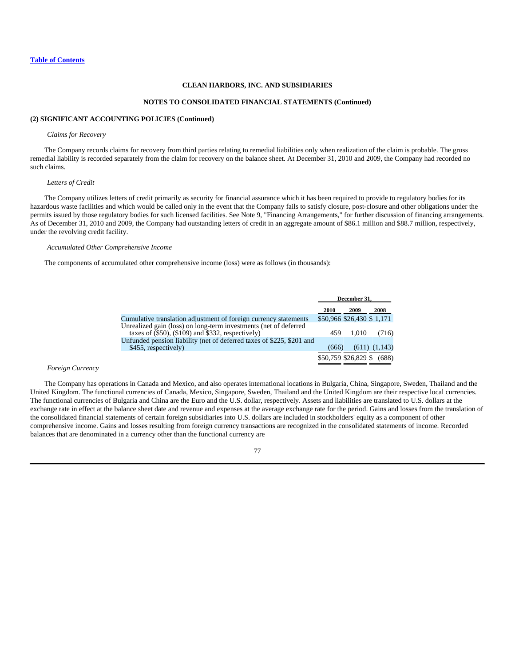# **NOTES TO CONSOLIDATED FINANCIAL STATEMENTS (Continued)**

## **(2) SIGNIFICANT ACCOUNTING POLICIES (Continued)**

## *Claims for Recovery*

 The Company records claims for recovery from third parties relating to remedial liabilities only when realization of the claim is probable. The gross remedial liability is recorded separately from the claim for recovery on the balance sheet. At December 31, 2010 and 2009, the Company had recorded no such claims.

# *Letters of Credit*

 The Company utilizes letters of credit primarily as security for financial assurance which it has been required to provide to regulatory bodies for its hazardous waste facilities and which would be called only in the event that the Company fails to satisfy closure, post-closure and other obligations under the permits issued by those regulatory bodies for such licensed facilities. See Note 9, "Financing Arrangements," for further discussion of financing arrangements. As of December 31, 2010 and 2009, the Company had outstanding letters of credit in an aggregate amount of \$86.1 million and \$88.7 million, respectively, under the revolving credit facility.

#### *Accumulated Other Comprehensive Income*

The components of accumulated other comprehensive income (loss) were as follows (in thousands):

|                                                                                                                               | December 31.              |                      |                   |
|-------------------------------------------------------------------------------------------------------------------------------|---------------------------|----------------------|-------------------|
|                                                                                                                               | 2010                      | 2009                 | 2008              |
| Cumulative translation adjustment of foreign currency statements                                                              | \$50,966 \$26,430 \$1,171 |                      |                   |
| Unrealized gain (loss) on long-term investments (net of deferred<br>taxes of $(\$50)$ , $(\$109)$ and $\$332$ , respectively) | 459                       | 1.010                | (716)             |
| Unfunded pension liability (net of deferred taxes of \$225, \$201 and                                                         |                           |                      |                   |
| \$455, respectively)                                                                                                          | (666)                     |                      | $(611)$ $(1,143)$ |
|                                                                                                                               |                           | \$50,759 \$26,829 \$ | (688)             |

## *Foreign Currency*

 The Company has operations in Canada and Mexico, and also operates international locations in Bulgaria, China, Singapore, Sweden, Thailand and the United Kingdom. The functional currencies of Canada, Mexico, Singapore, Sweden, Thailand and the United Kingdom are their respective local currencies. The functional currencies of Bulgaria and China are the Euro and the U.S. dollar, respectively. Assets and liabilities are translated to U.S. dollars at the exchange rate in effect at the balance sheet date and revenue and expenses at the average exchange rate for the period. Gains and losses from the translation of the consolidated financial statements of certain foreign subsidiaries into U.S. dollars are included in stockholders' equity as a component of other comprehensive income. Gains and losses resulting from foreign currency transactions are recognized in the consolidated statements of income. Recorded balances that are denominated in a currency other than the functional currency are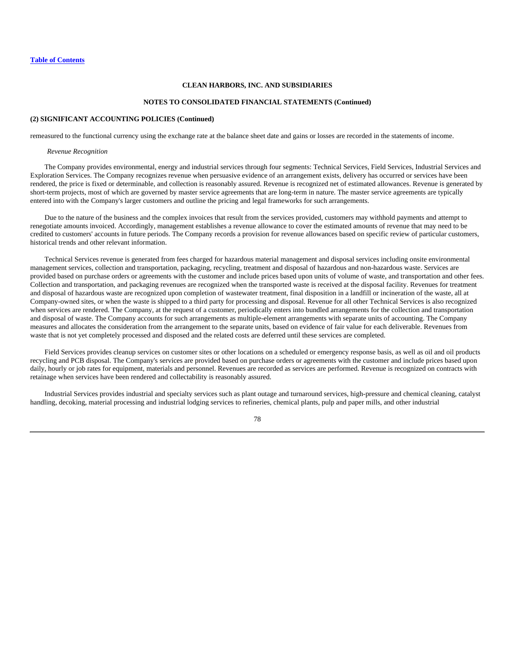# **NOTES TO CONSOLIDATED FINANCIAL STATEMENTS (Continued)**

#### **(2) SIGNIFICANT ACCOUNTING POLICIES (Continued)**

remeasured to the functional currency using the exchange rate at the balance sheet date and gains or losses are recorded in the statements of income.

### *Revenue Recognition*

 The Company provides environmental, energy and industrial services through four segments: Technical Services, Field Services, Industrial Services and Exploration Services. The Company recognizes revenue when persuasive evidence of an arrangement exists, delivery has occurred or services have been rendered, the price is fixed or determinable, and collection is reasonably assured. Revenue is recognized net of estimated allowances. Revenue is generated by short-term projects, most of which are governed by master service agreements that are long-term in nature. The master service agreements are typically entered into with the Company's larger customers and outline the pricing and legal frameworks for such arrangements.

 Due to the nature of the business and the complex invoices that result from the services provided, customers may withhold payments and attempt to renegotiate amounts invoiced. Accordingly, management establishes a revenue allowance to cover the estimated amounts of revenue that may need to be credited to customers' accounts in future periods. The Company records a provision for revenue allowances based on specific review of particular customers, historical trends and other relevant information.

 Technical Services revenue is generated from fees charged for hazardous material management and disposal services including onsite environmental management services, collection and transportation, packaging, recycling, treatment and disposal of hazardous and non-hazardous waste. Services are provided based on purchase orders or agreements with the customer and include prices based upon units of volume of waste, and transportation and other fees. Collection and transportation, and packaging revenues are recognized when the transported waste is received at the disposal facility. Revenues for treatment and disposal of hazardous waste are recognized upon completion of wastewater treatment, final disposition in a landfill or incineration of the waste, all at Company-owned sites, or when the waste is shipped to a third party for processing and disposal. Revenue for all other Technical Services is also recognized when services are rendered. The Company, at the request of a customer, periodically enters into bundled arrangements for the collection and transportation and disposal of waste. The Company accounts for such arrangements as multiple-element arrangements with separate units of accounting. The Company measures and allocates the consideration from the arrangement to the separate units, based on evidence of fair value for each deliverable. Revenues from waste that is not yet completely processed and disposed and the related costs are deferred until these services are completed.

 Field Services provides cleanup services on customer sites or other locations on a scheduled or emergency response basis, as well as oil and oil products recycling and PCB disposal. The Company's services are provided based on purchase orders or agreements with the customer and include prices based upon daily, hourly or job rates for equipment, materials and personnel. Revenues are recorded as services are performed. Revenue is recognized on contracts with retainage when services have been rendered and collectability is reasonably assured.

 Industrial Services provides industrial and specialty services such as plant outage and turnaround services, high-pressure and chemical cleaning, catalyst handling, decoking, material processing and industrial lodging services to refineries, chemical plants, pulp and paper mills, and other industrial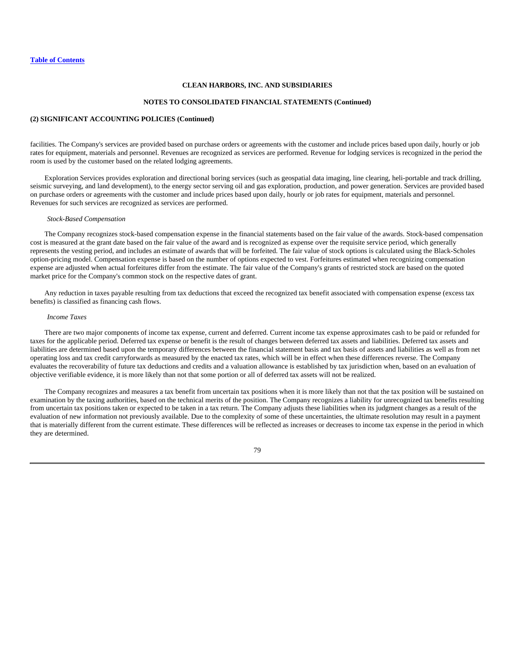# **NOTES TO CONSOLIDATED FINANCIAL STATEMENTS (Continued)**

#### **(2) SIGNIFICANT ACCOUNTING POLICIES (Continued)**

facilities. The Company's services are provided based on purchase orders or agreements with the customer and include prices based upon daily, hourly or job rates for equipment, materials and personnel. Revenues are recognized as services are performed. Revenue for lodging services is recognized in the period the room is used by the customer based on the related lodging agreements.

 Exploration Services provides exploration and directional boring services (such as geospatial data imaging, line clearing, heli-portable and track drilling, seismic surveying, and land development), to the energy sector serving oil and gas exploration, production, and power generation. Services are provided based on purchase orders or agreements with the customer and include prices based upon daily, hourly or job rates for equipment, materials and personnel. Revenues for such services are recognized as services are performed.

#### *Stock-Based Compensation*

 The Company recognizes stock-based compensation expense in the financial statements based on the fair value of the awards. Stock-based compensation cost is measured at the grant date based on the fair value of the award and is recognized as expense over the requisite service period, which generally represents the vesting period, and includes an estimate of awards that will be forfeited. The fair value of stock options is calculated using the Black-Scholes option-pricing model. Compensation expense is based on the number of options expected to vest. Forfeitures estimated when recognizing compensation expense are adjusted when actual forfeitures differ from the estimate. The fair value of the Company's grants of restricted stock are based on the quoted market price for the Company's common stock on the respective dates of grant.

 Any reduction in taxes payable resulting from tax deductions that exceed the recognized tax benefit associated with compensation expense (excess tax benefits) is classified as financing cash flows.

### *Income Taxes*

 There are two major components of income tax expense, current and deferred. Current income tax expense approximates cash to be paid or refunded for taxes for the applicable period. Deferred tax expense or benefit is the result of changes between deferred tax assets and liabilities. Deferred tax assets and liabilities are determined based upon the temporary differences between the financial statement basis and tax basis of assets and liabilities as well as from net operating loss and tax credit carryforwards as measured by the enacted tax rates, which will be in effect when these differences reverse. The Company evaluates the recoverability of future tax deductions and credits and a valuation allowance is established by tax jurisdiction when, based on an evaluation of objective verifiable evidence, it is more likely than not that some portion or all of deferred tax assets will not be realized.

 The Company recognizes and measures a tax benefit from uncertain tax positions when it is more likely than not that the tax position will be sustained on examination by the taxing authorities, based on the technical merits of the position. The Company recognizes a liability for unrecognized tax benefits resulting from uncertain tax positions taken or expected to be taken in a tax return. The Company adjusts these liabilities when its judgment changes as a result of the evaluation of new information not previously available. Due to the complexity of some of these uncertainties, the ultimate resolution may result in a payment that is materially different from the current estimate. These differences will be reflected as increases or decreases to income tax expense in the period in which they are determined.

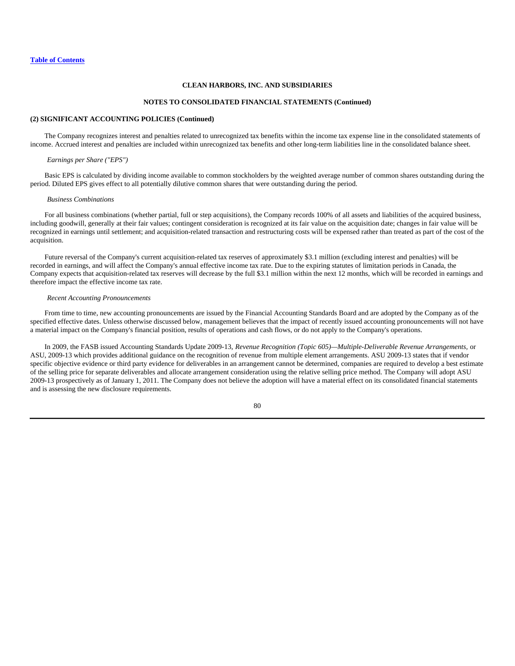# **NOTES TO CONSOLIDATED FINANCIAL STATEMENTS (Continued)**

### **(2) SIGNIFICANT ACCOUNTING POLICIES (Continued)**

 The Company recognizes interest and penalties related to unrecognized tax benefits within the income tax expense line in the consolidated statements of income. Accrued interest and penalties are included within unrecognized tax benefits and other long-term liabilities line in the consolidated balance sheet.

#### *Earnings per Share ("EPS")*

 Basic EPS is calculated by dividing income available to common stockholders by the weighted average number of common shares outstanding during the period. Diluted EPS gives effect to all potentially dilutive common shares that were outstanding during the period.

#### *Business Combinations*

 For all business combinations (whether partial, full or step acquisitions), the Company records 100% of all assets and liabilities of the acquired business, including goodwill, generally at their fair values; contingent consideration is recognized at its fair value on the acquisition date; changes in fair value will be recognized in earnings until settlement; and acquisition-related transaction and restructuring costs will be expensed rather than treated as part of the cost of the acquisition.

 Future reversal of the Company's current acquisition-related tax reserves of approximately \$3.1 million (excluding interest and penalties) will be recorded in earnings, and will affect the Company's annual effective income tax rate. Due to the expiring statutes of limitation periods in Canada, the Company expects that acquisition-related tax reserves will decrease by the full \$3.1 million within the next 12 months, which will be recorded in earnings and therefore impact the effective income tax rate.

#### *Recent Accounting Pronouncements*

 From time to time, new accounting pronouncements are issued by the Financial Accounting Standards Board and are adopted by the Company as of the specified effective dates. Unless otherwise discussed below, management believes that the impact of recently issued accounting pronouncements will not have a material impact on the Company's financial position, results of operations and cash flows, or do not apply to the Company's operations.

 In 2009, the FASB issued Accounting Standards Update 2009-13, *Revenue Recognition (Topic 605)—Multiple-Deliverable Revenue Arrangements,* or ASU, 2009-13 which provides additional guidance on the recognition of revenue from multiple element arrangements. ASU 2009-13 states that if vendor specific objective evidence or third party evidence for deliverables in an arrangement cannot be determined, companies are required to develop a best estimate of the selling price for separate deliverables and allocate arrangement consideration using the relative selling price method. The Company will adopt ASU 2009-13 prospectively as of January 1, 2011. The Company does not believe the adoption will have a material effect on its consolidated financial statements and is assessing the new disclosure requirements.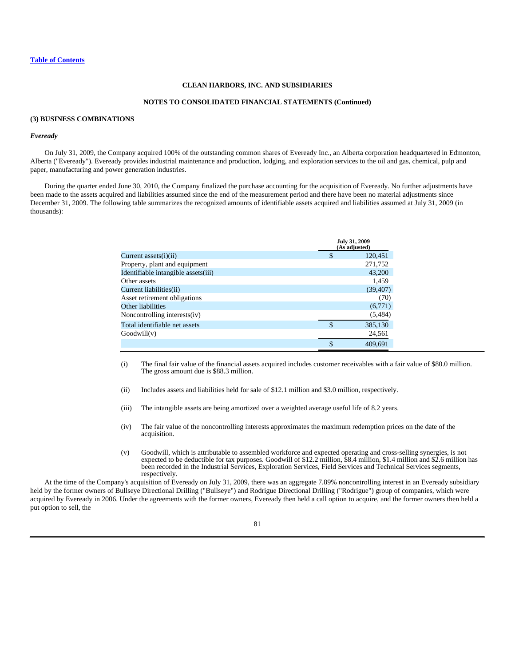# **NOTES TO CONSOLIDATED FINANCIAL STATEMENTS (Continued)**

#### **(3) BUSINESS COMBINATIONS**

### *Eveready*

 On July 31, 2009, the Company acquired 100% of the outstanding common shares of Eveready Inc., an Alberta corporation headquartered in Edmonton, Alberta ("Eveready"). Eveready provides industrial maintenance and production, lodging, and exploration services to the oil and gas, chemical, pulp and paper, manufacturing and power generation industries.

 During the quarter ended June 30, 2010, the Company finalized the purchase accounting for the acquisition of Eveready. No further adjustments have been made to the assets acquired and liabilities assumed since the end of the measurement period and there have been no material adjustments since December 31, 2009. The following table summarizes the recognized amounts of identifiable assets acquired and liabilities assumed at July 31, 2009 (in thousands):

|                                     |     | July 31, 2009<br>(As adjusted) |
|-------------------------------------|-----|--------------------------------|
| $Current$ assets $(i)(ii)$          | \$. | 120,451                        |
| Property, plant and equipment       |     | 271,752                        |
| Identifiable intangible assets(iii) |     | 43,200                         |
| Other assets                        |     | 1,459                          |
| Current liabilities(ii)             |     | (39, 407)                      |
| Asset retirement obligations        |     | (70)                           |
| Other liabilities                   |     | (6,771)                        |
| Noncontrolling interests(iv)        |     | (5,484)                        |
| Total identifiable net assets       | \$. | 385,130                        |
| Goodwill(v)                         |     | 24,561                         |
|                                     | \$  | 409.691                        |

The final fair value of the financial assets acquired includes customer receivables with a fair value of \$80.0 million. The gross amount due is \$88.3 million. (i)

- Includes assets and liabilities held for sale of \$12.1 million and \$3.0 million, respectively. (ii)
- The intangible assets are being amortized over a weighted average useful life of 8.2 years. (iii)
- The fair value of the noncontrolling interests approximates the maximum redemption prices on the date of the acquisition. (iv)
- Goodwill, which is attributable to assembled workforce and expected operating and cross-selling synergies, is not expected to be deductible for tax purposes. Goodwill of \$12.2 million, \$8.4 million, \$1.4 million and \$2.6 million has been recorded in the Industrial Services, Exploration Services, Field Services and Technical Services segments, respectively. (v)

 At the time of the Company's acquisition of Eveready on July 31, 2009, there was an aggregate 7.89% noncontrolling interest in an Eveready subsidiary held by the former owners of Bullseye Directional Drilling ("Bullseye") and Rodrigue Directional Drilling ("Rodrigue") group of companies, which were acquired by Eveready in 2006. Under the agreements with the former owners, Eveready then held a call option to acquire, and the former owners then held a put option to sell, the

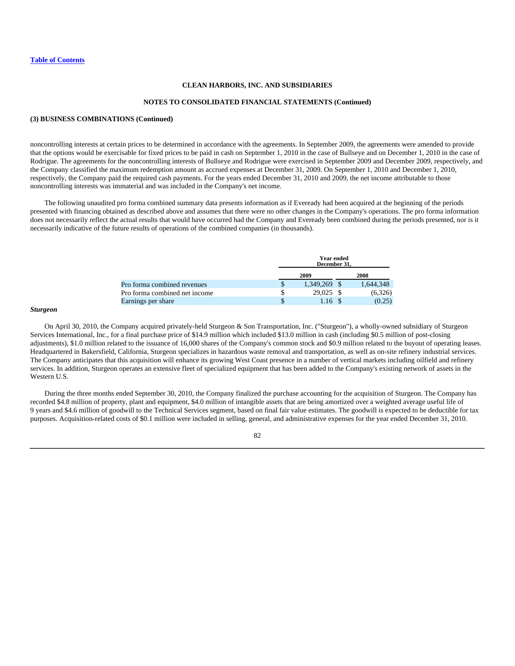# **NOTES TO CONSOLIDATED FINANCIAL STATEMENTS (Continued)**

#### **(3) BUSINESS COMBINATIONS (Continued)**

noncontrolling interests at certain prices to be determined in accordance with the agreements. In September 2009, the agreements were amended to provide that the options would be exercisable for fixed prices to be paid in cash on September 1, 2010 in the case of Bullseye and on December 1, 2010 in the case of Rodrigue. The agreements for the noncontrolling interests of Bullseye and Rodrigue were exercised in September 2009 and December 2009, respectively, and the Company classified the maximum redemption amount as accrued expenses at December 31, 2009. On September 1, 2010 and December 1, 2010, respectively, the Company paid the required cash payments. For the years ended December 31, 2010 and 2009, the net income attributable to those noncontrolling interests was immaterial and was included in the Company's net income.

 The following unaudited pro forma combined summary data presents information as if Eveready had been acquired at the beginning of the periods presented with financing obtained as described above and assumes that there were no other changes in the Company's operations. The pro forma information does not necessarily reflect the actual results that would have occurred had the Company and Eveready been combined during the periods presented, nor is it necessarily indicative of the future results of operations of the combined companies (in thousands).

|                               |   | Year ended<br>December 31. |      |           |  |
|-------------------------------|---|----------------------------|------|-----------|--|
|                               |   | 2009                       | 2008 |           |  |
| Pro forma combined revenues   | S | 1.349.269                  |      | 1,644,348 |  |
| Pro forma combined net income |   | $29.025$ \$                |      | (6,326)   |  |
| Earnings per share            |   | 1.16                       |      | (0.25)    |  |

#### *Sturgeon*

 On April 30, 2010, the Company acquired privately-held Sturgeon & Son Transportation, Inc. ("Sturgeon"), a wholly-owned subsidiary of Sturgeon Services International, Inc., for a final purchase price of \$14.9 million which included \$13.0 million in cash (including \$0.5 million of post-closing adjustments), \$1.0 million related to the issuance of 16,000 shares of the Company's common stock and \$0.9 million related to the buyout of operating leases. Headquartered in Bakersfield, California, Sturgeon specializes in hazardous waste removal and transportation, as well as on-site refinery industrial services. The Company anticipates that this acquisition will enhance its growing West Coast presence in a number of vertical markets including oilfield and refinery services. In addition, Sturgeon operates an extensive fleet of specialized equipment that has been added to the Company's existing network of assets in the Western U.S.

 During the three months ended September 30, 2010, the Company finalized the purchase accounting for the acquisition of Sturgeon. The Company has recorded \$4.8 million of property, plant and equipment, \$4.0 million of intangible assets that are being amortized over a weighted average useful life of 9 years and \$4.6 million of goodwill to the Technical Services segment, based on final fair value estimates. The goodwill is expected to be deductible for tax purposes. Acquisition-related costs of \$0.1 million were included in selling, general, and administrative expenses for the year ended December 31, 2010.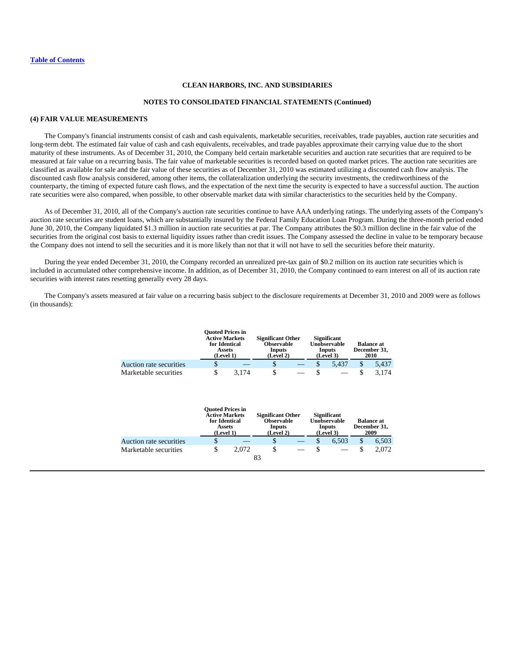# **NOTES TO CONSOLIDATED FINANCIAL STATEMENTS (Continued)**

# **(4) FAIR VALUE MEASUREMENTS**

 The Company's financial instruments consist of cash and cash equivalents, marketable securities, receivables, trade payables, auction rate securities and long-term debt. The estimated fair value of cash and cash equivalents, receivables, and trade payables approximate their carrying value due to the short maturity of these instruments. As of December 31, 2010, the Company held certain marketable securities and auction rate securities that are required to be measured at fair value on a recurring basis. The fair value of marketable securities is recorded based on quoted market prices. The auction rate securities are classified as available for sale and the fair value of these securities as of December 31, 2010 was estimated utilizing a discounted cash flow analysis. The discounted cash flow analysis considered, among other items, the collateralization underlying the security investments, the creditworthiness of the counterparty, the timing of expected future cash flows, and the expectation of the next time the security is expected to have a successful auction. The auction rate securities were also compared, when possible, to other observable market data with similar characteristics to the securities held by the Company.

 As of December 31, 2010, all of the Company's auction rate securities continue to have AAA underlying ratings. The underlying assets of the Company's auction rate securities are student loans, which are substantially insured by the Federal Family Education Loan Program. During the three-month period ended June 30, 2010, the Company liquidated \$1.3 million in auction rate securities at par. The Company attributes the \$0.3 million decline in the fair value of the securities from the original cost basis to external liquidity issues rather than credit issues. The Company assessed the decline in value to be temporary because the Company does not intend to sell the securities and it is more likely than not that it will not have to sell the securities before their maturity.

 During the year ended December 31, 2010, the Company recorded an unrealized pre-tax gain of \$0.2 million on its auction rate securities which is included in accumulated other comprehensive income. In addition, as of December 31, 2010, the Company continued to earn interest on all of its auction rate securities with interest rates resetting generally every 28 days.

 The Company's assets measured at fair value on a recurring basis subject to the disclosure requirements at December 31, 2010 and 2009 were as follows (in thousands):

|                         | <b>Ouoted Prices in</b><br><b>Active Markets</b><br>for Identical<br><b>Assets</b><br>(Level 1) |       | <b>Significant Other</b><br><b>Observable</b><br>Inputs<br>(Level 2) |  | <b>Significant</b><br>Unobservable<br>Inputs<br>(Level 3) |       | <b>Balance at</b><br>December 31,<br>2010 |       |
|-------------------------|-------------------------------------------------------------------------------------------------|-------|----------------------------------------------------------------------|--|-----------------------------------------------------------|-------|-------------------------------------------|-------|
| Auction rate securities | \$                                                                                              |       | \$                                                                   |  | \$                                                        | 5.437 |                                           | 5.437 |
| Marketable securities   | \$                                                                                              | 3.174 |                                                                      |  |                                                           |       |                                           | 3.174 |

|                         | <b>Ouoted Prices in</b><br><b>Active Markets</b><br>for Identical<br><b>Assets</b><br>(Level 1) |       | <b>Significant Other</b><br><b>Observable</b><br>Inputs<br>(Level 2) |  |   | <b>Significant</b><br><b>Unobservable</b><br>Inputs<br>(Level 3) | <b>Balance at</b><br>December 31,<br>2009 |       |
|-------------------------|-------------------------------------------------------------------------------------------------|-------|----------------------------------------------------------------------|--|---|------------------------------------------------------------------|-------------------------------------------|-------|
| Auction rate securities | S                                                                                               |       | \$                                                                   |  | S | 6.503                                                            |                                           | 6,503 |
| Marketable securities   |                                                                                                 | 2.072 |                                                                      |  |   |                                                                  |                                           | 2.072 |
|                         |                                                                                                 |       | 83                                                                   |  |   |                                                                  |                                           |       |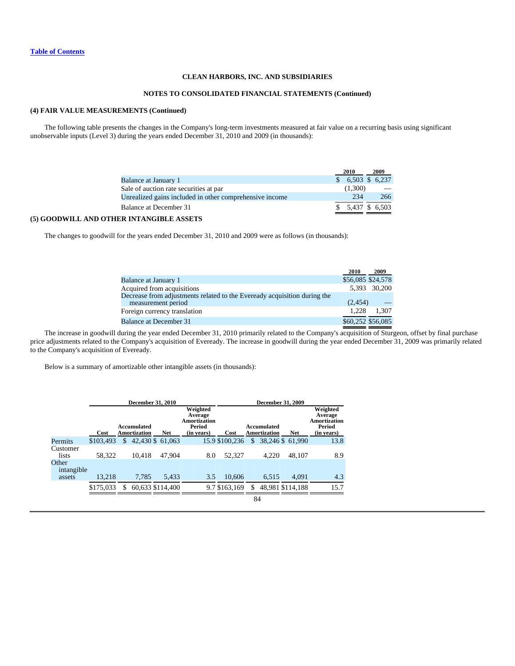# **NOTES TO CONSOLIDATED FINANCIAL STATEMENTS (Continued)**

# **(4) FAIR VALUE MEASUREMENTS (Continued)**

 The following table presents the changes in the Company's long-term investments measured at fair value on a recurring basis using significant unobservable inputs (Level 3) during the years ended December 31, 2010 and 2009 (in thousands):

|                                                         | 2010           | 2009                     |
|---------------------------------------------------------|----------------|--------------------------|
| <b>Balance at January 1</b>                             | 6.503 \$ 6.237 |                          |
| Sale of auction rate securities at par                  | (1.300)        | $\overline{\phantom{a}}$ |
| Unrealized gains included in other comprehensive income | 234            | 266                      |
| Balance at December 31                                  | 5,437 \$ 6,503 |                          |

# **(5) GOODWILL AND OTHER INTANGIBLE ASSETS**

The changes to goodwill for the years ended December 31, 2010 and 2009 were as follows (in thousands):

|                                                                          | 2010              | 2009              |
|--------------------------------------------------------------------------|-------------------|-------------------|
| <b>Balance at January 1</b>                                              | \$56,085 \$24,578 |                   |
| Acquired from acquisitions                                               |                   | 5.393 30.200      |
| Decrease from adjustments related to the Eveready acquisition during the |                   |                   |
| measurement period                                                       | (2.454)           |                   |
| Foreign currency translation                                             | 1.228             | 1.307             |
| Balance at December 31                                                   |                   | \$60,252 \$56,085 |

 The increase in goodwill during the year ended December 31, 2010 primarily related to the Company's acquisition of Sturgeon, offset by final purchase price adjustments related to the Company's acquisition of Eveready. The increase in goodwill during the year ended December 31, 2009 was primarily related to the Company's acquisition of Eveready.

Below is a summary of amortizable other intangible assets (in thousands):

|                     |           |                                           | <b>December 31, 2010</b> |                                                             |                |    | <b>December 31, 2009</b>           |                  |                                                                    |
|---------------------|-----------|-------------------------------------------|--------------------------|-------------------------------------------------------------|----------------|----|------------------------------------|------------------|--------------------------------------------------------------------|
|                     | Cost      | <b>Accumulated</b><br><b>Amortization</b> | <b>Net</b>               | Weighted<br>Average<br>Amortization<br>Period<br>(in years) | Cost           |    | Accumulated<br><b>Amortization</b> | <b>Net</b>       | Weighted<br>Average<br><b>Amortization</b><br>Period<br>(in years) |
| Permits             | \$103.493 | \$                                        | 42,430 \$ 61,063         |                                                             | 15.9 \$100,236 | \$ |                                    | 38,246 \$ 61,990 | 13.8                                                               |
| Customer<br>lists   | 58.322    | 10.418                                    | 47,904                   | 8.0                                                         | 52.327         |    | 4.220                              | 48.107           | 8.9                                                                |
| Other<br>intangible |           |                                           |                          |                                                             |                |    |                                    |                  |                                                                    |
| assets              | 13.218    | 7,785                                     | 5.433                    | 3.5                                                         | 10.606         |    | 6,515                              | 4,091            | 4.3                                                                |
|                     | \$175,033 | \$                                        | 60,633 \$114,400         |                                                             | 9.7 \$163,169  | S. |                                    | 48.981 \$114.188 | 15.7                                                               |
|                     |           |                                           |                          |                                                             |                |    | 84                                 |                  |                                                                    |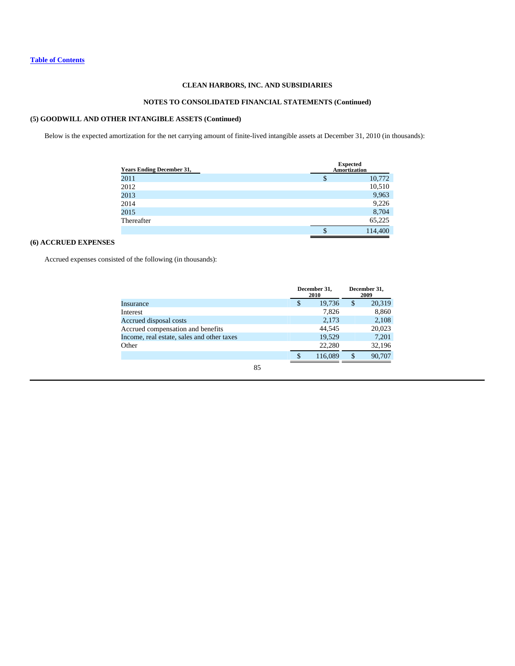# **NOTES TO CONSOLIDATED FINANCIAL STATEMENTS (Continued)**

# **(5) GOODWILL AND OTHER INTANGIBLE ASSETS (Continued)**

Below is the expected amortization for the net carrying amount of finite-lived intangible assets at December 31, 2010 (in thousands):

| <b>Years Ending December 31,</b> | <b>Expected</b><br>Amortization |         |
|----------------------------------|---------------------------------|---------|
| 2011                             | \$                              | 10,772  |
| 2012                             |                                 | 10,510  |
| 2013                             |                                 | 9,963   |
| 2014                             |                                 | 9,226   |
| 2015                             |                                 | 8,704   |
| Thereafter                       |                                 | 65,225  |
|                                  | \$                              | 114,400 |

# **(6) ACCRUED EXPENSES**

Accrued expenses consisted of the following (in thousands):

|                                            |    |               | December 31.<br>2010 | December 31,<br>2009 |        |
|--------------------------------------------|----|---------------|----------------------|----------------------|--------|
| Insurance                                  |    | S             | 19,736               | \$                   | 20,319 |
| Interest                                   |    |               | 7,826                |                      | 8,860  |
| Accrued disposal costs                     |    |               | 2,173                |                      | 2,108  |
| Accrued compensation and benefits          |    |               | 44.545               |                      | 20,023 |
| Income, real estate, sales and other taxes |    |               | 19.529               |                      | 7.201  |
| Other                                      |    |               | 22.280               |                      | 32.196 |
|                                            |    | <sup>\$</sup> | 116,089              | \$                   | 90,707 |
|                                            | 85 |               |                      |                      |        |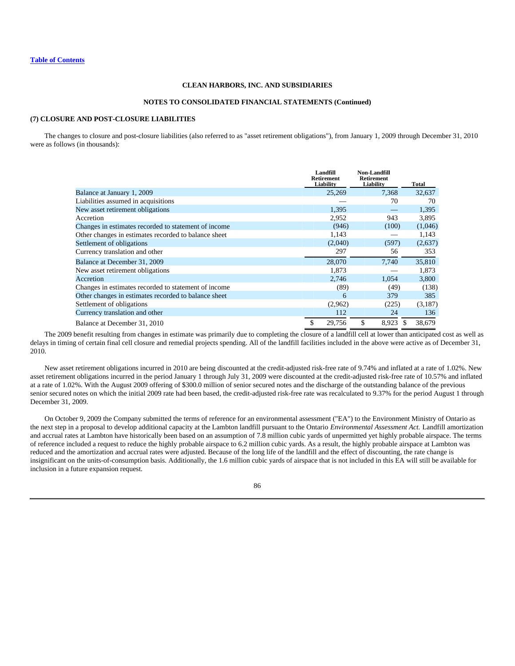# **NOTES TO CONSOLIDATED FINANCIAL STATEMENTS (Continued)**

## **(7) CLOSURE AND POST-CLOSURE LIABILITIES**

 The changes to closure and post-closure liabilities (also referred to as "asset retirement obligations"), from January 1, 2009 through December 31, 2010 were as follows (in thousands):

|                                                      | Landfill<br><b>Retirement</b><br>Liability | Non-Landfill<br><b>Retirement</b><br>Liability | Total       |
|------------------------------------------------------|--------------------------------------------|------------------------------------------------|-------------|
| Balance at January 1, 2009                           | 25,269                                     | 7,368                                          | 32,637      |
| Liabilities assumed in acquisitions                  |                                            | 70                                             | 70          |
| New asset retirement obligations                     | 1,395                                      |                                                | 1,395       |
| Accretion                                            | 2,952                                      | 943                                            | 3,895       |
| Changes in estimates recorded to statement of income | (946)                                      | (100)                                          | (1,046)     |
| Other changes in estimates recorded to balance sheet | 1,143                                      |                                                | 1,143       |
| Settlement of obligations                            | (2,040)                                    | (597)                                          | (2,637)     |
| Currency translation and other                       | 297                                        | 56                                             | 353         |
| Balance at December 31, 2009                         | 28,070                                     | 7,740                                          | 35,810      |
| New asset retirement obligations                     | 1,873                                      |                                                | 1,873       |
| Accretion                                            | 2,746                                      | 1,054                                          | 3,800       |
| Changes in estimates recorded to statement of income | (89)                                       | (49)                                           | (138)       |
| Other changes in estimates recorded to balance sheet | 6                                          | 379                                            | 385         |
| Settlement of obligations                            | (2,962)                                    | (225)                                          | (3,187)     |
| Currency translation and other                       | 112                                        | 24                                             | 136         |
| Balance at December 31, 2010                         | \$<br>29.756                               | \$<br>8,923                                    | 38.679<br>S |

 The 2009 benefit resulting from changes in estimate was primarily due to completing the closure of a landfill cell at lower than anticipated cost as well as delays in timing of certain final cell closure and remedial projects spending. All of the landfill facilities included in the above were active as of December 31, 2010.

 New asset retirement obligations incurred in 2010 are being discounted at the credit-adjusted risk-free rate of 9.74% and inflated at a rate of 1.02%. New asset retirement obligations incurred in the period January 1 through July 31, 2009 were discounted at the credit-adjusted risk-free rate of 10.57% and inflated at a rate of 1.02%. With the August 2009 offering of \$300.0 million of senior secured notes and the discharge of the outstanding balance of the previous senior secured notes on which the initial 2009 rate had been based, the credit-adjusted risk-free rate was recalculated to 9.37% for the period August 1 through December 31, 2009.

 On October 9, 2009 the Company submitted the terms of reference for an environmental assessment ("EA") to the Environment Ministry of Ontario as the next step in a proposal to develop additional capacity at the Lambton landfill pursuant to the Ontario *Environmental Assessment Act.* Landfill amortization and accrual rates at Lambton have historically been based on an assumption of 7.8 million cubic yards of unpermitted yet highly probable airspace. The terms of reference included a request to reduce the highly probable airspace to 6.2 million cubic yards. As a result, the highly probable airspace at Lambton was reduced and the amortization and accrual rates were adjusted. Because of the long life of the landfill and the effect of discounting, the rate change is insignificant on the units-of-consumption basis. Additionally, the 1.6 million cubic yards of airspace that is not included in this EA will still be available for inclusion in a future expansion request.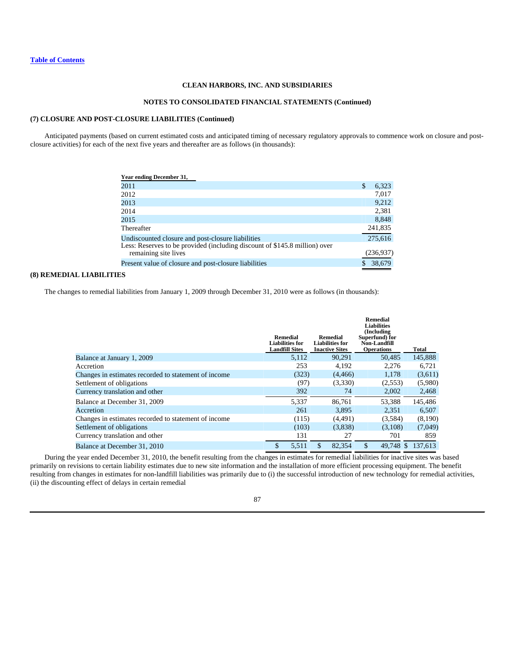# **NOTES TO CONSOLIDATED FINANCIAL STATEMENTS (Continued)**

## **(7) CLOSURE AND POST-CLOSURE LIABILITIES (Continued)**

 Anticipated payments (based on current estimated costs and anticipated timing of necessary regulatory approvals to commence work on closure and postclosure activities) for each of the next five years and thereafter are as follows (in thousands):

| Year ending December 31,                                                   |             |
|----------------------------------------------------------------------------|-------------|
| 2011                                                                       | \$<br>6.323 |
| 2012                                                                       | 7.017       |
| 2013                                                                       | 9,212       |
| 2014                                                                       | 2,381       |
| 2015                                                                       | 8,848       |
| Thereafter                                                                 | 241,835     |
| Undiscounted closure and post-closure liabilities                          | 275,616     |
| Less: Reserves to be provided (including discount of \$145.8 million) over |             |
| remaining site lives                                                       | (236, 937)  |
| Present value of closure and post-closure liabilities                      | 38.679      |
|                                                                            |             |

#### **(8) REMEDIAL LIABILITIES**

The changes to remedial liabilities from January 1, 2009 through December 31, 2010 were as follows (in thousands):

|                                                      | <b>Remedial</b><br><b>Liabilities for</b><br><b>Landfill Sites</b> | <b>Remedial</b><br><b>Liabilities for</b><br><b>Inactive Sites</b> | <b>Remedial</b><br><b>Liabilities</b><br>(Including<br>Superfund) for<br><b>Non-Landfill</b><br><b>Operations</b> | Total               |
|------------------------------------------------------|--------------------------------------------------------------------|--------------------------------------------------------------------|-------------------------------------------------------------------------------------------------------------------|---------------------|
| Balance at January 1, 2009                           | 5,112                                                              | 90.291                                                             | 50.485                                                                                                            | 145,888             |
| Accretion                                            | 253                                                                | 4,192                                                              | 2,276                                                                                                             | 6,721               |
| Changes in estimates recorded to statement of income | (323)                                                              | (4, 466)                                                           | 1,178                                                                                                             | (3,611)             |
| Settlement of obligations                            | (97)                                                               | (3,330)                                                            | (2,553)                                                                                                           | (5,980)             |
| Currency translation and other                       | 392                                                                | 74                                                                 | 2,002                                                                                                             | 2,468               |
| Balance at December 31, 2009                         | 5,337                                                              | 86.761                                                             | 53,388                                                                                                            | 145,486             |
| Accretion                                            | 261                                                                | 3.895                                                              | 2.351                                                                                                             | 6,507               |
| Changes in estimates recorded to statement of income | (115)                                                              | (4, 491)                                                           | (3,584)                                                                                                           | (8,190)             |
| Settlement of obligations                            | (103)                                                              | (3,838)                                                            | (3,108)                                                                                                           | (7,049)             |
| Currency translation and other                       | 131                                                                | 27                                                                 | 701                                                                                                               | 859                 |
| Balance at December 31, 2010                         | 5,511<br>\$                                                        | \$<br>82,354                                                       | $\mathbb{S}$<br>49.748                                                                                            | 137.613<br><b>S</b> |

 During the year ended December 31, 2010, the benefit resulting from the changes in estimates for remedial liabilities for inactive sites was based primarily on revisions to certain liability estimates due to new site information and the installation of more efficient processing equipment. The benefit resulting from changes in estimates for non-landfill liabilities was primarily due to (i) the successful introduction of new technology for remedial activities, (ii) the discounting effect of delays in certain remedial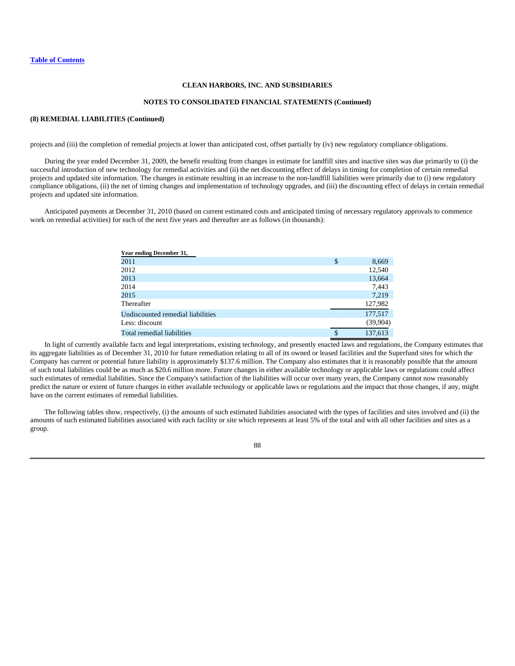# **NOTES TO CONSOLIDATED FINANCIAL STATEMENTS (Continued)**

# **(8) REMEDIAL LIABILITIES (Continued)**

projects and (iii) the completion of remedial projects at lower than anticipated cost, offset partially by (iv) new regulatory compliance obligations.

 During the year ended December 31, 2009, the benefit resulting from changes in estimate for landfill sites and inactive sites was due primarily to (i) the successful introduction of new technology for remedial activities and (ii) the net discounting effect of delays in timing for completion of certain remedial projects and updated site information. The changes in estimate resulting in an increase to the non-landfill liabilities were primarily due to (i) new regulatory compliance obligations, (ii) the net of timing changes and implementation of technology upgrades, and (iii) the discounting effect of delays in certain remedial projects and updated site information.

 Anticipated payments at December 31, 2010 (based on current estimated costs and anticipated timing of necessary regulatory approvals to commence work on remedial activities) for each of the next five years and thereafter are as follows (in thousands):

| Year ending December 31,          |             |
|-----------------------------------|-------------|
| 2011                              | \$<br>8,669 |
| 2012                              | 12,540      |
| 2013                              | 13,664      |
| 2014                              | 7,443       |
| 2015                              | 7,219       |
| Thereafter                        | 127,982     |
| Undiscounted remedial liabilities | 177,517     |
| Less: discount                    | (39,904)    |
| Total remedial liabilities        | 137,613     |

 In light of currently available facts and legal interpretations, existing technology, and presently enacted laws and regulations, the Company estimates that its aggregate liabilities as of December 31, 2010 for future remediation relating to all of its owned or leased facilities and the Superfund sites for which the Company has current or potential future liability is approximately \$137.6 million. The Company also estimates that it is reasonably possible that the amount of such total liabilities could be as much as \$20.6 million more. Future changes in either available technology or applicable laws or regulations could affect such estimates of remedial liabilities. Since the Company's satisfaction of the liabilities will occur over many years, the Company cannot now reasonably predict the nature or extent of future changes in either available technology or applicable laws or regulations and the impact that those changes, if any, might have on the current estimates of remedial liabilities.

 The following tables show, respectively, (i) the amounts of such estimated liabilities associated with the types of facilities and sites involved and (ii) the amounts of such estimated liabilities associated with each facility or site which represents at least 5% of the total and with all other facilities and sites as a group.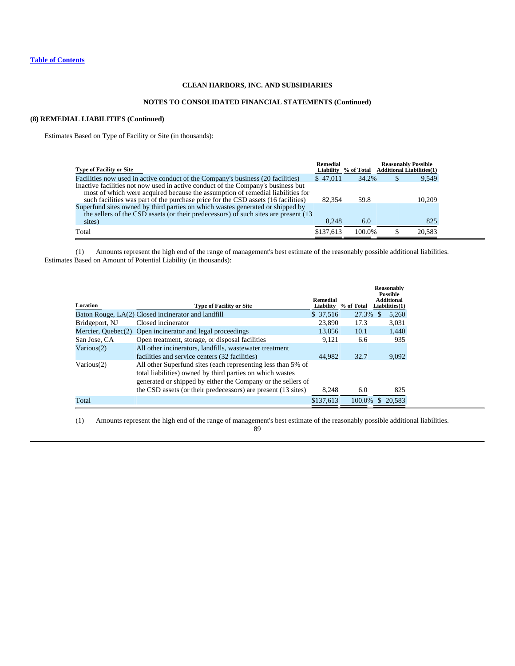# **NOTES TO CONSOLIDATED FINANCIAL STATEMENTS (Continued)**

# **(8) REMEDIAL LIABILITIES (Continued)**

Estimates Based on Type of Facility or Site (in thousands):

| <b>Type of Facility or Site</b>                                                                                                                                                                                                                                                                                                                                                                                                   | Remedial<br>Liability | % of Total | <b>Reasonably Possible</b><br><b>Additional Liabilities(1)</b> |        |
|-----------------------------------------------------------------------------------------------------------------------------------------------------------------------------------------------------------------------------------------------------------------------------------------------------------------------------------------------------------------------------------------------------------------------------------|-----------------------|------------|----------------------------------------------------------------|--------|
| Facilities now used in active conduct of the Company's business (20 facilities)                                                                                                                                                                                                                                                                                                                                                   | \$47.011              | 34.2%      |                                                                | 9.549  |
| Inactive facilities not now used in active conduct of the Company's business but<br>most of which were acquired because the assumption of remedial liabilities for<br>such facilities was part of the purchase price for the CSD assets (16 facilities)<br>Superfund sites owned by third parties on which wastes generated or shipped by<br>the sellers of the CSD assets (or their predecessors) of such sites are present (13) | 82.354                | 59.8       |                                                                | 10.209 |
| sites)                                                                                                                                                                                                                                                                                                                                                                                                                            | 8.248                 | 6.0        |                                                                | 825    |
| Total                                                                                                                                                                                                                                                                                                                                                                                                                             | \$137.613             | 100.0%     |                                                                | 20.583 |

(1) Amounts represent the high end of the range of management's best estimate of the reasonably possible additional liabilities. Estimates Based on Amount of Potential Liability (in thousands):

|                    |                                                               |                       |            | <b>Reasonably</b><br><b>Possible</b> |
|--------------------|---------------------------------------------------------------|-----------------------|------------|--------------------------------------|
| Location           | <b>Type of Facility or Site</b>                               | Remedial<br>Liability | % of Total | <b>Additional</b><br>Liabilities(1)  |
|                    | Baton Rouge, LA(2) Closed incinerator and landfill            | \$37.516              | 27.3%      | 5,260<br>S                           |
| Bridgeport, NJ     | Closed incinerator                                            | 23,890                | 17.3       | 3,031                                |
| Mercier, Ouebec(2) | Open incinerator and legal proceedings                        | 13.856                | 10.1       | 1,440                                |
| San Jose, CA       | Open treatment, storage, or disposal facilities               | 9.121                 | 6.6        | 935                                  |
| Various(2)         | All other incinerators, landfills, was tewater treatment      |                       |            |                                      |
|                    | facilities and service centers (32 facilities)                | 44,982                | 32.7       | 9,092                                |
| Various(2)         | All other Superfund sites (each representing less than 5% of  |                       |            |                                      |
|                    | total liabilities) owned by third parties on which wastes     |                       |            |                                      |
|                    | generated or shipped by either the Company or the sellers of  |                       |            |                                      |
|                    | the CSD assets (or their predecessors) are present (13 sites) | 8,248                 | 6.0        | 825                                  |
| Total              |                                                               | \$137,613             | 100.0%     | 20.583                               |

(1) Amounts represent the high end of the range of management's best estimate of the reasonably possible additional liabilities.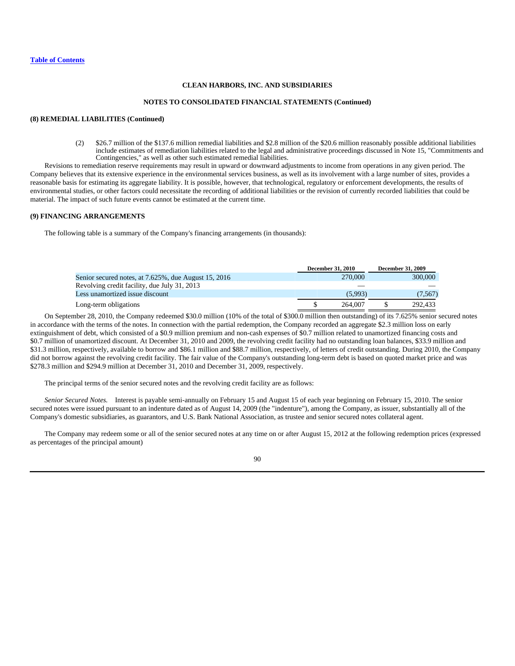# **NOTES TO CONSOLIDATED FINANCIAL STATEMENTS (Continued)**

### **(8) REMEDIAL LIABILITIES (Continued)**

\$26.7 million of the \$137.6 million remedial liabilities and \$2.8 million of the \$20.6 million reasonably possible additional liabilities include estimates of remediation liabilities related to the legal and administrative proceedings discussed in Note 15, "Commitments and Contingencies," as well as other such estimated remedial liabilities. (2)

 Revisions to remediation reserve requirements may result in upward or downward adjustments to income from operations in any given period. The Company believes that its extensive experience in the environmental services business, as well as its involvement with a large number of sites, provides a reasonable basis for estimating its aggregate liability. It is possible, however, that technological, regulatory or enforcement developments, the results of environmental studies, or other factors could necessitate the recording of additional liabilities or the revision of currently recorded liabilities that could be material. The impact of such future events cannot be estimated at the current time.

# **(9) FINANCING ARRANGEMENTS**

The following table is a summary of the Company's financing arrangements (in thousands):

|                                                      | <b>December 31, 2010</b> | <b>December 31, 2009</b> |
|------------------------------------------------------|--------------------------|--------------------------|
| Senior secured notes, at 7.625%, due August 15, 2016 | 270,000                  | 300,000                  |
| Revolving credit facility, due July 31, 2013         |                          |                          |
| Less unamortized issue discount                      | (5.993)                  | (7.567)                  |
| Long-term obligations                                | 264.007                  | 292.433                  |

On September 28, 2010, the Company redeemed \$30.0 million (10% of the total of \$300.0 million then outstanding) of its 7.625% senior secured notes in accordance with the terms of the notes. In connection with the partial redemption, the Company recorded an aggregate \$2.3 million loss on early extinguishment of debt, which consisted of a \$0.9 million premium and non-cash expenses of \$0.7 million related to unamortized financing costs and \$0.7 million of unamortized discount. At December 31, 2010 and 2009, the revolving credit facility had no outstanding loan balances, \$33.9 million and \$31.3 million, respectively, available to borrow and \$86.1 million and \$88.7 million, respectively, of letters of credit outstanding. During 2010, the Company did not borrow against the revolving credit facility. The fair value of the Company's outstanding long-term debt is based on quoted market price and was \$278.3 million and \$294.9 million at December 31, 2010 and December 31, 2009, respectively.

The principal terms of the senior secured notes and the revolving credit facility are as follows:

 *Senior Secured Notes.* Interest is payable semi-annually on February 15 and August 15 of each year beginning on February 15, 2010. The senior secured notes were issued pursuant to an indenture dated as of August 14, 2009 (the "indenture"), among the Company, as issuer, substantially all of the Company's domestic subsidiaries, as guarantors, and U.S. Bank National Association, as trustee and senior secured notes collateral agent.

 The Company may redeem some or all of the senior secured notes at any time on or after August 15, 2012 at the following redemption prices (expressed as percentages of the principal amount)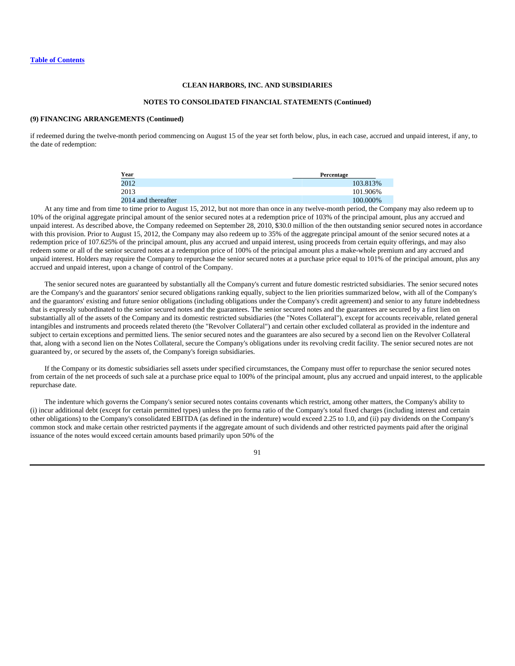# **NOTES TO CONSOLIDATED FINANCIAL STATEMENTS (Continued)**

#### **(9) FINANCING ARRANGEMENTS (Continued)**

if redeemed during the twelve-month period commencing on August 15 of the year set forth below, plus, in each case, accrued and unpaid interest, if any, to the date of redemption:

| Year<br><u>and the second part of the second part of the second part of the second part of the second part of the second part of the second part of the second part of the second part of the second part of the second part of the seco</u> | Percentage |
|----------------------------------------------------------------------------------------------------------------------------------------------------------------------------------------------------------------------------------------------|------------|
| 2012                                                                                                                                                                                                                                         | 103.813%   |
| 2013                                                                                                                                                                                                                                         | 101.906%   |
| 2014 and thereafter                                                                                                                                                                                                                          | 100.000%   |

 At any time and from time to time prior to August 15, 2012, but not more than once in any twelve-month period, the Company may also redeem up to 10% of the original aggregate principal amount of the senior secured notes at a redemption price of 103% of the principal amount, plus any accrued and unpaid interest. As described above, the Company redeemed on September 28, 2010, \$30.0 million of the then outstanding senior secured notes in accordance with this provision. Prior to August 15, 2012, the Company may also redeem up to 35% of the aggregate principal amount of the senior secured notes at a redemption price of 107.625% of the principal amount, plus any accrued and unpaid interest, using proceeds from certain equity offerings, and may also redeem some or all of the senior secured notes at a redemption price of 100% of the principal amount plus a make-whole premium and any accrued and unpaid interest. Holders may require the Company to repurchase the senior secured notes at a purchase price equal to 101% of the principal amount, plus any accrued and unpaid interest, upon a change of control of the Company.

 The senior secured notes are guaranteed by substantially all the Company's current and future domestic restricted subsidiaries. The senior secured notes are the Company's and the guarantors' senior secured obligations ranking equally, subject to the lien priorities summarized below, with all of the Company's and the guarantors' existing and future senior obligations (including obligations under the Company's credit agreement) and senior to any future indebtedness that is expressly subordinated to the senior secured notes and the guarantees. The senior secured notes and the guarantees are secured by a first lien on substantially all of the assets of the Company and its domestic restricted subsidiaries (the "Notes Collateral"), except for accounts receivable, related general intangibles and instruments and proceeds related thereto (the "Revolver Collateral") and certain other excluded collateral as provided in the indenture and subject to certain exceptions and permitted liens. The senior secured notes and the guarantees are also secured by a second lien on the Revolver Collateral that, along with a second lien on the Notes Collateral, secure the Company's obligations under its revolving credit facility. The senior secured notes are not guaranteed by, or secured by the assets of, the Company's foreign subsidiaries.

 If the Company or its domestic subsidiaries sell assets under specified circumstances, the Company must offer to repurchase the senior secured notes from certain of the net proceeds of such sale at a purchase price equal to 100% of the principal amount, plus any accrued and unpaid interest, to the applicable repurchase date.

 The indenture which governs the Company's senior secured notes contains covenants which restrict, among other matters, the Company's ability to (i) incur additional debt (except for certain permitted types) unless the pro forma ratio of the Company's total fixed charges (including interest and certain other obligations) to the Company's consolidated EBITDA (as defined in the indenture) would exceed 2.25 to 1.0, and (ii) pay dividends on the Company's common stock and make certain other restricted payments if the aggregate amount of such dividends and other restricted payments paid after the original issuance of the notes would exceed certain amounts based primarily upon 50% of the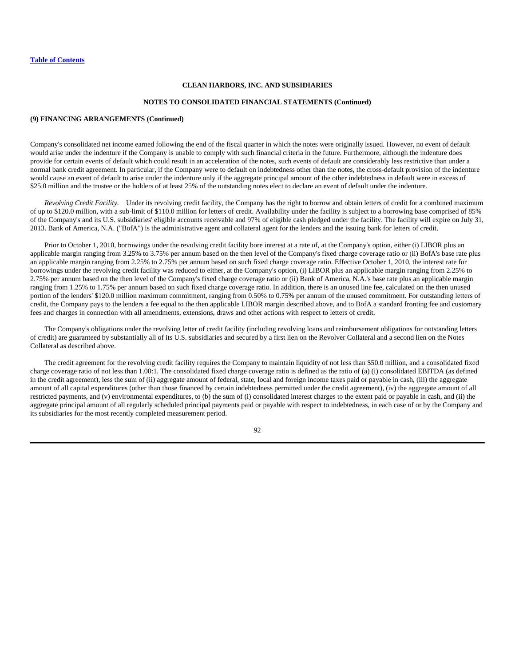# **NOTES TO CONSOLIDATED FINANCIAL STATEMENTS (Continued)**

#### **(9) FINANCING ARRANGEMENTS (Continued)**

Company's consolidated net income earned following the end of the fiscal quarter in which the notes were originally issued. However, no event of default would arise under the indenture if the Company is unable to comply with such financial criteria in the future. Furthermore, although the indenture does provide for certain events of default which could result in an acceleration of the notes, such events of default are considerably less restrictive than under a normal bank credit agreement. In particular, if the Company were to default on indebtedness other than the notes, the cross-default provision of the indenture would cause an event of default to arise under the indenture only if the aggregate principal amount of the other indebtedness in default were in excess of \$25.0 million and the trustee or the holders of at least 25% of the outstanding notes elect to declare an event of default under the indenture.

 *Revolving Credit Facility.* Under its revolving credit facility, the Company has the right to borrow and obtain letters of credit for a combined maximum of up to \$120.0 million, with a sub-limit of \$110.0 million for letters of credit. Availability under the facility is subject to a borrowing base comprised of 85% of the Company's and its U.S. subsidiaries' eligible accounts receivable and 97% of eligible cash pledged under the facility. The facility will expire on July 31, 2013. Bank of America, N.A. ("BofA") is the administrative agent and collateral agent for the lenders and the issuing bank for letters of credit.

 Prior to October 1, 2010, borrowings under the revolving credit facility bore interest at a rate of, at the Company's option, either (i) LIBOR plus an applicable margin ranging from 3.25% to 3.75% per annum based on the then level of the Company's fixed charge coverage ratio or (ii) BofA's base rate plus an applicable margin ranging from 2.25% to 2.75% per annum based on such fixed charge coverage ratio. Effective October 1, 2010, the interest rate for borrowings under the revolving credit facility was reduced to either, at the Company's option, (i) LIBOR plus an applicable margin ranging from 2.25% to 2.75% per annum based on the then level of the Company's fixed charge coverage ratio or (ii) Bank of America, N.A.'s base rate plus an applicable margin ranging from 1.25% to 1.75% per annum based on such fixed charge coverage ratio. In addition, there is an unused line fee, calculated on the then unused portion of the lenders' \$120.0 million maximum commitment, ranging from 0.50% to 0.75% per annum of the unused commitment. For outstanding letters of credit, the Company pays to the lenders a fee equal to the then applicable LIBOR margin described above, and to BofA a standard fronting fee and customary fees and charges in connection with all amendments, extensions, draws and other actions with respect to letters of credit.

 The Company's obligations under the revolving letter of credit facility (including revolving loans and reimbursement obligations for outstanding letters of credit) are guaranteed by substantially all of its U.S. subsidiaries and secured by a first lien on the Revolver Collateral and a second lien on the Notes Collateral as described above.

 The credit agreement for the revolving credit facility requires the Company to maintain liquidity of not less than \$50.0 million, and a consolidated fixed charge coverage ratio of not less than 1.00:1. The consolidated fixed charge coverage ratio is defined as the ratio of (a) (i) consolidated EBITDA (as defined in the credit agreement), less the sum of (ii) aggregate amount of federal, state, local and foreign income taxes paid or payable in cash, (iii) the aggregate amount of all capital expenditures (other than those financed by certain indebtedness permitted under the credit agreement), (iv) the aggregate amount of all restricted payments, and (v) environmental expenditures, to (b) the sum of (i) consolidated interest charges to the extent paid or payable in cash, and (ii) the aggregate principal amount of all regularly scheduled principal payments paid or payable with respect to indebtedness, in each case of or by the Company and its subsidiaries for the most recently completed measurement period.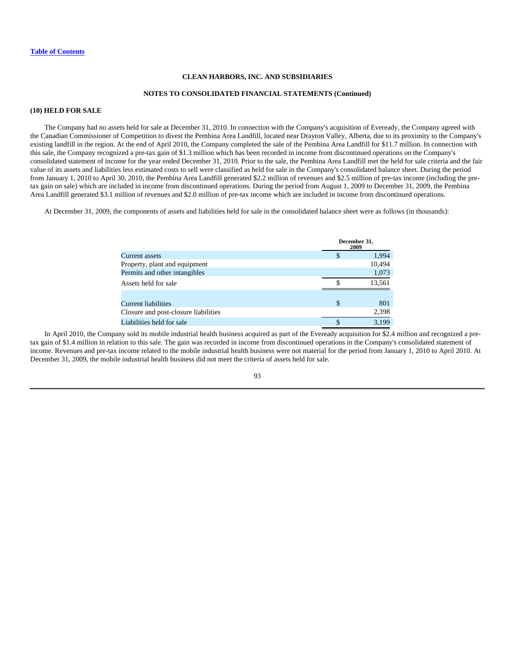# **NOTES TO CONSOLIDATED FINANCIAL STATEMENTS (Continued)**

# **(10) HELD FOR SALE**

 The Company had no assets held for sale at December 31, 2010. In connection with the Company's acquisition of Eveready, the Company agreed with the Canadian Commissioner of Competition to divest the Pembina Area Landfill, located near Drayton Valley, Alberta, due to its proximity to the Company's existing landfill in the region. At the end of April 2010, the Company completed the sale of the Pembina Area Landfill for \$11.7 million. In connection with this sale, the Company recognized a pre-tax gain of \$1.3 million which has been recorded in income from discontinued operations on the Company's consolidated statement of income for the year ended December 31, 2010. Prior to the sale, the Pembina Area Landfill met the held for sale criteria and the fair value of its assets and liabilities less estimated costs to sell were classified as held for sale in the Company's consolidated balance sheet. During the period from January 1, 2010 to April 30, 2010, the Pembina Area Landfill generated \$2.2 million of revenues and \$2.5 million of pre-tax income (including the pretax gain on sale) which are included in income from discontinued operations. During the period from August 1, 2009 to December 31, 2009, the Pembina Area Landfill generated \$3.1 million of revenues and \$2.0 million of pre-tax income which are included in income from discontinued operations.

At December 31, 2009, the components of assets and liabilities held for sale in the consolidated balance sheet were as follows (in thousands):

|                                      | December 31,<br>2009 |        |
|--------------------------------------|----------------------|--------|
| Current assets                       |                      | 1.994  |
| Property, plant and equipment        |                      | 10,494 |
| Permits and other intangibles        |                      | 1,073  |
| Assets held for sale                 |                      | 13,561 |
|                                      |                      |        |
| Current liabilities                  |                      | 801    |
| Closure and post-closure liabilities |                      | 2,398  |
| Liabilities held for sale            |                      | 3.199  |

 In April 2010, the Company sold its mobile industrial health business acquired as part of the Eveready acquisition for \$2.4 million and recognized a pretax gain of \$1.4 million in relation to this sale. The gain was recorded in income from discontinued operations in the Company's consolidated statement of income. Revenues and pre-tax income related to the mobile industrial health business were not material for the period from January 1, 2010 to April 2010. At December 31, 2009, the mobile industrial health business did not meet the criteria of assets held for sale.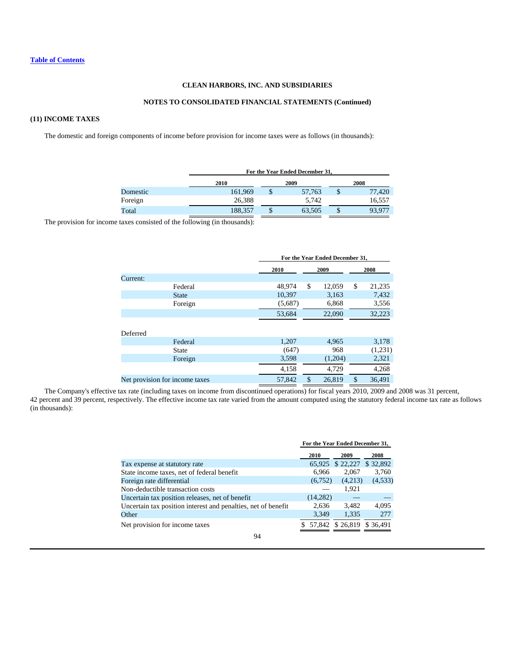# **NOTES TO CONSOLIDATED FINANCIAL STATEMENTS (Continued)**

# **(11) INCOME TAXES**

The domestic and foreign components of income before provision for income taxes were as follows (in thousands):

|          | For the Year Ended December 31, |     |        |    |        |  |
|----------|---------------------------------|-----|--------|----|--------|--|
|          | 2010                            |     | 2009   |    | 2008   |  |
| Domestic | 161,969                         | \$. | 57,763 | \$ | 77,420 |  |
| Foreign  | 26,388                          |     | 5.742  |    | 16,557 |  |
| Total    | 188.357                         | ۰D  | 63,505 | S  | 93,977 |  |
|          |                                 |     |        |    |        |  |

The provision for income taxes consisted of the following (in thousands):

|                                | For the Year Ended December 31, |    |         |    |         |  |
|--------------------------------|---------------------------------|----|---------|----|---------|--|
|                                | 2009<br>2010                    |    | 2008    |    |         |  |
| Current:                       |                                 |    |         |    |         |  |
| Federal                        | 48,974                          | \$ | 12,059  | \$ | 21,235  |  |
| <b>State</b>                   | 10.397                          |    | 3,163   |    | 7,432   |  |
| Foreign                        | (5,687)                         |    | 6,868   |    | 3,556   |  |
|                                | 53,684                          |    | 22,090  |    | 32,223  |  |
|                                |                                 |    |         |    |         |  |
| Deferred                       |                                 |    |         |    |         |  |
| Federal                        | 1.207                           |    | 4,965   |    | 3,178   |  |
| State                          | (647)                           |    | 968     |    | (1,231) |  |
| Foreign                        | 3,598                           |    | (1,204) |    | 2,321   |  |
|                                | 4,158                           |    | 4.729   |    | 4,268   |  |
| Net provision for income taxes | 57.842                          | \$ | 26,819  | \$ | 36.491  |  |

The Company's effective tax rate (including taxes on income from discontinued operations) for fiscal years 2010, 2009 and 2008 was 31 percent, 42 percent and 39 percent, respectively. The effective income tax rate varied from the amount computed using the statutory federal income tax rate as follows (in thousands):

|                                                               | For the Year Ended December 31, |          |           |  |
|---------------------------------------------------------------|---------------------------------|----------|-----------|--|
|                                                               | 2010                            | 2009     | 2008      |  |
| Tax expense at statutory rate                                 | 65.925                          | \$22,227 | \$32,892  |  |
| State income taxes, net of federal benefit                    | 6.966                           | 2.067    | 3,760     |  |
| Foreign rate differential                                     | (6, 752)                        | (4,213)  | (4,533)   |  |
| Non-deductible transaction costs                              |                                 | 1,921    |           |  |
| Uncertain tax position releases, net of benefit               | (14,282)                        |          |           |  |
| Uncertain tax position interest and penalties, net of benefit | 2.636                           | 3.482    | 4.095     |  |
| Other                                                         | 3.349                           | 1,335    | 277       |  |
| Net provision for income taxes                                | \$ 57,842                       | \$26,819 | \$ 36,491 |  |
| $\Omega$                                                      |                                 |          |           |  |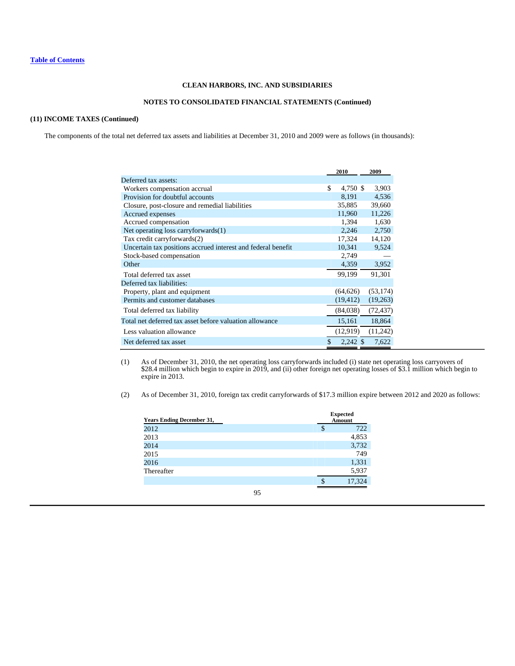# **NOTES TO CONSOLIDATED FINANCIAL STATEMENTS (Continued)**

# **(11) INCOME TAXES (Continued)**

The components of the total net deferred tax assets and liabilities at December 31, 2010 and 2009 were as follows (in thousands):

|                                                              | 2010           | 2009      |
|--------------------------------------------------------------|----------------|-----------|
| Deferred tax assets:                                         |                |           |
| Workers compensation accrual                                 | \$<br>4,750 \$ | 3,903     |
| Provision for doubtful accounts                              | 8,191          | 4,536     |
| Closure, post-closure and remedial liabilities               | 35,885         | 39,660    |
| Accrued expenses                                             | 11,960         | 11,226    |
| Accrued compensation                                         | 1,394          | 1,630     |
| Net operating loss carryforwards $(1)$                       | 2,246          | 2,750     |
| Tax credit carryforwards(2)                                  | 17,324         | 14,120    |
| Uncertain tax positions accrued interest and federal benefit | 10,341         | 9,524     |
| Stock-based compensation                                     | 2,749          |           |
| Other                                                        | 4,359          | 3,952     |
| Total deferred tax asset                                     | 99,199         | 91,301    |
| Deferred tax liabilities:                                    |                |           |
| Property, plant and equipment                                | (64, 626)      | (53, 174) |
| Permits and customer databases                               | (19, 412)      | (19,263)  |
| Total deferred tax liability                                 | (84,038)       | (72, 437) |
| Total net deferred tax asset before valuation allowance      | 15,161         | 18,864    |
| Less valuation allowance                                     | (12,919)       | (11,242)  |
| Net deferred tax asset                                       | 2,242 \$       | 7,622     |

As of December 31, 2010, the net operating loss carryforwards included (i) state net operating loss carryovers of \$28.4 million which begin to expire in 2019, and (ii) other foreign net operating losses of \$3.1 million which begin to expire in 2013. (1)

As of December 31, 2010, foreign tax credit carryforwards of \$17.3 million expire between 2012 and 2020 as follows: (2)

| <b>Years Ending December 31,</b> |  | <b>Expected</b><br><b>Amount</b> |        |  |  |
|----------------------------------|--|----------------------------------|--------|--|--|
| 2012                             |  | S                                | 722    |  |  |
| 2013                             |  |                                  | 4,853  |  |  |
| 2014                             |  |                                  | 3,732  |  |  |
| 2015                             |  |                                  | 749    |  |  |
| 2016                             |  |                                  | 1,331  |  |  |
| Thereafter                       |  |                                  | 5,937  |  |  |
|                                  |  |                                  | 17,324 |  |  |
| 95                               |  |                                  |        |  |  |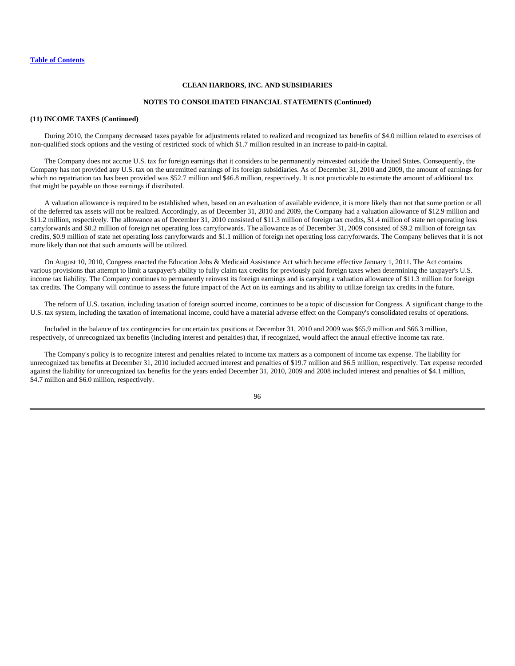# **NOTES TO CONSOLIDATED FINANCIAL STATEMENTS (Continued)**

# **(11) INCOME TAXES (Continued)**

 During 2010, the Company decreased taxes payable for adjustments related to realized and recognized tax benefits of \$4.0 million related to exercises of non-qualified stock options and the vesting of restricted stock of which \$1.7 million resulted in an increase to paid-in capital.

 The Company does not accrue U.S. tax for foreign earnings that it considers to be permanently reinvested outside the United States. Consequently, the Company has not provided any U.S. tax on the unremitted earnings of its foreign subsidiaries. As of December 31, 2010 and 2009, the amount of earnings for which no repatriation tax has been provided was \$52.7 million and \$46.8 million, respectively. It is not practicable to estimate the amount of additional tax that might be payable on those earnings if distributed.

 A valuation allowance is required to be established when, based on an evaluation of available evidence, it is more likely than not that some portion or all of the deferred tax assets will not be realized. Accordingly, as of December 31, 2010 and 2009, the Company had a valuation allowance of \$12.9 million and \$11.2 million, respectively. The allowance as of December 31, 2010 consisted of \$11.3 million of foreign tax credits, \$1.4 million of state net operating loss carryforwards and \$0.2 million of foreign net operating loss carryforwards. The allowance as of December 31, 2009 consisted of \$9.2 million of foreign tax credits, \$0.9 million of state net operating loss carryforwards and \$1.1 million of foreign net operating loss carryforwards. The Company believes that it is not more likely than not that such amounts will be utilized.

 On August 10, 2010, Congress enacted the Education Jobs & Medicaid Assistance Act which became effective January 1, 2011. The Act contains various provisions that attempt to limit a taxpayer's ability to fully claim tax credits for previously paid foreign taxes when determining the taxpayer's U.S. income tax liability. The Company continues to permanently reinvest its foreign earnings and is carrying a valuation allowance of \$11.3 million for foreign tax credits. The Company will continue to assess the future impact of the Act on its earnings and its ability to utilize foreign tax credits in the future.

 The reform of U.S. taxation, including taxation of foreign sourced income, continues to be a topic of discussion for Congress. A significant change to the U.S. tax system, including the taxation of international income, could have a material adverse effect on the Company's consolidated results of operations.

 Included in the balance of tax contingencies for uncertain tax positions at December 31, 2010 and 2009 was \$65.9 million and \$66.3 million, respectively, of unrecognized tax benefits (including interest and penalties) that, if recognized, would affect the annual effective income tax rate.

 The Company's policy is to recognize interest and penalties related to income tax matters as a component of income tax expense. The liability for unrecognized tax benefits at December 31, 2010 included accrued interest and penalties of \$19.7 million and \$6.5 million, respectively. Tax expense recorded against the liability for unrecognized tax benefits for the years ended December 31, 2010, 2009 and 2008 included interest and penalties of \$4.1 million, \$4.7 million and \$6.0 million, respectively.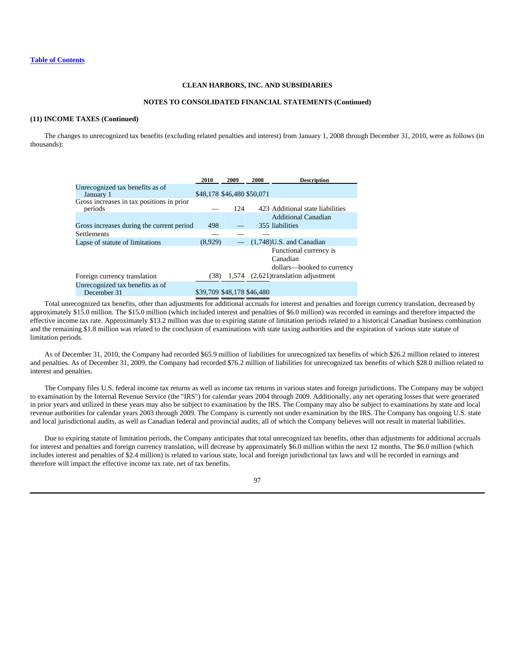# **NOTES TO CONSOLIDATED FINANCIAL STATEMENTS (Continued)**

# **(11) INCOME TAXES (Continued)**

 The changes to unrecognized tax benefits (excluding related penalties and interest) from January 1, 2008 through December 31, 2010, were as follows (in thousands):

|                                                      | 2010    | 2009                       | 2008                       | <b>Description</b>                                               |
|------------------------------------------------------|---------|----------------------------|----------------------------|------------------------------------------------------------------|
| Unrecognized tax benefits as of<br>January 1         |         | \$48,178 \$46,480 \$50,071 |                            |                                                                  |
| Gross increases in tax positions in prior<br>periods |         | 124                        |                            | 423 Additional state liabilities                                 |
|                                                      |         |                            |                            | Additional Canadian                                              |
| Gross increases during the current period            | 498     |                            |                            | 355 liabilities                                                  |
| <b>Settlements</b>                                   |         |                            |                            |                                                                  |
| Lapse of statute of limitations                      | (8,929) |                            |                            | $(1,748)$ U.S. and Canadian                                      |
|                                                      |         |                            |                            | Functional currency is<br>Canadian<br>dollars—booked to currency |
| Foreign currency translation                         | (38)    | 1.574                      |                            | $(2,621)$ translation adjustment                                 |
| Unrecognized tax benefits as of<br>December 31       |         |                            | \$39,709 \$48,178 \$46,480 |                                                                  |

 Total unrecognized tax benefits, other than adjustments for additional accruals for interest and penalties and foreign currency translation, decreased by approximately \$15.0 million. The \$15.0 million (which included interest and penalties of \$6.0 million) was recorded in earnings and therefore impacted the effective income tax rate. Approximately \$13.2 million was due to expiring statute of limitation periods related to a historical Canadian business combination and the remaining \$1.8 million was related to the conclusion of examinations with state taxing authorities and the expiration of various state statute of limitation periods.

 As of December 31, 2010, the Company had recorded \$65.9 million of liabilities for unrecognized tax benefits of which \$26.2 million related to interest and penalties. As of December 31, 2009, the Company had recorded \$76.2 million of liabilities for unrecognized tax benefits of which \$28.0 million related to interest and penalties.

 The Company files U.S. federal income tax returns as well as income tax returns in various states and foreign jurisdictions. The Company may be subject to examination by the Internal Revenue Service (the "IRS") for calendar years 2004 through 2009. Additionally, any net operating losses that were generated in prior years and utilized in these years may also be subject to examination by the IRS. The Company may also be subject to examinations by state and local revenue authorities for calendar years 2003 through 2009. The Company is currently not under examination by the IRS. The Company has ongoing U.S. state and local jurisdictional audits, as well as Canadian federal and provincial audits, all of which the Company believes will not result in material liabilities.

 Due to expiring statute of limitation periods, the Company anticipates that total unrecognized tax benefits, other than adjustments for additional accruals for interest and penalties and foreign currency translation, will decrease by approximately \$6.0 million within the next 12 months. The \$6.0 million (which includes interest and penalties of \$2.4 million) is related to various state, local and foreign jurisdictional tax laws and will be recorded in earnings and therefore will impact the effective income tax rate, net of tax benefits.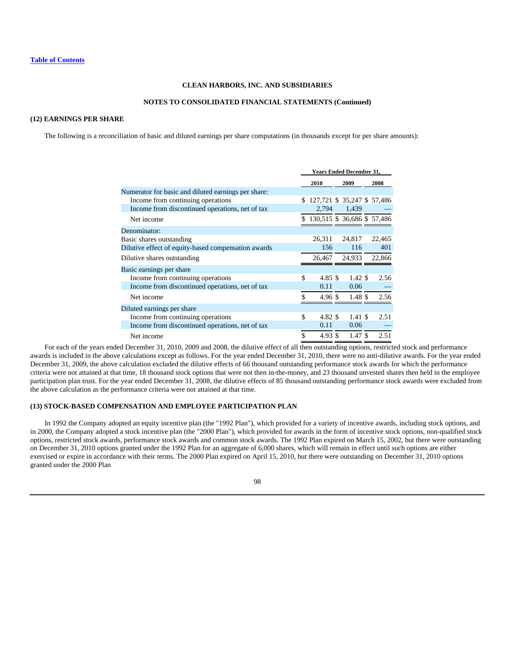# **NOTES TO CONSOLIDATED FINANCIAL STATEMENTS (Continued)**

# **(12) EARNINGS PER SHARE**

The following is a reconciliation of basic and diluted earnings per share computations (in thousands except for per share amounts):

|                                                     | <b>Years Ended December 31,</b> |                             |  |         |  |        |
|-----------------------------------------------------|---------------------------------|-----------------------------|--|---------|--|--------|
|                                                     |                                 | <b>2010</b>                 |  | 2009    |  | 2008   |
| Numerator for basic and diluted earnings per share: |                                 |                             |  |         |  |        |
| Income from continuing operations                   |                                 | 127,721 \$ 35,247 \$ 57,486 |  |         |  |        |
| Income from discontinued operations, net of tax     |                                 | 2,794                       |  | 1,439   |  |        |
| Net income                                          |                                 | \$130,515 \$36,686 \$57,486 |  |         |  |        |
| Denominator:                                        |                                 |                             |  |         |  |        |
| Basic shares outstanding                            |                                 | 26.311                      |  | 24,817  |  | 22,465 |
| Dilutive effect of equity-based compensation awards |                                 | 156                         |  | 116     |  | 401    |
| Dilutive shares outstanding                         |                                 | 26,467                      |  | 24,933  |  | 22,866 |
| Basic earnings per share                            |                                 |                             |  |         |  |        |
| Income from continuing operations                   | \$                              | $4.85~\text{\AA}$           |  | 1.42 \$ |  | 2.56   |
| Income from discontinued operations, net of tax     |                                 | 0.11                        |  | 0.06    |  |        |
| Net income                                          | \$                              | $4.96 \text{ s}$            |  | 1.48 \$ |  | 2.56   |
| Diluted earnings per share                          |                                 |                             |  |         |  |        |
| Income from continuing operations                   | \$                              | 4.82 \$                     |  | 1.41S   |  | 2.51   |
| Income from discontinued operations, net of tax     |                                 | 0.11                        |  | 0.06    |  |        |
| Net income                                          | \$                              | $4.93 \text{ s}$            |  | 1.47S   |  | 2.51   |

 For each of the years ended December 31, 2010, 2009 and 2008, the dilutive effect of all then outstanding options, restricted stock and performance awards is included in the above calculations except as follows. For the year ended December 31, 2010, there were no anti-dilutive awards. For the year ended December 31, 2009, the above calculation excluded the dilutive effects of 66 thousand outstanding performance stock awards for which the performance criteria were not attained at that time, 18 thousand stock options that were not then in-the-money, and 23 thousand unvested shares then held in the employee participation plan trust. For the year ended December 31, 2008, the dilutive effects of 85 thousand outstanding performance stock awards were excluded from the above calculation as the performance criteria were not attained at that time.

# **(13) STOCK-BASED COMPENSATION AND EMPLOYEE PARTICIPATION PLAN**

 In 1992 the Company adopted an equity incentive plan (the "1992 Plan"), which provided for a variety of incentive awards, including stock options, and in 2000, the Company adopted a stock incentive plan (the "2000 Plan"), which provided for awards in the form of incentive stock options, non-qualified stock options, restricted stock awards, performance stock awards and common stock awards. The 1992 Plan expired on March 15, 2002, but there were outstanding on December 31, 2010 options granted under the 1992 Plan for an aggregate of 6,000 shares, which will remain in effect until such options are either exercised or expire in accordance with their terms. The 2000 Plan expired on April 15, 2010, but there were outstanding on December 31, 2010 options granted under the 2000 Plan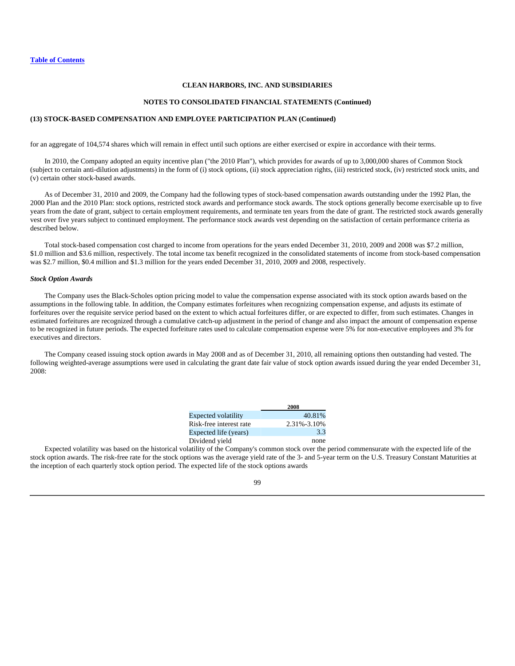# **NOTES TO CONSOLIDATED FINANCIAL STATEMENTS (Continued)**

## **(13) STOCK-BASED COMPENSATION AND EMPLOYEE PARTICIPATION PLAN (Continued)**

for an aggregate of 104,574 shares which will remain in effect until such options are either exercised or expire in accordance with their terms.

 In 2010, the Company adopted an equity incentive plan ("the 2010 Plan"), which provides for awards of up to 3,000,000 shares of Common Stock (subject to certain anti-dilution adjustments) in the form of (i) stock options, (ii) stock appreciation rights, (iii) restricted stock, (iv) restricted stock units, and (v) certain other stock-based awards.

 As of December 31, 2010 and 2009, the Company had the following types of stock-based compensation awards outstanding under the 1992 Plan, the 2000 Plan and the 2010 Plan: stock options, restricted stock awards and performance stock awards. The stock options generally become exercisable up to five years from the date of grant, subject to certain employment requirements, and terminate ten years from the date of grant. The restricted stock awards generally vest over five years subject to continued employment. The performance stock awards vest depending on the satisfaction of certain performance criteria as described below.

 Total stock-based compensation cost charged to income from operations for the years ended December 31, 2010, 2009 and 2008 was \$7.2 million, \$1.0 million and \$3.6 million, respectively. The total income tax benefit recognized in the consolidated statements of income from stock-based compensation was \$2.7 million, \$0.4 million and \$1.3 million for the years ended December 31, 2010, 2009 and 2008, respectively.

#### *Stock Option Awards*

 The Company uses the Black-Scholes option pricing model to value the compensation expense associated with its stock option awards based on the assumptions in the following table. In addition, the Company estimates forfeitures when recognizing compensation expense, and adjusts its estimate of forfeitures over the requisite service period based on the extent to which actual forfeitures differ, or are expected to differ, from such estimates. Changes in estimated forfeitures are recognized through a cumulative catch-up adjustment in the period of change and also impact the amount of compensation expense to be recognized in future periods. The expected forfeiture rates used to calculate compensation expense were 5% for non-executive employees and 3% for executives and directors.

 The Company ceased issuing stock option awards in May 2008 and as of December 31, 2010, all remaining options then outstanding had vested. The following weighted-average assumptions were used in calculating the grant date fair value of stock option awards issued during the year ended December 31, 2008:

|                         | 2008        |
|-------------------------|-------------|
| Expected volatility     | 40.81%      |
| Risk-free interest rate | 2.31%-3.10% |
| Expected life (years)   | 3.3         |
| Dividend yield          | none        |
|                         |             |

 Expected volatility was based on the historical volatility of the Company's common stock over the period commensurate with the expected life of the stock option awards. The risk-free rate for the stock options was the average yield rate of the 3- and 5-year term on the U.S. Treasury Constant Maturities at the inception of each quarterly stock option period. The expected life of the stock options awards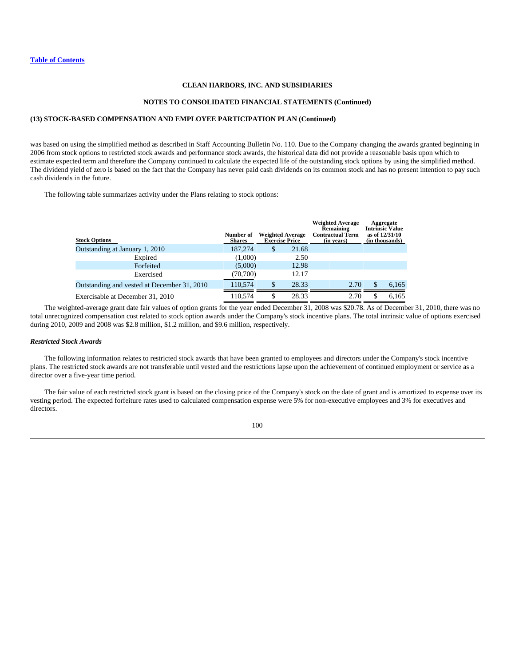# **NOTES TO CONSOLIDATED FINANCIAL STATEMENTS (Continued)**

# **(13) STOCK-BASED COMPENSATION AND EMPLOYEE PARTICIPATION PLAN (Continued)**

was based on using the simplified method as described in Staff Accounting Bulletin No. 110. Due to the Company changing the awards granted beginning in 2006 from stock options to restricted stock awards and performance stock awards, the historical data did not provide a reasonable basis upon which to estimate expected term and therefore the Company continued to calculate the expected life of the outstanding stock options by using the simplified method. The dividend yield of zero is based on the fact that the Company has never paid cash dividends on its common stock and has no present intention to pay such cash dividends in the future.

The following table summarizes activity under the Plans relating to stock options:

| <b>Stock Options</b>                        | Number of<br><b>Shares</b> |    | <b>Weighted Average</b><br><b>Exercise Price</b> | <b>Weighted Average</b><br><b>Remaining</b><br><b>Contractual Term</b><br>(in years) |     | Aggregate<br><b>Intrinsic Value</b><br>as of 12/31/10<br>(in thousands) |
|---------------------------------------------|----------------------------|----|--------------------------------------------------|--------------------------------------------------------------------------------------|-----|-------------------------------------------------------------------------|
| Outstanding at January 1, 2010              | 187,274                    | \$ | 21.68                                            |                                                                                      |     |                                                                         |
| Expired                                     | (1,000)                    |    | 2.50                                             |                                                                                      |     |                                                                         |
| Forfeited                                   | (5,000)                    |    | 12.98                                            |                                                                                      |     |                                                                         |
| Exercised                                   | (70, 700)                  |    | 12.17                                            |                                                                                      |     |                                                                         |
| Outstanding and vested at December 31, 2010 | 110,574                    | \$ | 28.33                                            | 2.70                                                                                 | \$. | 6,165                                                                   |
| Exercisable at December 31, 2010            | 110.574                    | S  | 28.33                                            | 2.70                                                                                 |     | 6.165                                                                   |

 The weighted-average grant date fair values of option grants for the year ended December 31, 2008 was \$20.78. As of December 31, 2010, there was no total unrecognized compensation cost related to stock option awards under the Company's stock incentive plans. The total intrinsic value of options exercised during 2010, 2009 and 2008 was \$2.8 million, \$1.2 million, and \$9.6 million, respectively.

#### *Restricted Stock Awards*

 The following information relates to restricted stock awards that have been granted to employees and directors under the Company's stock incentive plans. The restricted stock awards are not transferable until vested and the restrictions lapse upon the achievement of continued employment or service as a director over a five-year time period.

 The fair value of each restricted stock grant is based on the closing price of the Company's stock on the date of grant and is amortized to expense over its vesting period. The expected forfeiture rates used to calculated compensation expense were 5% for non-executive employees and 3% for executives and directors.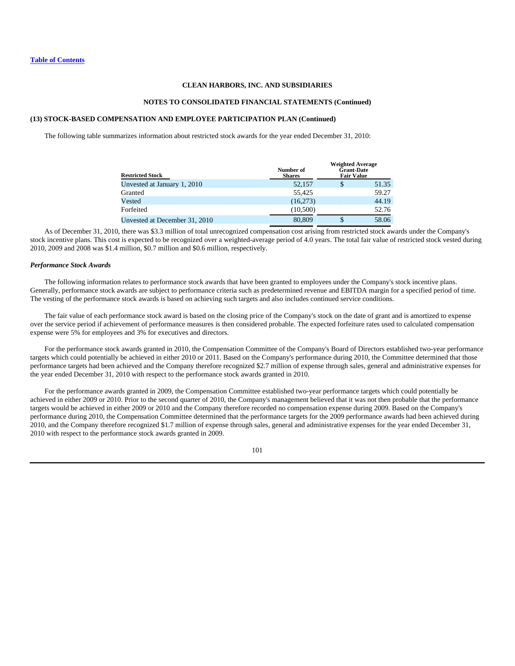# **NOTES TO CONSOLIDATED FINANCIAL STATEMENTS (Continued)**

# **(13) STOCK-BASED COMPENSATION AND EMPLOYEE PARTICIPATION PLAN (Continued)**

The following table summarizes information about restricted stock awards for the year ended December 31, 2010:

| <b>Restricted Stock</b>       | Number of<br><b>Shares</b> | <b>Weighted Average</b><br><b>Grant-Date</b><br><b>Fair Value</b> |       |
|-------------------------------|----------------------------|-------------------------------------------------------------------|-------|
| Unvested at January 1, 2010   | 52,157                     |                                                                   | 51.35 |
| Granted                       | 55.425                     |                                                                   | 59.27 |
| Vested                        | (16,273)                   |                                                                   | 44.19 |
| Forfeited                     | (10,500)                   |                                                                   | 52.76 |
| Unvested at December 31, 2010 | 80.809                     |                                                                   | 58.06 |

 As of December 31, 2010, there was \$3.3 million of total unrecognized compensation cost arising from restricted stock awards under the Company's stock incentive plans. This cost is expected to be recognized over a weighted-average period of 4.0 years. The total fair value of restricted stock vested during 2010, 2009 and 2008 was \$1.4 million, \$0.7 million and \$0.6 million, respectively.

#### *Performance Stock Awards*

 The following information relates to performance stock awards that have been granted to employees under the Company's stock incentive plans. Generally, performance stock awards are subject to performance criteria such as predetermined revenue and EBITDA margin for a specified period of time. The vesting of the performance stock awards is based on achieving such targets and also includes continued service conditions.

 The fair value of each performance stock award is based on the closing price of the Company's stock on the date of grant and is amortized to expense over the service period if achievement of performance measures is then considered probable. The expected forfeiture rates used to calculated compensation expense were 5% for employees and 3% for executives and directors.

 For the performance stock awards granted in 2010, the Compensation Committee of the Company's Board of Directors established two-year performance targets which could potentially be achieved in either 2010 or 2011. Based on the Company's performance during 2010, the Committee determined that those performance targets had been achieved and the Company therefore recognized \$2.7 million of expense through sales, general and administrative expenses for the year ended December 31, 2010 with respect to the performance stock awards granted in 2010.

 For the performance awards granted in 2009, the Compensation Committee established two-year performance targets which could potentially be achieved in either 2009 or 2010. Prior to the second quarter of 2010, the Company's management believed that it was not then probable that the performance targets would be achieved in either 2009 or 2010 and the Company therefore recorded no compensation expense during 2009. Based on the Company's performance during 2010, the Compensation Committee determined that the performance targets for the 2009 performance awards had been achieved during 2010, and the Company therefore recognized \$1.7 million of expense through sales, general and administrative expenses for the year ended December 31, 2010 with respect to the performance stock awards granted in 2009.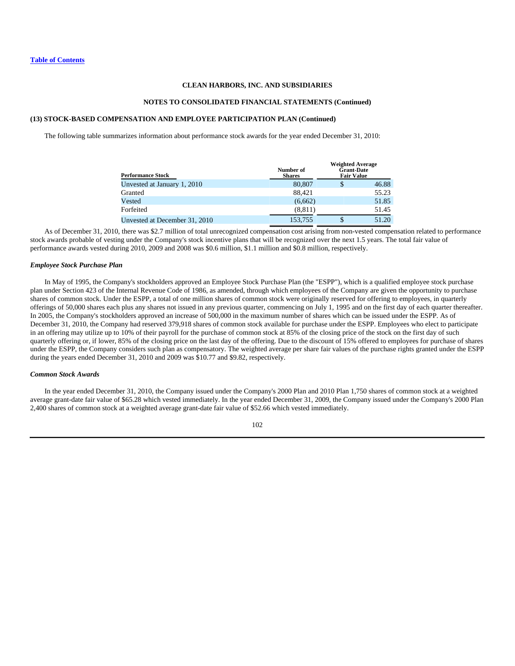# **NOTES TO CONSOLIDATED FINANCIAL STATEMENTS (Continued)**

## **(13) STOCK-BASED COMPENSATION AND EMPLOYEE PARTICIPATION PLAN (Continued)**

The following table summarizes information about performance stock awards for the year ended December 31, 2010:

| <b>Performance Stock</b>      | Number of<br><b>Shares</b> | <b>Weighted Average</b><br><b>Grant-Date</b><br><b>Fair Value</b> |       |
|-------------------------------|----------------------------|-------------------------------------------------------------------|-------|
| Unvested at January 1, 2010   | 80,807                     |                                                                   | 46.88 |
| Granted                       | 88.421                     |                                                                   | 55.23 |
| Vested                        | (6,662)                    |                                                                   | 51.85 |
| Forfeited                     | (8, 811)                   |                                                                   | 51.45 |
| Unvested at December 31, 2010 | 153,755                    |                                                                   | 51.20 |

 As of December 31, 2010, there was \$2.7 million of total unrecognized compensation cost arising from non-vested compensation related to performance stock awards probable of vesting under the Company's stock incentive plans that will be recognized over the next 1.5 years. The total fair value of performance awards vested during 2010, 2009 and 2008 was \$0.6 million, \$1.1 million and \$0.8 million, respectively.

### *Employee Stock Purchase Plan*

 In May of 1995, the Company's stockholders approved an Employee Stock Purchase Plan (the "ESPP"), which is a qualified employee stock purchase plan under Section 423 of the Internal Revenue Code of 1986, as amended, through which employees of the Company are given the opportunity to purchase shares of common stock. Under the ESPP, a total of one million shares of common stock were originally reserved for offering to employees, in quarterly offerings of 50,000 shares each plus any shares not issued in any previous quarter, commencing on July 1, 1995 and on the first day of each quarter thereafter. In 2005, the Company's stockholders approved an increase of 500,000 in the maximum number of shares which can be issued under the ESPP. As of December 31, 2010, the Company had reserved 379,918 shares of common stock available for purchase under the ESPP. Employees who elect to participate in an offering may utilize up to 10% of their payroll for the purchase of common stock at 85% of the closing price of the stock on the first day of such quarterly offering or, if lower, 85% of the closing price on the last day of the offering. Due to the discount of 15% offered to employees for purchase of shares under the ESPP, the Company considers such plan as compensatory. The weighted average per share fair values of the purchase rights granted under the ESPP during the years ended December 31, 2010 and 2009 was \$10.77 and \$9.82, respectively.

#### *Common Stock Awards*

 In the year ended December 31, 2010, the Company issued under the Company's 2000 Plan and 2010 Plan 1,750 shares of common stock at a weighted average grant-date fair value of \$65.28 which vested immediately. In the year ended December 31, 2009, the Company issued under the Company's 2000 Plan 2,400 shares of common stock at a weighted average grant-date fair value of \$52.66 which vested immediately.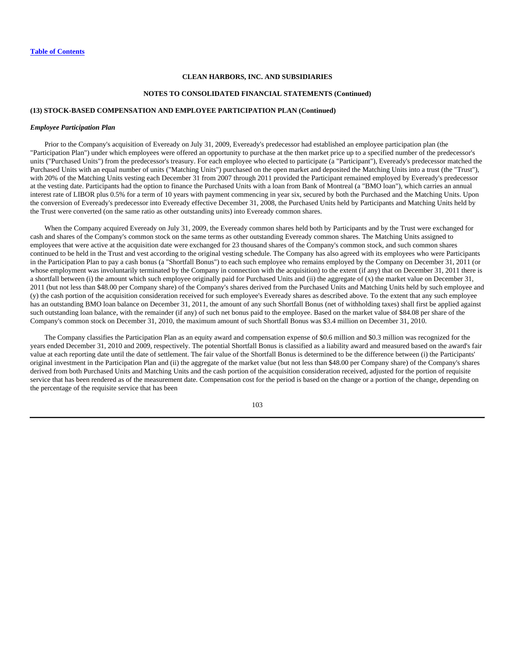# **NOTES TO CONSOLIDATED FINANCIAL STATEMENTS (Continued)**

# **(13) STOCK-BASED COMPENSATION AND EMPLOYEE PARTICIPATION PLAN (Continued)**

#### *Employee Participation Plan*

 Prior to the Company's acquisition of Eveready on July 31, 2009, Eveready's predecessor had established an employee participation plan (the "Participation Plan") under which employees were offered an opportunity to purchase at the then market price up to a specified number of the predecessor's units ("Purchased Units") from the predecessor's treasury. For each employee who elected to participate (a "Participant"), Eveready's predecessor matched the Purchased Units with an equal number of units ("Matching Units") purchased on the open market and deposited the Matching Units into a trust (the "Trust"), with 20% of the Matching Units vesting each December 31 from 2007 through 2011 provided the Participant remained employed by Eveready's predecessor at the vesting date. Participants had the option to finance the Purchased Units with a loan from Bank of Montreal (a "BMO loan"), which carries an annual interest rate of LIBOR plus 0.5% for a term of 10 years with payment commencing in year six, secured by both the Purchased and the Matching Units. Upon the conversion of Eveready's predecessor into Eveready effective December 31, 2008, the Purchased Units held by Participants and Matching Units held by the Trust were converted (on the same ratio as other outstanding units) into Eveready common shares.

 When the Company acquired Eveready on July 31, 2009, the Eveready common shares held both by Participants and by the Trust were exchanged for cash and shares of the Company's common stock on the same terms as other outstanding Eveready common shares. The Matching Units assigned to employees that were active at the acquisition date were exchanged for 23 thousand shares of the Company's common stock, and such common shares continued to be held in the Trust and vest according to the original vesting schedule. The Company has also agreed with its employees who were Participants in the Participation Plan to pay a cash bonus (a "Shortfall Bonus") to each such employee who remains employed by the Company on December 31, 2011 (or whose employment was involuntarily terminated by the Company in connection with the acquisition) to the extent (if any) that on December 31, 2011 there is a shortfall between (i) the amount which such employee originally paid for Purchased Units and (ii) the aggregate of (x) the market value on December 31, 2011 (but not less than \$48.00 per Company share) of the Company's shares derived from the Purchased Units and Matching Units held by such employee and (y) the cash portion of the acquisition consideration received for such employee's Eveready shares as described above. To the extent that any such employee has an outstanding BMO loan balance on December 31, 2011, the amount of any such Shortfall Bonus (net of withholding taxes) shall first be applied against such outstanding loan balance, with the remainder (if any) of such net bonus paid to the employee. Based on the market value of \$84.08 per share of the Company's common stock on December 31, 2010, the maximum amount of such Shortfall Bonus was \$3.4 million on December 31, 2010.

 The Company classifies the Participation Plan as an equity award and compensation expense of \$0.6 million and \$0.3 million was recognized for the years ended December 31, 2010 and 2009, respectively. The potential Shortfall Bonus is classified as a liability award and measured based on the award's fair value at each reporting date until the date of settlement. The fair value of the Shortfall Bonus is determined to be the difference between (i) the Participants' original investment in the Participation Plan and (ii) the aggregate of the market value (but not less than \$48.00 per Company share) of the Company's shares derived from both Purchased Units and Matching Units and the cash portion of the acquisition consideration received, adjusted for the portion of requisite service that has been rendered as of the measurement date. Compensation cost for the period is based on the change or a portion of the change, depending on the percentage of the requisite service that has been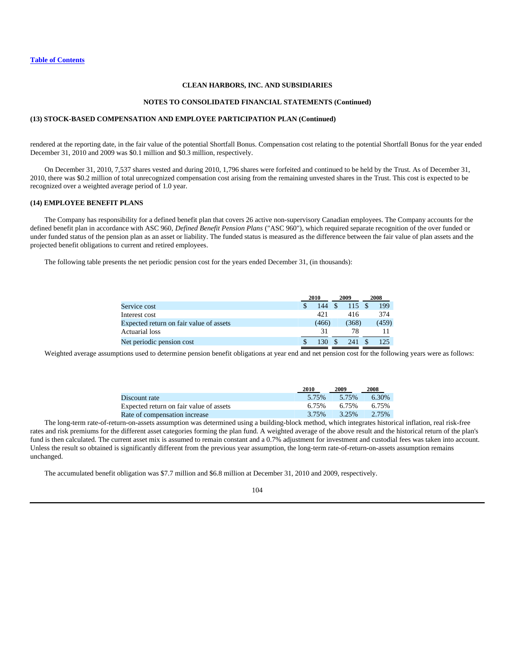# **NOTES TO CONSOLIDATED FINANCIAL STATEMENTS (Continued)**

# **(13) STOCK-BASED COMPENSATION AND EMPLOYEE PARTICIPATION PLAN (Continued)**

rendered at the reporting date, in the fair value of the potential Shortfall Bonus. Compensation cost relating to the potential Shortfall Bonus for the year ended December 31, 2010 and 2009 was \$0.1 million and \$0.3 million, respectively.

 On December 31, 2010, 7,537 shares vested and during 2010, 1,796 shares were forfeited and continued to be held by the Trust. As of December 31, 2010, there was \$0.2 million of total unrecognized compensation cost arising from the remaining unvested shares in the Trust. This cost is expected to be recognized over a weighted average period of 1.0 year.

# **(14) EMPLOYEE BENEFIT PLANS**

 The Company has responsibility for a defined benefit plan that covers 26 active non-supervisory Canadian employees. The Company accounts for the defined benefit plan in accordance with ASC 960, *Defined Benefit Pension Plans* ("ASC 960"), which required separate recognition of the over funded or under funded status of the pension plan as an asset or liability. The funded status is measured as the difference between the fair value of plan assets and the projected benefit obligations to current and retired employees.

The following table presents the net periodic pension cost for the years ended December 31, (in thousands):

|                                         | 2010  | 2009  | 2008  |
|-----------------------------------------|-------|-------|-------|
| Service cost                            | 144   | 115   | 199   |
| Interest cost                           | 421   | 416   | 374   |
| Expected return on fair value of assets | (466) | (368) | (459) |
| Actuarial loss                          |       | 78    |       |
| Net periodic pension cost               |       |       |       |

Weighted average assumptions used to determine pension benefit obligations at year end and net pension cost for the following years were as follows:

|                                         | 2010  | 2009     | 2008  |
|-----------------------------------------|-------|----------|-------|
| Discount rate                           | 5.75% | $5.75\%$ | 6.30% |
| Expected return on fair value of assets | 6.75% | 6.75%    | 6.75% |
| Rate of compensation increase           | 3.75% | 3.25%    | 2.75% |

 The long-term rate-of-return-on-assets assumption was determined using a building-block method, which integrates historical inflation, real risk-free rates and risk premiums for the different asset categories forming the plan fund. A weighted average of the above result and the historical return of the plan's fund is then calculated. The current asset mix is assumed to remain constant and a 0.7% adjustment for investment and custodial fees was taken into account. Unless the result so obtained is significantly different from the previous year assumption, the long-term rate-of-return-on-assets assumption remains unchanged.

The accumulated benefit obligation was \$7.7 million and \$6.8 million at December 31, 2010 and 2009, respectively.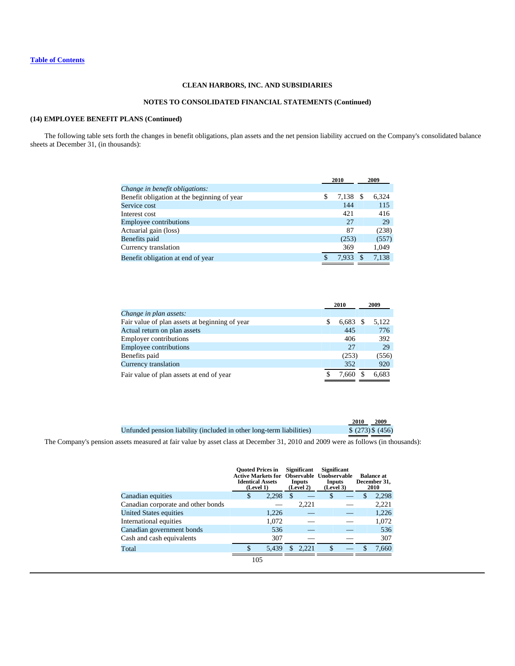### **NOTES TO CONSOLIDATED FINANCIAL STATEMENTS (Continued)**

# **(14) EMPLOYEE BENEFIT PLANS (Continued)**

 The following table sets forth the changes in benefit obligations, plan assets and the net pension liability accrued on the Company's consolidated balance sheets at December 31, (in thousands):

|                                             |               | 2010     |    | 2009  |
|---------------------------------------------|---------------|----------|----|-------|
| Change in benefit obligations:              |               |          |    |       |
| Benefit obligation at the beginning of year | S             | 7,138 \$ |    | 6,324 |
| Service cost                                |               | 144      |    | 115   |
| Interest cost                               |               | 421      |    | 416   |
| <b>Employee contributions</b>               |               | 27       |    | 29    |
| Actuarial gain (loss)                       |               | 87       |    | (238) |
| Benefits paid                               |               | (253)    |    | (557) |
| Currency translation                        |               | 369      |    | 1,049 |
| Benefit obligation at end of year           | <sup>\$</sup> | 7.933    | -S | 7.138 |

|                                                | 2010  |    | 2009  |
|------------------------------------------------|-------|----|-------|
| Change in plan assets:                         |       |    |       |
| Fair value of plan assets at beginning of year | 6,683 | -S | 5,122 |
| Actual return on plan assets                   | 445   |    | 776   |
| <b>Employer contributions</b>                  | 406   |    | 392   |
| <b>Employee contributions</b>                  | 27    |    | 29    |
| Benefits paid                                  | (253) |    | (556) |
| Currency translation                           | 352   |    | 920   |
| Fair value of plan assets at end of year       | 7.660 |    | 6.683 |

|                                                                      | 2009<br>2010        |
|----------------------------------------------------------------------|---------------------|
| Unfunded pension liability (included in other long-term liabilities) | $$ (273)$ $$ (456)$ |

The Company's pension assets measured at fair value by asset class at December 31, 2010 and 2009 were as follows (in thousands):

|                                    | <b>Ouoted Prices in</b><br><b>Identical Assets</b><br>(Level 1) |       | <b>Significant</b><br><b>Significant</b><br><b>Active Markets for Observable Unobservable</b><br>Inputs<br>Inputs<br>(Level 2)<br>(Level 3) |       | <b>Balance at</b><br>December 31,<br><b>2010</b> |    |       |
|------------------------------------|-----------------------------------------------------------------|-------|---------------------------------------------------------------------------------------------------------------------------------------------|-------|--------------------------------------------------|----|-------|
| Canadian equities                  | \$                                                              | 2.298 | \$.                                                                                                                                         |       | \$                                               | S  | 2,298 |
| Canadian corporate and other bonds |                                                                 |       |                                                                                                                                             | 2,221 |                                                  |    | 2,221 |
| United States equities             |                                                                 | 1,226 |                                                                                                                                             |       |                                                  |    | 1,226 |
| International equities             |                                                                 | 1.072 |                                                                                                                                             |       |                                                  |    | 1,072 |
| Canadian government bonds          |                                                                 | 536   |                                                                                                                                             |       |                                                  |    | 536   |
| Cash and cash equivalents          |                                                                 | 307   |                                                                                                                                             |       |                                                  |    | 307   |
| Total                              | \$                                                              | 5.439 |                                                                                                                                             | 2.221 | \$                                               | S. | 7,660 |
|                                    | 105                                                             |       |                                                                                                                                             |       |                                                  |    |       |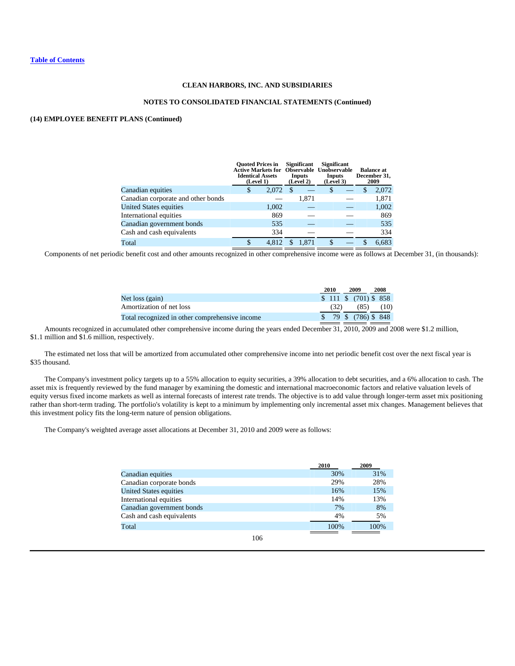### **NOTES TO CONSOLIDATED FINANCIAL STATEMENTS (Continued)**

### **(14) EMPLOYEE BENEFIT PLANS (Continued)**

|                                    | <b>Ouoted Prices in</b><br><b>Identical Assets</b><br>(Level 1) |       | <b>Significant</b><br><b>Significant</b><br><b>Active Markets for Observable Unobservable</b><br>Inputs<br>Inputs<br>(Level 2)<br>(Level 3) |       |   | <b>Balance at</b><br>December 31,<br>2009 |       |
|------------------------------------|-----------------------------------------------------------------|-------|---------------------------------------------------------------------------------------------------------------------------------------------|-------|---|-------------------------------------------|-------|
| Canadian equities                  | \$                                                              | 2,072 | <sup>\$</sup>                                                                                                                               |       | S |                                           | 2,072 |
| Canadian corporate and other bonds |                                                                 |       |                                                                                                                                             | 1,871 |   |                                           | 1,871 |
| United States equities             |                                                                 | 1,002 |                                                                                                                                             |       |   |                                           | 1,002 |
| International equities             |                                                                 | 869   |                                                                                                                                             |       |   |                                           | 869   |
| Canadian government bonds          |                                                                 | 535   |                                                                                                                                             |       |   |                                           | 535   |
| Cash and cash equivalents          |                                                                 | 334   |                                                                                                                                             |       |   |                                           | 334   |
| Total                              |                                                                 | 4.812 |                                                                                                                                             | 1.871 |   |                                           | 6.683 |

Components of net periodic benefit cost and other amounts recognized in other comprehensive income were as follows at December 31, (in thousands):

|                                                | 2010 | 2009                                 | 2008 |
|------------------------------------------------|------|--------------------------------------|------|
| Net loss (gain)                                |      | \$111 \$ (701) \$858                 |      |
| Amortization of net loss                       | (32) | (85)                                 | (10) |
| Total recognized in other comprehensive income |      | $$79 \text{ } $ (786) \text{ } $848$ |      |

Amounts recognized in accumulated other comprehensive income during the years ended December 31, 2010, 2009 and 2008 were \$1.2 million, \$1.1 million and \$1.6 million, respectively.

 The estimated net loss that will be amortized from accumulated other comprehensive income into net periodic benefit cost over the next fiscal year is \$35 thousand.

 The Company's investment policy targets up to a 55% allocation to equity securities, a 39% allocation to debt securities, and a 6% allocation to cash. The asset mix is frequently reviewed by the fund manager by examining the domestic and international macroeconomic factors and relative valuation levels of equity versus fixed income markets as well as internal forecasts of interest rate trends. The objective is to add value through longer-term asset mix positioning rather than short-term trading. The portfolio's volatility is kept to a minimum by implementing only incremental asset mix changes. Management believes that this investment policy fits the long-term nature of pension obligations.

The Company's weighted average asset allocations at December 31, 2010 and 2009 were as follows:

|                               | 2010 | 2009 |
|-------------------------------|------|------|
| Canadian equities             | 30%  | 31%  |
| Canadian corporate bonds      | 29%  | 28%  |
| <b>United States equities</b> | 16%  | 15%  |
| International equities        | 14%  | 13%  |
| Canadian government bonds     | 7%   | 8%   |
| Cash and cash equivalents     | 4%   | 5%   |
| Total                         | 100% | 100% |
| 10<                           |      |      |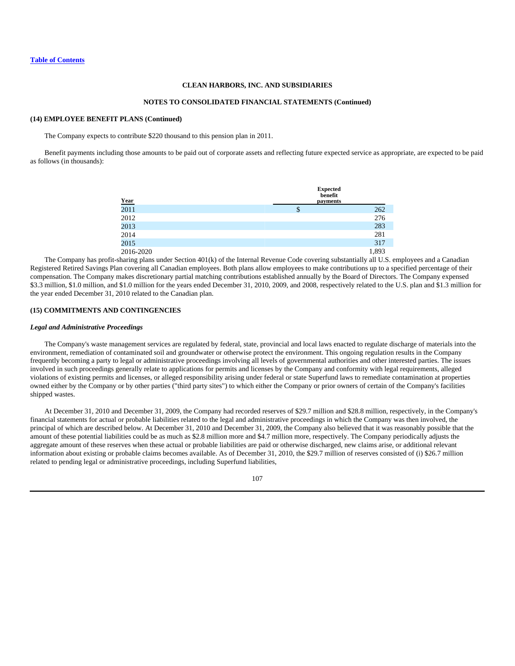### **NOTES TO CONSOLIDATED FINANCIAL STATEMENTS (Continued)**

#### **(14) EMPLOYEE BENEFIT PLANS (Continued)**

The Company expects to contribute \$220 thousand to this pension plan in 2011.

 Benefit payments including those amounts to be paid out of corporate assets and reflecting future expected service as appropriate, are expected to be paid as follows (in thousands):

|                            | Expected<br>benefit<br>payments |       |
|----------------------------|---------------------------------|-------|
| $\frac{\text{Year}}{2011}$ | Φ                               | 262   |
| 2012                       |                                 | 276   |
| 2013                       |                                 | 283   |
| 2014                       |                                 | 281   |
| 2015                       |                                 | 317   |
| 2016-2020                  |                                 | 1,893 |

 The Company has profit-sharing plans under Section 401(k) of the Internal Revenue Code covering substantially all U.S. employees and a Canadian Registered Retired Savings Plan covering all Canadian employees. Both plans allow employees to make contributions up to a specified percentage of their compensation. The Company makes discretionary partial matching contributions established annually by the Board of Directors. The Company expensed \$3.3 million, \$1.0 million, and \$1.0 million for the years ended December 31, 2010, 2009, and 2008, respectively related to the U.S. plan and \$1.3 million for the year ended December 31, 2010 related to the Canadian plan.

#### **(15) COMMITMENTS AND CONTINGENCIES**

#### *Legal and Administrative Proceedings*

 The Company's waste management services are regulated by federal, state, provincial and local laws enacted to regulate discharge of materials into the environment, remediation of contaminated soil and groundwater or otherwise protect the environment. This ongoing regulation results in the Company frequently becoming a party to legal or administrative proceedings involving all levels of governmental authorities and other interested parties. The issues involved in such proceedings generally relate to applications for permits and licenses by the Company and conformity with legal requirements, alleged violations of existing permits and licenses, or alleged responsibility arising under federal or state Superfund laws to remediate contamination at properties owned either by the Company or by other parties ("third party sites") to which either the Company or prior owners of certain of the Company's facilities shipped wastes.

 At December 31, 2010 and December 31, 2009, the Company had recorded reserves of \$29.7 million and \$28.8 million, respectively, in the Company's financial statements for actual or probable liabilities related to the legal and administrative proceedings in which the Company was then involved, the principal of which are described below. At December 31, 2010 and December 31, 2009, the Company also believed that it was reasonably possible that the amount of these potential liabilities could be as much as \$2.8 million more and \$4.7 million more, respectively. The Company periodically adjusts the aggregate amount of these reserves when these actual or probable liabilities are paid or otherwise discharged, new claims arise, or additional relevant information about existing or probable claims becomes available. As of December 31, 2010, the \$29.7 million of reserves consisted of (i) \$26.7 million related to pending legal or administrative proceedings, including Superfund liabilities,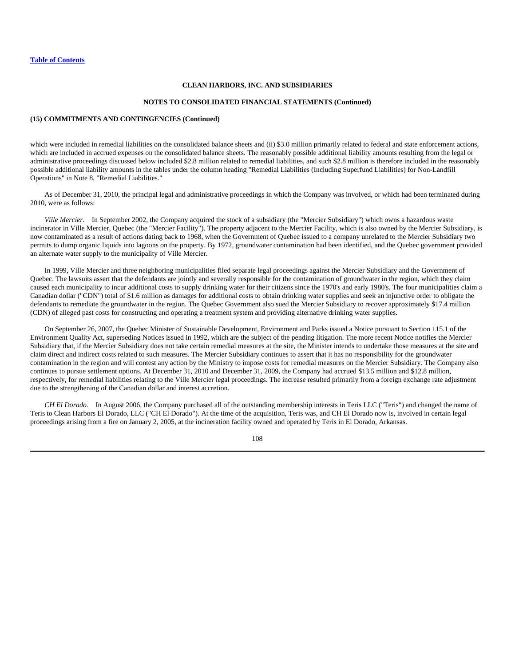### **NOTES TO CONSOLIDATED FINANCIAL STATEMENTS (Continued)**

#### **(15) COMMITMENTS AND CONTINGENCIES (Continued)**

which were included in remedial liabilities on the consolidated balance sheets and (ii) \$3.0 million primarily related to federal and state enforcement actions, which are included in accrued expenses on the consolidated balance sheets. The reasonably possible additional liability amounts resulting from the legal or administrative proceedings discussed below included \$2.8 million related to remedial liabilities, and such \$2.8 million is therefore included in the reasonably possible additional liability amounts in the tables under the column heading "Remedial Liabilities (Including Superfund Liabilities) for Non-Landfill Operations" in Note 8, "Remedial Liabilities."

 As of December 31, 2010, the principal legal and administrative proceedings in which the Company was involved, or which had been terminated during 2010, were as follows:

 *Ville Mercier.* In September 2002, the Company acquired the stock of a subsidiary (the "Mercier Subsidiary") which owns a hazardous waste incinerator in Ville Mercier, Quebec (the "Mercier Facility"). The property adjacent to the Mercier Facility, which is also owned by the Mercier Subsidiary, is now contaminated as a result of actions dating back to 1968, when the Government of Quebec issued to a company unrelated to the Mercier Subsidiary two permits to dump organic liquids into lagoons on the property. By 1972, groundwater contamination had been identified, and the Quebec government provided an alternate water supply to the municipality of Ville Mercier.

 In 1999, Ville Mercier and three neighboring municipalities filed separate legal proceedings against the Mercier Subsidiary and the Government of Quebec. The lawsuits assert that the defendants are jointly and severally responsible for the contamination of groundwater in the region, which they claim caused each municipality to incur additional costs to supply drinking water for their citizens since the 1970's and early 1980's. The four municipalities claim a Canadian dollar ("CDN") total of \$1.6 million as damages for additional costs to obtain drinking water supplies and seek an injunctive order to obligate the defendants to remediate the groundwater in the region. The Quebec Government also sued the Mercier Subsidiary to recover approximately \$17.4 million (CDN) of alleged past costs for constructing and operating a treatment system and providing alternative drinking water supplies.

 On September 26, 2007, the Quebec Minister of Sustainable Development, Environment and Parks issued a Notice pursuant to Section 115.1 of the Environment Quality Act, superseding Notices issued in 1992, which are the subject of the pending litigation. The more recent Notice notifies the Mercier Subsidiary that, if the Mercier Subsidiary does not take certain remedial measures at the site, the Minister intends to undertake those measures at the site and claim direct and indirect costs related to such measures. The Mercier Subsidiary continues to assert that it has no responsibility for the groundwater contamination in the region and will contest any action by the Ministry to impose costs for remedial measures on the Mercier Subsidiary. The Company also continues to pursue settlement options. At December 31, 2010 and December 31, 2009, the Company had accrued \$13.5 million and \$12.8 million, respectively, for remedial liabilities relating to the Ville Mercier legal proceedings. The increase resulted primarily from a foreign exchange rate adjustment due to the strengthening of the Canadian dollar and interest accretion.

 *CH El Dorado.* In August 2006, the Company purchased all of the outstanding membership interests in Teris LLC ("Teris") and changed the name of Teris to Clean Harbors El Dorado, LLC ("CH El Dorado"). At the time of the acquisition, Teris was, and CH El Dorado now is, involved in certain legal proceedings arising from a fire on January 2, 2005, at the incineration facility owned and operated by Teris in El Dorado, Arkansas.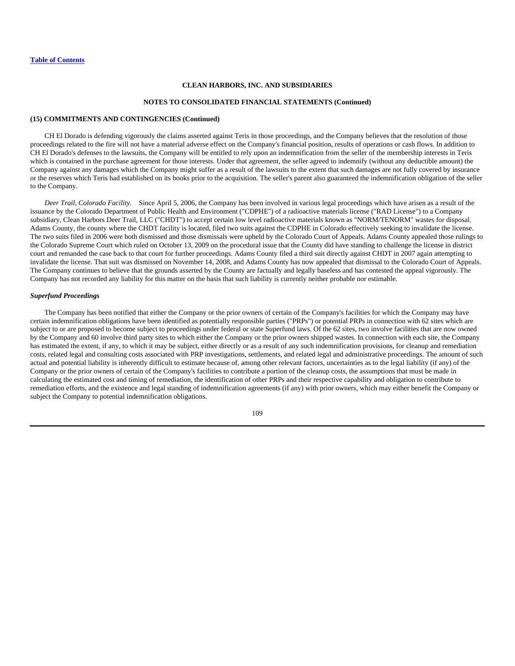### **NOTES TO CONSOLIDATED FINANCIAL STATEMENTS (Continued)**

### **(15) COMMITMENTS AND CONTINGENCIES (Continued)**

 CH El Dorado is defending vigorously the claims asserted against Teris in those proceedings, and the Company believes that the resolution of those proceedings related to the fire will not have a material adverse effect on the Company's financial position, results of operations or cash flows. In addition to CH El Dorado's defenses to the lawsuits, the Company will be entitled to rely upon an indemnification from the seller of the membership interests in Teris which is contained in the purchase agreement for those interests. Under that agreement, the seller agreed to indemnify (without any deductible amount) the Company against any damages which the Company might suffer as a result of the lawsuits to the extent that such damages are not fully covered by insurance or the reserves which Teris had established on its books prior to the acquisition. The seller's parent also guaranteed the indemnification obligation of the seller to the Company.

 *Deer Trail, Colorado Facility.* Since April 5, 2006, the Company has been involved in various legal proceedings which have arisen as a result of the issuance by the Colorado Department of Public Health and Environment ("CDPHE") of a radioactive materials license ("RAD License") to a Company subsidiary, Clean Harbors Deer Trail, LLC ("CHDT") to accept certain low level radioactive materials known as "NORM/TENORM" wastes for disposal. Adams County, the county where the CHDT facility is located, filed two suits against the CDPHE in Colorado effectively seeking to invalidate the license. The two suits filed in 2006 were both dismissed and those dismissals were upheld by the Colorado Court of Appeals. Adams County appealed those rulings to the Colorado Supreme Court which ruled on October 13, 2009 on the procedural issue that the County did have standing to challenge the license in district court and remanded the case back to that court for further proceedings. Adams County filed a third suit directly against CHDT in 2007 again attempting to invalidate the license. That suit was dismissed on November 14, 2008, and Adams County has now appealed that dismissal to the Colorado Court of Appeals. The Company continues to believe that the grounds asserted by the County are factually and legally baseless and has contested the appeal vigorously. The Company has not recorded any liability for this matter on the basis that such liability is currently neither probable nor estimable.

#### *Superfund Proceedings*

 The Company has been notified that either the Company or the prior owners of certain of the Company's facilities for which the Company may have certain indemnification obligations have been identified as potentially responsible parties ("PRPs") or potential PRPs in connection with 62 sites which are subject to or are proposed to become subject to proceedings under federal or state Superfund laws. Of the 62 sites, two involve facilities that are now owned by the Company and 60 involve third party sites to which either the Company or the prior owners shipped wastes. In connection with each site, the Company has estimated the extent, if any, to which it may be subject, either directly or as a result of any such indemnification provisions, for cleanup and remediation costs, related legal and consulting costs associated with PRP investigations, settlements, and related legal and administrative proceedings. The amount of such actual and potential liability is inherently difficult to estimate because of, among other relevant factors, uncertainties as to the legal liability (if any) of the Company or the prior owners of certain of the Company's facilities to contribute a portion of the cleanup costs, the assumptions that must be made in calculating the estimated cost and timing of remediation, the identification of other PRPs and their respective capability and obligation to contribute to remediation efforts, and the existence and legal standing of indemnification agreements (if any) with prior owners, which may either benefit the Company or subject the Company to potential indemnification obligations.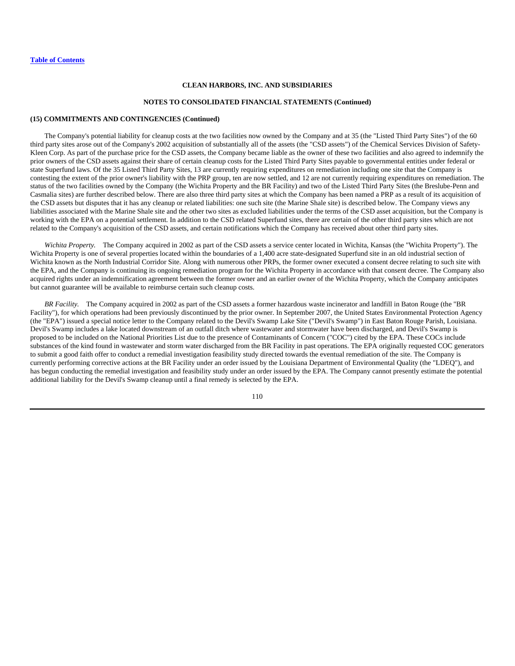### **NOTES TO CONSOLIDATED FINANCIAL STATEMENTS (Continued)**

### **(15) COMMITMENTS AND CONTINGENCIES (Continued)**

 The Company's potential liability for cleanup costs at the two facilities now owned by the Company and at 35 (the "Listed Third Party Sites") of the 60 third party sites arose out of the Company's 2002 acquisition of substantially all of the assets (the "CSD assets") of the Chemical Services Division of Safety-Kleen Corp. As part of the purchase price for the CSD assets, the Company became liable as the owner of these two facilities and also agreed to indemnify the prior owners of the CSD assets against their share of certain cleanup costs for the Listed Third Party Sites payable to governmental entities under federal or state Superfund laws. Of the 35 Listed Third Party Sites, 13 are currently requiring expenditures on remediation including one site that the Company is contesting the extent of the prior owner's liability with the PRP group, ten are now settled, and 12 are not currently requiring expenditures on remediation. The status of the two facilities owned by the Company (the Wichita Property and the BR Facility) and two of the Listed Third Party Sites (the Breslube-Penn and Casmalia sites) are further described below. There are also three third party sites at which the Company has been named a PRP as a result of its acquisition of the CSD assets but disputes that it has any cleanup or related liabilities: one such site (the Marine Shale site) is described below. The Company views any liabilities associated with the Marine Shale site and the other two sites as excluded liabilities under the terms of the CSD asset acquisition, but the Company is working with the EPA on a potential settlement. In addition to the CSD related Superfund sites, there are certain of the other third party sites which are not related to the Company's acquisition of the CSD assets, and certain notifications which the Company has received about other third party sites.

 *Wichita Property.* The Company acquired in 2002 as part of the CSD assets a service center located in Wichita, Kansas (the "Wichita Property"). The Wichita Property is one of several properties located within the boundaries of a 1,400 acre state-designated Superfund site in an old industrial section of Wichita known as the North Industrial Corridor Site. Along with numerous other PRPs, the former owner executed a consent decree relating to such site with the EPA, and the Company is continuing its ongoing remediation program for the Wichita Property in accordance with that consent decree. The Company also acquired rights under an indemnification agreement between the former owner and an earlier owner of the Wichita Property, which the Company anticipates but cannot guarantee will be available to reimburse certain such cleanup costs.

 *BR Facility.* The Company acquired in 2002 as part of the CSD assets a former hazardous waste incinerator and landfill in Baton Rouge (the "BR Facility"), for which operations had been previously discontinued by the prior owner. In September 2007, the United States Environmental Protection Agency (the "EPA") issued a special notice letter to the Company related to the Devil's Swamp Lake Site ("Devil's Swamp") in East Baton Rouge Parish, Louisiana. Devil's Swamp includes a lake located downstream of an outfall ditch where wastewater and stormwater have been discharged, and Devil's Swamp is proposed to be included on the National Priorities List due to the presence of Contaminants of Concern ("COC") cited by the EPA. These COCs include substances of the kind found in wastewater and storm water discharged from the BR Facility in past operations. The EPA originally requested COC generators to submit a good faith offer to conduct a remedial investigation feasibility study directed towards the eventual remediation of the site. The Company is currently performing corrective actions at the BR Facility under an order issued by the Louisiana Department of Environmental Quality (the "LDEQ"), and has begun conducting the remedial investigation and feasibility study under an order issued by the EPA. The Company cannot presently estimate the potential additional liability for the Devil's Swamp cleanup until a final remedy is selected by the EPA.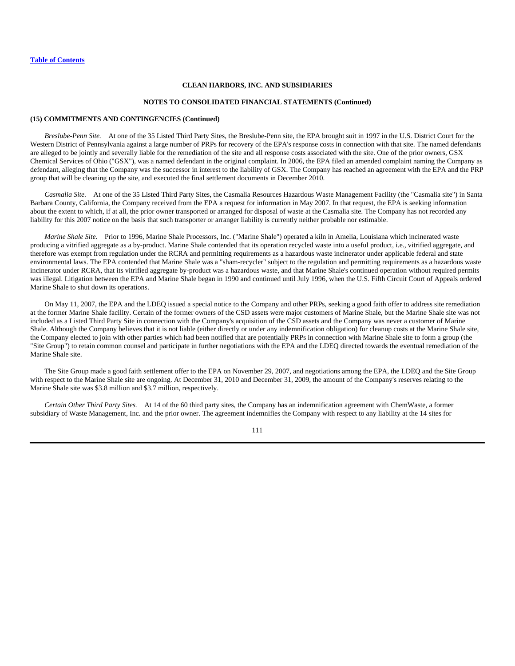### **NOTES TO CONSOLIDATED FINANCIAL STATEMENTS (Continued)**

### **(15) COMMITMENTS AND CONTINGENCIES (Continued)**

 *Breslube-Penn Site.* At one of the 35 Listed Third Party Sites, the Breslube-Penn site, the EPA brought suit in 1997 in the U.S. District Court for the Western District of Pennsylvania against a large number of PRPs for recovery of the EPA's response costs in connection with that site. The named defendants are alleged to be jointly and severally liable for the remediation of the site and all response costs associated with the site. One of the prior owners, GSX Chemical Services of Ohio ("GSX"), was a named defendant in the original complaint. In 2006, the EPA filed an amended complaint naming the Company as defendant, alleging that the Company was the successor in interest to the liability of GSX. The Company has reached an agreement with the EPA and the PRP group that will be cleaning up the site, and executed the final settlement documents in December 2010.

 *Casmalia Site.* At one of the 35 Listed Third Party Sites, the Casmalia Resources Hazardous Waste Management Facility (the "Casmalia site") in Santa Barbara County, California, the Company received from the EPA a request for information in May 2007. In that request, the EPA is seeking information about the extent to which, if at all, the prior owner transported or arranged for disposal of waste at the Casmalia site. The Company has not recorded any liability for this 2007 notice on the basis that such transporter or arranger liability is currently neither probable nor estimable.

 *Marine Shale Site.* Prior to 1996, Marine Shale Processors, Inc. ("Marine Shale") operated a kiln in Amelia, Louisiana which incinerated waste producing a vitrified aggregate as a by-product. Marine Shale contended that its operation recycled waste into a useful product, i.e., vitrified aggregate, and therefore was exempt from regulation under the RCRA and permitting requirements as a hazardous waste incinerator under applicable federal and state environmental laws. The EPA contended that Marine Shale was a "sham-recycler" subject to the regulation and permitting requirements as a hazardous waste incinerator under RCRA, that its vitrified aggregate by-product was a hazardous waste, and that Marine Shale's continued operation without required permits was illegal. Litigation between the EPA and Marine Shale began in 1990 and continued until July 1996, when the U.S. Fifth Circuit Court of Appeals ordered Marine Shale to shut down its operations.

 On May 11, 2007, the EPA and the LDEQ issued a special notice to the Company and other PRPs, seeking a good faith offer to address site remediation at the former Marine Shale facility. Certain of the former owners of the CSD assets were major customers of Marine Shale, but the Marine Shale site was not included as a Listed Third Party Site in connection with the Company's acquisition of the CSD assets and the Company was never a customer of Marine Shale. Although the Company believes that it is not liable (either directly or under any indemnification obligation) for cleanup costs at the Marine Shale site, the Company elected to join with other parties which had been notified that are potentially PRPs in connection with Marine Shale site to form a group (the "Site Group") to retain common counsel and participate in further negotiations with the EPA and the LDEQ directed towards the eventual remediation of the Marine Shale site.

 The Site Group made a good faith settlement offer to the EPA on November 29, 2007, and negotiations among the EPA, the LDEQ and the Site Group with respect to the Marine Shale site are ongoing. At December 31, 2010 and December 31, 2009, the amount of the Company's reserves relating to the Marine Shale site was \$3.8 million and \$3.7 million, respectively.

 *Certain Other Third Party Sites.* At 14 of the 60 third party sites, the Company has an indemnification agreement with ChemWaste, a former subsidiary of Waste Management, Inc. and the prior owner. The agreement indemnifies the Company with respect to any liability at the 14 sites for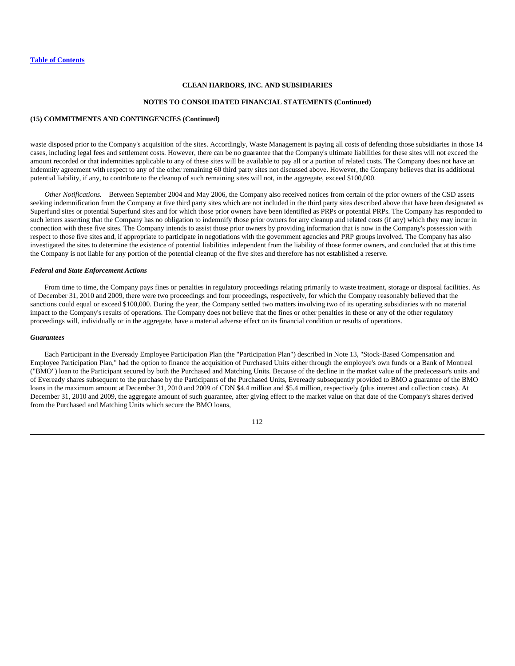### **NOTES TO CONSOLIDATED FINANCIAL STATEMENTS (Continued)**

#### **(15) COMMITMENTS AND CONTINGENCIES (Continued)**

waste disposed prior to the Company's acquisition of the sites. Accordingly, Waste Management is paying all costs of defending those subsidiaries in those 14 cases, including legal fees and settlement costs. However, there can be no guarantee that the Company's ultimate liabilities for these sites will not exceed the amount recorded or that indemnities applicable to any of these sites will be available to pay all or a portion of related costs. The Company does not have an indemnity agreement with respect to any of the other remaining 60 third party sites not discussed above. However, the Company believes that its additional potential liability, if any, to contribute to the cleanup of such remaining sites will not, in the aggregate, exceed \$100,000.

 *Other Notifications.* Between September 2004 and May 2006, the Company also received notices from certain of the prior owners of the CSD assets seeking indemnification from the Company at five third party sites which are not included in the third party sites described above that have been designated as Superfund sites or potential Superfund sites and for which those prior owners have been identified as PRPs or potential PRPs. The Company has responded to such letters asserting that the Company has no obligation to indemnify those prior owners for any cleanup and related costs (if any) which they may incur in connection with these five sites. The Company intends to assist those prior owners by providing information that is now in the Company's possession with respect to those five sites and, if appropriate to participate in negotiations with the government agencies and PRP groups involved. The Company has also investigated the sites to determine the existence of potential liabilities independent from the liability of those former owners, and concluded that at this time the Company is not liable for any portion of the potential cleanup of the five sites and therefore has not established a reserve.

#### *Federal and State Enforcement Actions*

 From time to time, the Company pays fines or penalties in regulatory proceedings relating primarily to waste treatment, storage or disposal facilities. As of December 31, 2010 and 2009, there were two proceedings and four proceedings, respectively, for which the Company reasonably believed that the sanctions could equal or exceed \$100,000. During the year, the Company settled two matters involving two of its operating subsidiaries with no material impact to the Company's results of operations. The Company does not believe that the fines or other penalties in these or any of the other regulatory proceedings will, individually or in the aggregate, have a material adverse effect on its financial condition or results of operations.

#### *Guarantees*

 Each Participant in the Eveready Employee Participation Plan (the "Participation Plan") described in Note 13, "Stock-Based Compensation and Employee Participation Plan," had the option to finance the acquisition of Purchased Units either through the employee's own funds or a Bank of Montreal ("BMO") loan to the Participant secured by both the Purchased and Matching Units. Because of the decline in the market value of the predecessor's units and of Eveready shares subsequent to the purchase by the Participants of the Purchased Units, Eveready subsequently provided to BMO a guarantee of the BMO loans in the maximum amount at December 31, 2010 and 2009 of CDN \$4.4 million and \$5.4 million, respectively (plus interest and collection costs). At December 31, 2010 and 2009, the aggregate amount of such guarantee, after giving effect to the market value on that date of the Company's shares derived from the Purchased and Matching Units which secure the BMO loans,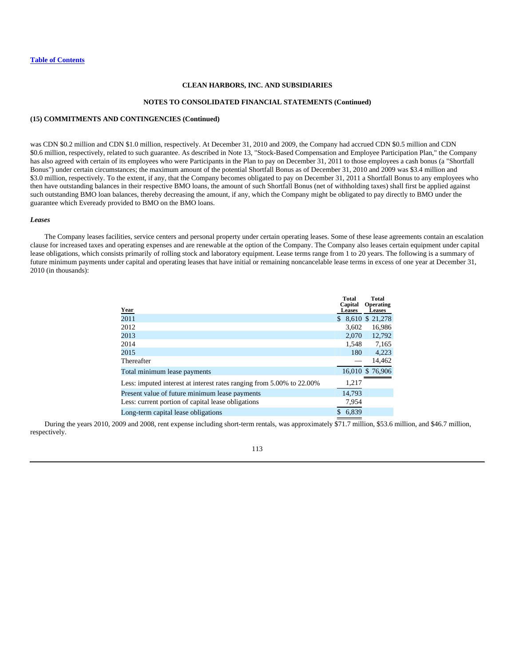### **NOTES TO CONSOLIDATED FINANCIAL STATEMENTS (Continued)**

### **(15) COMMITMENTS AND CONTINGENCIES (Continued)**

was CDN \$0.2 million and CDN \$1.0 million, respectively. At December 31, 2010 and 2009, the Company had accrued CDN \$0.5 million and CDN \$0.6 million, respectively, related to such guarantee. As described in Note 13, "Stock-Based Compensation and Employee Participation Plan," the Company has also agreed with certain of its employees who were Participants in the Plan to pay on December 31, 2011 to those employees a cash bonus (a "Shortfall Bonus") under certain circumstances; the maximum amount of the potential Shortfall Bonus as of December 31, 2010 and 2009 was \$3.4 million and \$3.0 million, respectively. To the extent, if any, that the Company becomes obligated to pay on December 31, 2011 a Shortfall Bonus to any employees who then have outstanding balances in their respective BMO loans, the amount of such Shortfall Bonus (net of withholding taxes) shall first be applied against such outstanding BMO loan balances, thereby decreasing the amount, if any, which the Company might be obligated to pay directly to BMO under the guarantee which Eveready provided to BMO on the BMO loans.

#### *Leases*

 The Company leases facilities, service centers and personal property under certain operating leases. Some of these lease agreements contain an escalation clause for increased taxes and operating expenses and are renewable at the option of the Company. The Company also leases certain equipment under capital lease obligations, which consists primarily of rolling stock and laboratory equipment. Lease terms range from 1 to 20 years. The following is a summary of future minimum payments under capital and operating leases that have initial or remaining noncancelable lease terms in excess of one year at December 31, 2010 (in thousands):

| <b>Year</b>                                                           | Total<br>Capital<br><b>Leases</b> | Total<br><b>Operating</b><br><b>Leases</b> |
|-----------------------------------------------------------------------|-----------------------------------|--------------------------------------------|
| 2011                                                                  |                                   | $$8,610 \$21,278$                          |
| 2012                                                                  | 3,602                             | 16,986                                     |
| 2013                                                                  | 2.070                             | 12.792                                     |
| 2014                                                                  | 1.548                             | 7,165                                      |
| 2015                                                                  | 180                               | 4,223                                      |
| Thereafter                                                            |                                   | 14,462                                     |
| Total minimum lease payments                                          |                                   | 16,010 \$76,906                            |
| Less: imputed interest at interest rates ranging from 5.00% to 22.00% | 1,217                             |                                            |
| Present value of future minimum lease payments                        | 14,793                            |                                            |
| Less: current portion of capital lease obligations                    | 7,954                             |                                            |
| Long-term capital lease obligations                                   | 6.839                             |                                            |

 During the years 2010, 2009 and 2008, rent expense including short-term rentals, was approximately \$71.7 million, \$53.6 million, and \$46.7 million, respectively.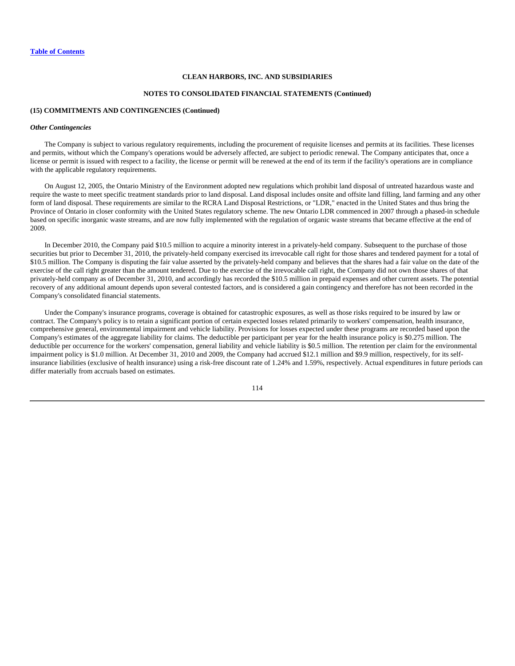### **NOTES TO CONSOLIDATED FINANCIAL STATEMENTS (Continued)**

### **(15) COMMITMENTS AND CONTINGENCIES (Continued)**

#### *Other Contingencies*

 The Company is subject to various regulatory requirements, including the procurement of requisite licenses and permits at its facilities. These licenses and permits, without which the Company's operations would be adversely affected, are subject to periodic renewal. The Company anticipates that, once a license or permit is issued with respect to a facility, the license or permit will be renewed at the end of its term if the facility's operations are in compliance with the applicable regulatory requirements.

 On August 12, 2005, the Ontario Ministry of the Environment adopted new regulations which prohibit land disposal of untreated hazardous waste and require the waste to meet specific treatment standards prior to land disposal. Land disposal includes onsite and offsite land filling, land farming and any other form of land disposal. These requirements are similar to the RCRA Land Disposal Restrictions, or "LDR," enacted in the United States and thus bring the Province of Ontario in closer conformity with the United States regulatory scheme. The new Ontario LDR commenced in 2007 through a phased-in schedule based on specific inorganic waste streams, and are now fully implemented with the regulation of organic waste streams that became effective at the end of 2009.

 In December 2010, the Company paid \$10.5 million to acquire a minority interest in a privately-held company. Subsequent to the purchase of those securities but prior to December 31, 2010, the privately-held company exercised its irrevocable call right for those shares and tendered payment for a total of \$10.5 million. The Company is disputing the fair value asserted by the privately-held company and believes that the shares had a fair value on the date of the exercise of the call right greater than the amount tendered. Due to the exercise of the irrevocable call right, the Company did not own those shares of that privately-held company as of December 31, 2010, and accordingly has recorded the \$10.5 million in prepaid expenses and other current assets. The potential recovery of any additional amount depends upon several contested factors, and is considered a gain contingency and therefore has not been recorded in the Company's consolidated financial statements.

 Under the Company's insurance programs, coverage is obtained for catastrophic exposures, as well as those risks required to be insured by law or contract. The Company's policy is to retain a significant portion of certain expected losses related primarily to workers' compensation, health insurance, comprehensive general, environmental impairment and vehicle liability. Provisions for losses expected under these programs are recorded based upon the Company's estimates of the aggregate liability for claims. The deductible per participant per year for the health insurance policy is \$0.275 million. The deductible per occurrence for the workers' compensation, general liability and vehicle liability is \$0.5 million. The retention per claim for the environmental impairment policy is \$1.0 million. At December 31, 2010 and 2009, the Company had accrued \$12.1 million and \$9.9 million, respectively, for its selfinsurance liabilities (exclusive of health insurance) using a risk-free discount rate of 1.24% and 1.59%, respectively. Actual expenditures in future periods can differ materially from accruals based on estimates.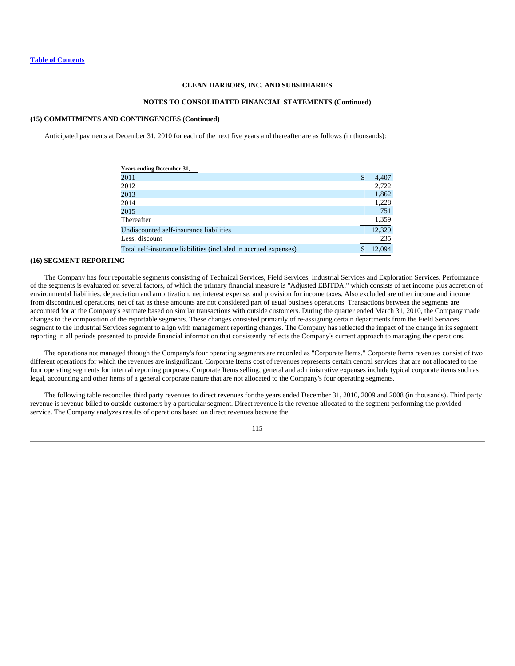### **NOTES TO CONSOLIDATED FINANCIAL STATEMENTS (Continued)**

#### **(15) COMMITMENTS AND CONTINGENCIES (Continued)**

Anticipated payments at December 31, 2010 for each of the next five years and thereafter are as follows (in thousands):

| <b>Years ending December 31,</b>                                |             |
|-----------------------------------------------------------------|-------------|
| 2011                                                            | \$<br>4,407 |
| 2012                                                            | 2,722       |
| 2013                                                            | 1,862       |
| 2014                                                            | 1,228       |
| 2015                                                            | 751         |
| Thereafter                                                      | 1,359       |
| Undiscounted self-insurance liabilities                         | 12,329      |
| Less: discount                                                  | 235         |
| Total self-insurance liabilities (included in accrued expenses) | 12.094      |

#### **(16) SEGMENT REPORTING**

 The Company has four reportable segments consisting of Technical Services, Field Services, Industrial Services and Exploration Services. Performance of the segments is evaluated on several factors, of which the primary financial measure is "Adjusted EBITDA," which consists of net income plus accretion of environmental liabilities, depreciation and amortization, net interest expense, and provision for income taxes. Also excluded are other income and income from discontinued operations, net of tax as these amounts are not considered part of usual business operations. Transactions between the segments are accounted for at the Company's estimate based on similar transactions with outside customers. During the quarter ended March 31, 2010, the Company made changes to the composition of the reportable segments. These changes consisted primarily of re-assigning certain departments from the Field Services segment to the Industrial Services segment to align with management reporting changes. The Company has reflected the impact of the change in its segment reporting in all periods presented to provide financial information that consistently reflects the Company's current approach to managing the operations.

 The operations not managed through the Company's four operating segments are recorded as "Corporate Items." Corporate Items revenues consist of two different operations for which the revenues are insignificant. Corporate Items cost of revenues represents certain central services that are not allocated to the four operating segments for internal reporting purposes. Corporate Items selling, general and administrative expenses include typical corporate items such as legal, accounting and other items of a general corporate nature that are not allocated to the Company's four operating segments.

 The following table reconciles third party revenues to direct revenues for the years ended December 31, 2010, 2009 and 2008 (in thousands). Third party revenue is revenue billed to outside customers by a particular segment. Direct revenue is the revenue allocated to the segment performing the provided service. The Company analyzes results of operations based on direct revenues because the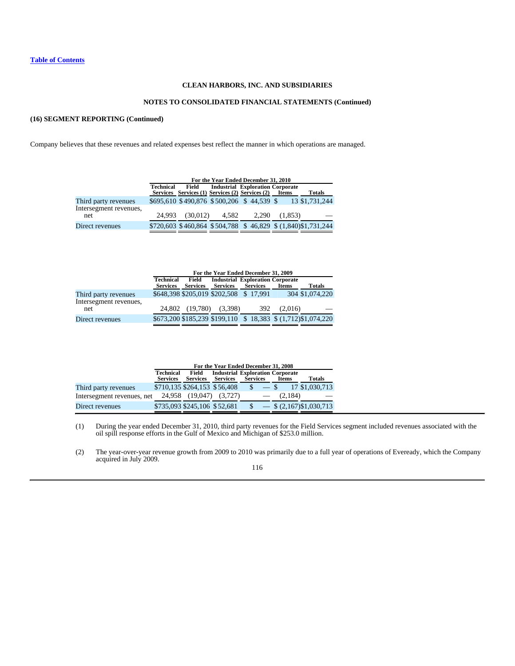# **NOTES TO CONSOLIDATED FINANCIAL STATEMENTS (Continued)**

### **(16) SEGMENT REPORTING (Continued)**

Company believes that these revenues and related expenses best reflect the manner in which operations are managed.

|                               | For the Year Ended December 31, 2010 |          |       |                                                                                            |         |                                                             |  |  |
|-------------------------------|--------------------------------------|----------|-------|--------------------------------------------------------------------------------------------|---------|-------------------------------------------------------------|--|--|
|                               | <b>Technical</b>                     | Field    |       | <b>Industrial Exploration Corporate</b><br>Services Services (1) Services (2) Services (2) | Items   | <b>Totals</b>                                               |  |  |
| Third party revenues          |                                      |          |       | \$695,610 \$490,876 \$500,206 \$44,539 \$                                                  |         | 13 \$1,731,244                                              |  |  |
| Intersegment revenues,<br>net | 24.993                               | (30.012) | 4.582 | 2.290                                                                                      | (1.853) |                                                             |  |  |
| Direct revenues               |                                      |          |       |                                                                                            |         | \$720,603 \$460,864 \$504,788 \$46,829 \$(1,840)\$1,731,244 |  |  |

|                               | For the Year Ended December 31, 2009 |          |                   |                                                     |              |                                                              |  |  |
|-------------------------------|--------------------------------------|----------|-------------------|-----------------------------------------------------|--------------|--------------------------------------------------------------|--|--|
|                               | <b>Technical</b><br><b>Services</b>  | Field    | Services Services | <b>Industrial Exploration Corporate</b><br>Services | <b>Items</b> | <b>Totals</b>                                                |  |  |
| Third party revenues          |                                      |          |                   | \$648,398 \$205,019 \$202,508 \$17,991              |              | 304 \$1,074,220                                              |  |  |
| Intersegment revenues,<br>net | 24.802                               | (19,780) | (3,398)           | 392                                                 | (2.016)      |                                                              |  |  |
| Direct revenues               |                                      |          |                   |                                                     |              | \$673,200 \$185,239 \$199,110 \$18,383 \$(1,712) \$1,074,220 |  |  |

|                            |                                     | For the Year Ended December 31, 2008 |                              |                                                     |              |                            |  |  |  |  |  |
|----------------------------|-------------------------------------|--------------------------------------|------------------------------|-----------------------------------------------------|--------------|----------------------------|--|--|--|--|--|
|                            | <b>Technical</b><br><b>Services</b> | Field<br><b>Services</b>             | Services                     | <b>Industrial Exploration Corporate</b><br>Services | <b>Items</b> | <b>Totals</b>              |  |  |  |  |  |
| Third party revenues       |                                     |                                      | \$710,135 \$264,153 \$56,408 | $-$ S                                               |              | 17 \$1,030,713             |  |  |  |  |  |
| Intersegment revenues, net | 24.958                              |                                      | $(19,047)$ $(3,727)$         |                                                     | (2.184)      |                            |  |  |  |  |  |
| Direct revenues            | \$735,093 \$245,106 \$52,681        |                                      |                              |                                                     |              | $-$ \$ (2,167) \$1,030,713 |  |  |  |  |  |

During the year ended December 31, 2010, third party revenues for the Field Services segment included revenues associated with the oil spill response efforts in the Gulf of Mexico and Michigan of \$253.0 million. (1)

The year-over-year revenue growth from 2009 to 2010 was primarily due to a full year of operations of Eveready, which the Company acquired in July 2009. (2)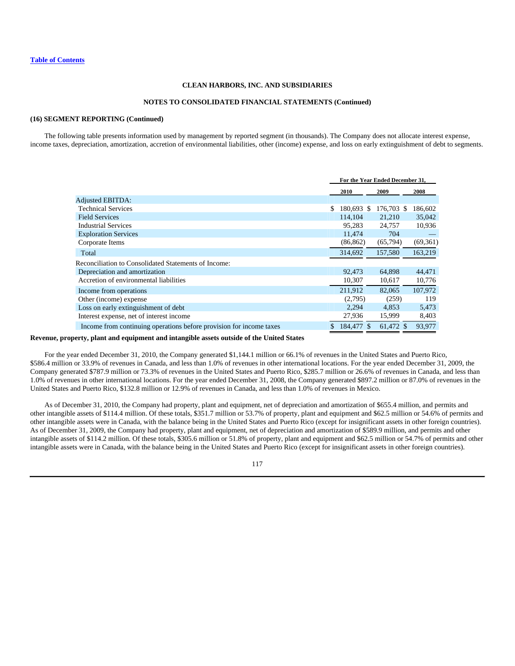### **NOTES TO CONSOLIDATED FINANCIAL STATEMENTS (Continued)**

### **(16) SEGMENT REPORTING (Continued)**

 The following table presents information used by management by reported segment (in thousands). The Company does not allocate interest expense, income taxes, depreciation, amortization, accretion of environmental liabilities, other (income) expense, and loss on early extinguishment of debt to segments.

|                                                                     | For the Year Ended December 31, |           |               |
|---------------------------------------------------------------------|---------------------------------|-----------|---------------|
|                                                                     | 2010                            | 2009      | 2008          |
| <b>Adjusted EBITDA:</b>                                             |                                 |           |               |
| <b>Technical Services</b>                                           | 180.693 \$                      | 176.703   | 186,602<br>-S |
| <b>Field Services</b>                                               | 114.104                         | 21,210    | 35,042        |
| <b>Industrial Services</b>                                          | 95,283                          | 24,757    | 10,936        |
| <b>Exploration Services</b>                                         | 11,474                          | 704       |               |
| Corporate Items                                                     | (86, 862)                       | (65, 794) | (69,361)      |
| Total                                                               | 314,692                         | 157,580   | 163,219       |
| Reconciliation to Consolidated Statements of Income:                |                                 |           |               |
| Depreciation and amortization                                       | 92,473                          | 64,898    | 44,471        |
| Accretion of environmental liabilities                              | 10,307                          | 10,617    | 10,776        |
| Income from operations                                              | 211.912                         | 82,065    | 107.972       |
| Other (income) expense                                              | (2,795)                         | (259)     | 119           |
| Loss on early extinguishment of debt                                | 2,294                           | 4,853     | 5,473         |
| Interest expense, net of interest income                            | 27,936                          | 15,999    | 8,403         |
| Income from continuing operations before provision for income taxes | 184,477 \$                      | 61.472 \$ | 93.977        |

### **Revenue, property, plant and equipment and intangible assets outside of the United States**

 For the year ended December 31, 2010, the Company generated \$1,144.1 million or 66.1% of revenues in the United States and Puerto Rico, \$586.4 million or 33.9% of revenues in Canada, and less than 1.0% of revenues in other international locations. For the year ended December 31, 2009, the Company generated \$787.9 million or 73.3% of revenues in the United States and Puerto Rico, \$285.7 million or 26.6% of revenues in Canada, and less than 1.0% of revenues in other international locations. For the year ended December 31, 2008, the Company generated \$897.2 million or 87.0% of revenues in the United States and Puerto Rico, \$132.8 million or 12.9% of revenues in Canada, and less than 1.0% of revenues in Mexico.

 As of December 31, 2010, the Company had property, plant and equipment, net of depreciation and amortization of \$655.4 million, and permits and other intangible assets of \$114.4 million. Of these totals, \$351.7 million or 53.7% of property, plant and equipment and \$62.5 million or 54.6% of permits and other intangible assets were in Canada, with the balance being in the United States and Puerto Rico (except for insignificant assets in other foreign countries). As of December 31, 2009, the Company had property, plant and equipment, net of depreciation and amortization of \$589.9 million, and permits and other intangible assets of \$114.2 million. Of these totals, \$305.6 million or 51.8% of property, plant and equipment and \$62.5 million or 54.7% of permits and other intangible assets were in Canada, with the balance being in the United States and Puerto Rico (except for insignificant assets in other foreign countries).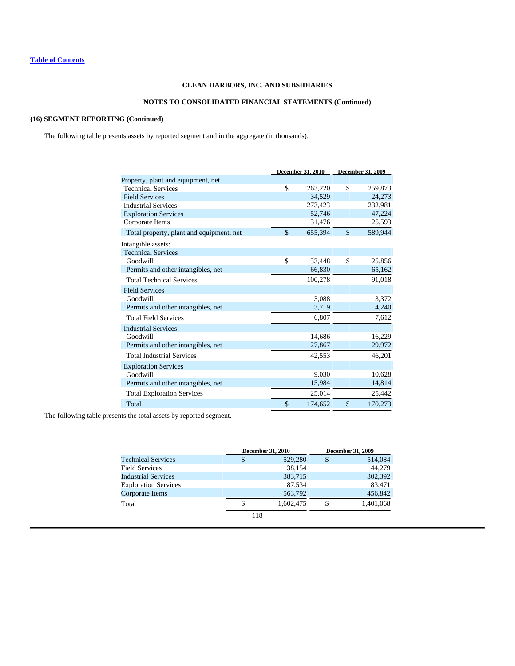# **NOTES TO CONSOLIDATED FINANCIAL STATEMENTS (Continued)**

### **(16) SEGMENT REPORTING (Continued)**

The following table presents assets by reported segment and in the aggregate (in thousands).

|                                          | <b>December 31, 2010</b> |                    | December 31, 2009 |
|------------------------------------------|--------------------------|--------------------|-------------------|
| Property, plant and equipment, net       |                          |                    |                   |
| <b>Technical Services</b>                | \$<br>263,220            | \$                 | 259,873           |
| <b>Field Services</b>                    | 34,529                   |                    | 24.273            |
| <b>Industrial Services</b>               | 273,423                  |                    | 232,981           |
| <b>Exploration Services</b>              | 52.746                   |                    | 47,224            |
| Corporate Items                          | 31,476                   |                    | 25,593            |
| Total property, plant and equipment, net | \$<br>655,394            | \$                 | 589,944           |
| Intangible assets:                       |                          |                    |                   |
| <b>Technical Services</b>                |                          |                    |                   |
| Goodwill                                 | \$<br>33,448             | \$                 | 25,856            |
| Permits and other intangibles, net       | 66,830                   |                    | 65,162            |
| <b>Total Technical Services</b>          | 100,278                  |                    | 91,018            |
| <b>Field Services</b>                    |                          |                    |                   |
| Goodwill                                 | 3,088                    |                    | 3,372             |
| Permits and other intangibles, net       | 3,719                    |                    | 4,240             |
| <b>Total Field Services</b>              | 6,807                    |                    | 7,612             |
| <b>Industrial Services</b>               |                          |                    |                   |
| Goodwill                                 | 14,686                   |                    | 16,229            |
| Permits and other intangibles, net       | 27,867                   |                    | 29,972            |
| <b>Total Industrial Services</b>         | 42.553                   |                    | 46,201            |
| <b>Exploration Services</b>              |                          |                    |                   |
| Goodwill                                 | 9,030                    |                    | 10,628            |
| Permits and other intangibles, net       | 15,984                   |                    | 14,814            |
| <b>Total Exploration Services</b>        | 25,014                   |                    | 25,442            |
| Total                                    | \$<br>174,652            | $\mathbf{\hat{S}}$ | 170,273           |

The following table presents the total assets by reported segment.

|                             |     | <b>December 31, 2010</b> | <b>December 31, 2009</b> |           |  |
|-----------------------------|-----|--------------------------|--------------------------|-----------|--|
| <b>Technical Services</b>   | S   | 529,280                  |                          | 514,084   |  |
| <b>Field Services</b>       |     | 38,154                   |                          | 44,279    |  |
| <b>Industrial Services</b>  |     | 383,715                  |                          | 302,392   |  |
| <b>Exploration Services</b> |     | 87.534                   |                          | 83,471    |  |
| Corporate Items             |     | 563,792                  |                          | 456,842   |  |
| Total                       |     | 1,602,475                |                          | 1.401.068 |  |
|                             | 118 |                          |                          |           |  |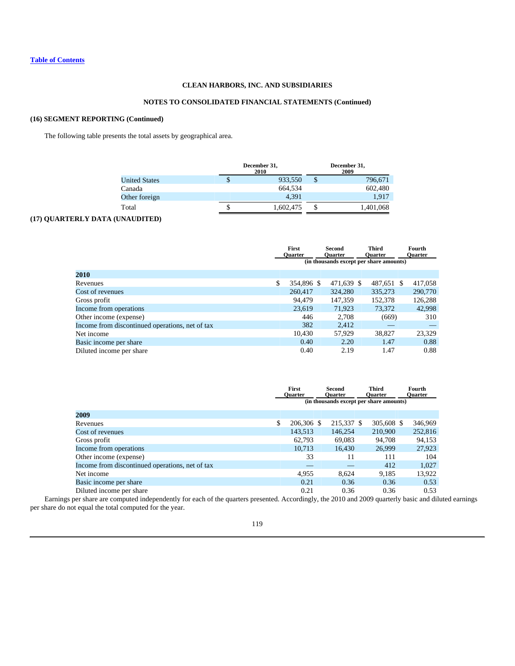## **NOTES TO CONSOLIDATED FINANCIAL STATEMENTS (Continued)**

### **(16) SEGMENT REPORTING (Continued)**

The following table presents the total assets by geographical area.

|                      | December 31,<br>2010 | December 31,<br>2009 |           |  |
|----------------------|----------------------|----------------------|-----------|--|
| <b>United States</b> | \$<br>933,550        | \$                   | 796,671   |  |
| Canada               | 664.534              |                      | 602,480   |  |
| Other foreign        | 4.391                |                      | 1.917     |  |
| Total                | 1,602,475            |                      | 1,401,068 |  |

# **(17) QUARTERLY DATA (UNAUDITED)**

|                                                 | First<br><b>Ouarter</b> | <b>Second</b><br>Ouarter | <b>Third</b><br>Ouarter                 | <b>Fourth</b><br><b>Ouarter</b> |
|-------------------------------------------------|-------------------------|--------------------------|-----------------------------------------|---------------------------------|
|                                                 |                         |                          | (in thousands except per share amounts) |                                 |
| 2010                                            |                         |                          |                                         |                                 |
| Revenues                                        | \$<br>354,896 \$        | 471,639 \$               | 487,651 \$                              | 417,058                         |
| Cost of revenues                                | 260,417                 | 324,280                  | 335,273                                 | 290,770                         |
| Gross profit                                    | 94.479                  | 147,359                  | 152,378                                 | 126,288                         |
| Income from operations                          | 23,619                  | 71,923                   | 73,372                                  | 42,998                          |
| Other income (expense)                          | 446                     | 2,708                    | (669)                                   | 310                             |
| Income from discontinued operations, net of tax | 382                     | 2,412                    |                                         |                                 |
| Net income                                      | 10.430                  | 57,929                   | 38,827                                  | 23,329                          |
| Basic income per share                          | 0.40                    | 2.20                     | 1.47                                    | 0.88                            |
| Diluted income per share                        | 0.40                    | 2.19                     | 1.47                                    | 0.88                            |

|                                                 | First<br><b>Ouarter</b> | Second<br><b>Ouarter</b> | Third<br>Ouarter<br>(in thousands except per share amounts) | Fourth<br>Ouarter |
|-------------------------------------------------|-------------------------|--------------------------|-------------------------------------------------------------|-------------------|
| 2009                                            |                         |                          |                                                             |                   |
| Revenues                                        | \$<br>206,306 \$        | 215,337 \$               | 305,608 \$                                                  | 346,969           |
| Cost of revenues                                | 143.513                 | 146,254                  | 210,900                                                     | 252,816           |
| Gross profit                                    | 62.793                  | 69.083                   | 94.708                                                      | 94,153            |
| Income from operations                          | 10,713                  | 16,430                   | 26,999                                                      | 27,923            |
| Other income (expense)                          | 33                      | 11                       | 111                                                         | 104               |
| Income from discontinued operations, net of tax | _                       |                          | 412                                                         | 1,027             |
| Net income                                      | 4,955                   | 8.624                    | 9,185                                                       | 13,922            |
| Basic income per share                          | 0.21                    | 0.36                     | 0.36                                                        | 0.53              |
| Diluted income per share                        | 0.21                    | 0.36                     | 0.36                                                        | 0.53              |

 Earnings per share are computed independently for each of the quarters presented. Accordingly, the 2010 and 2009 quarterly basic and diluted earnings per share do not equal the total computed for the year.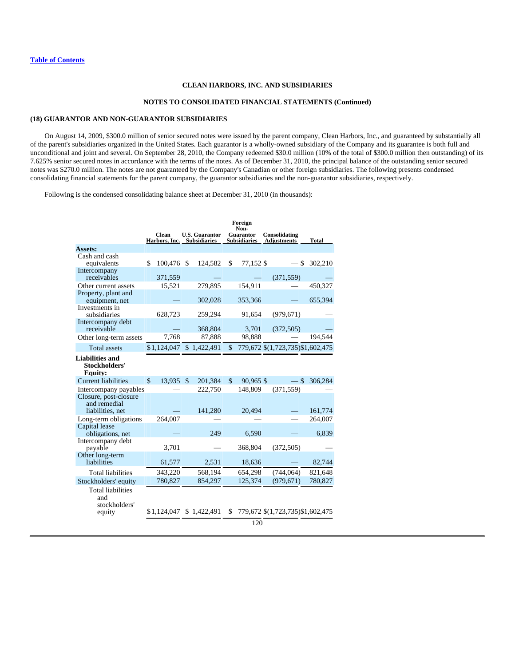### **NOTES TO CONSOLIDATED FINANCIAL STATEMENTS (Continued)**

### **(18) GUARANTOR AND NON-GUARANTOR SUBSIDIARIES**

 On August 14, 2009, \$300.0 million of senior secured notes were issued by the parent company, Clean Harbors, Inc., and guaranteed by substantially all of the parent's subsidiaries organized in the United States. Each guarantor is a wholly-owned subsidiary of the Company and its guarantee is both full and unconditional and joint and several. On September 28, 2010, the Company redeemed \$30.0 million (10% of the total of \$300.0 million then outstanding) of its 7.625% senior secured notes in accordance with the terms of the notes. As of December 31, 2010, the principal balance of the outstanding senior secured notes was \$270.0 million. The notes are not guaranteed by the Company's Canadian or other foreign subsidiaries. The following presents condensed consolidating financial statements for the parent company, the guarantor subsidiaries and the non-guarantor subsidiaries, respectively.

Following is the condensed consolidating balance sheet at December 31, 2010 (in thousands):

|                                                           | <b>Clean</b>               | <b>U.S. Guarantor</b> |              | Foreign<br>Non-<br>Guarantor | Consolidating                    |                |
|-----------------------------------------------------------|----------------------------|-----------------------|--------------|------------------------------|----------------------------------|----------------|
|                                                           | Harbors, Inc. Subsidiaries |                       |              | <b>Subsidiaries</b>          | <b>Adjustments</b>               | Total          |
| <b>Assets:</b><br>Cash and cash                           |                            |                       |              |                              |                                  |                |
| equivalents                                               | \$<br>100,476 \$           | 124,582               | \$           | 77.152 \$                    |                                  | $-$ \$ 302,210 |
| Intercompany<br>receivables                               | 371,559                    |                       |              |                              | (371, 559)                       |                |
| Other current assets                                      | 15,521                     | 279,895               |              | 154.911                      |                                  | 450,327        |
| Property, plant and<br>equipment, net                     |                            | 302,028               |              | 353,366                      |                                  | 655,394        |
| Investments in<br>subsidiaries                            | 628,723                    | 259,294               |              | 91,654                       | (979, 671)                       |                |
| Intercompany debt<br>receivable                           |                            | 368,804               |              | 3,701                        | (372, 505)                       |                |
| Other long-term assets                                    | 7,768                      | 87,888                |              | 98,888                       |                                  | 194.544        |
| <b>Total assets</b>                                       | \$1,124,047                | \$1,422,491           | \$           |                              | 779,672 \$(1,723,735)\$1,602,475 |                |
| <b>Liabilities and</b><br>Stockholders'<br><b>Equity:</b> |                            |                       |              |                              |                                  |                |
| <b>Current liabilities</b>                                | $\mathcal{S}$<br>13,935 \$ | 201,384               | $\mathbb{S}$ | 90,965 \$                    | $-$ \$                           | 306,284        |
| Intercompany payables                                     |                            | 222,750               |              | 148,809                      | (371, 559)                       |                |
| Closure, post-closure<br>and remedial<br>liabilities, net |                            | 141.280               |              | 20.494                       |                                  | 161,774        |
| Long-term obligations                                     | 264,007                    |                       |              |                              |                                  | 264,007        |
| Capital lease<br>obligations, net                         |                            | 249                   |              | 6.590                        |                                  | 6,839          |
| Intercompany debt<br>payable                              | 3,701                      |                       |              | 368,804                      | (372, 505)                       |                |
| Other long-term<br>liabilities                            | 61,577                     | 2,531                 |              | 18,636                       |                                  | 82,744         |
| <b>Total liabilities</b>                                  | 343,220                    | 568,194               |              | 654,298                      | (744, 064)                       | 821,648        |
| Stockholders' equity                                      | 780,827                    | 854,297               |              | 125,374                      | (979, 671)                       | 780,827        |
| <b>Total liabilities</b><br>and<br>stockholders'          |                            |                       |              |                              |                                  |                |
| equity                                                    | \$1,124,047 \$1,422,491    |                       | \$           |                              | 779,672 \$(1,723,735)\$1,602,475 |                |
|                                                           |                            |                       |              | 120                          |                                  |                |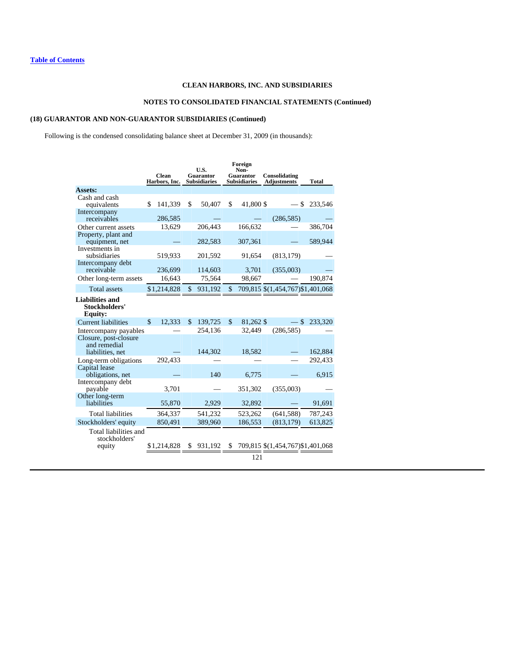# **NOTES TO CONSOLIDATED FINANCIAL STATEMENTS (Continued)**

## **(18) GUARANTOR AND NON-GUARANTOR SUBSIDIARIES (Continued)**

Following is the condensed consolidating balance sheet at December 31, 2009 (in thousands):

|                                                           |               | <b>Clean</b><br>Harbors, Inc. Subsidiaries |               | U.S.<br><b>Guarantor</b> |               | Foreign<br>Non-<br><b>Guarantor</b><br><b>Subsidiaries</b> | Consolidating<br><b>Adjustments</b> | <b>Total</b>            |
|-----------------------------------------------------------|---------------|--------------------------------------------|---------------|--------------------------|---------------|------------------------------------------------------------|-------------------------------------|-------------------------|
| <b>Assets:</b>                                            |               |                                            |               |                          |               |                                                            |                                     |                         |
| Cash and cash<br>equivalents                              | \$            | 141,339                                    | \$            | 50,407                   | \$            | 41,800 \$                                                  |                                     | $\mathbb{S}$<br>233,546 |
| Intercompany<br>receivables                               |               | 286,585                                    |               |                          |               |                                                            | (286, 585)                          |                         |
| Other current assets                                      |               | 13,629                                     |               | 206,443                  |               | 166,632                                                    |                                     | 386,704                 |
| Property, plant and<br>equipment, net                     |               |                                            |               | 282.583                  |               | 307.361                                                    |                                     | 589.944                 |
| Investments in<br>subsidiaries                            |               | 519,933                                    |               | 201,592                  |               | 91,654                                                     | (813, 179)                          |                         |
| Intercompany debt<br>receivable                           |               | 236,699                                    |               | 114,603                  |               | 3,701                                                      | (355,003)                           |                         |
| Other long-term assets                                    |               | 16,643                                     |               | 75,564                   |               | 98,667                                                     |                                     | 190.874                 |
| <b>Total assets</b>                                       |               | \$1,214,828                                | $\mathbf{\$}$ | 931,192                  | $\mathcal{S}$ |                                                            | 709,815 \$(1,454,767)\$1,401,068    |                         |
| <b>Liabilities and</b><br>Stockholders'<br><b>Equity:</b> |               |                                            |               |                          |               |                                                            |                                     |                         |
| <b>Current liabilities</b>                                | $\mathcal{S}$ | 12,333                                     | \$            | 139,725                  | \$            | 81,262 \$                                                  | $-$ \$                              | 233,320                 |
| Intercompany payables                                     |               |                                            |               | 254,136                  |               | 32,449                                                     | (286, 585)                          |                         |
| Closure, post-closure<br>and remedial<br>liabilities, net |               |                                            |               | 144.302                  |               | 18.582                                                     |                                     | 162,884                 |
| Long-term obligations                                     |               | 292,433                                    |               |                          |               |                                                            |                                     | 292,433                 |
| Capital lease<br>obligations, net                         |               |                                            |               | 140                      |               | 6,775                                                      |                                     | 6,915                   |
| Intercompany debt<br>payable                              |               | 3,701                                      |               |                          |               | 351,302                                                    | (355,003)                           |                         |
| Other long-term<br>liabilities                            |               | 55,870                                     |               | 2,929                    |               | 32,892                                                     |                                     | 91,691                  |
| <b>Total liabilities</b>                                  |               | 364,337                                    |               | 541,232                  |               | 523,262                                                    | (641, 588)                          | 787,243                 |
| Stockholders' equity                                      |               | 850,491                                    |               | 389,960                  |               | 186,553                                                    | (813, 179)                          | 613,825                 |
| Total liabilities and<br>stockholders'<br>equity          |               | \$1,214,828                                | S.            | 931,192                  | \$            |                                                            | 709,815 \$(1,454,767)\$1,401,068    |                         |
|                                                           |               |                                            |               |                          |               | 121                                                        |                                     |                         |
|                                                           |               |                                            |               |                          |               |                                                            |                                     |                         |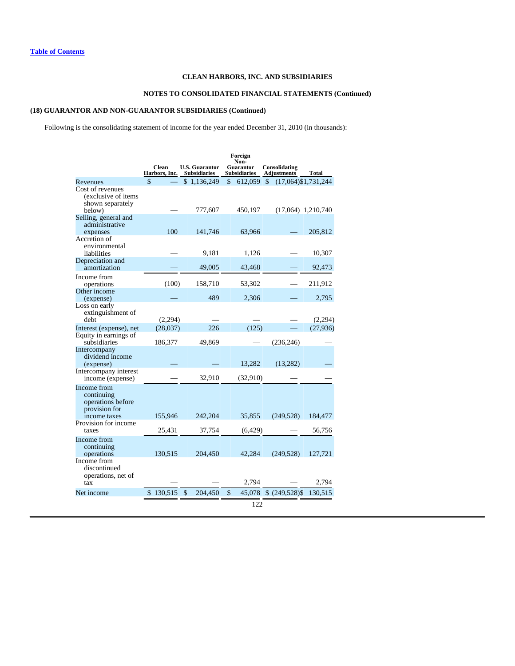# **NOTES TO CONSOLIDATED FINANCIAL STATEMENTS (Continued)**

# **(18) GUARANTOR AND NON-GUARANTOR SUBSIDIARIES (Continued)**

Following is the consolidating statement of income for the year ended December 31, 2010 (in thousands):

|                                                                        | <b>Clean</b><br>Harbors, Inc. | <b>U.S. Guarantor</b><br><b>Subsidiaries</b> | Foreign<br>Non-<br><b>Guarantor</b><br><b>Subsidiaries</b> | Consolidating<br><b>Adjustments</b> | <b>Total</b>           |
|------------------------------------------------------------------------|-------------------------------|----------------------------------------------|------------------------------------------------------------|-------------------------------------|------------------------|
| Revenues                                                               | \$                            | \$1.136.249                                  | \$<br>612.059                                              | $\mathcal{S}$                       | $(17,064)$ \$1,731,244 |
| Cost of revenues<br>(exclusive of items)<br>shown separately<br>below) |                               | 777,607                                      | 450,197                                                    |                                     | $(17,064)$ 1,210,740   |
| Selling, general and<br>administrative<br>expenses                     | 100                           | 141,746                                      | 63,966                                                     |                                     | 205,812                |
| Accretion of<br>environmental<br>liabilities                           |                               | 9,181                                        | 1,126                                                      |                                     | 10,307                 |
| Depreciation and<br>amortization                                       |                               | 49,005                                       | 43,468                                                     |                                     | 92,473                 |
| Income from<br>operations                                              | (100)                         | 158,710                                      | 53,302                                                     |                                     | 211,912                |
| Other income<br>(expense)                                              |                               | 489                                          | 2,306                                                      |                                     | 2,795                  |
| Loss on early<br>extinguishment of<br>debt                             | (2,294)                       |                                              |                                                            |                                     | (2,294)                |
| Interest (expense), net                                                | (28,037)                      | 226                                          | (125)                                                      |                                     | (27, 936)              |
| Equity in earnings of<br>subsidiaries                                  | 186,377                       | 49,869                                       |                                                            | (236, 246)                          |                        |
| Intercompany<br>dividend income<br>(expense)<br>Intercompany interest  |                               |                                              | 13,282                                                     | (13,282)                            |                        |
| income (expense)                                                       |                               | 32,910                                       | (32,910)                                                   |                                     |                        |
| Income from<br>continuing<br>operations before<br>provision for        |                               |                                              |                                                            |                                     |                        |
| income taxes                                                           | 155,946                       | 242,204                                      | 35,855                                                     | (249, 528)                          | 184,477                |
| Provision for income<br>taxes                                          | 25,431                        | 37,754                                       | (6,429)                                                    |                                     | 56,756                 |
| Income from<br>continuing<br>operations                                | 130,515                       | 204,450                                      | 42.284                                                     | (249, 528)                          | 127,721                |
| Income from<br>discontinued<br>operations, net of<br>tax               |                               |                                              | 2,794                                                      |                                     | 2,794                  |
| Net income                                                             | \$130,515                     | \$<br>204,450                                | $\mathbf{\hat{S}}$<br>45,078                               | $$(249,528)$ \$                     | 130,515                |
|                                                                        |                               |                                              | 122                                                        |                                     |                        |
|                                                                        |                               |                                              |                                                            |                                     |                        |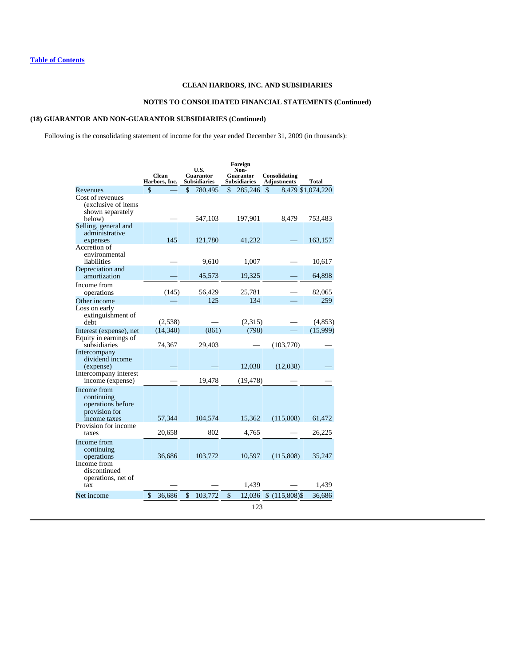# **NOTES TO CONSOLIDATED FINANCIAL STATEMENTS (Continued)**

## **(18) GUARANTOR AND NON-GUARANTOR SUBSIDIARIES (Continued)**

Following is the consolidating statement of income for the year ended December 31, 2009 (in thousands):

|                                                                 |                               | U.S.                                    | Foreign<br>Non-                         |                                     |                   |
|-----------------------------------------------------------------|-------------------------------|-----------------------------------------|-----------------------------------------|-------------------------------------|-------------------|
|                                                                 | <b>Clean</b><br>Harbors, Inc. | <b>Guarantor</b><br><b>Subsidiaries</b> | <b>Guarantor</b><br><b>Subsidiaries</b> | Consolidating<br><b>Adjustments</b> | <b>Total</b>      |
| Revenues                                                        | \$                            | \$<br>780,495                           | \$<br>285,246                           | \$                                  | 8,479 \$1,074,220 |
| Cost of revenues<br>(exclusive of items<br>shown separately     |                               |                                         |                                         |                                     |                   |
| below)<br>Selling, general and<br>administrative                |                               | 547,103                                 | 197,901                                 | 8,479                               | 753,483           |
| expenses                                                        | 145                           | 121,780                                 | 41,232                                  |                                     | 163,157           |
| Accretion of<br>environmental<br>liabilities                    |                               | 9,610                                   | 1,007                                   |                                     | 10,617            |
| Depreciation and<br>amortization                                |                               | 45,573                                  | 19,325                                  |                                     | 64,898            |
| Income from<br>operations                                       | (145)                         | 56,429                                  | 25,781                                  |                                     | 82,065            |
| Other income                                                    |                               | 125                                     | 134                                     |                                     | 259               |
| Loss on early<br>extinguishment of<br>debt                      | (2,538)                       |                                         | (2,315)                                 |                                     | (4, 853)          |
| Interest (expense), net                                         | (14, 340)                     | (861)                                   | (798)                                   |                                     | (15,999)          |
| Equity in earnings of<br>subsidiaries                           | 74,367                        | 29,403                                  |                                         | (103,770)                           |                   |
| Intercompany<br>dividend income<br>(expense)                    |                               |                                         | 12,038                                  | (12,038)                            |                   |
| Intercompany interest<br>income (expense)                       |                               | 19,478                                  | (19, 478)                               |                                     |                   |
| Income from<br>continuing<br>operations before<br>provision for |                               |                                         |                                         |                                     |                   |
| income taxes                                                    | 57,344                        | 104,574                                 | 15,362                                  | (115,808)                           | 61,472            |
| Provision for income<br>taxes                                   | 20,658                        | 802                                     | 4,765                                   |                                     | 26,225            |
| Income from<br>continuing<br>operations                         | 36,686                        | 103,772                                 | 10,597                                  | (115,808)                           | 35,247            |
| Income from<br>discontinued<br>operations, net of               |                               |                                         |                                         |                                     |                   |
| tax                                                             |                               |                                         | 1,439                                   |                                     | 1,439             |
| Net income                                                      | \$<br>36,686                  | \$<br>103,772                           | \$<br>12,036                            | $$(115,808)$ \$                     | 36,686            |
|                                                                 |                               |                                         | 123                                     |                                     |                   |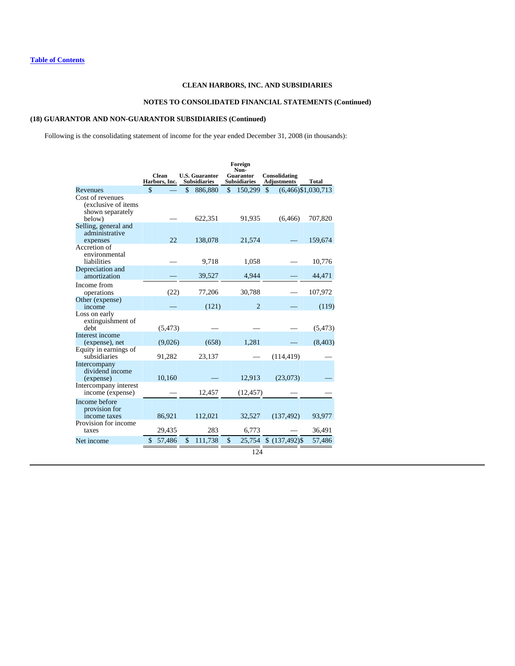# **NOTES TO CONSOLIDATED FINANCIAL STATEMENTS (Continued)**

## **(18) GUARANTOR AND NON-GUARANTOR SUBSIDIARIES (Continued)**

Following is the consolidating statement of income for the year ended December 31, 2008 (in thousands):

|                                                                        |              |               |                                                     |               | Foreign<br>Non-                         |                                     |                      |
|------------------------------------------------------------------------|--------------|---------------|-----------------------------------------------------|---------------|-----------------------------------------|-------------------------------------|----------------------|
|                                                                        | Clean        |               | <b>U.S. Guarantor</b><br>Harbors, Inc. Subsidiaries |               | <b>Guarantor</b><br><b>Subsidiaries</b> | Consolidating<br><b>Adjustments</b> | <b>Total</b>         |
| Revenues                                                               | \$           | $\mathcal{S}$ | 886,880                                             | \$            | 150.299                                 | $\mathcal{S}$                       | $(6.466)\$1.030.713$ |
| Cost of revenues<br>(exclusive of items)<br>shown separately<br>below) |              |               | 622,351                                             |               | 91,935                                  | (6, 466)                            | 707,820              |
| Selling, general and<br>administrative<br>expenses                     | 22           |               | 138,078                                             |               | 21,574                                  |                                     | 159,674              |
| Accretion of<br>environmental<br>liabilities                           |              |               | 9,718                                               |               | 1,058                                   |                                     | 10,776               |
| Depreciation and<br>amortization                                       |              |               | 39,527                                              |               | 4,944                                   |                                     | 44,471               |
| Income from<br>operations                                              | (22)         |               | 77,206                                              |               | 30,788                                  |                                     | 107,972              |
| Other (expense)<br>income                                              |              |               | (121)                                               |               | $\mathfrak{D}$                          |                                     | (119)                |
| Loss on early<br>extinguishment of<br>debt                             | (5, 473)     |               |                                                     |               |                                         |                                     | (5, 473)             |
| Interest income<br>(expense), net                                      | (9,026)      |               | (658)                                               |               | 1,281                                   |                                     | (8, 403)             |
| Equity in earnings of<br>subsidiaries                                  | 91,282       |               | 23,137                                              |               |                                         | (114, 419)                          |                      |
| Intercompany<br>dividend income<br>(expense)                           | 10,160       |               |                                                     |               | 12,913                                  | (23,073)                            |                      |
| Intercompany interest<br>income (expense)                              |              |               | 12,457                                              |               | (12, 457)                               |                                     |                      |
| Income before<br>provision for<br>income taxes                         | 86,921       |               | 112,021                                             |               | 32,527                                  | (137, 492)                          | 93,977               |
| Provision for income<br>taxes                                          | 29,435       |               | 283                                                 |               | 6,773                                   |                                     | 36,491               |
| Net income                                                             | \$<br>57,486 | $\mathsf{\$}$ | 111,738                                             | $\mathcal{S}$ | 25,754                                  | $$(137, 492)$ \$                    | 57,486               |
|                                                                        |              |               |                                                     |               | 124                                     |                                     |                      |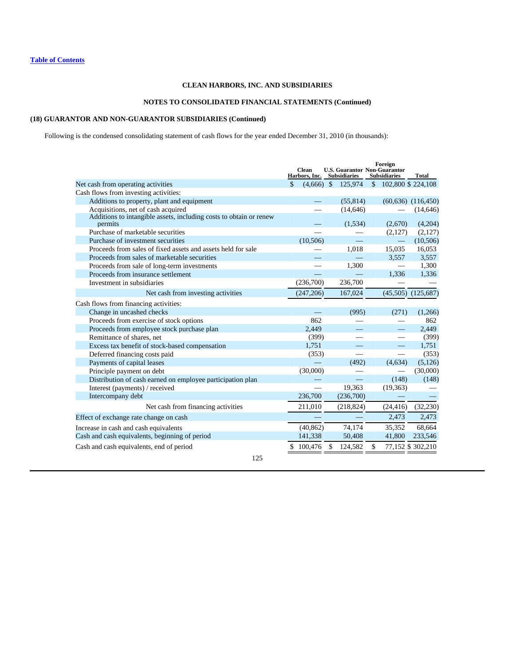# **NOTES TO CONSOLIDATED FINANCIAL STATEMENTS (Continued)**

## **(18) GUARANTOR AND NON-GUARANTOR SUBSIDIARIES (Continued)**

Following is the condensed consolidating statement of cash flows for the year ended December 31, 2010 (in thousands):

|                                                                               | <b>Clean</b>               | <b>U.S. Guarantor Non-Guarantor</b> | Foreign                       |                        |
|-------------------------------------------------------------------------------|----------------------------|-------------------------------------|-------------------------------|------------------------|
|                                                                               | Harbors, Inc. Subsidiaries |                                     | <b>Subsidiaries</b>           | <b>Total</b>           |
| Net cash from operating activities                                            | $(4,666)$ \$<br>\$         | 125,974                             | \$102,800 \$224,108           |                        |
| Cash flows from investing activities:                                         |                            |                                     |                               |                        |
| Additions to property, plant and equipment                                    |                            | (55, 814)                           |                               | $(60,636)$ $(116,450)$ |
| Acquisitions, net of cash acquired                                            |                            | (14, 646)                           |                               | (14, 646)              |
| Additions to intangible assets, including costs to obtain or renew<br>permits |                            | (1,534)                             | (2,670)                       | (4,204)                |
| Purchase of marketable securities                                             |                            |                                     | (2,127)                       | (2,127)                |
| Purchase of investment securities                                             | (10, 506)                  |                                     |                               | (10, 506)              |
| Proceeds from sales of fixed assets and assets held for sale                  |                            | 1,018                               | 15,035                        | 16,053                 |
| Proceeds from sales of marketable securities                                  |                            |                                     | 3,557                         | 3,557                  |
| Proceeds from sale of long-term investments                                   |                            | 1,300                               | $\overline{\phantom{0}}$      | 1,300                  |
| Proceeds from insurance settlement                                            |                            |                                     | 1,336                         | 1,336                  |
| Investment in subsidiaries                                                    | (236,700)                  | 236,700                             |                               |                        |
| Net cash from investing activities                                            | (247, 206)                 | 167,024                             |                               | $(45,505)$ $(125,687)$ |
| Cash flows from financing activities:                                         |                            |                                     |                               |                        |
| Change in uncashed checks                                                     |                            | (995)                               | (271)                         | (1,266)                |
| Proceeds from exercise of stock options                                       | 862                        |                                     |                               | 862                    |
| Proceeds from employee stock purchase plan                                    | 2.449                      |                                     |                               | 2,449                  |
| Remittance of shares, net                                                     | (399)                      |                                     |                               | (399)                  |
| Excess tax benefit of stock-based compensation                                | 1,751                      |                                     |                               | 1,751                  |
| Deferred financing costs paid                                                 | (353)                      |                                     | $\overbrace{\phantom{aaaaa}}$ | (353)                  |
| Payments of capital leases                                                    |                            | (492)                               | (4,634)                       | (5, 126)               |
| Principle payment on debt                                                     | (30,000)                   |                                     |                               | (30,000)               |
| Distribution of cash earned on employee participation plan                    |                            |                                     | (148)                         | (148)                  |
| Interest (payments) / received                                                |                            | 19,363                              | (19, 363)                     |                        |
| Intercompany debt                                                             | 236,700                    | (236,700)                           |                               |                        |
| Net cash from financing activities                                            | 211,010                    | (218, 824)                          | (24, 416)                     | (32, 230)              |
| Effect of exchange rate change on cash                                        |                            |                                     | 2,473                         | 2,473                  |
| Increase in cash and cash equivalents                                         | (40, 862)                  | 74.174                              | 35,352                        | 68,664                 |
| Cash and cash equivalents, beginning of period                                | 141,338                    | 50,408                              | 41,800                        | 233,546                |
| Cash and cash equivalents, end of period                                      | \$100,476                  | \$.<br>124,582                      | \$                            | 77,152 \$ 302,210      |
| 125                                                                           |                            |                                     |                               |                        |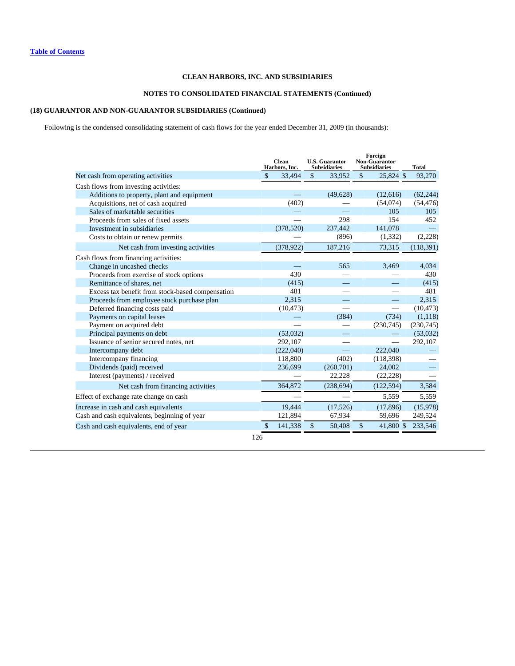# **NOTES TO CONSOLIDATED FINANCIAL STATEMENTS (Continued)**

## **(18) GUARANTOR AND NON-GUARANTOR SUBSIDIARIES (Continued)**

Following is the condensed consolidating statement of cash flows for the year ended December 31, 2009 (in thousands):

|                                                  |               | <b>Clean</b><br>Harbors, Inc. |               | <b>U.S. Guarantor</b><br><b>Subsidiaries</b> |               | Foreign<br><b>Non-Guarantor</b><br><b>Subsidiaries</b> | <b>Total</b> |
|--------------------------------------------------|---------------|-------------------------------|---------------|----------------------------------------------|---------------|--------------------------------------------------------|--------------|
| Net cash from operating activities               | $\mathcal{S}$ | 33,494                        | $\mathcal{S}$ | 33,952                                       | $\mathbf{\$}$ | 25,824 \$                                              | 93,270       |
| Cash flows from investing activities:            |               |                               |               |                                              |               |                                                        |              |
| Additions to property, plant and equipment       |               |                               |               | (49.628)                                     |               | (12,616)                                               | (62, 244)    |
| Acquisitions, net of cash acquired               |               | (402)                         |               |                                              |               | (54,074)                                               | (54, 476)    |
| Sales of marketable securities                   |               |                               |               |                                              |               | 105                                                    | 105          |
| Proceeds from sales of fixed assets              |               |                               |               | 298                                          |               | 154                                                    | 452          |
| Investment in subsidiaries                       |               | (378, 520)                    |               | 237,442                                      |               | 141,078                                                |              |
| Costs to obtain or renew permits                 |               |                               |               | (896)                                        |               | (1,332)                                                | (2,228)      |
| Net cash from investing activities               |               | (378, 922)                    |               | 187,216                                      |               | 73,315                                                 | (118, 391)   |
| Cash flows from financing activities:            |               |                               |               |                                              |               |                                                        |              |
| Change in uncashed checks                        |               |                               |               | 565                                          |               | 3.469                                                  | 4.034        |
| Proceeds from exercise of stock options          |               | 430                           |               |                                              |               |                                                        | 430          |
| Remittance of shares, net                        |               | (415)                         |               |                                              |               |                                                        | (415)        |
| Excess tax benefit from stock-based compensation |               | 481                           |               |                                              |               |                                                        | 481          |
| Proceeds from employee stock purchase plan       |               | 2,315                         |               |                                              |               |                                                        | 2,315        |
| Deferred financing costs paid                    |               | (10, 473)                     |               |                                              |               | $\overline{\phantom{0}}$                               | (10, 473)    |
| Payments on capital leases                       |               |                               |               | (384)                                        |               | (734)                                                  | (1, 118)     |
| Payment on acquired debt                         |               |                               |               |                                              |               | (230,745)                                              | (230,745)    |
| Principal payments on debt                       |               | (53,032)                      |               |                                              |               |                                                        | (53,032)     |
| Issuance of senior secured notes, net            |               | 292,107                       |               |                                              |               |                                                        | 292,107      |
| Intercompany debt                                |               | (222,040)                     |               |                                              |               | 222,040                                                |              |
| Intercompany financing                           |               | 118,800                       |               | (402)                                        |               | (118, 398)                                             |              |
| Dividends (paid) received                        |               | 236,699                       |               | (260, 701)                                   |               | 24,002                                                 |              |
| Interest (payments) / received                   |               |                               |               | 22,228                                       |               | (22, 228)                                              |              |
| Net cash from financing activities               |               | 364,872                       |               | (238.694)                                    |               | (122, 594)                                             | 3,584        |
| Effect of exchange rate change on cash           |               |                               |               |                                              |               | 5,559                                                  | 5,559        |
| Increase in cash and cash equivalents            |               | 19.444                        |               | (17,526)                                     |               | (17, 896)                                              | (15,978)     |
| Cash and cash equivalents, beginning of year     |               | 121,894                       |               | 67,934                                       |               | 59,696                                                 | 249,524      |
| Cash and cash equivalents, end of year           | \$            | 141,338                       | \$            | 50,408                                       | \$            | 41,800 \$                                              | 233,546      |
| 126                                              |               |                               |               |                                              |               |                                                        |              |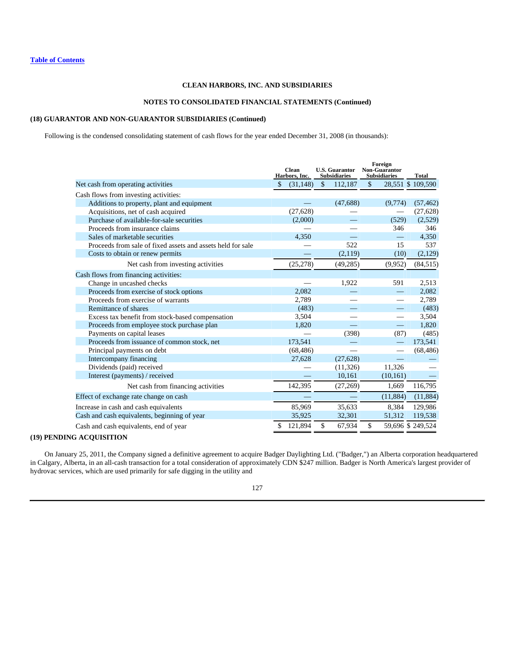### **NOTES TO CONSOLIDATED FINANCIAL STATEMENTS (Continued)**

### **(18) GUARANTOR AND NON-GUARANTOR SUBSIDIARIES (Continued)**

Following is the condensed consolidating statement of cash flows for the year ended December 31, 2008 (in thousands):

|                                                             |     | <b>Clean</b><br>Harbors, Inc. |              | <b>U.S. Guarantor</b><br><b>Subsidiaries</b> | Foreign<br>Non-Guarantor<br><b>Subsidiaries</b> | <b>Total</b>      |
|-------------------------------------------------------------|-----|-------------------------------|--------------|----------------------------------------------|-------------------------------------------------|-------------------|
| Net cash from operating activities                          | \$. | (31, 148)                     | $\mathbb{S}$ | 112,187                                      | \$                                              | 28,551 \$ 109,590 |
| Cash flows from investing activities:                       |     |                               |              |                                              |                                                 |                   |
| Additions to property, plant and equipment                  |     |                               |              | (47,688)                                     | (9,774)                                         | (57, 462)         |
| Acquisitions, net of cash acquired                          |     | (27, 628)                     |              |                                              |                                                 | (27, 628)         |
| Purchase of available-for-sale securities                   |     | (2,000)                       |              |                                              | (529)                                           | (2,529)           |
| Proceeds from insurance claims                              |     |                               |              |                                              | 346                                             | 346               |
| Sales of marketable securities                              |     | 4,350                         |              |                                              |                                                 | 4,350             |
| Proceeds from sale of fixed assets and assets held for sale |     |                               |              | 522                                          | 15                                              | 537               |
| Costs to obtain or renew permits                            |     |                               |              | (2,119)                                      | (10)                                            | (2,129)           |
| Net cash from investing activities                          |     | (25, 278)                     |              | (49, 285)                                    | (9.952)                                         | (84, 515)         |
| Cash flows from financing activities:                       |     |                               |              |                                              |                                                 |                   |
| Change in uncashed checks                                   |     |                               |              | 1,922                                        | 591                                             | 2,513             |
| Proceeds from exercise of stock options                     |     | 2,082                         |              |                                              |                                                 | 2,082             |
| Proceeds from exercise of warrants                          |     | 2,789                         |              |                                              |                                                 | 2,789             |
| Remittance of shares                                        |     | (483)                         |              |                                              |                                                 | (483)             |
| Excess tax benefit from stock-based compensation            |     | 3,504                         |              |                                              |                                                 | 3,504             |
| Proceeds from employee stock purchase plan                  |     | 1,820                         |              |                                              |                                                 | 1,820             |
| Payments on capital leases                                  |     |                               |              | (398)                                        | (87)                                            | (485)             |
| Proceeds from issuance of common stock, net                 |     | 173.541                       |              |                                              |                                                 | 173,541           |
| Principal payments on debt                                  |     | (68, 486)                     |              |                                              |                                                 | (68, 486)         |
| Intercompany financing                                      |     | 27,628                        |              | (27, 628)                                    |                                                 |                   |
| Dividends (paid) received                                   |     |                               |              | (11,326)                                     | 11,326                                          |                   |
| Interest (payments) / received                              |     |                               |              | 10,161                                       | (10, 161)                                       |                   |
| Net cash from financing activities                          |     | 142,395                       |              | (27,269)                                     | 1,669                                           | 116,795           |
| Effect of exchange rate change on cash                      |     |                               |              |                                              | (11, 884)                                       | (11, 884)         |
| Increase in cash and cash equivalents                       |     | 85,969                        |              | 35,633                                       | 8,384                                           | 129,986           |
| Cash and cash equivalents, beginning of year                |     | 35,925                        |              | 32,301                                       | 51,312                                          | 119,538           |
| Cash and cash equivalents, end of year                      | \$  | 121,894                       | \$           | 67,934                                       | \$                                              | 59,696 \$249,524  |

### **(19) PENDING ACQUISITION**

 On January 25, 2011, the Company signed a definitive agreement to acquire Badger Daylighting Ltd. ("Badger,") an Alberta corporation headquartered in Calgary, Alberta, in an all-cash transaction for a total consideration of approximately CDN \$247 million. Badger is North America's largest provider of hydrovac services, which are used primarily for safe digging in the utility and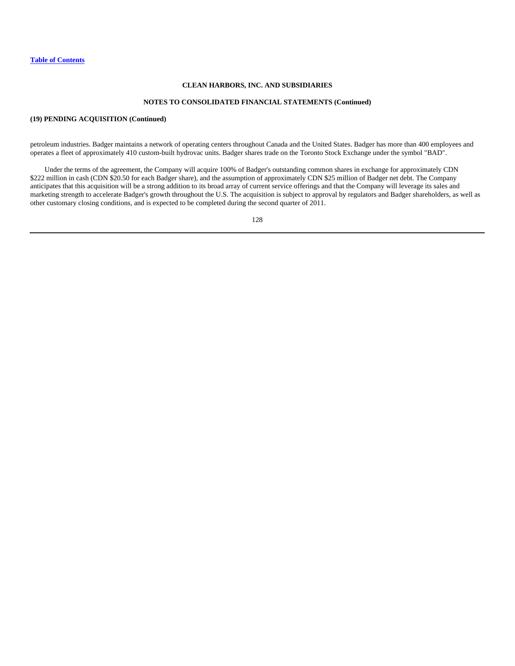### **NOTES TO CONSOLIDATED FINANCIAL STATEMENTS (Continued)**

### **(19) PENDING ACQUISITION (Continued)**

petroleum industries. Badger maintains a network of operating centers throughout Canada and the United States. Badger has more than 400 employees and operates a fleet of approximately 410 custom-built hydrovac units. Badger shares trade on the Toronto Stock Exchange under the symbol "BAD".

 Under the terms of the agreement, the Company will acquire 100% of Badger's outstanding common shares in exchange for approximately CDN \$222 million in cash (CDN \$20.50 for each Badger share), and the assumption of approximately CDN \$25 million of Badger net debt. The Company anticipates that this acquisition will be a strong addition to its broad array of current service offerings and that the Company will leverage its sales and marketing strength to accelerate Badger's growth throughout the U.S. The acquisition is subject to approval by regulators and Badger shareholders, as well as other customary closing conditions, and is expected to be completed during the second quarter of 2011.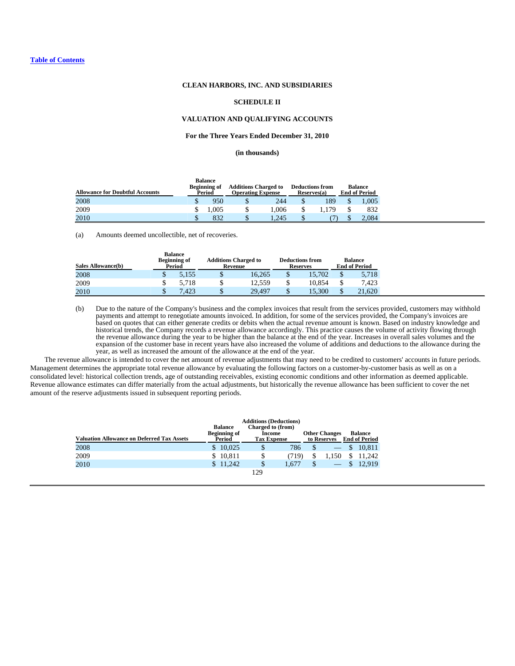### **SCHEDULE II**

### **VALUATION AND QUALIFYING ACCOUNTS**

#### **For the Three Years Ended December 31, 2010**

#### **(in thousands)**

<span id="page-132-0"></span>

| <b>Allowance for Doubtful Accounts</b> |  | ванапсе<br><b>Beginning of</b><br>Period | <b>Additions Charged to</b><br><b>Operating Expense</b> |      | <b>Deductions from</b><br>Reserves(a) |     | <b>Balance</b><br><b>End of Period</b> |      |  |
|----------------------------------------|--|------------------------------------------|---------------------------------------------------------|------|---------------------------------------|-----|----------------------------------------|------|--|
| 2008                                   |  | 950                                      |                                                         | 244  |                                       |     |                                        | .005 |  |
| 2009                                   |  | .005                                     | J                                                       | .006 |                                       | 179 |                                        | 832  |  |
| 2010                                   |  |                                          | ٠D                                                      | 245  |                                       |     | J                                      | .084 |  |

**Balance**

(a) Amounts deemed uncollectible, net of recoveries.

| <b>Sales Allowance(b)</b> | <b>Balance</b><br><b>Beginning of</b><br>Period | <b>Additions Charged to</b><br>Revenue |        | <b>Deductions from</b><br><b>Reserves</b> | <b>Balance</b><br><b>End of Period</b> |        |  |
|---------------------------|-------------------------------------------------|----------------------------------------|--------|-------------------------------------------|----------------------------------------|--------|--|
| 2008                      | 5,155                                           | D                                      | 16.265 | 15.702                                    |                                        | 5,718  |  |
| 2009                      | 5.718                                           |                                        | 12.559 | 10.854                                    |                                        | 7.423  |  |
| 2010                      | 7.423                                           | ٠D                                     | 29.497 | 15.300                                    |                                        | 21.620 |  |

Due to the nature of the Company's business and the complex invoices that result from the services provided, customers may withhold payments and attempt to renegotiate amounts invoiced. In addition, for some of the services provided, the Company's invoices are based on quotes that can either generate credits or debits when the actual revenue amount is known. Based on industry knowledge and historical trends, the Company records a revenue allowance accordingly. This practice causes the volume of activity flowing through the revenue allowance during the year to be higher than the balance at the end of the year. Increases in overall sales volumes and the expansion of the customer base in recent years have also increased the volume of additions and deductions to the allowance during the year, as well as increased the amount of the allowance at the end of the year. (b)

 The revenue allowance is intended to cover the net amount of revenue adjustments that may need to be credited to customers' accounts in future periods. Management determines the appropriate total revenue allowance by evaluating the following factors on a customer-by-customer basis as well as on a consolidated level: historical collection trends, age of outstanding receivables, existing economic conditions and other information as deemed applicable. Revenue allowance estimates can differ materially from the actual adjustments, but historically the revenue allowance has been sufficient to cover the net amount of the reserve adjustments issued in subsequent reporting periods.

| <b>Valuation Allowance on Deferred Tax Assets</b> | <b>Balance</b><br><b>Beginning of</b><br>Period | <b>Additions (Deductions)</b><br>Charged to (from)<br>Income<br><b>Tax Expense</b> |       | <b>Other Changes</b><br>to Reserves | <b>Balance</b><br><b>End of Period</b> |
|---------------------------------------------------|-------------------------------------------------|------------------------------------------------------------------------------------|-------|-------------------------------------|----------------------------------------|
| 2008                                              | 10.025                                          | \$                                                                                 | 786   |                                     | 10.811                                 |
| 2009                                              | 10.811<br>\$                                    | \$                                                                                 | (719) | 1.150                               | 11.242                                 |
| 2010                                              | 11.242                                          | \$                                                                                 | 1.677 | السندا                              | 12.919                                 |
|                                                   |                                                 | 129                                                                                |       |                                     |                                        |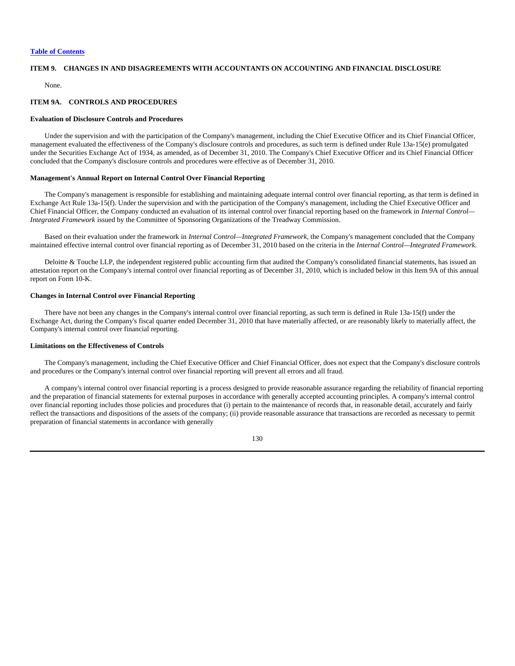### **ITEM 9. CHANGES IN AND DISAGREEMENTS WITH ACCOUNTANTS ON ACCOUNTING AND FINANCIAL DISCLOSURE**

None.

### **ITEM 9A. CONTROLS AND PROCEDURES**

#### **Evaluation of Disclosure Controls and Procedures**

 Under the supervision and with the participation of the Company's management, including the Chief Executive Officer and its Chief Financial Officer, management evaluated the effectiveness of the Company's disclosure controls and procedures, as such term is defined under Rule 13a-15(e) promulgated under the Securities Exchange Act of 1934, as amended, as of December 31, 2010. The Company's Chief Executive Officer and its Chief Financial Officer concluded that the Company's disclosure controls and procedures were effective as of December 31, 2010.

#### **Management's Annual Report on Internal Control Over Financial Reporting**

 The Company's management is responsible for establishing and maintaining adequate internal control over financial reporting, as that term is defined in Exchange Act Rule 13a-15(f). Under the supervision and with the participation of the Company's management, including the Chief Executive Officer and Chief Financial Officer, the Company conducted an evaluation of its internal control over financial reporting based on the framework in *Internal Control— Integrated Framework* issued by the Committee of Sponsoring Organizations of the Treadway Commission.

 Based on their evaluation under the framework in *Internal Control—Integrated Framework*, the Company's management concluded that the Company maintained effective internal control over financial reporting as of December 31, 2010 based on the criteria in the *Internal Control—Integrated Framework*.

 Deloitte & Touche LLP, the independent registered public accounting firm that audited the Company's consolidated financial statements, has issued an attestation report on the Company's internal control over financial reporting as of December 31, 2010, which is included below in this Item 9A of this annual report on Form 10-K.

### **Changes in Internal Control over Financial Reporting**

 There have not been any changes in the Company's internal control over financial reporting, as such term is defined in Rule 13a-15(f) under the Exchange Act, during the Company's fiscal quarter ended December 31, 2010 that have materially affected, or are reasonably likely to materially affect, the Company's internal control over financial reporting.

#### **Limitations on the Effectiveness of Controls**

 The Company's management, including the Chief Executive Officer and Chief Financial Officer, does not expect that the Company's disclosure controls and procedures or the Company's internal control over financial reporting will prevent all errors and all fraud.

 A company's internal control over financial reporting is a process designed to provide reasonable assurance regarding the reliability of financial reporting and the preparation of financial statements for external purposes in accordance with generally accepted accounting principles. A company's internal control over financial reporting includes those policies and procedures that (i) pertain to the maintenance of records that, in reasonable detail, accurately and fairly reflect the transactions and dispositions of the assets of the company; (ii) provide reasonable assurance that transactions are recorded as necessary to permit preparation of financial statements in accordance with generally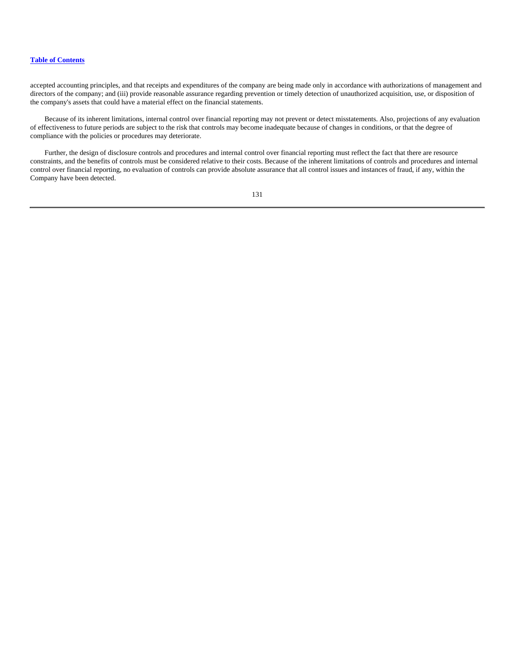accepted accounting principles, and that receipts and expenditures of the company are being made only in accordance with authorizations of management and directors of the company; and (iii) provide reasonable assurance regarding prevention or timely detection of unauthorized acquisition, use, or disposition of the company's assets that could have a material effect on the financial statements.

 Because of its inherent limitations, internal control over financial reporting may not prevent or detect misstatements. Also, projections of any evaluation of effectiveness to future periods are subject to the risk that controls may become inadequate because of changes in conditions, or that the degree of compliance with the policies or procedures may deteriorate.

 Further, the design of disclosure controls and procedures and internal control over financial reporting must reflect the fact that there are resource constraints, and the benefits of controls must be considered relative to their costs. Because of the inherent limitations of controls and procedures and internal control over financial reporting, no evaluation of controls can provide absolute assurance that all control issues and instances of fraud, if any, within the Company have been detected.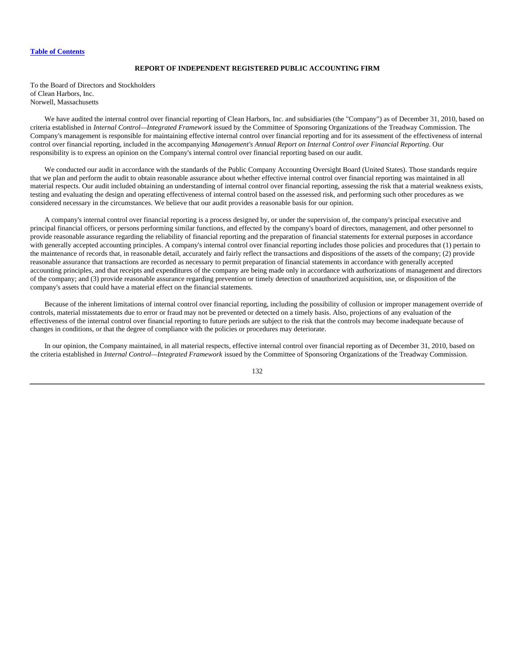### **REPORT OF INDEPENDENT REGISTERED PUBLIC ACCOUNTING FIRM**

To the Board of Directors and Stockholders of Clean Harbors, Inc. Norwell, Massachusetts

We have audited the internal control over financial reporting of Clean Harbors, Inc. and subsidiaries (the "Company") as of December 31, 2010, based on criteria established in *Internal Control—Integrated Framework* issued by the Committee of Sponsoring Organizations of the Treadway Commission. The Company's management is responsible for maintaining effective internal control over financial reporting and for its assessment of the effectiveness of internal control over financial reporting, included in the accompanying *Management's Annual Report on Internal Control over Financial Reporting*. Our responsibility is to express an opinion on the Company's internal control over financial reporting based on our audit.

 We conducted our audit in accordance with the standards of the Public Company Accounting Oversight Board (United States). Those standards require that we plan and perform the audit to obtain reasonable assurance about whether effective internal control over financial reporting was maintained in all material respects. Our audit included obtaining an understanding of internal control over financial reporting, assessing the risk that a material weakness exists, testing and evaluating the design and operating effectiveness of internal control based on the assessed risk, and performing such other procedures as we considered necessary in the circumstances. We believe that our audit provides a reasonable basis for our opinion.

 A company's internal control over financial reporting is a process designed by, or under the supervision of, the company's principal executive and principal financial officers, or persons performing similar functions, and effected by the company's board of directors, management, and other personnel to provide reasonable assurance regarding the reliability of financial reporting and the preparation of financial statements for external purposes in accordance with generally accepted accounting principles. A company's internal control over financial reporting includes those policies and procedures that (1) pertain to the maintenance of records that, in reasonable detail, accurately and fairly reflect the transactions and dispositions of the assets of the company; (2) provide reasonable assurance that transactions are recorded as necessary to permit preparation of financial statements in accordance with generally accepted accounting principles, and that receipts and expenditures of the company are being made only in accordance with authorizations of management and directors of the company; and (3) provide reasonable assurance regarding prevention or timely detection of unauthorized acquisition, use, or disposition of the company's assets that could have a material effect on the financial statements.

 Because of the inherent limitations of internal control over financial reporting, including the possibility of collusion or improper management override of controls, material misstatements due to error or fraud may not be prevented or detected on a timely basis. Also, projections of any evaluation of the effectiveness of the internal control over financial reporting to future periods are subject to the risk that the controls may become inadequate because of changes in conditions, or that the degree of compliance with the policies or procedures may deteriorate.

 In our opinion, the Company maintained, in all material respects, effective internal control over financial reporting as of December 31, 2010, based on the criteria established in *Internal Control—Integrated Framework* issued by the Committee of Sponsoring Organizations of the Treadway Commission.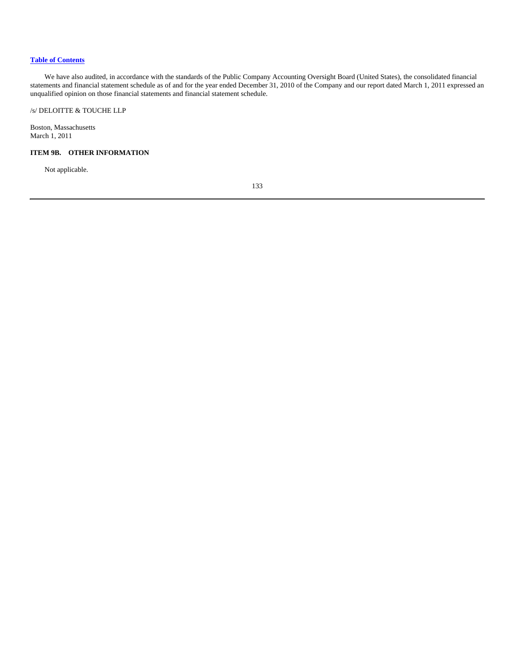We have also audited, in accordance with the standards of the Public Company Accounting Oversight Board (United States), the consolidated financial statements and financial statement schedule as of and for the year ended December 31, 2010 of the Company and our report dated March 1, 2011 expressed an unqualified opinion on those financial statements and financial statement schedule.

/s/ DELOITTE & TOUCHE LLP

Boston, Massachusetts March 1, 2011

# **ITEM 9B. OTHER INFORMATION**

Not applicable.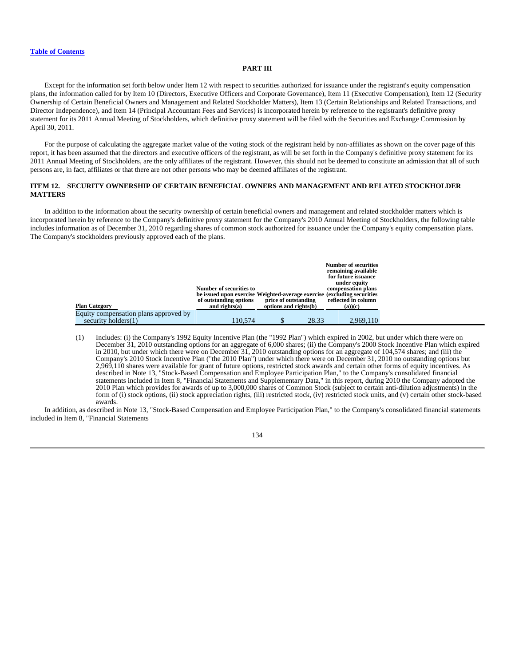#### **PART III**

 Except for the information set forth below under Item 12 with respect to securities authorized for issuance under the registrant's equity compensation plans, the information called for by Item 10 (Directors, Executive Officers and Corporate Governance), Item 11 (Executive Compensation), Item 12 (Security Ownership of Certain Beneficial Owners and Management and Related Stockholder Matters), Item 13 (Certain Relationships and Related Transactions, and Director Independence), and Item 14 (Principal Accountant Fees and Services) is incorporated herein by reference to the registrant's definitive proxy statement for its 2011 Annual Meeting of Stockholders, which definitive proxy statement will be filed with the Securities and Exchange Commission by April 30, 2011.

 For the purpose of calculating the aggregate market value of the voting stock of the registrant held by non-affiliates as shown on the cover page of this report, it has been assumed that the directors and executive officers of the registrant, as will be set forth in the Company's definitive proxy statement for its 2011 Annual Meeting of Stockholders, are the only affiliates of the registrant. However, this should not be deemed to constitute an admission that all of such persons are, in fact, affiliates or that there are not other persons who may be deemed affiliates of the registrant.

### **ITEM 12. SECURITY OWNERSHIP OF CERTAIN BENEFICIAL OWNERS AND MANAGEMENT AND RELATED STOCKHOLDER MATTERS**

 In addition to the information about the security ownership of certain beneficial owners and management and related stockholder matters which is incorporated herein by reference to the Company's definitive proxy statement for the Company's 2010 Annual Meeting of Stockholders, the following table includes information as of December 31, 2010 regarding shares of common stock authorized for issuance under the Company's equity compensation plans. The Company's stockholders previously approved each of the plans.

|                                       |                                                                         |                                               |       | <b>Number of securities</b><br>remaining available |
|---------------------------------------|-------------------------------------------------------------------------|-----------------------------------------------|-------|----------------------------------------------------|
|                                       |                                                                         |                                               |       | for future issuance<br>under equity                |
|                                       | Number of securities to                                                 |                                               |       | compensation plans                                 |
|                                       | be issued upon exercise Weighted-average exercise (excluding securities |                                               |       |                                                    |
| <b>Plan Category</b>                  | of outstanding options<br>and rights $(a)$                              | price of outstanding<br>options and rights(b) |       | reflected in column<br>$(a))$ (c)                  |
| Equity compensation plans approved by |                                                                         |                                               |       |                                                    |
| security holders $(1)$                | 110.574                                                                 |                                               | 28.33 | 2,969,110                                          |

Includes: (i) the Company's 1992 Equity Incentive Plan (the "1992 Plan") which expired in 2002, but under which there were on December 31, 2010 outstanding options for an aggregate of 6,000 shares; (ii) the Company's 2000 Stock Incentive Plan which expired in 2010, but under which there were on December 31, 2010 outstanding options for an aggregate of 104,574 shares; and (iii) the Company's 2010 Stock Incentive Plan ("the 2010 Plan") under which there were on December 31, 2010 no outstanding options but 2,969,110 shares were available for grant of future options, restricted stock awards and certain other forms of equity incentives. As described in Note 13, "Stock-Based Compensation and Employee Participation Plan," to the Company's consolidated financial statements included in Item 8, "Financial Statements and Supplementary Data," in this report, during 2010 the Company adopted the 2010 Plan which provides for awards of up to 3,000,000 shares of Common Stock (subject to certain anti-dilution adjustments) in the form of (i) stock options, (ii) stock appreciation rights, (iii) restricted stock, (iv) restricted stock units, and (v) certain other stock-based awards. (1)

 In addition, as described in Note 13, "Stock-Based Compensation and Employee Participation Plan," to the Company's consolidated financial statements included in Item 8, "Financial Statements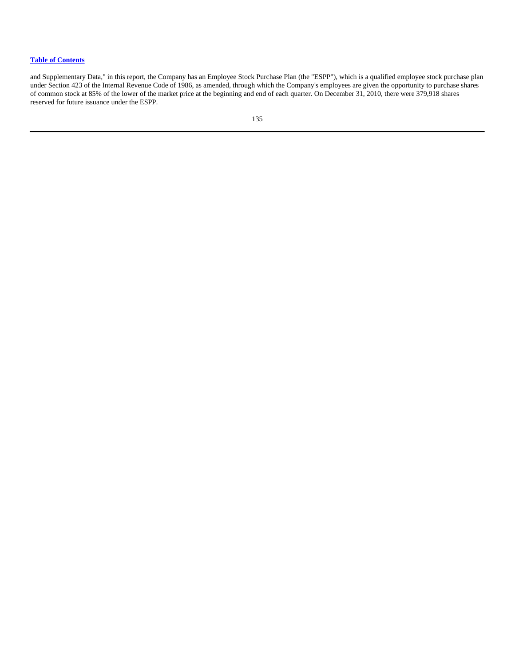and Supplementary Data," in this report, the Company has an Employee Stock Purchase Plan (the "ESPP"), which is a qualified employee stock purchase plan under Section 423 of the Internal Revenue Code of 1986, as amended, through which the Company's employees are given the opportunity to purchase shares of common stock at 85% of the lower of the market price at the beginning and end of each quarter. On December 31, 2010, there were 379,918 shares reserved for future issuance under the ESPP.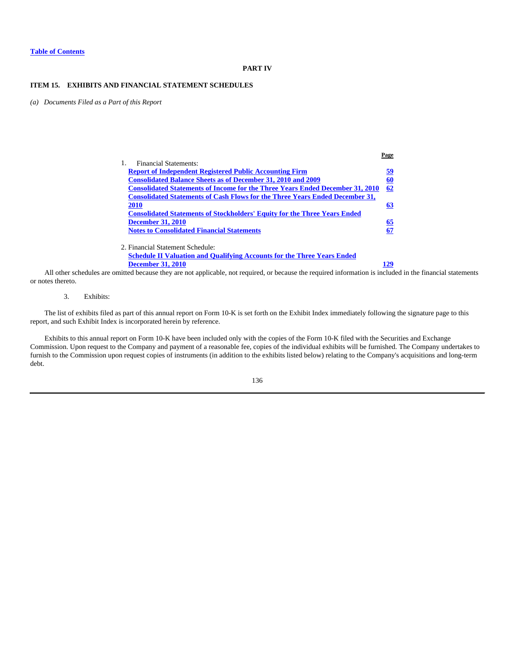### **PART IV**

### **ITEM 15. EXHIBITS AND FINANCIAL STATEMENT SCHEDULES**

*(a) Documents Filed as a Part of this Report*

|                                                                                      | Page      |
|--------------------------------------------------------------------------------------|-----------|
| Financial Statements:                                                                |           |
| <b>Report of Independent Registered Public Accounting Firm</b>                       | <u>59</u> |
| <b>Consolidated Balance Sheets as of December 31, 2010 and 2009</b>                  | 60        |
| <b>Consolidated Statements of Income for the Three Years Ended December 31, 2010</b> | 62        |
| <b>Consolidated Statements of Cash Flows for the Three Years Ended December 31,</b>  |           |
| 2010                                                                                 | 63        |
| <b>Consolidated Statements of Stockholders' Equity for the Three Years Ended</b>     |           |
| <b>December 31, 2010</b>                                                             | 65        |
| <b>Notes to Consolidated Financial Statements</b>                                    | 67        |
| 2. Financial Statement Schedule:                                                     |           |
| <b>Schedule II Valuation and Qualifying Accounts for the Three Years Ended</b>       |           |
| <b>December 31, 2010</b>                                                             | 129       |

 All other schedules are omitted because they are not applicable, not required, or because the required information is included in the financial statements or notes thereto.

#### Exhibits: 3.

 The list of exhibits filed as part of this annual report on Form 10-K is set forth on the Exhibit Index immediately following the signature page to this report, and such Exhibit Index is incorporated herein by reference.

 Exhibits to this annual report on Form 10-K have been included only with the copies of the Form 10-K filed with the Securities and Exchange Commission. Upon request to the Company and payment of a reasonable fee, copies of the individual exhibits will be furnished. The Company undertakes to furnish to the Commission upon request copies of instruments (in addition to the exhibits listed below) relating to the Company's acquisitions and long-term debt.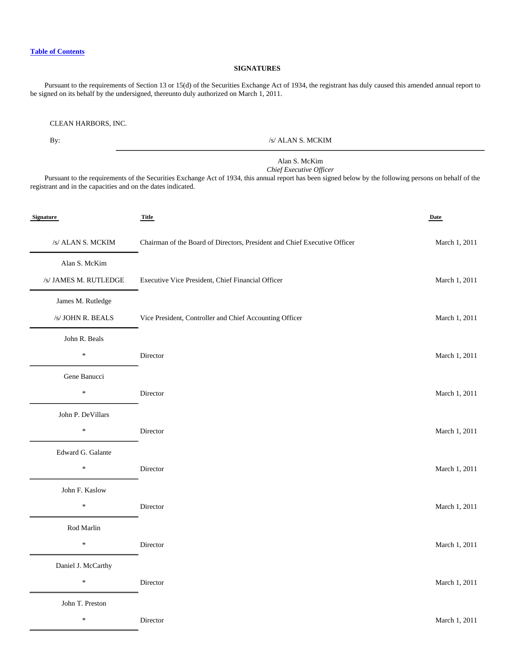### **SIGNATURES**

 Pursuant to the requirements of Section 13 or 15(d) of the Securities Exchange Act of 1934, the registrant has duly caused this amended annual report to be signed on its behalf by the undersigned, thereunto duly authorized on March 1, 2011.

CLEAN HARBORS, INC.

By: /s/ ALAN S. MCKIM

### Alan S. McKim *Chief Executive Officer*

 Pursuant to the requirements of the Securities Exchange Act of 1934, this annual report has been signed below by the following persons on behalf of the registrant and in the capacities and on the dates indicated.

| <b>Signature</b>      | <b>Title</b>                                                              | Date          |
|-----------------------|---------------------------------------------------------------------------|---------------|
| /s/ ALAN S. MCKIM     | Chairman of the Board of Directors, President and Chief Executive Officer | March 1, 2011 |
| Alan S. McKim         |                                                                           |               |
| /s/ JAMES M. RUTLEDGE | Executive Vice President, Chief Financial Officer                         | March 1, 2011 |
| James M. Rutledge     |                                                                           |               |
| /s/ JOHN R. BEALS     | Vice President, Controller and Chief Accounting Officer                   | March 1, 2011 |
| John R. Beals         |                                                                           |               |
| $\ast$                | Director                                                                  | March 1, 2011 |
| Gene Banucci          |                                                                           |               |
| $\ast$                | Director                                                                  | March 1, 2011 |
| John P. DeVillars     |                                                                           |               |
| $\ast$                | Director                                                                  | March 1, 2011 |
| Edward G. Galante     |                                                                           |               |
| $\ast$                | Director                                                                  | March 1, 2011 |
| John F. Kaslow        |                                                                           |               |
| $\ast$                | Director                                                                  | March 1, 2011 |
| Rod Marlin            |                                                                           |               |
| $\ast$                | Director                                                                  | March 1, 2011 |
| Daniel J. McCarthy    |                                                                           |               |
| $\ast$                | Director                                                                  | March 1, 2011 |
| John T. Preston       |                                                                           |               |
| $\ast$                | Director                                                                  | March 1, 2011 |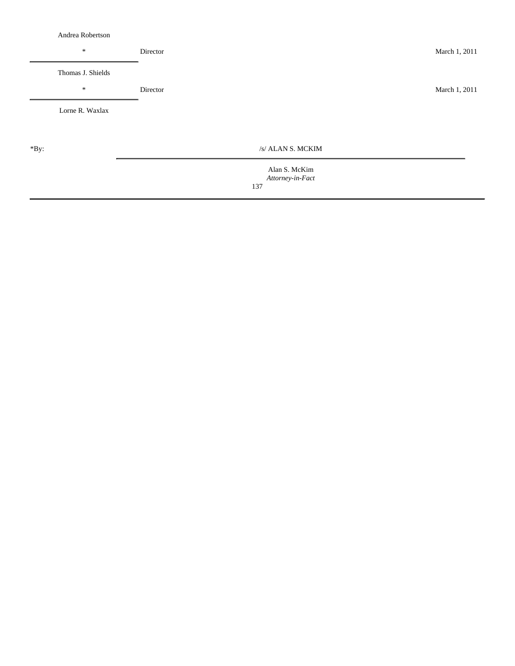| Andrea Robertson |          |  |
|------------------|----------|--|
| ∗                | Director |  |

Thomas J. Shields

\*

Lorne R. Waxlax

\*By: /s/ ALAN S. MCKIM

Alan S. McKim *Attorney-in-Fact* 137

Director March 1, 2011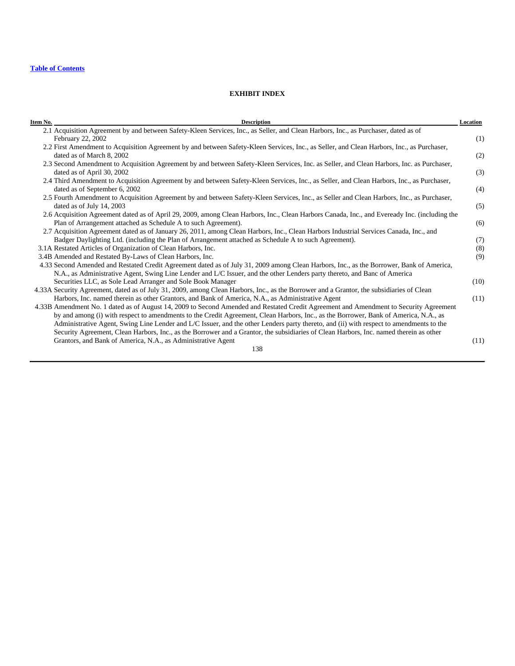# **EXHIBIT INDEX**

| Item No.<br><b>Description</b>                                                                                                                                                                                                                                                                                                                                                                                            | Location   |
|---------------------------------------------------------------------------------------------------------------------------------------------------------------------------------------------------------------------------------------------------------------------------------------------------------------------------------------------------------------------------------------------------------------------------|------------|
| 2.1 Acquisition Agreement by and between Safety-Kleen Services, Inc., as Seller, and Clean Harbors, Inc., as Purchaser, dated as of<br>February 22, 2002                                                                                                                                                                                                                                                                  | (1)        |
| 2.2 First Amendment to Acquisition Agreement by and between Safety-Kleen Services, Inc., as Seller, and Clean Harbors, Inc., as Purchaser,<br>dated as of March 8, 2002                                                                                                                                                                                                                                                   | (2)        |
| 2.3 Second Amendment to Acquisition Agreement by and between Safety-Kleen Services, Inc. as Seller, and Clean Harbors, Inc. as Purchaser,<br>dated as of April 30, 2002                                                                                                                                                                                                                                                   | (3)        |
| 2.4 Third Amendment to Acquisition Agreement by and between Safety-Kleen Services, Inc., as Seller, and Clean Harbors, Inc., as Purchaser,<br>dated as of September 6, 2002                                                                                                                                                                                                                                               | (4)        |
| 2.5 Fourth Amendment to Acquisition Agreement by and between Safety-Kleen Services, Inc., as Seller and Clean Harbors, Inc., as Purchaser,<br>dated as of July 14, 2003                                                                                                                                                                                                                                                   | (5)        |
| 2.6 Acquisition Agreement dated as of April 29, 2009, among Clean Harbors, Inc., Clean Harbors Canada, Inc., and Eveready Inc. (including the<br>Plan of Arrangement attached as Schedule A to such Agreement).                                                                                                                                                                                                           | (6)        |
| 2.7 Acquisition Agreement dated as of January 26, 2011, among Clean Harbors, Inc., Clean Harbors Industrial Services Canada, Inc., and<br>Badger Daylighting Ltd. (including the Plan of Arrangement attached as Schedule A to such Agreement).                                                                                                                                                                           | (7)        |
| 3.1A Restated Articles of Organization of Clean Harbors, Inc.<br>3.4B Amended and Restated By-Laws of Clean Harbors, Inc.                                                                                                                                                                                                                                                                                                 | (8)<br>(9) |
| 4.33 Second Amended and Restated Credit Agreement dated as of July 31, 2009 among Clean Harbors, Inc., as the Borrower, Bank of America,<br>N.A., as Administrative Agent, Swing Line Lender and L/C Issuer, and the other Lenders party thereto, and Banc of America                                                                                                                                                     |            |
| Securities LLC, as Sole Lead Arranger and Sole Book Manager<br>4.33A Security Agreement, dated as of July 31, 2009, among Clean Harbors, Inc., as the Borrower and a Grantor, the subsidiaries of Clean                                                                                                                                                                                                                   | (10)       |
| Harbors, Inc. named therein as other Grantors, and Bank of America, N.A., as Administrative Agent<br>4.33B Amendment No. 1 dated as of August 14, 2009 to Second Amended and Restated Credit Agreement and Amendment to Security Agreement                                                                                                                                                                                | (11)       |
| by and among (i) with respect to amendments to the Credit Agreement, Clean Harbors, Inc., as the Borrower, Bank of America, N.A., as<br>Administrative Agent, Swing Line Lender and L/C Issuer, and the other Lenders party thereto, and (ii) with respect to amendments to the<br>Security Agreement, Clean Harbors, Inc., as the Borrower and a Grantor, the subsidiaries of Clean Harbors, Inc. named therein as other |            |
| Grantors, and Bank of America, N.A., as Administrative Agent<br>138                                                                                                                                                                                                                                                                                                                                                       | (11)       |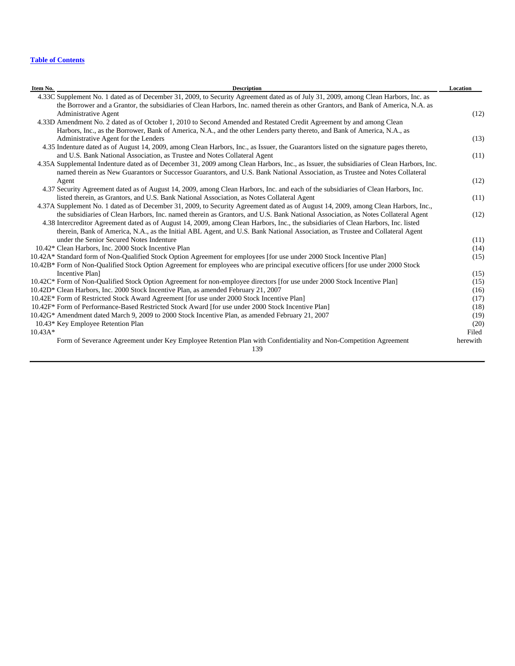| <b>Description</b><br>Item No.                                                                                                           | Location |
|------------------------------------------------------------------------------------------------------------------------------------------|----------|
| 4.33C Supplement No. 1 dated as of December 31, 2009, to Security Agreement dated as of July 31, 2009, among Clean Harbors, Inc. as      |          |
| the Borrower and a Grantor, the subsidiaries of Clean Harbors, Inc. named therein as other Grantors, and Bank of America, N.A. as        |          |
| <b>Administrative Agent</b>                                                                                                              | (12)     |
| 4.33D Amendment No. 2 dated as of October 1, 2010 to Second Amended and Restated Credit Agreement by and among Clean                     |          |
| Harbors, Inc., as the Borrower, Bank of America, N.A., and the other Lenders party thereto, and Bank of America, N.A., as                |          |
| Administrative Agent for the Lenders                                                                                                     | (13)     |
| 4.35 Indenture dated as of August 14, 2009, among Clean Harbors, Inc., as Issuer, the Guarantors listed on the signature pages thereto,  |          |
| and U.S. Bank National Association, as Trustee and Notes Collateral Agent                                                                | (11)     |
| 4.35A Supplemental Indenture dated as of December 31, 2009 among Clean Harbors, Inc., as Issuer, the subsidiaries of Clean Harbors, Inc. |          |
| named therein as New Guarantors or Successor Guarantors, and U.S. Bank National Association, as Trustee and Notes Collateral             |          |
| Agent                                                                                                                                    | (12)     |
| 4.37 Security Agreement dated as of August 14, 2009, among Clean Harbors, Inc. and each of the subsidiaries of Clean Harbors, Inc.       |          |
| listed therein, as Grantors, and U.S. Bank National Association, as Notes Collateral Agent                                               | (11)     |
| 4.37A Supplement No. 1 dated as of December 31, 2009, to Security Agreement dated as of August 14, 2009, among Clean Harbors, Inc.,      |          |
| the subsidiaries of Clean Harbors, Inc. named therein as Grantors, and U.S. Bank National Association, as Notes Collateral Agent         | (12)     |
| 4.38 Intercreditor Agreement dated as of August 14, 2009, among Clean Harbors, Inc., the subsidiaries of Clean Harbors, Inc. listed      |          |
| therein, Bank of America, N.A., as the Initial ABL Agent, and U.S. Bank National Association, as Trustee and Collateral Agent            |          |
| under the Senior Secured Notes Indenture                                                                                                 | (11)     |
| 10.42* Clean Harbors, Inc. 2000 Stock Incentive Plan                                                                                     | (14)     |
| 10.42A* Standard form of Non-Qualified Stock Option Agreement for employees [for use under 2000 Stock Incentive Plan]                    | (15)     |
| 10.42B* Form of Non-Qualified Stock Option Agreement for employees who are principal executive officers [for use under 2000 Stock        |          |
| <b>Incentive Plan1</b>                                                                                                                   | (15)     |
| 10.42C* Form of Non-Qualified Stock Option Agreement for non-employee directors [for use under 2000 Stock Incentive Plan]                | (15)     |
| 10.42D* Clean Harbors, Inc. 2000 Stock Incentive Plan, as amended February 21, 2007                                                      | (16)     |
| 10.42E* Form of Restricted Stock Award Agreement [for use under 2000 Stock Incentive Plan]                                               | (17)     |
| 10.42F* Form of Performance-Based Restricted Stock Award [for use under 2000 Stock Incentive Plan]                                       | (18)     |
| 10.42G* Amendment dated March 9, 2009 to 2000 Stock Incentive Plan, as amended February 21, 2007                                         | (19)     |
| 10.43* Key Employee Retention Plan                                                                                                       | (20)     |
| $10.43A*$                                                                                                                                | Filed    |
| Form of Severance Agreement under Key Employee Retention Plan with Confidentiality and Non-Competition Agreement<br>139                  | herewith |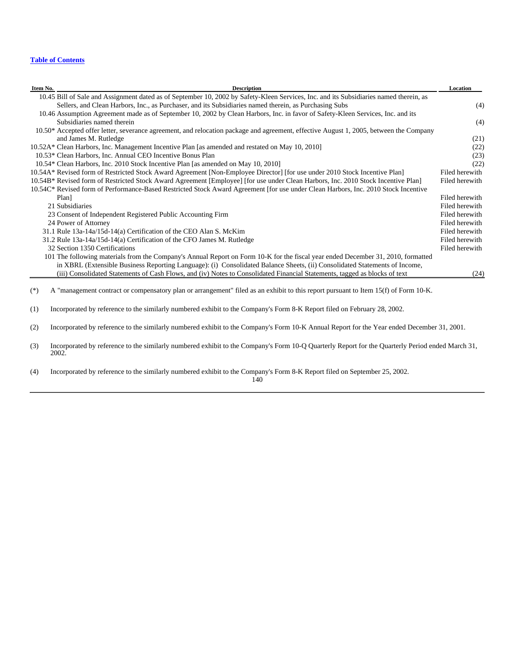### **Table of Contents**

| Item No. | <b>Description</b>                                                                                                                     | Location       |
|----------|----------------------------------------------------------------------------------------------------------------------------------------|----------------|
|          | 10.45 Bill of Sale and Assignment dated as of September 10, 2002 by Safety-Kleen Services, Inc. and its Subsidiaries named therein, as |                |
|          | Sellers, and Clean Harbors, Inc., as Purchaser, and its Subsidiaries named therein, as Purchasing Subs                                 | (4)            |
|          | 10.46 Assumption Agreement made as of September 10, 2002 by Clean Harbors, Inc. in favor of Safety-Kleen Services, Inc. and its        |                |
|          | Subsidiaries named therein                                                                                                             | (4)            |
|          | 10.50* Accepted offer letter, severance agreement, and relocation package and agreement, effective August 1, 2005, between the Company |                |
|          | and James M. Rutledge                                                                                                                  | (21)           |
|          | 10.52A* Clean Harbors, Inc. Management Incentive Plan [as amended and restated on May 10, 2010]                                        | (22)           |
|          | 10.53* Clean Harbors, Inc. Annual CEO Incentive Bonus Plan                                                                             | (23)           |
|          | 10.54* Clean Harbors, Inc. 2010 Stock Incentive Plan [as amended on May 10, 2010]                                                      | (22)           |
|          | 10.54A* Revised form of Restricted Stock Award Agreement [Non-Employee Director] [for use under 2010 Stock Incentive Plan]             | Filed herewith |
|          | 10.54B* Revised form of Restricted Stock Award Agreement [Employee] [for use under Clean Harbors, Inc. 2010 Stock Incentive Plan]      | Filed herewith |
|          | 10.54C* Revised form of Performance-Based Restricted Stock Award Agreement [for use under Clean Harbors, Inc. 2010 Stock Incentive     |                |
|          | Plan]                                                                                                                                  | Filed herewith |
|          | 21 Subsidiaries                                                                                                                        | Filed herewith |
|          | 23 Consent of Independent Registered Public Accounting Firm                                                                            | Filed herewith |
|          | 24 Power of Attorney                                                                                                                   | Filed herewith |
|          | 31.1 Rule 13a-14a/15d-14(a) Certification of the CEO Alan S. McKim                                                                     | Filed herewith |
|          | 31.2 Rule 13a-14a/15d-14(a) Certification of the CFO James M. Rutledge                                                                 | Filed herewith |
|          | 32 Section 1350 Certifications                                                                                                         | Filed herewith |
|          | 101 The following materials from the Company's Annual Report on Form 10-K for the fiscal year ended December 31, 2010, formatted       |                |
|          | in XBRL (Extensible Business Reporting Language): (i) Consolidated Balance Sheets, (ii) Consolidated Statements of Income,             |                |
|          | (iii) Consolidated Statements of Cash Flows, and (iv) Notes to Consolidated Financial Statements, tagged as blocks of text             | (24)           |
|          |                                                                                                                                        |                |
| $(*)$    | A "management contract or compensatory plan or arrangement" filed as an exhibit to this report pursuant to Item 15(f) of Form 10-K.    |                |

Incorporated by reference to the similarly numbered exhibit to the Company's Form 8-K Report filed on February 28, 2002. (1)

Incorporated by reference to the similarly numbered exhibit to the Company's Form 10-K Annual Report for the Year ended December 31, 2001. (2)

Incorporated by reference to the similarly numbered exhibit to the Company's Form 10-Q Quarterly Report for the Quarterly Period ended March 31, 2002. (3)

Incorporated by reference to the similarly numbered exhibit to the Company's Form 8-K Report filed on September 25, 2002. (4)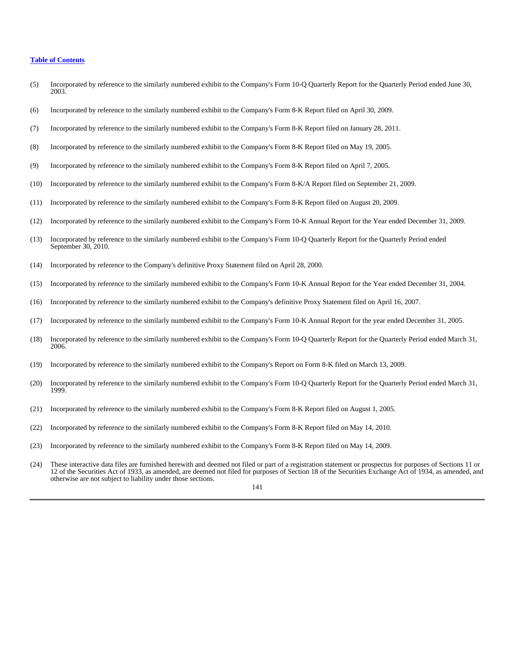#### **Table of Contents**

- Incorporated by reference to the similarly numbered exhibit to the Company's Form 10-Q Quarterly Report for the Quarterly Period ended June 30, 2003. (5)
- Incorporated by reference to the similarly numbered exhibit to the Company's Form 8-K Report filed on April 30, 2009. (6)
- Incorporated by reference to the similarly numbered exhibit to the Company's Form 8-K Report filed on January 28, 2011. (7)
- Incorporated by reference to the similarly numbered exhibit to the Company's Form 8-K Report filed on May 19, 2005. (8)
- Incorporated by reference to the similarly numbered exhibit to the Company's Form 8-K Report filed on April 7, 2005. (9)
- Incorporated by reference to the similarly numbered exhibit to the Company's Form 8-K/A Report filed on September 21, 2009. (10)
- Incorporated by reference to the similarly numbered exhibit to the Company's Form 8-K Report filed on August 20, 2009. (11)
- Incorporated by reference to the similarly numbered exhibit to the Company's Form 10-K Annual Report for the Year ended December 31, 2009. (12)
- Incorporated by reference to the similarly numbered exhibit to the Company's Form 10-Q Quarterly Report for the Quarterly Period ended September 30, 2010. (13)
- Incorporated by reference to the Company's definitive Proxy Statement filed on April 28, 2000. (14)
- Incorporated by reference to the similarly numbered exhibit to the Company's Form 10-K Annual Report for the Year ended December 31, 2004. (15)
- Incorporated by reference to the similarly numbered exhibit to the Company's definitive Proxy Statement filed on April 16, 2007. (16)
- Incorporated by reference to the similarly numbered exhibit to the Company's Form 10-K Annual Report for the year ended December 31, 2005. (17)
- Incorporated by reference to the similarly numbered exhibit to the Company's Form 10-Q Quarterly Report for the Quarterly Period ended March 31, 2006. (18)
- Incorporated by reference to the similarly numbered exhibit to the Company's Report on Form 8-K filed on March 13, 2009. (19)
- Incorporated by reference to the similarly numbered exhibit to the Company's Form 10-Q Quarterly Report for the Quarterly Period ended March 31, 1999. (20)
- Incorporated by reference to the similarly numbered exhibit to the Company's Form 8-K Report filed on August 1, 2005. (21)
- Incorporated by reference to the similarly numbered exhibit to the Company's Form 8-K Report filed on May 14, 2010. (22)
- Incorporated by reference to the similarly numbered exhibit to the Company's Form 8-K Report filed on May 14, 2009. (23)
- These interactive data files are furnished herewith and deemed not filed or part of a registration statement or prospectus for purposes of Sections 11 or 12 of the Securities Act of 1933, as amended, are deemed not filed for purposes of Section 18 of the Securities Exchange Act of 1934, as amended, and otherwise are not subject to liability under those sections. (24)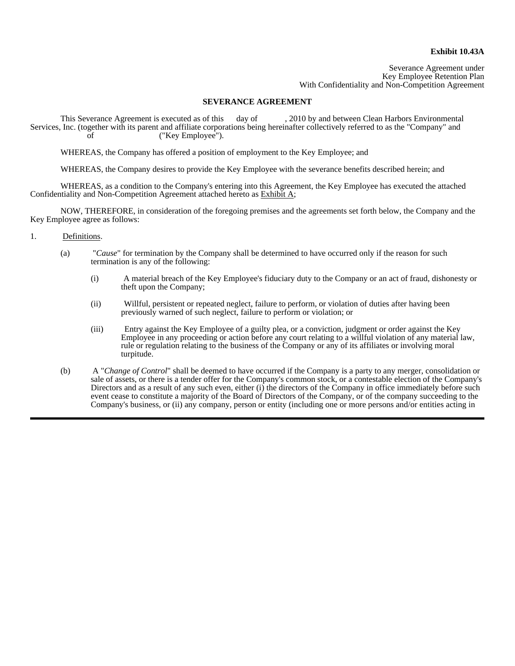# **Exhibit 10.43A**

Severance Agreement under Key Employee Retention Plan With Confidentiality and Non-Competition Agreement

### **SEVERANCE AGREEMENT**

This Severance Agreement is executed as of this day of , 2010 by and between Clean Harbors Environmental Services, Inc. (together with its parent and affiliate corporations being hereinafter collectively referred to as the "Company" and of ("Key Employee").

WHEREAS, the Company has offered a position of employment to the Key Employee; and

WHEREAS, the Company desires to provide the Key Employee with the severance benefits described herein; and

WHEREAS, as a condition to the Company's entering into this Agreement, the Key Employee has executed the attached Confidentiality and Non-Competition Agreement attached hereto as Exhibit A;

NOW, THEREFORE, in consideration of the foregoing premises and the agreements set forth below, the Company and the Key Employee agree as follows:

- 1. Definitions.
	- (a) "*Cause*" for termination by the Company shall be determined to have occurred only if the reason for such termination is any of the following:
		- (i) A material breach of the Key Employee's fiduciary duty to the Company or an act of fraud, dishonesty or theft upon the Company;
		- (ii) Willful, persistent or repeated neglect, failure to perform, or violation of duties after having been previously warned of such neglect, failure to perform or violation; or
		- (iii) Entry against the Key Employee of a guilty plea, or a conviction, judgment or order against the Key Employee in any proceeding or action before any court relating to a willful violation of any material law, rule or regulation relating to the business of the Company or any of its affiliates or involving moral turpitude.
	- (b) A "*Change of Control*" shall be deemed to have occurred if the Company is a party to any merger, consolidation or sale of assets, or there is a tender offer for the Company's common stock, or a contestable election of the Company's Directors and as a result of any such even, either (i) the directors of the Company in office immediately before such event cease to constitute a majority of the Board of Directors of the Company, or of the company succeeding to the Company's business, or (ii) any company, person or entity (including one or more persons and/or entities acting in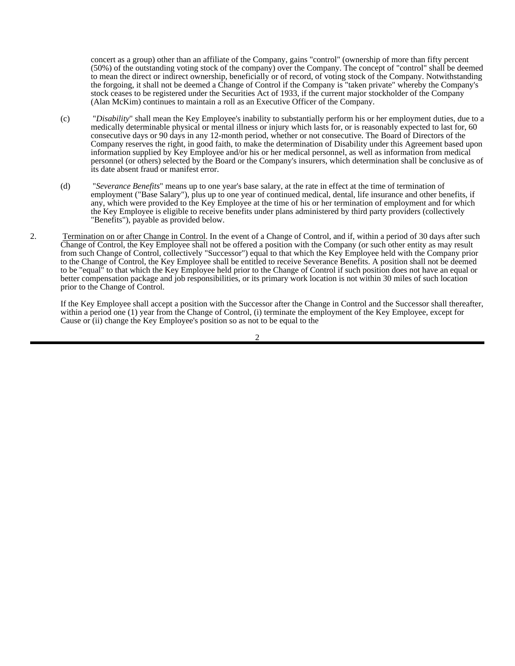concert as a group) other than an affiliate of the Company, gains "control" (ownership of more than fifty percent (50%) of the outstanding voting stock of the company) over the Company. The concept of "control" shall be deemed to mean the direct or indirect ownership, beneficially or of record, of voting stock of the Company. Notwithstanding the forgoing, it shall not be deemed a Change of Control if the Company is "taken private" whereby the Company's stock ceases to be registered under the Securities Act of 1933, if the current major stockholder of the Company (Alan McKim) continues to maintain a roll as an Executive Officer of the Company.

- (c) "*Disability*" shall mean the Key Employee's inability to substantially perform his or her employment duties, due to a medically determinable physical or mental illness or injury which lasts for, or is reasonably expected to last for, 60 consecutive days or 90 days in any 12-month period, whether or not consecutive. The Board of Directors of the Company reserves the right, in good faith, to make the determination of Disability under this Agreement based upon information supplied by Key Employee and/or his or her medical personnel, as well as information from medical personnel (or others) selected by the Board or the Company's insurers, which determination shall be conclusive as of its date absent fraud or manifest error.
- (d) "*Severance Benefits*" means up to one year's base salary, at the rate in effect at the time of termination of employment ("Base Salary"), plus up to one year of continued medical, dental, life insurance and other benefits, if any, which were provided to the Key Employee at the time of his or her termination of employment and for which the Key Employee is eligible to receive benefits under plans administered by third party providers (collectively "Benefits"), payable as provided below.
- 2. Termination on or after Change in Control. In the event of a Change of Control, and if, within a period of 30 days after such Change of Control, the Key Employee shall not be offered a position with the Company (or such other entity as may result from such Change of Control, collectively "Successor") equal to that which the Key Employee held with the Company prior to the Change of Control, the Key Employee shall be entitled to receive Severance Benefits. A position shall not be deemed to be "equal" to that which the Key Employee held prior to the Change of Control if such position does not have an equal or better compensation package and job responsibilities, or its primary work location is not within 30 miles of such location prior to the Change of Control.

If the Key Employee shall accept a position with the Successor after the Change in Control and the Successor shall thereafter, within a period one (1) year from the Change of Control, (i) terminate the employment of the Key Employee, except for Cause or (ii) change the Key Employee's position so as not to be equal to the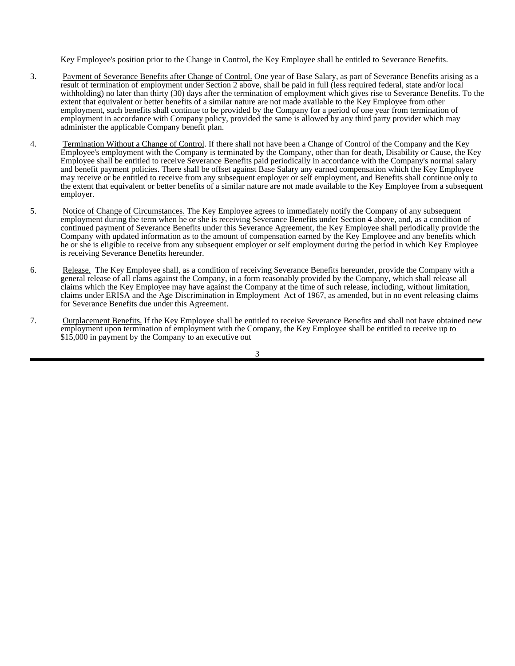Key Employee's position prior to the Change in Control, the Key Employee shall be entitled to Severance Benefits.

- 3. Payment of Severance Benefits after Change of Control. One year of Base Salary, as part of Severance Benefits arising as a result of termination of employment under Section 2 above, shall be paid in full (less required federal, state and/or local withholding) no later than thirty (30) days after the termination of employment which gives rise to Severance Benefits. To the extent that equivalent or better benefits of a similar nature are not made available to the Key Employee from other employment, such benefits shall continue to be provided by the Company for a period of one year from termination of employment in accordance with Company policy, provided the same is allowed by any third party provider which may administer the applicable Company benefit plan.
- 4. Termination Without a Change of Control. If there shall not have been a Change of Control of the Company and the Key Employee's employment with the Company is terminated by the Company, other than for death, Disability or Cause, the Key Employee shall be entitled to receive Severance Benefits paid periodically in accordance with the Company's normal salary and benefit payment policies. There shall be offset against Base Salary any earned compensation which the Key Employee may receive or be entitled to receive from any subsequent employer or self employment, and Benefits shall continue only to the extent that equivalent or better benefits of a similar nature are not made available to the Key Employee from a subsequent employer.
- 5. Notice of Change of Circumstances. The Key Employee agrees to immediately notify the Company of any subsequent employment during the term when he or she is receiving Severance Benefits under Section 4 above, and, as a condition of continued payment of Severance Benefits under this Severance Agreement, the Key Employee shall periodically provide the Company with updated information as to the amount of compensation earned by the Key Employee and any benefits which he or she is eligible to receive from any subsequent employer or self employment during the period in which Key Employee is receiving Severance Benefits hereunder.
- 6. Release. The Key Employee shall, as a condition of receiving Severance Benefits hereunder, provide the Company with a general release of all clams against the Company, in a form reasonably provided by the Company, which shall release all claims which the Key Employee may have against the Company at the time of such release, including, without limitation, claims under ERISA and the Age Discrimination in Employment Act of 1967, as amended, but in no event releasing claims for Severance Benefits due under this Agreement.
- 7. Outplacement Benefits. If the Key Employee shall be entitled to receive Severance Benefits and shall not have obtained new employment upon termination of employment with the Company, the Key Employee shall be entitled to receive up to \$15,000 in payment by the Company to an executive out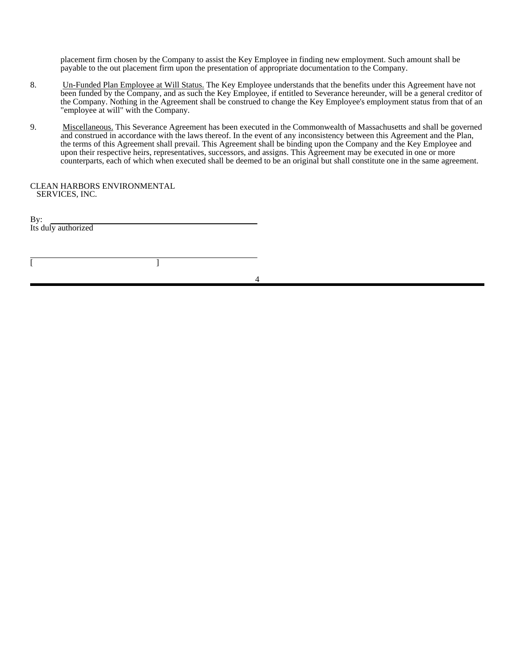placement firm chosen by the Company to assist the Key Employee in finding new employment. Such amount shall be payable to the out placement firm upon the presentation of appropriate documentation to the Company.

- 8. Un-Funded Plan Employee at Will Status. The Key Employee understands that the benefits under this Agreement have not been funded by the Company, and as such the Key Employee, if entitled to Severance hereunder, will be a general creditor of the Company. Nothing in the Agreement shall be construed to change the Key Employee's employment status from that of an "employee at will" with the Company.
- 9. Miscellaneous. This Severance Agreement has been executed in the Commonwealth of Massachusetts and shall be governed and construed in accordance with the laws thereof. In the event of any inconsistency between this Agreement and the Plan, the terms of this Agreement shall prevail. This Agreement shall be binding upon the Company and the Key Employee and upon their respective heirs, representatives, successors, and assigns. This Agreement may be executed in one or more counterparts, each of which when executed shall be deemed to be an original but shall constitute one in the same agreement.

CLEAN HARBORS ENVIRONMENTAL SERVICES, INC.

[]

By: Its duly authorized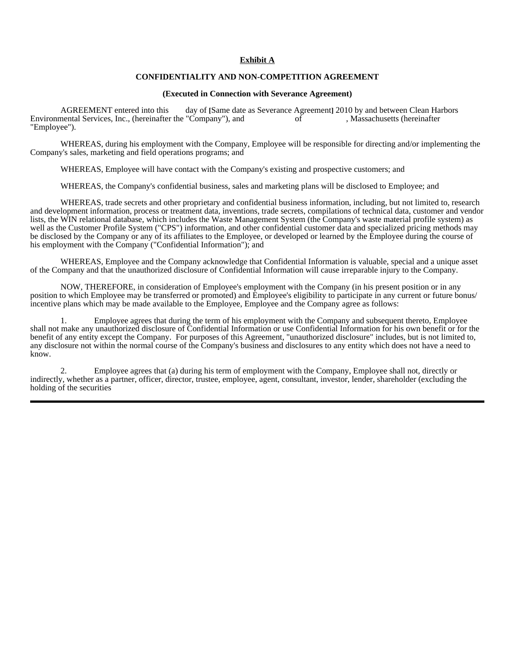## **Exhibit A**

# **CONFIDENTIALITY AND NON-COMPETITION AGREEMENT**

#### **(Executed in Connection with Severance Agreement)**

AGREEMENT entered into this day of **[**Same date as Severance Agreement**]** 2010 by and between Clean Harbors Environmental Services, Inc., (hereinafter the "Company"), and of , Massachusetts (hereinafter "Employee").

WHEREAS, during his employment with the Company, Employee will be responsible for directing and/or implementing the Company's sales, marketing and field operations programs; and

WHEREAS, Employee will have contact with the Company's existing and prospective customers; and

WHEREAS, the Company's confidential business, sales and marketing plans will be disclosed to Employee; and

WHEREAS, trade secrets and other proprietary and confidential business information, including, but not limited to, research and development information, process or treatment data, inventions, trade secrets, compilations of technical data, customer and vendor lists, the WIN relational database, which includes the Waste Management System (the Company's waste material profile system) as well as the Customer Profile System ("CPS") information, and other confidential customer data and specialized pricing methods may be disclosed by the Company or any of its affiliates to the Employee, or developed or learned by the Employee during the course of his employment with the Company ("Confidential Information"); and

WHEREAS, Employee and the Company acknowledge that Confidential Information is valuable, special and a unique asset of the Company and that the unauthorized disclosure of Confidential Information will cause irreparable injury to the Company.

NOW, THEREFORE, in consideration of Employee's employment with the Company (in his present position or in any position to which Employee may be transferred or promoted) and Employee's eligibility to participate in any current or future bonus/ incentive plans which may be made available to the Employee, Employee and the Company agree as follows:

1. Employee agrees that during the term of his employment with the Company and subsequent thereto, Employee shall not make any unauthorized disclosure of Confidential Information or use Confidential Information for his own benefit or for the benefit of any entity except the Company. For purposes of this Agreement, "unauthorized disclosure" includes, but is not limited to, any disclosure not within the normal course of the Company's business and disclosures to any entity which does not have a need to know.

2. Employee agrees that (a) during his term of employment with the Company, Employee shall not, directly or indirectly, whether as a partner, officer, director, trustee, employee, agent, consultant, investor, lender, shareholder (excluding the holding of the securities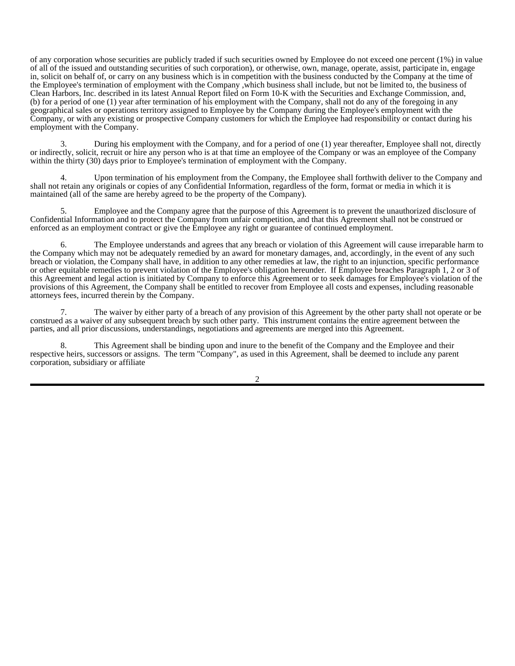of any corporation whose securities are publicly traded if such securities owned by Employee do not exceed one percent (1%) in value of all of the issued and outstanding securities of such corporation), or otherwise, own, manage, operate, assist, participate in, engage in, solicit on behalf of, or carry on any business which is in competition with the business conducted by the Company at the time of the Employee's termination of employment with the Company, which business shall include, but not be limited to, the business of Clean Harbors, Inc. described in its latest Annual Report filed on Form 10-K with the Securities and Exchange Commission, and, (b) for a period of one (1) year after termination of his employment with the Company, shall not do any of the foregoing in any geographical sales or operations territory assigned to Employee by the Company during the Employee's employment with the Company, or with any existing or prospective Company customers for which the Employee had responsibility or contact during his employment with the Company.

3. During his employment with the Company, and for a period of one (1) year thereafter, Employee shall not, directly or indirectly, solicit, recruit or hire any person who is at that time an employee of the Company or was an employee of the Company within the thirty (30) days prior to Employee's termination of employment with the Company.

Upon termination of his employment from the Company, the Employee shall forthwith deliver to the Company and shall not retain any originals or copies of any Confidential Information, regardless of the form, format or media in which it is maintained (all of the same are hereby agreed to be the property of the Company).

Employee and the Company agree that the purpose of this Agreement is to prevent the unauthorized disclosure of Confidential Information and to protect the Company from unfair competition, and that this Agreement shall not be construed or enforced as an employment contract or give the Employee any right or guarantee of continued employment.

6. The Employee understands and agrees that any breach or violation of this Agreement will cause irreparable harm to the Company which may not be adequately remedied by an award for monetary damages, and, accordingly, in the event of any such breach or violation, the Company shall have, in addition to any other remedies at law, the right to an injunction, specific performance or other equitable remedies to prevent violation of the Employee's obligation hereunder. If Employee breaches Paragraph 1, 2 or 3 of this Agreement and legal action is initiated by Company to enforce this Agreement or to seek damages for Employee's violation of the provisions of this Agreement, the Company shall be entitled to recover from Employee all costs and expenses, including reasonable attorneys fees, incurred therein by the Company.

7. The waiver by either party of a breach of any provision of this Agreement by the other party shall not operate or be construed as a waiver of any subsequent breach by such other party. This instrument contains the entire agreement between the parties, and all prior discussions, understandings, negotiations and agreements are merged into this Agreement.

This Agreement shall be binding upon and inure to the benefit of the Company and the Employee and their respective heirs, successors or assigns. The term "Company", as used in this Agreement, shall be deemed to include any parent corporation, subsidiary or affiliate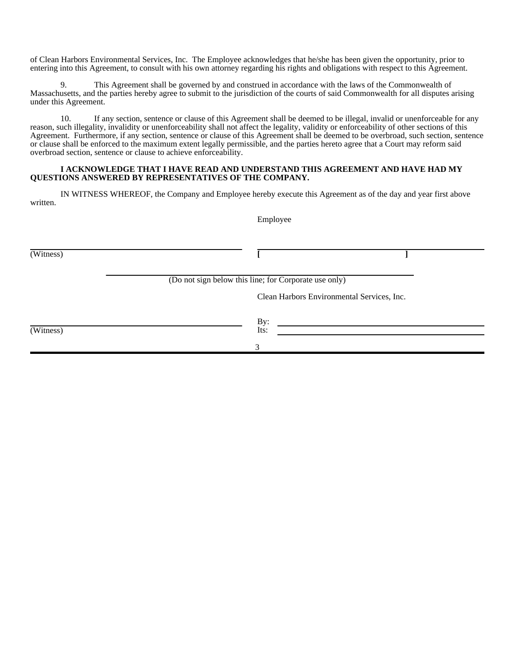of Clean Harbors Environmental Services, Inc. The Employee acknowledges that he/she has been given the opportunity, prior to entering into this Agreement, to consult with his own attorney regarding his rights and obligations with respect to this Agreement.

9. This Agreement shall be governed by and construed in accordance with the laws of the Commonwealth of Massachusetts, and the parties hereby agree to submit to the jurisdiction of the courts of said Commonwealth for all disputes arising under this Agreement.

10. If any section, sentence or clause of this Agreement shall be deemed to be illegal, invalid or unenforceable for any reason, such illegality, invalidity or unenforceability shall not affect the legality, validity or enforceability of other sections of this Agreement. Furthermore, if any section, sentence or clause of this Agreement shall be deemed to be overbroad, such section, sentence or clause shall be enforced to the maximum extent legally permissible, and the parties hereto agree that a Court may reform said overbroad section, sentence or clause to achieve enforceability.

#### **I ACKNOWLEDGE THAT I HAVE READ AND UNDERSTAND THIS AGREEMENT AND HAVE HAD MY QUESTIONS ANSWERED BY REPRESENTATIVES OF THE COMPANY.**

IN WITNESS WHEREOF, the Company and Employee hereby execute this Agreement as of the day and year first above written.

Employee

| (Witness) |                                                       |  |
|-----------|-------------------------------------------------------|--|
|           | (Do not sign below this line; for Corporate use only) |  |
|           | Clean Harbors Environmental Services, Inc.            |  |
|           | By:<br>Its:                                           |  |
| (Witness) |                                                       |  |
|           | ◠                                                     |  |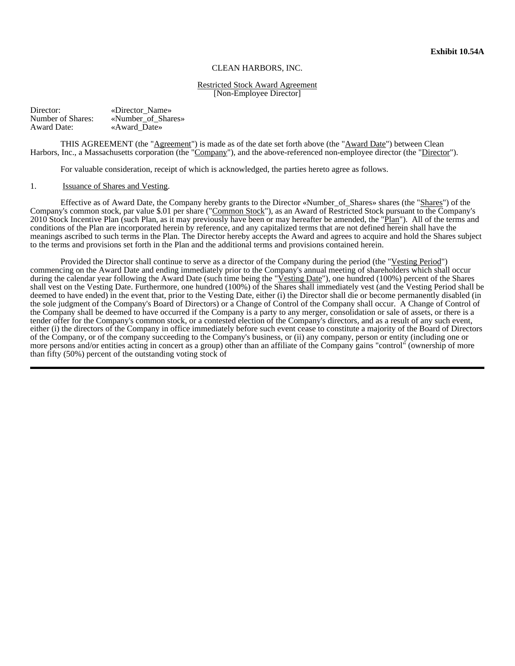#### CLEAN HARBORS, INC.

#### Restricted Stock Award Agreement [Non-Employee Director]

| Director:         | «Director Name»    |
|-------------------|--------------------|
| Number of Shares: | «Number of Shares» |
| Award Date:       | «Award Date»       |

THIS AGREEMENT (the "Agreement") is made as of the date set forth above (the "Award Date") between Clean Harbors, Inc., a Massachusetts corporation (the "Company"), and the above-referenced non-employee director (the "Director").

For valuable consideration, receipt of which is acknowledged, the parties hereto agree as follows.

### 1. Issuance of Shares and Vesting.

Effective as of Award Date, the Company hereby grants to the Director «Number\_of\_Shares» shares (the "Shares") of the Company's common stock, par value \$.01 per share ("Common Stock"), as an Award of Restricted Stock pursuant to the Company's 2010 Stock Incentive Plan (such Plan, as it may previously have been or may hereafter be amended, the "Plan"). All of the terms and conditions of the Plan are incorporated herein by reference, and any capitalized terms that are not defined herein shall have the meanings ascribed to such terms in the Plan. The Director hereby accepts the Award and agrees to acquire and hold the Shares subject to the terms and provisions set forth in the Plan and the additional terms and provisions contained herein.

Provided the Director shall continue to serve as a director of the Company during the period (the "Vesting Period") commencing on the Award Date and ending immediately prior to the Company's annual meeting of shareholders which shall occur during the calendar year following the Award Date (such time being the "Vesting Date"), one hundred (100%) percent of the Shares shall vest on the Vesting Date. Furthermore, one hundred (100%) of the Shares shall immediately vest (and the Vesting Period shall be deemed to have ended) in the event that, prior to the Vesting Date, either (i) the Director shall die or become permanently disabled (in the sole judgment of the Company's Board of Directors) or a Change of Control of the Company shall occur. A Change of Control of the Company shall be deemed to have occurred if the Company is a party to any merger, consolidation or sale of assets, or there is a tender offer for the Company's common stock, or a contested election of the Company's directors, and as a result of any such event, either (i) the directors of the Company in office immediately before such event cease to constitute a majority of the Board of Directors of the Company, or of the company succeeding to the Company's business, or (ii) any company, person or entity (including one or more persons and/or entities acting in concert as a group) other than an affiliate of the Company gains "control" (ownership of more than fifty (50%) percent of the outstanding voting stock of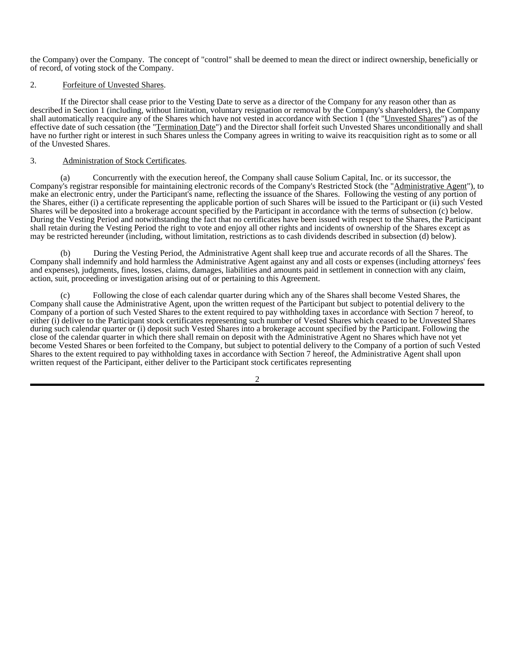the Company) over the Company. The concept of "control" shall be deemed to mean the direct or indirect ownership, beneficially or of record, of voting stock of the Company.

### 2. Forfeiture of Unvested Shares.

If the Director shall cease prior to the Vesting Date to serve as a director of the Company for any reason other than as described in Section 1 (including, without limitation, voluntary resignation or removal by the Company's shareholders), the Company shall automatically reacquire any of the Shares which have not vested in accordance with Section 1 (the "Unvested Shares") as of the effective date of such cessation (the "Termination Date") and the Director shall forfeit such Unvested Shares unconditionally and shall have no further right or interest in such Shares unless the Company agrees in writing to waive its reacquisition right as to some or all of the Unvested Shares.

### 3. Administration of Stock Certificates.

(a) Concurrently with the execution hereof, the Company shall cause Solium Capital, Inc. or its successor, the Company's registrar responsible for maintaining electronic records of the Company's Restricted Stock (the "Administrative Agent"), to make an electronic entry, under the Participant's name, reflecting the issuance of the Shares. Following the vesting of any portion of the Shares, either (i) a certificate representing the applicable portion of such Shares will be issued to the Participant or (ii) such Vested Shares will be deposited into a brokerage account specified by the Participant in accordance with the terms of subsection (c) below. During the Vesting Period and notwithstanding the fact that no certificates have been issued with respect to the Shares, the Participant shall retain during the Vesting Period the right to vote and enjoy all other rights and incidents of ownership of the Shares except as may be restricted hereunder (including, without limitation, restrictions as to cash dividends described in subsection (d) below).

(b) During the Vesting Period, the Administrative Agent shall keep true and accurate records of all the Shares. The Company shall indemnify and hold harmless the Administrative Agent against any and all costs or expenses (including attorneys' fees and expenses), judgments, fines, losses, claims, damages, liabilities and amounts paid in settlement in connection with any claim, action, suit, proceeding or investigation arising out of or pertaining to this Agreement.

(c) Following the close of each calendar quarter during which any of the Shares shall become Vested Shares, the Company shall cause the Administrative Agent, upon the written request of the Participant but subject to potential delivery to the Company of a portion of such Vested Shares to the extent required to pay withholding taxes in accordance with Section 7 hereof, to either (i) deliver to the Participant stock certificates representing such number of Vested Shares which ceased to be Unvested Shares during such calendar quarter or (i) deposit such Vested Shares into a brokerage account specified by the Participant. Following the close of the calendar quarter in which there shall remain on deposit with the Administrative Agent no Shares which have not yet become Vested Shares or been forfeited to the Company, but subject to potential delivery to the Company of a portion of such Vested Shares to the extent required to pay withholding taxes in accordance with Section 7 hereof, the Administrative Agent shall upon written request of the Participant, either deliver to the Participant stock certificates representing

 $\mathcal{D}$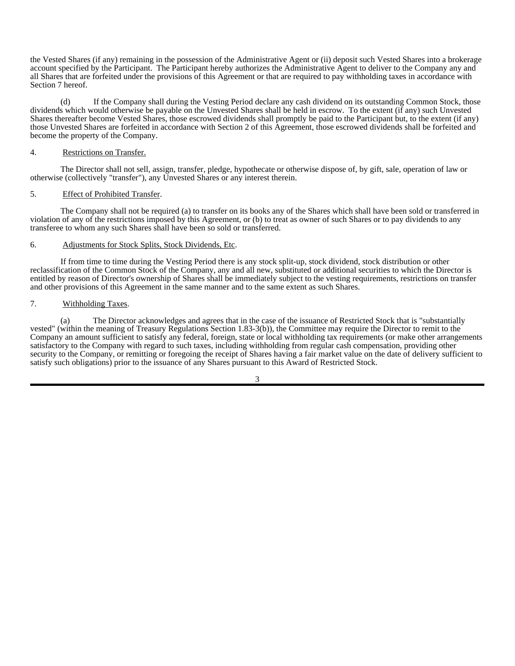the Vested Shares (if any) remaining in the possession of the Administrative Agent or (ii) deposit such Vested Shares into a brokerage account specified by the Participant. The Participant hereby authorizes the Administrative Agent to deliver to the Company any and all Shares that are forfeited under the provisions of this Agreement or that are required to pay withholding taxes in accordance with Section 7 hereof.

(d) If the Company shall during the Vesting Period declare any cash dividend on its outstanding Common Stock, those dividends which would otherwise be payable on the Unvested Shares shall be held in escrow. To the extent (if any) such Unvested Shares thereafter become Vested Shares, those escrowed dividends shall promptly be paid to the Participant but, to the extent (if any) those Unvested Shares are forfeited in accordance with Section 2 of this Agreement, those escrowed dividends shall be forfeited and become the property of the Company.

# 4. Restrictions on Transfer.

The Director shall not sell, assign, transfer, pledge, hypothecate or otherwise dispose of, by gift, sale, operation of law or otherwise (collectively "transfer"), any Unvested Shares or any interest therein.

#### 5. Effect of Prohibited Transfer.

The Company shall not be required (a) to transfer on its books any of the Shares which shall have been sold or transferred in violation of any of the restrictions imposed by this Agreement, or (b) to treat as owner of such Shares or to pay dividends to any transferee to whom any such Shares shall have been so sold or transferred.

### 6. Adjustments for Stock Splits, Stock Dividends, Etc.

If from time to time during the Vesting Period there is any stock split-up, stock dividend, stock distribution or other reclassification of the Common Stock of the Company, any and all new, substituted or additional securities to which the Director is entitled by reason of Director's ownership of Shares shall be immediately subject to the vesting requirements, restrictions on transfer and other provisions of this Agreement in the same manner and to the same extent as such Shares.

### 7. Withholding Taxes.

(a) The Director acknowledges and agrees that in the case of the issuance of Restricted Stock that is "substantially vested" (within the meaning of Treasury Regulations Section 1.83-3(b)), the Committee may require the Director to remit to the Company an amount sufficient to satisfy any federal, foreign, state or local withholding tax requirements (or make other arrangements satisfactory to the Company with regard to such taxes, including withholding from regular cash compensation, providing other security to the Company, or remitting or foregoing the receipt of Shares having a fair market value on the date of delivery sufficient to satisfy such obligations) prior to the issuance of any Shares pursuant to this Award of Restricted Stock.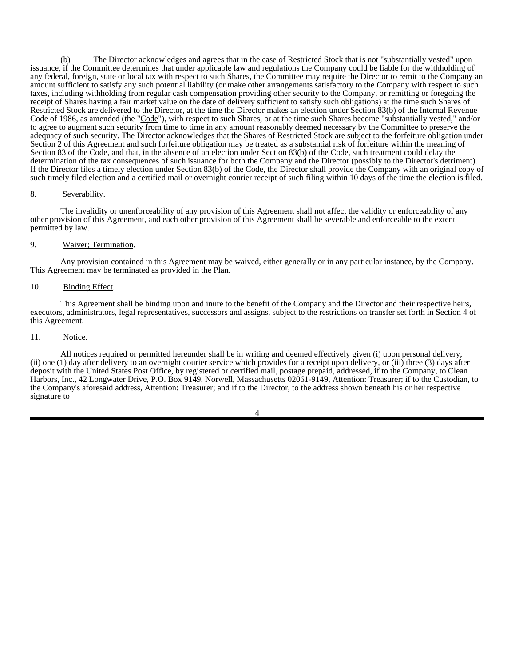(b) The Director acknowledges and agrees that in the case of Restricted Stock that is not "substantially vested" upon issuance, if the Committee determines that under applicable law and regulations the Company could be liable for the withholding of any federal, foreign, state or local tax with respect to such Shares, the Committee may require the Director to remit to the Company an amount sufficient to satisfy any such potential liability (or make other arrangements satisfactory to the Company with respect to such taxes, including withholding from regular cash compensation providing other security to the Company, or remitting or foregoing the receipt of Shares having a fair market value on the date of delivery sufficient to satisfy such obligations) at the time such Shares of Restricted Stock are delivered to the Director, at the time the Director makes an election under Section 83(b) of the Internal Revenue Code of 1986, as amended (the "Code"), with respect to such Shares, or at the time such Shares become "substantially vested," and/or to agree to augment such security from time to time in any amount reasonably deemed necessary by the Committee to preserve the adequacy of such security. The Director acknowledges that the Shares of Restricted Stock are subject to the forfeiture obligation under Section 2 of this Agreement and such forfeiture obligation may be treated as a substantial risk of forfeiture within the meaning of Section 83 of the Code, and that, in the absence of an election under Section 83(b) of the Code, such treatment could delay the determination of the tax consequences of such issuance for both the Company and the Director (possibly to the Director's detriment). If the Director files a timely election under Section 83(b) of the Code, the Director shall provide the Company with an original copy of such timely filed election and a certified mail or overnight courier receipt of such filing within 10 days of the time the election is filed.

#### 8. Severability.

The invalidity or unenforceability of any provision of this Agreement shall not affect the validity or enforceability of any other provision of this Agreement, and each other provision of this Agreement shall be severable and enforceable to the extent permitted by law.

### 9. Waiver; Termination.

Any provision contained in this Agreement may be waived, either generally or in any particular instance, by the Company. This Agreement may be terminated as provided in the Plan.

# 10. Binding Effect.

This Agreement shall be binding upon and inure to the benefit of the Company and the Director and their respective heirs, executors, administrators, legal representatives, successors and assigns, subject to the restrictions on transfer set forth in Section 4 of this Agreement.

### 11. Notice.

All notices required or permitted hereunder shall be in writing and deemed effectively given (i) upon personal delivery, (ii) one (1) day after delivery to an overnight courier service which provides for a receipt upon delivery, or (iii) three (3) days after deposit with the United States Post Office, by registered or certified mail, postage prepaid, addressed, if to the Company, to Clean Harbors, Inc., 42 Longwater Drive, P.O. Box 9149, Norwell, Massachusetts 02061-9149, Attention: Treasurer; if to the Custodian, to the Company's aforesaid address, Attention: Treasurer; and if to the Director, to the address shown beneath his or her respective signature to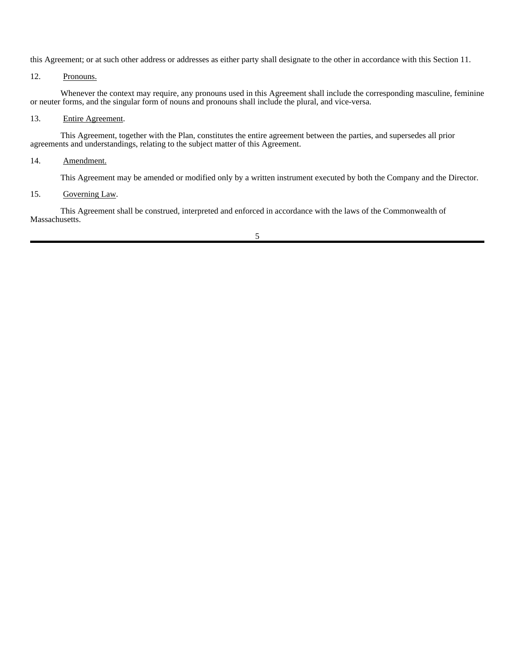this Agreement; or at such other address or addresses as either party shall designate to the other in accordance with this Section 11.

### 12. Pronouns.

Whenever the context may require, any pronouns used in this Agreement shall include the corresponding masculine, feminine or neuter forms, and the singular form of nouns and pronouns shall include the plural, and vice-versa.

### 13. Entire Agreement.

This Agreement, together with the Plan, constitutes the entire agreement between the parties, and supersedes all prior agreements and understandings, relating to the subject matter of this Agreement.

# 14. Amendment.

This Agreement may be amended or modified only by a written instrument executed by both the Company and the Director.

# 15. Governing Law.

This Agreement shall be construed, interpreted and enforced in accordance with the laws of the Commonwealth of Massachusetts.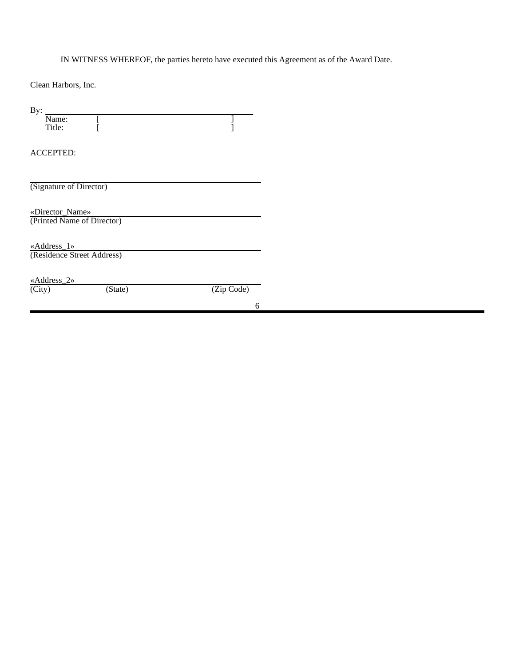# IN WITNESS WHEREOF, the parties hereto have executed this Agreement as of the Award Date.

Clean Harbors, Inc.

| By:                                           |         |            |
|-----------------------------------------------|---------|------------|
| Name:<br>Title:                               |         |            |
| <b>ACCEPTED:</b>                              |         |            |
|                                               |         |            |
| (Signature of Director)                       |         |            |
|                                               |         |            |
| «Director_Name»<br>(Printed Name of Director) |         |            |
| «Address_1»                                   |         |            |
| (Residence Street Address)                    |         |            |
| «Address_2»                                   |         |            |
| $\overline{\text{(City)}}$                    | (State) | (Zip Code) |
|                                               |         | 6          |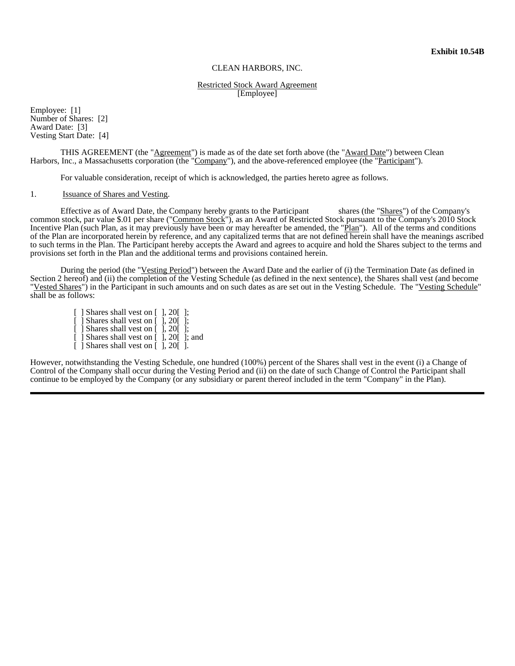#### CLEAN HARBORS, INC.

### Restricted Stock Award Agreement [Employee]

Employee: [1] Number of Shares: [2] Award Date: [3] Vesting Start Date: [4]

THIS AGREEMENT (the "Agreement") is made as of the date set forth above (the "Award Date") between Clean Harbors, Inc., a Massachusetts corporation (the "Company"), and the above-referenced employee (the "Participant").

For valuable consideration, receipt of which is acknowledged, the parties hereto agree as follows.

### 1. **Issuance of Shares and Vesting.**

Effective as of Award Date, the Company hereby grants to the Participant shares (the "Shares") of the Company's common stock, par value \$.01 per share ("Common Stock"), as an Award of Restricted Stock pursuant to the Company's 2010 Stock Incentive Plan (such Plan, as it may previously have been or may hereafter be amended, the "Plan"). All of the terms and conditions of the Plan are incorporated herein by reference, and any capitalized terms that are not defined herein shall have the meanings ascribed to such terms in the Plan. The Participant hereby accepts the Award and agrees to acquire and hold the Shares subject to the terms and provisions set forth in the Plan and the additional terms and provisions contained herein.

During the period (the "Vesting Period") between the Award Date and the earlier of (i) the Termination Date (as defined in Section 2 hereof) and (ii) the completion of the Vesting Schedule (as defined in the next sentence), the Shares shall vest (and become "Vested Shares") in the Participant in such amounts and on such dates as are set out in the Vesting Schedule. The "Vesting Schedule" shall be as follows:

[ ] Shares shall vest on [ ], 20[ ];  $\begin{bmatrix} 1 & 5 \end{bmatrix}$  Shares shall vest on  $\begin{bmatrix} 1 & 20 \\ 1 & 201 \end{bmatrix}$ ; [ ] Shares shall vest on [ ], 20[ ];  $\begin{bmatrix} \overline{\phantom{a}} \end{bmatrix}$  Shares shall vest on  $\begin{bmatrix} \overline{\phantom{a}} \end{bmatrix}$ , 20 $\begin{bmatrix} \overline{\phantom{a}} \end{bmatrix}$ ; and  $\lceil$  ] Shares shall vest on  $\lceil$  1, 20 $\lceil$  1.

However, notwithstanding the Vesting Schedule, one hundred (100%) percent of the Shares shall vest in the event (i) a Change of Control of the Company shall occur during the Vesting Period and (ii) on the date of such Change of Control the Participant shall continue to be employed by the Company (or any subsidiary or parent thereof included in the term "Company" in the Plan).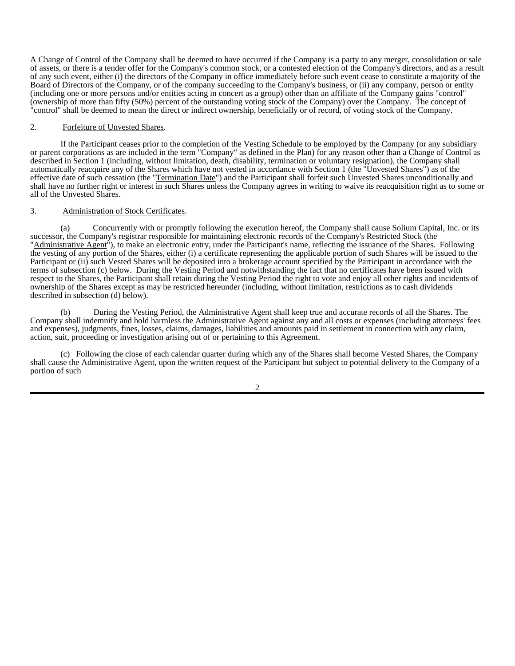A Change of Control of the Company shall be deemed to have occurred if the Company is a party to any merger, consolidation or sale of assets, or there is a tender offer for the Company's common stock, or a contested election of the Company's directors, and as a result of any such event, either (i) the directors of the Company in office immediately before such event cease to constitute a majority of the Board of Directors of the Company, or of the company succeeding to the Company's business, or (ii) any company, person or entity (including one or more persons and/or entities acting in concert as a group) other than an affiliate of the Company gains "control" (ownership of more than fifty (50%) percent of the outstanding voting stock of the Company) over the Company. The concept of "control" shall be deemed to mean the direct or indirect ownership, beneficially or of record, of voting stock of the Company.

### 2. Forfeiture of Unvested Shares.

If the Participant ceases prior to the completion of the Vesting Schedule to be employed by the Company (or any subsidiary or parent corporations as are included in the term "Company" as defined in the Plan) for any reason other than a Change of Control as described in Section 1 (including, without limitation, death, disability, termination or voluntary resignation), the Company shall automatically reacquire any of the Shares which have not vested in accordance with Section 1 (the "Unvested Shares") as of the effective date of such cessation (the "Termination Date") and the Participant shall forfeit such Unvested Shares unconditionally and shall have no further right or interest in such Shares unless the Company agrees in writing to waive its reacquisition right as to some or all of the Unvested Shares.

### 3. Administration of Stock Certificates.

(a) Concurrently with or promptly following the execution hereof, the Company shall cause Solium Capital, Inc. or its successor, the Company's registrar responsible for maintaining electronic records of the Company's Restricted Stock (the "Administrative Agent"), to make an electronic entry, under the Participant's name, reflecting the issuance of the Shares. Following the vesting of any portion of the Shares, either (i) a certificate representing the applicable portion of such Shares will be issued to the Participant or (ii) such Vested Shares will be deposited into a brokerage account specified by the Participant in accordance with the terms of subsection (c) below. During the Vesting Period and notwithstanding the fact that no certificates have been issued with respect to the Shares, the Participant shall retain during the Vesting Period the right to vote and enjoy all other rights and incidents of ownership of the Shares except as may be restricted hereunder (including, without limitation, restrictions as to cash dividends described in subsection (d) below).

(b) During the Vesting Period, the Administrative Agent shall keep true and accurate records of all the Shares. The Company shall indemnify and hold harmless the Administrative Agent against any and all costs or expenses (including attorneys' fees and expenses), judgments, fines, losses, claims, damages, liabilities and amounts paid in settlement in connection with any claim, action, suit, proceeding or investigation arising out of or pertaining to this Agreement.

(c) Following the close of each calendar quarter during which any of the Shares shall become Vested Shares, the Company shall cause the Administrative Agent, upon the written request of the Participant but subject to potential delivery to the Company of a portion of such

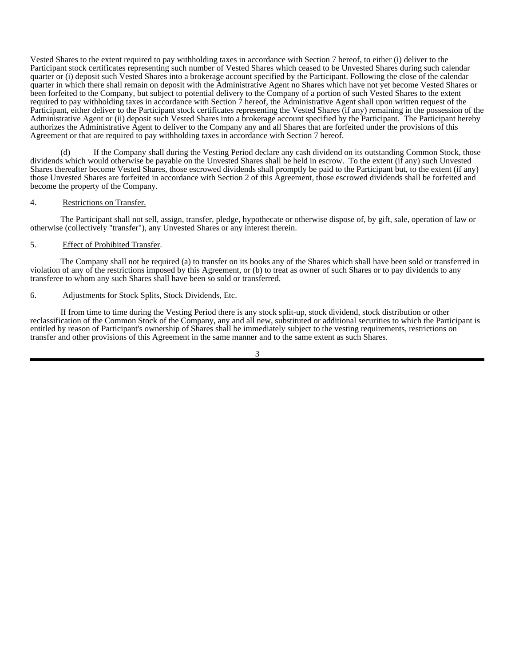Vested Shares to the extent required to pay withholding taxes in accordance with Section 7 hereof, to either (i) deliver to the Participant stock certificates representing such number of Vested Shares which ceased to be Unvested Shares during such calendar quarter or (i) deposit such Vested Shares into a brokerage account specified by the Participant. Following the close of the calendar quarter in which there shall remain on deposit with the Administrative Agent no Shares which have not yet become Vested Shares or been forfeited to the Company, but subject to potential delivery to the Company of a portion of such Vested Shares to the extent required to pay withholding taxes in accordance with Section 7 hereof, the Administrative Agent shall upon written request of the Participant, either deliver to the Participant stock certificates representing the Vested Shares (if any) remaining in the possession of the Administrative Agent or (ii) deposit such Vested Shares into a brokerage account specified by the Participant. The Participant hereby authorizes the Administrative Agent to deliver to the Company any and all Shares that are forfeited under the provisions of this Agreement or that are required to pay withholding taxes in accordance with Section 7 hereof.

(d) If the Company shall during the Vesting Period declare any cash dividend on its outstanding Common Stock, those dividends which would otherwise be payable on the Unvested Shares shall be held in escrow. To the extent (if any) such Unvested Shares thereafter become Vested Shares, those escrowed dividends shall promptly be paid to the Participant but, to the extent (if any) those Unvested Shares are forfeited in accordance with Section 2 of this Agreement, those escrowed dividends shall be forfeited and become the property of the Company.

### 4. Restrictions on Transfer.

The Participant shall not sell, assign, transfer, pledge, hypothecate or otherwise dispose of, by gift, sale, operation of law or otherwise (collectively "transfer"), any Unvested Shares or any interest therein.

### 5. Effect of Prohibited Transfer.

The Company shall not be required (a) to transfer on its books any of the Shares which shall have been sold or transferred in violation of any of the restrictions imposed by this Agreement, or (b) to treat as owner of such Shares or to pay dividends to any transferee to whom any such Shares shall have been so sold or transferred.

### 6. Adjustments for Stock Splits, Stock Dividends, Etc.

If from time to time during the Vesting Period there is any stock split-up, stock dividend, stock distribution or other reclassification of the Common Stock of the Company, any and all new, substituted or additional securities to which the Participant is entitled by reason of Participant's ownership of Shares shall be immediately subject to the vesting requirements, restrictions on transfer and other provisions of this Agreement in the same manner and to the same extent as such Shares.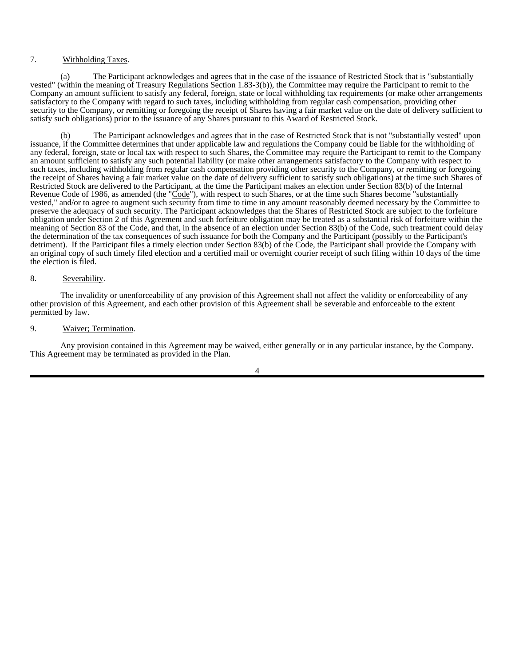### 7. Withholding Taxes.

(a) The Participant acknowledges and agrees that in the case of the issuance of Restricted Stock that is "substantially vested" (within the meaning of Treasury Regulations Section 1.83-3(b)), the Committee may require the Participant to remit to the Company an amount sufficient to satisfy any federal, foreign, state or local withholding tax requirements (or make other arrangements satisfactory to the Company with regard to such taxes, including withholding from regular cash compensation, providing other security to the Company, or remitting or foregoing the receipt of Shares having a fair market value on the date of delivery sufficient to satisfy such obligations) prior to the issuance of any Shares pursuant to this Award of Restricted Stock.

(b) The Participant acknowledges and agrees that in the case of Restricted Stock that is not "substantially vested" upon issuance, if the Committee determines that under applicable law and regulations the Company could be liable for the withholding of any federal, foreign, state or local tax with respect to such Shares, the Committee may require the Participant to remit to the Company an amount sufficient to satisfy any such potential liability (or make other arrangements satisfactory to the Company with respect to such taxes, including withholding from regular cash compensation providing other security to the Company, or remitting or foregoing the receipt of Shares having a fair market value on the date of delivery sufficient to satisfy such obligations) at the time such Shares of Restricted Stock are delivered to the Participant, at the time the Participant makes an election under Section 83(b) of the Internal Revenue Code of 1986, as amended (the "Code"), with respect to such Shares, or at the time such Shares become "substantially vested," and/or to agree to augment such security from time to time in any amount reasonably deemed necessary by the Committee to preserve the adequacy of such security. The Participant acknowledges that the Shares of Restricted Stock are subject to the forfeiture obligation under Section 2 of this Agreement and such forfeiture obligation may be treated as a substantial risk of forfeiture within the meaning of Section 83 of the Code, and that, in the absence of an election under Section 83(b) of the Code, such treatment could delay the determination of the tax consequences of such issuance for both the Company and the Participant (possibly to the Participant's detriment). If the Participant files a timely election under Section 83(b) of the Code, the Participant shall provide the Company with an original copy of such timely filed election and a certified mail or overnight courier receipt of such filing within 10 days of the time the election is filed.

### 8. Severability.

The invalidity or unenforceability of any provision of this Agreement shall not affect the validity or enforceability of any other provision of this Agreement, and each other provision of this Agreement shall be severable and enforceable to the extent permitted by law.

#### 9. Waiver; Termination.

Any provision contained in this Agreement may be waived, either generally or in any particular instance, by the Company. This Agreement may be terminated as provided in the Plan.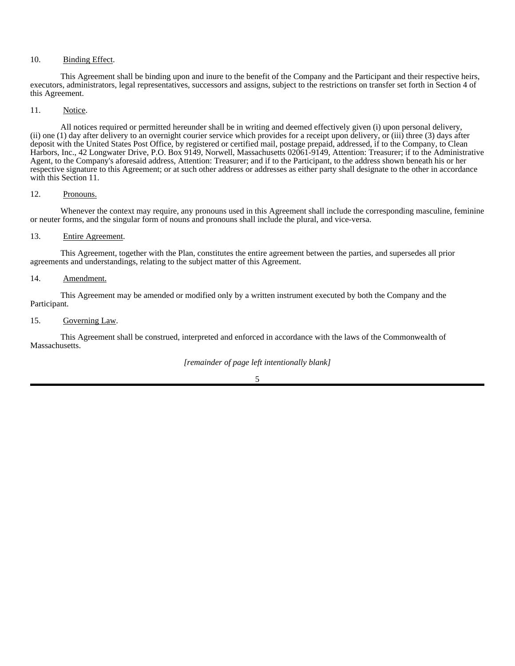### 10. Binding Effect.

This Agreement shall be binding upon and inure to the benefit of the Company and the Participant and their respective heirs, executors, administrators, legal representatives, successors and assigns, subject to the restrictions on transfer set forth in Section 4 of this Agreement.

#### 11. Notice.

All notices required or permitted hereunder shall be in writing and deemed effectively given (i) upon personal delivery, (ii) one (1) day after delivery to an overnight courier service which provides for a receipt upon delivery, or (iii) three (3) days after deposit with the United States Post Office, by registered or certified mail, postage prepaid, addressed, if to the Company, to Clean Harbors, Inc., 42 Longwater Drive, P.O. Box 9149, Norwell, Massachusetts 02061-9149, Attention: Treasurer; if to the Administrative Agent, to the Company's aforesaid address, Attention: Treasurer; and if to the Participant, to the address shown beneath his or her respective signature to this Agreement; or at such other address or addresses as either party shall designate to the other in accordance with this Section 11.

### 12. Pronouns.

Whenever the context may require, any pronouns used in this Agreement shall include the corresponding masculine, feminine or neuter forms, and the singular form of nouns and pronouns shall include the plural, and vice-versa.

### 13. Entire Agreement.

This Agreement, together with the Plan, constitutes the entire agreement between the parties, and supersedes all prior agreements and understandings, relating to the subject matter of this Agreement.

#### 14. Amendment.

This Agreement may be amended or modified only by a written instrument executed by both the Company and the Participant.

#### 15. Governing Law.

This Agreement shall be construed, interpreted and enforced in accordance with the laws of the Commonwealth of Massachusetts.

*[remainder of page left intentionally blank]*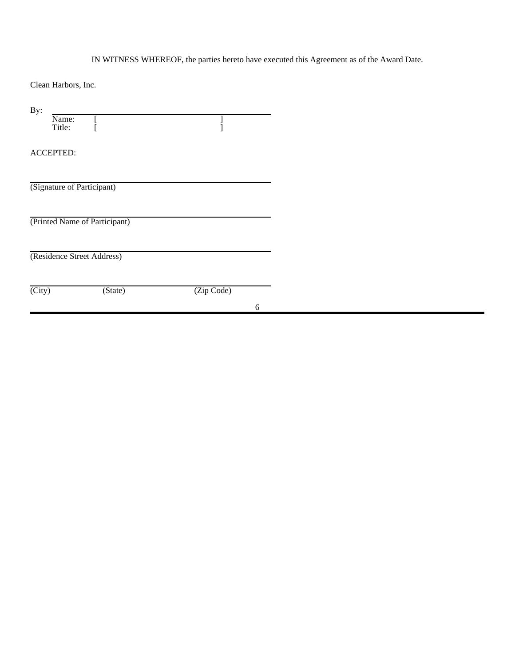# IN WITNESS WHEREOF, the parties hereto have executed this Agreement as of the Award Date.

Clean Harbors, Inc.

| By:<br>Name:<br>Title:     |                               |            |   |
|----------------------------|-------------------------------|------------|---|
| <b>ACCEPTED:</b>           |                               |            |   |
|                            | (Signature of Participant)    |            |   |
|                            | (Printed Name of Participant) |            |   |
|                            | (Residence Street Address)    |            |   |
| $\overline{\text{(City)}}$ | (State)                       | (Zip Code) |   |
|                            |                               |            | 6 |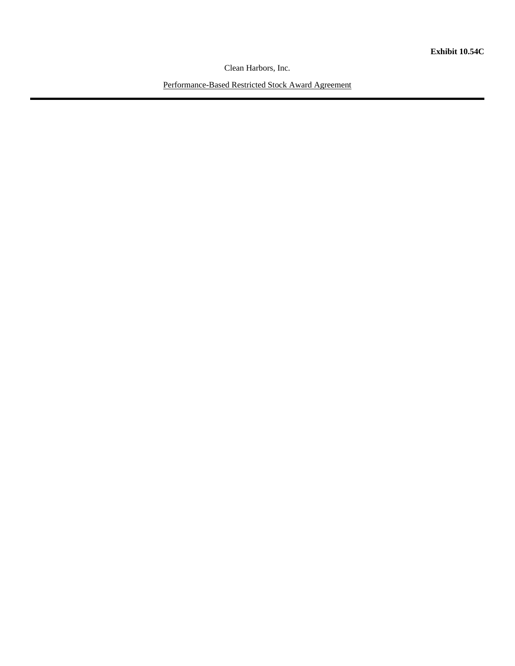Clean Harbors, Inc.

Performance-Based Restricted Stock Award Agreement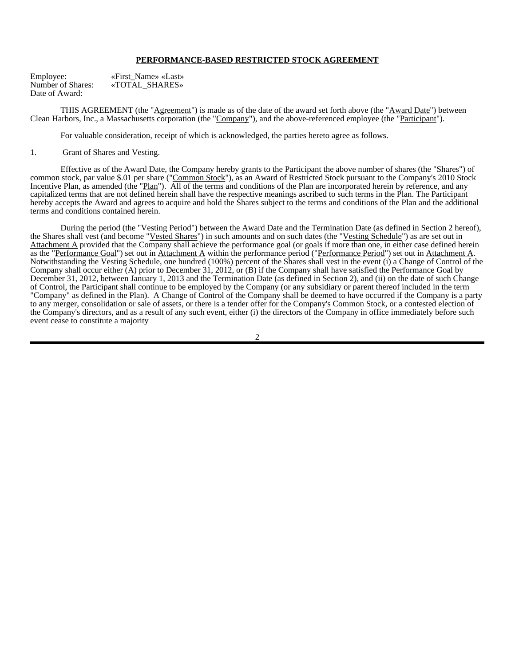### **PERFORMANCE-BASED RESTRICTED STOCK AGREEMENT**

Employee: «First\_Name» «Last»<br>Number of Shares: «TOTAL SHARES» «TOTAL SHARES» Date of Award:

THIS AGREEMENT (the "Agreement") is made as of the date of the award set forth above (the "Award Date") between Clean Harbors, Inc., a Massachusetts corporation (the "Company"), and the above-referenced employee (the "Participant").

For valuable consideration, receipt of which is acknowledged, the parties hereto agree as follows.

### 1. Grant of Shares and Vesting.

Effective as of the Award Date, the Company hereby grants to the Participant the above number of shares (the "Shares") of common stock, par value \$.01 per share ("Common Stock"), as an Award of Restricted Stock pursuant to the Company's 2010 Stock Incentive Plan, as amended (the "Plan"). All of the terms and conditions of the Plan are incorporated herein by reference, and any capitalized terms that are not defined herein shall have the respective meanings ascribed to such terms in the Plan. The Participant hereby accepts the Award and agrees to acquire and hold the Shares subject to the terms and conditions of the Plan and the additional terms and conditions contained herein.

During the period (the "Vesting Period") between the Award Date and the Termination Date (as defined in Section 2 hereof), the Shares shall vest (and become "Vested Shares") in such amounts and on such dates (the "Vesting Schedule") as are set out in Attachment A provided that the Company shall achieve the performance goal (or goals if more than one, in either case defined herein as the "Performance Goal") set out in Attachment A within the performance period ("Performance Period") set out in Attachment A. Notwithstanding the Vesting Schedule, one hundred (100%) percent of the Shares shall vest in the event (i) a Change of Control of the Company shall occur either (A) prior to December 31, 2012, or (B) if the Company shall have satisfied the Performance Goal by December 31, 2012, between January 1, 2013 and the Termination Date (as defined in Section 2), and (ii) on the date of such Change of Control, the Participant shall continue to be employed by the Company (or any subsidiary or parent thereof included in the term "Company" as defined in the Plan). A Change of Control of the Company shall be deemed to have occurred if the Company is a party to any merger, consolidation or sale of assets, or there is a tender offer for the Company's Common Stock, or a contested election of the Company's directors, and as a result of any such event, either (i) the directors of the Company in office immediately before such event cease to constitute a majority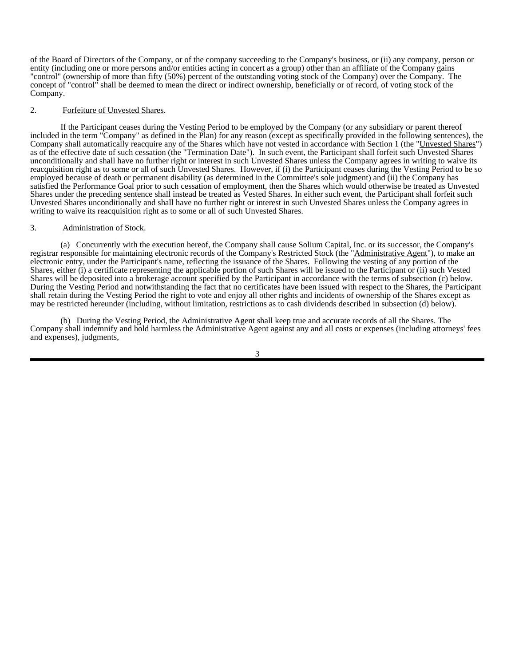of the Board of Directors of the Company, or of the company succeeding to the Company's business, or (ii) any company, person or entity (including one or more persons and/or entities acting in concert as a group) other than an affiliate of the Company gains "control" (ownership of more than fifty (50%) percent of the outstanding voting stock of the Company) over the Company. The concept of "control" shall be deemed to mean the direct or indirect ownership, beneficially or of record, of voting stock of the Company.

### 2. Forfeiture of Unvested Shares.

If the Participant ceases during the Vesting Period to be employed by the Company (or any subsidiary or parent thereof included in the term "Company" as defined in the Plan) for any reason (except as specifically provided in the following sentences), the Company shall automatically reacquire any of the Shares which have not vested in accordance with Section 1 (the "Unvested Shares") as of the effective date of such cessation (the "Termination Date"). In such event, the Participant shall forfeit such Unvested Shares unconditionally and shall have no further right or interest in such Unvested Shares unless the Company agrees in writing to waive its reacquisition right as to some or all of such Unvested Shares. However, if (i) the Participant ceases during the Vesting Period to be so employed because of death or permanent disability (as determined in the Committee's sole judgment) and (ii) the Company has satisfied the Performance Goal prior to such cessation of employment, then the Shares which would otherwise be treated as Unvested Shares under the preceding sentence shall instead be treated as Vested Shares. In either such event, the Participant shall forfeit such Unvested Shares unconditionally and shall have no further right or interest in such Unvested Shares unless the Company agrees in writing to waive its reacquisition right as to some or all of such Unvested Shares.

#### 3. Administration of Stock.

(a) Concurrently with the execution hereof, the Company shall cause Solium Capital, Inc. or its successor, the Company's registrar responsible for maintaining electronic records of the Company's Restricted Stock (the "Administrative Agent"), to make an electronic entry, under the Participant's name, reflecting the issuance of the Shares. Following the vesting of any portion of the Shares, either (i) a certificate representing the applicable portion of such Shares will be issued to the Participant or (ii) such Vested Shares will be deposited into a brokerage account specified by the Participant in accordance with the terms of subsection (c) below. During the Vesting Period and notwithstanding the fact that no certificates have been issued with respect to the Shares, the Participant shall retain during the Vesting Period the right to vote and enjoy all other rights and incidents of ownership of the Shares except as may be restricted hereunder (including, without limitation, restrictions as to cash dividends described in subsection (d) below).

(b) During the Vesting Period, the Administrative Agent shall keep true and accurate records of all the Shares. The Company shall indemnify and hold harmless the Administrative Agent against any and all costs or expenses (including attorneys' fees and expenses), judgments,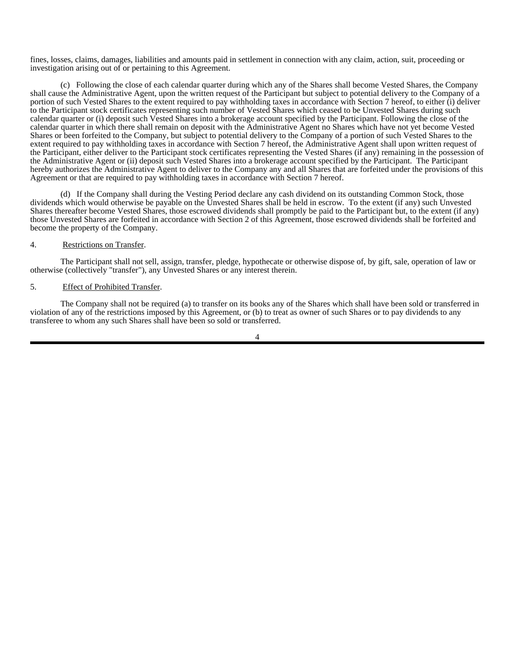fines, losses, claims, damages, liabilities and amounts paid in settlement in connection with any claim, action, suit, proceeding or investigation arising out of or pertaining to this Agreement.

(c) Following the close of each calendar quarter during which any of the Shares shall become Vested Shares, the Company shall cause the Administrative Agent, upon the written request of the Participant but subject to potential delivery to the Company of a portion of such Vested Shares to the extent required to pay withholding taxes in accordance with Section 7 hereof, to either (i) deliver to the Participant stock certificates representing such number of Vested Shares which ceased to be Unvested Shares during such calendar quarter or (i) deposit such Vested Shares into a brokerage account specified by the Participant. Following the close of the calendar quarter in which there shall remain on deposit with the Administrative Agent no Shares which have not yet become Vested Shares or been forfeited to the Company, but subject to potential delivery to the Company of a portion of such Vested Shares to the extent required to pay withholding taxes in accordance with Section 7 hereof, the Administrative Agent shall upon written request of the Participant, either deliver to the Participant stock certificates representing the Vested Shares (if any) remaining in the possession of the Administrative Agent or (ii) deposit such Vested Shares into a brokerage account specified by the Participant. The Participant hereby authorizes the Administrative Agent to deliver to the Company any and all Shares that are forfeited under the provisions of this Agreement or that are required to pay withholding taxes in accordance with Section 7 hereof.

(d) If the Company shall during the Vesting Period declare any cash dividend on its outstanding Common Stock, those dividends which would otherwise be payable on the Unvested Shares shall be held in escrow. To the extent (if any) such Unvested Shares thereafter become Vested Shares, those escrowed dividends shall promptly be paid to the Participant but, to the extent (if any) those Unvested Shares are forfeited in accordance with Section 2 of this Agreement, those escrowed dividends shall be forfeited and become the property of the Company.

### 4. Restrictions on Transfer.

The Participant shall not sell, assign, transfer, pledge, hypothecate or otherwise dispose of, by gift, sale, operation of law or otherwise (collectively "transfer"), any Unvested Shares or any interest therein.

### 5. Effect of Prohibited Transfer.

The Company shall not be required (a) to transfer on its books any of the Shares which shall have been sold or transferred in violation of any of the restrictions imposed by this Agreement, or (b) to treat as owner of such Shares or to pay dividends to any transferee to whom any such Shares shall have been so sold or transferred.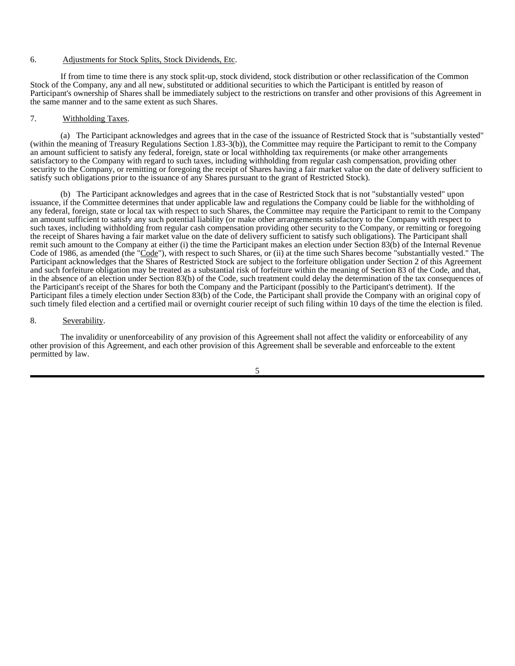#### 6. Adjustments for Stock Splits, Stock Dividends, Etc.

If from time to time there is any stock split-up, stock dividend, stock distribution or other reclassification of the Common Stock of the Company, any and all new, substituted or additional securities to which the Participant is entitled by reason of Participant's ownership of Shares shall be immediately subject to the restrictions on transfer and other provisions of this Agreement in the same manner and to the same extent as such Shares.

#### 7. Withholding Taxes.

(a) The Participant acknowledges and agrees that in the case of the issuance of Restricted Stock that is "substantially vested" (within the meaning of Treasury Regulations Section 1.83-3(b)), the Committee may require the Participant to remit to the Company an amount sufficient to satisfy any federal, foreign, state or local withholding tax requirements (or make other arrangements satisfactory to the Company with regard to such taxes, including withholding from regular cash compensation, providing other security to the Company, or remitting or foregoing the receipt of Shares having a fair market value on the date of delivery sufficient to satisfy such obligations prior to the issuance of any Shares pursuant to the grant of Restricted Stock).

(b) The Participant acknowledges and agrees that in the case of Restricted Stock that is not "substantially vested" upon issuance, if the Committee determines that under applicable law and regulations the Company could be liable for the withholding of any federal, foreign, state or local tax with respect to such Shares, the Committee may require the Participant to remit to the Company an amount sufficient to satisfy any such potential liability (or make other arrangements satisfactory to the Company with respect to such taxes, including withholding from regular cash compensation providing other security to the Company, or remitting or foregoing the receipt of Shares having a fair market value on the date of delivery sufficient to satisfy such obligations). The Participant shall remit such amount to the Company at either (i) the time the Participant makes an election under Section 83(b) of the Internal Revenue Code of 1986, as amended (the "Code"), with respect to such Shares, or (ii) at the time such Shares become "substantially vested." The Participant acknowledges that the Shares of Restricted Stock are subject to the forfeiture obligation under Section 2 of this Agreement and such forfeiture obligation may be treated as a substantial risk of forfeiture within the meaning of Section 83 of the Code, and that, in the absence of an election under Section 83(b) of the Code, such treatment could delay the determination of the tax consequences of the Participant's receipt of the Shares for both the Company and the Participant (possibly to the Participant's detriment). If the Participant files a timely election under Section 83(b) of the Code, the Participant shall provide the Company with an original copy of such timely filed election and a certified mail or overnight courier receipt of such filing within 10 days of the time the election is filed.

#### 8. Severability.

The invalidity or unenforceability of any provision of this Agreement shall not affect the validity or enforceability of any other provision of this Agreement, and each other provision of this Agreement shall be severable and enforceable to the extent permitted by law.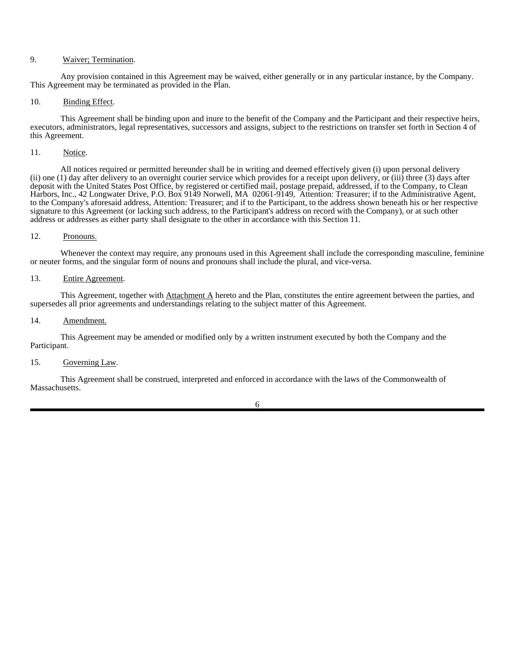### 9. Waiver; Termination.

Any provision contained in this Agreement may be waived, either generally or in any particular instance, by the Company. This Agreement may be terminated as provided in the Plan.

### 10. Binding Effect.

This Agreement shall be binding upon and inure to the benefit of the Company and the Participant and their respective heirs, executors, administrators, legal representatives, successors and assigns, subject to the restrictions on transfer set forth in Section 4 of this Agreement.

### 11. Notice.

All notices required or permitted hereunder shall be in writing and deemed effectively given (i) upon personal delivery (ii) one (1) day after delivery to an overnight courier service which provides for a receipt upon delivery, or (iii) three (3) days after deposit with the United States Post Office, by registered or certified mail, postage prepaid, addressed, if to the Company, to Clean Harbors, Inc., 42 Longwater Drive, P.O. Box 9149 Norwell, MA 02061-9149, Attention: Treasurer; if to the Administrative Agent, to the Company's aforesaid address, Attention: Treasurer; and if to the Participant, to the address shown beneath his or her respective signature to this Agreement (or lacking such address, to the Participant's address on record with the Company), or at such other address or addresses as either party shall designate to the other in accordance with this Section 11.

### 12. Pronouns.

Whenever the context may require, any pronouns used in this Agreement shall include the corresponding masculine, feminine or neuter forms, and the singular form of nouns and pronouns shall include the plural, and vice-versa.

### 13. Entire Agreement.

This Agreement, together with Attachment A hereto and the Plan, constitutes the entire agreement between the parties, and supersedes all prior agreements and understandings relating to the subject matter of this Agreement.

#### 14. Amendment.

This Agreement may be amended or modified only by a written instrument executed by both the Company and the Participant.

### 15. Governing Law.

This Agreement shall be construed, interpreted and enforced in accordance with the laws of the Commonwealth of Massachusetts.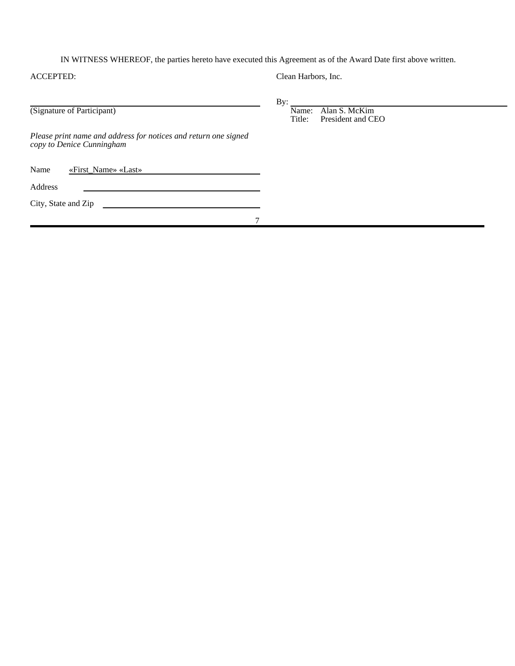IN WITNESS WHEREOF, the parties hereto have executed this Agreement as of the Award Date first above written.

|  | ACCEPTED: |  |
|--|-----------|--|
|  |           |  |

Clean Harbors, Inc.

|                                                                                              | By:                                                   |
|----------------------------------------------------------------------------------------------|-------------------------------------------------------|
| (Signature of Participant)                                                                   | Alan S. McKim<br>Name:<br>Title:<br>President and CEO |
| Please print name and address for notices and return one signed<br>copy to Denice Cunningham |                                                       |
| Name<br>«First_Name» «Last»                                                                  |                                                       |
| Address                                                                                      |                                                       |
| City, State and Zip                                                                          |                                                       |
|                                                                                              |                                                       |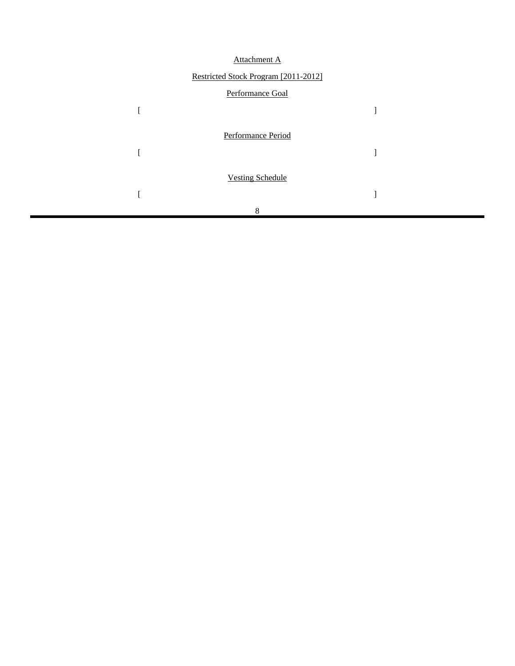| Attachment A                         |  |
|--------------------------------------|--|
| Restricted Stock Program [2011-2012] |  |
| Performance Goal                     |  |
|                                      |  |
| Performance Period                   |  |
|                                      |  |
|                                      |  |
| <b>Vesting Schedule</b>              |  |
|                                      |  |
| 8                                    |  |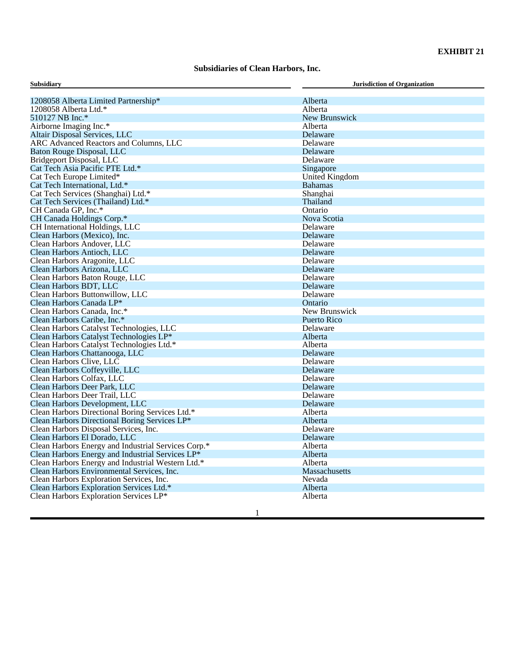# **Subsidiaries of Clean Harbors, Inc.**

| <b>Subsidiary</b>                                   | <b>Jurisdiction of Organization</b> |
|-----------------------------------------------------|-------------------------------------|
|                                                     |                                     |
| 1208058 Alberta Limited Partnership*                | Alberta                             |
| 1208058 Alberta Ltd.*                               | Alberta                             |
| 510127 NB Inc.*                                     | New Brunswick                       |
| Airborne Imaging Inc.*                              | Alberta                             |
| Altair Disposal Services, LLC                       | Delaware                            |
| ARC Advanced Reactors and Columns, LLC              | Delaware                            |
| Baton Rouge Disposal, LLC                           | Delaware                            |
| Bridgeport Disposal, LLC                            | Delaware                            |
| Cat Tech Asia Pacific PTE Ltd.*                     | Singapore                           |
| Cat Tech Europe Limited*                            | United Kingdom                      |
| Cat Tech International, Ltd.*                       | <b>Bahamas</b>                      |
| Cat Tech Services (Shanghai) Ltd.*                  | Shanghai                            |
| Cat Tech Services (Thailand) Ltd.*                  | Thailand                            |
| CH Canada GP, Inc.*                                 | Ontario                             |
| CH Canada Holdings Corp.*                           | Nova Scotia                         |
| CH International Holdings, LLC                      | Delaware                            |
| Clean Harbors (Mexico). Inc.                        | Delaware                            |
| Clean Harbors Andover, LLC                          | Delaware                            |
| Clean Harbors Antioch, LLC                          | Delaware                            |
| Clean Harbors Aragonite, LLC                        | Delaware                            |
| Clean Harbors Arizona, LLC                          | Delaware                            |
| Clean Harbors Baton Rouge, LLC                      | Delaware                            |
| Clean Harbors BDT, LLC                              | Delaware                            |
| Clean Harbors Buttonwillow, LLC                     | Delaware                            |
| Clean Harbors Canada LP*                            | Ontario                             |
| Clean Harbors Canada, Inc.*                         | New Brunswick                       |
| Clean Harbors Caribe, Inc.*                         | Puerto Rico                         |
| Clean Harbors Catalyst Technologies, LLC            | Delaware                            |
| Clean Harbors Catalyst Technologies LP*             | Alberta                             |
| Clean Harbors Catalyst Technologies Ltd.*           | Alberta                             |
| Clean Harbors Chattanooga, LLC                      | Delaware                            |
| Clean Harbors Clive, LLC                            | Delaware                            |
| Clean Harbors Coffeyville, LLC                      | Delaware                            |
| Clean Harbors Colfax, LLC                           | Delaware                            |
| Clean Harbors Deer Park, LLC                        | Delaware                            |
| Clean Harbors Deer Trail, LLC                       | Delaware                            |
| Clean Harbors Development, LLC                      | Delaware                            |
| Clean Harbors Directional Boring Services Ltd.*     | Alberta                             |
| Clean Harbors Directional Boring Services LP*       | Alberta                             |
| Clean Harbors Disposal Services, Inc.               | Delaware                            |
| Clean Harbors El Dorado, LLC                        | Delaware                            |
| Clean Harbors Energy and Industrial Services Corp.* | Alberta                             |
| Clean Harbors Energy and Industrial Services LP*    | Alberta                             |
| Clean Harbors Energy and Industrial Western Ltd.*   | Alberta                             |
| Clean Harbors Environmental Services, Inc.          | <b>Massachusetts</b>                |
| Clean Harbors Exploration Services, Inc.            | Nevada                              |
| Clean Harbors Exploration Services Ltd.*            | Alberta                             |
| Clean Harbors Exploration Services LP*              | Alberta                             |
|                                                     |                                     |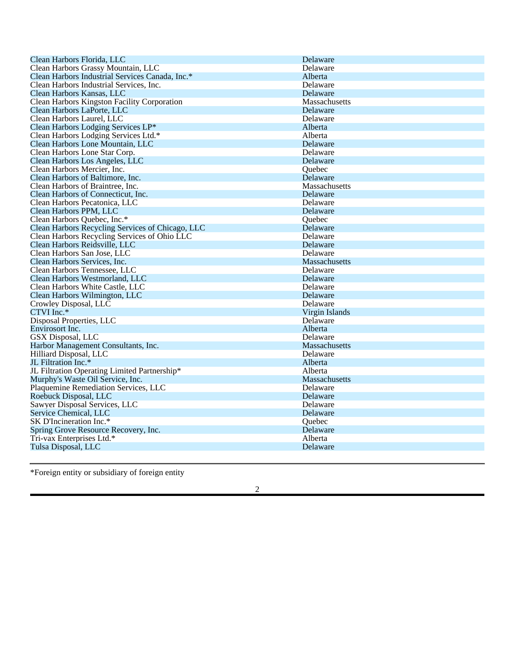| Clean Harbors Grassy Mountain, LLC<br>Delaware<br>Clean Harbors Industrial Services Canada, Inc.*<br>Alberta<br>Clean Harbors Industrial Services, Inc.<br>Delaware<br>Clean Harbors Kansas, LLC<br>Delaware<br>Massachusetts<br>Clean Harbors Kingston Facility Corporation<br>Clean Harbors LaPorte, LLC<br>Delaware<br>Delaware<br>Clean Harbors Laurel, LLC<br>Clean Harbors Lodging Services LP*<br>Alberta<br>Clean Harbors Lodging Services Ltd.*<br>Alberta<br>Clean Harbors Lone Mountain, LLC<br>Delaware<br>Clean Harbors Lone Star Corp.<br>Delaware<br>Delaware<br>Clean Harbors Los Angeles, LLC<br>Clean Harbors Mercier, Inc.<br>Ouebec<br>Clean Harbors of Baltimore, Inc.<br>Delaware<br>Clean Harbors of Braintree, Inc.<br>Massachusetts<br>Clean Harbors of Connecticut, Inc.<br>Delaware<br>Clean Harbors Pecatonica, LLC<br>Delaware<br>Clean Harbors PPM, LLC<br>Delaware<br>Clean Harbors Quebec, Inc.*<br>Quebec<br>Clean Harbors Recycling Services of Chicago, LLC<br>Delaware<br>Delaware<br>Clean Harbors Recycling Services of Ohio LLC<br>Delaware<br>Clean Harbors Reidsville, LLC<br>Clean Harbors San Jose, LLC<br>Delaware<br><b>Massachusetts</b><br>Clean Harbors Services, Inc.<br>Clean Harbors Tennessee, LLC<br>Delaware<br>Clean Harbors Westmorland, LLC<br>Delaware<br>Clean Harbors White Castle, LLC<br>Delaware<br>Clean Harbors Wilmington, LLC<br>Delaware<br>Delaware<br>Crowley Disposal, LLC<br>CTVI Inc.*<br>Virgin Islands<br>Disposal Properties, LLC<br>Delaware<br>Alberta<br>Envirosort Inc.<br>Delaware<br>GSX Disposal, LLC<br>Harbor Management Consultants, Inc.<br><b>Massachusetts</b><br>Hilliard Disposal, LLC<br>Delaware<br>JL Filtration Inc.*<br>Alberta<br>JL Filtration Operating Limited Partnership*<br>Alberta<br><b>Massachusetts</b><br>Murphy's Waste Oil Service, Inc.<br>Plaquemine Remediation Services, LLC<br>Delaware<br>Delaware<br>Roebuck Disposal, LLC<br>Sawyer Disposal Services, LLC<br>Delaware<br>Service Chemical, LLC<br>Delaware<br>SK D'Incineration Inc.*<br>Quebec<br>Delaware<br>Spring Grove Resource Recovery, Inc.<br>Alberta<br>Tri-vax Enterprises Ltd.*<br>Tulsa Disposal, LLC<br>Delaware | Clean Harbors Florida, LLC | Delaware |
|-------------------------------------------------------------------------------------------------------------------------------------------------------------------------------------------------------------------------------------------------------------------------------------------------------------------------------------------------------------------------------------------------------------------------------------------------------------------------------------------------------------------------------------------------------------------------------------------------------------------------------------------------------------------------------------------------------------------------------------------------------------------------------------------------------------------------------------------------------------------------------------------------------------------------------------------------------------------------------------------------------------------------------------------------------------------------------------------------------------------------------------------------------------------------------------------------------------------------------------------------------------------------------------------------------------------------------------------------------------------------------------------------------------------------------------------------------------------------------------------------------------------------------------------------------------------------------------------------------------------------------------------------------------------------------------------------------------------------------------------------------------------------------------------------------------------------------------------------------------------------------------------------------------------------------------------------------------------------------------------------------------------------------------------------------------------------------------------------------------------------------------------------------------------------------------------------------|----------------------------|----------|
|                                                                                                                                                                                                                                                                                                                                                                                                                                                                                                                                                                                                                                                                                                                                                                                                                                                                                                                                                                                                                                                                                                                                                                                                                                                                                                                                                                                                                                                                                                                                                                                                                                                                                                                                                                                                                                                                                                                                                                                                                                                                                                                                                                                                       |                            |          |
|                                                                                                                                                                                                                                                                                                                                                                                                                                                                                                                                                                                                                                                                                                                                                                                                                                                                                                                                                                                                                                                                                                                                                                                                                                                                                                                                                                                                                                                                                                                                                                                                                                                                                                                                                                                                                                                                                                                                                                                                                                                                                                                                                                                                       |                            |          |
|                                                                                                                                                                                                                                                                                                                                                                                                                                                                                                                                                                                                                                                                                                                                                                                                                                                                                                                                                                                                                                                                                                                                                                                                                                                                                                                                                                                                                                                                                                                                                                                                                                                                                                                                                                                                                                                                                                                                                                                                                                                                                                                                                                                                       |                            |          |
|                                                                                                                                                                                                                                                                                                                                                                                                                                                                                                                                                                                                                                                                                                                                                                                                                                                                                                                                                                                                                                                                                                                                                                                                                                                                                                                                                                                                                                                                                                                                                                                                                                                                                                                                                                                                                                                                                                                                                                                                                                                                                                                                                                                                       |                            |          |
|                                                                                                                                                                                                                                                                                                                                                                                                                                                                                                                                                                                                                                                                                                                                                                                                                                                                                                                                                                                                                                                                                                                                                                                                                                                                                                                                                                                                                                                                                                                                                                                                                                                                                                                                                                                                                                                                                                                                                                                                                                                                                                                                                                                                       |                            |          |
|                                                                                                                                                                                                                                                                                                                                                                                                                                                                                                                                                                                                                                                                                                                                                                                                                                                                                                                                                                                                                                                                                                                                                                                                                                                                                                                                                                                                                                                                                                                                                                                                                                                                                                                                                                                                                                                                                                                                                                                                                                                                                                                                                                                                       |                            |          |
|                                                                                                                                                                                                                                                                                                                                                                                                                                                                                                                                                                                                                                                                                                                                                                                                                                                                                                                                                                                                                                                                                                                                                                                                                                                                                                                                                                                                                                                                                                                                                                                                                                                                                                                                                                                                                                                                                                                                                                                                                                                                                                                                                                                                       |                            |          |
|                                                                                                                                                                                                                                                                                                                                                                                                                                                                                                                                                                                                                                                                                                                                                                                                                                                                                                                                                                                                                                                                                                                                                                                                                                                                                                                                                                                                                                                                                                                                                                                                                                                                                                                                                                                                                                                                                                                                                                                                                                                                                                                                                                                                       |                            |          |
|                                                                                                                                                                                                                                                                                                                                                                                                                                                                                                                                                                                                                                                                                                                                                                                                                                                                                                                                                                                                                                                                                                                                                                                                                                                                                                                                                                                                                                                                                                                                                                                                                                                                                                                                                                                                                                                                                                                                                                                                                                                                                                                                                                                                       |                            |          |
|                                                                                                                                                                                                                                                                                                                                                                                                                                                                                                                                                                                                                                                                                                                                                                                                                                                                                                                                                                                                                                                                                                                                                                                                                                                                                                                                                                                                                                                                                                                                                                                                                                                                                                                                                                                                                                                                                                                                                                                                                                                                                                                                                                                                       |                            |          |
|                                                                                                                                                                                                                                                                                                                                                                                                                                                                                                                                                                                                                                                                                                                                                                                                                                                                                                                                                                                                                                                                                                                                                                                                                                                                                                                                                                                                                                                                                                                                                                                                                                                                                                                                                                                                                                                                                                                                                                                                                                                                                                                                                                                                       |                            |          |
|                                                                                                                                                                                                                                                                                                                                                                                                                                                                                                                                                                                                                                                                                                                                                                                                                                                                                                                                                                                                                                                                                                                                                                                                                                                                                                                                                                                                                                                                                                                                                                                                                                                                                                                                                                                                                                                                                                                                                                                                                                                                                                                                                                                                       |                            |          |
|                                                                                                                                                                                                                                                                                                                                                                                                                                                                                                                                                                                                                                                                                                                                                                                                                                                                                                                                                                                                                                                                                                                                                                                                                                                                                                                                                                                                                                                                                                                                                                                                                                                                                                                                                                                                                                                                                                                                                                                                                                                                                                                                                                                                       |                            |          |
|                                                                                                                                                                                                                                                                                                                                                                                                                                                                                                                                                                                                                                                                                                                                                                                                                                                                                                                                                                                                                                                                                                                                                                                                                                                                                                                                                                                                                                                                                                                                                                                                                                                                                                                                                                                                                                                                                                                                                                                                                                                                                                                                                                                                       |                            |          |
|                                                                                                                                                                                                                                                                                                                                                                                                                                                                                                                                                                                                                                                                                                                                                                                                                                                                                                                                                                                                                                                                                                                                                                                                                                                                                                                                                                                                                                                                                                                                                                                                                                                                                                                                                                                                                                                                                                                                                                                                                                                                                                                                                                                                       |                            |          |
|                                                                                                                                                                                                                                                                                                                                                                                                                                                                                                                                                                                                                                                                                                                                                                                                                                                                                                                                                                                                                                                                                                                                                                                                                                                                                                                                                                                                                                                                                                                                                                                                                                                                                                                                                                                                                                                                                                                                                                                                                                                                                                                                                                                                       |                            |          |
|                                                                                                                                                                                                                                                                                                                                                                                                                                                                                                                                                                                                                                                                                                                                                                                                                                                                                                                                                                                                                                                                                                                                                                                                                                                                                                                                                                                                                                                                                                                                                                                                                                                                                                                                                                                                                                                                                                                                                                                                                                                                                                                                                                                                       |                            |          |
|                                                                                                                                                                                                                                                                                                                                                                                                                                                                                                                                                                                                                                                                                                                                                                                                                                                                                                                                                                                                                                                                                                                                                                                                                                                                                                                                                                                                                                                                                                                                                                                                                                                                                                                                                                                                                                                                                                                                                                                                                                                                                                                                                                                                       |                            |          |
|                                                                                                                                                                                                                                                                                                                                                                                                                                                                                                                                                                                                                                                                                                                                                                                                                                                                                                                                                                                                                                                                                                                                                                                                                                                                                                                                                                                                                                                                                                                                                                                                                                                                                                                                                                                                                                                                                                                                                                                                                                                                                                                                                                                                       |                            |          |
|                                                                                                                                                                                                                                                                                                                                                                                                                                                                                                                                                                                                                                                                                                                                                                                                                                                                                                                                                                                                                                                                                                                                                                                                                                                                                                                                                                                                                                                                                                                                                                                                                                                                                                                                                                                                                                                                                                                                                                                                                                                                                                                                                                                                       |                            |          |
|                                                                                                                                                                                                                                                                                                                                                                                                                                                                                                                                                                                                                                                                                                                                                                                                                                                                                                                                                                                                                                                                                                                                                                                                                                                                                                                                                                                                                                                                                                                                                                                                                                                                                                                                                                                                                                                                                                                                                                                                                                                                                                                                                                                                       |                            |          |
|                                                                                                                                                                                                                                                                                                                                                                                                                                                                                                                                                                                                                                                                                                                                                                                                                                                                                                                                                                                                                                                                                                                                                                                                                                                                                                                                                                                                                                                                                                                                                                                                                                                                                                                                                                                                                                                                                                                                                                                                                                                                                                                                                                                                       |                            |          |
|                                                                                                                                                                                                                                                                                                                                                                                                                                                                                                                                                                                                                                                                                                                                                                                                                                                                                                                                                                                                                                                                                                                                                                                                                                                                                                                                                                                                                                                                                                                                                                                                                                                                                                                                                                                                                                                                                                                                                                                                                                                                                                                                                                                                       |                            |          |
|                                                                                                                                                                                                                                                                                                                                                                                                                                                                                                                                                                                                                                                                                                                                                                                                                                                                                                                                                                                                                                                                                                                                                                                                                                                                                                                                                                                                                                                                                                                                                                                                                                                                                                                                                                                                                                                                                                                                                                                                                                                                                                                                                                                                       |                            |          |
|                                                                                                                                                                                                                                                                                                                                                                                                                                                                                                                                                                                                                                                                                                                                                                                                                                                                                                                                                                                                                                                                                                                                                                                                                                                                                                                                                                                                                                                                                                                                                                                                                                                                                                                                                                                                                                                                                                                                                                                                                                                                                                                                                                                                       |                            |          |
|                                                                                                                                                                                                                                                                                                                                                                                                                                                                                                                                                                                                                                                                                                                                                                                                                                                                                                                                                                                                                                                                                                                                                                                                                                                                                                                                                                                                                                                                                                                                                                                                                                                                                                                                                                                                                                                                                                                                                                                                                                                                                                                                                                                                       |                            |          |
|                                                                                                                                                                                                                                                                                                                                                                                                                                                                                                                                                                                                                                                                                                                                                                                                                                                                                                                                                                                                                                                                                                                                                                                                                                                                                                                                                                                                                                                                                                                                                                                                                                                                                                                                                                                                                                                                                                                                                                                                                                                                                                                                                                                                       |                            |          |
|                                                                                                                                                                                                                                                                                                                                                                                                                                                                                                                                                                                                                                                                                                                                                                                                                                                                                                                                                                                                                                                                                                                                                                                                                                                                                                                                                                                                                                                                                                                                                                                                                                                                                                                                                                                                                                                                                                                                                                                                                                                                                                                                                                                                       |                            |          |
|                                                                                                                                                                                                                                                                                                                                                                                                                                                                                                                                                                                                                                                                                                                                                                                                                                                                                                                                                                                                                                                                                                                                                                                                                                                                                                                                                                                                                                                                                                                                                                                                                                                                                                                                                                                                                                                                                                                                                                                                                                                                                                                                                                                                       |                            |          |
|                                                                                                                                                                                                                                                                                                                                                                                                                                                                                                                                                                                                                                                                                                                                                                                                                                                                                                                                                                                                                                                                                                                                                                                                                                                                                                                                                                                                                                                                                                                                                                                                                                                                                                                                                                                                                                                                                                                                                                                                                                                                                                                                                                                                       |                            |          |
|                                                                                                                                                                                                                                                                                                                                                                                                                                                                                                                                                                                                                                                                                                                                                                                                                                                                                                                                                                                                                                                                                                                                                                                                                                                                                                                                                                                                                                                                                                                                                                                                                                                                                                                                                                                                                                                                                                                                                                                                                                                                                                                                                                                                       |                            |          |
|                                                                                                                                                                                                                                                                                                                                                                                                                                                                                                                                                                                                                                                                                                                                                                                                                                                                                                                                                                                                                                                                                                                                                                                                                                                                                                                                                                                                                                                                                                                                                                                                                                                                                                                                                                                                                                                                                                                                                                                                                                                                                                                                                                                                       |                            |          |
|                                                                                                                                                                                                                                                                                                                                                                                                                                                                                                                                                                                                                                                                                                                                                                                                                                                                                                                                                                                                                                                                                                                                                                                                                                                                                                                                                                                                                                                                                                                                                                                                                                                                                                                                                                                                                                                                                                                                                                                                                                                                                                                                                                                                       |                            |          |
|                                                                                                                                                                                                                                                                                                                                                                                                                                                                                                                                                                                                                                                                                                                                                                                                                                                                                                                                                                                                                                                                                                                                                                                                                                                                                                                                                                                                                                                                                                                                                                                                                                                                                                                                                                                                                                                                                                                                                                                                                                                                                                                                                                                                       |                            |          |
|                                                                                                                                                                                                                                                                                                                                                                                                                                                                                                                                                                                                                                                                                                                                                                                                                                                                                                                                                                                                                                                                                                                                                                                                                                                                                                                                                                                                                                                                                                                                                                                                                                                                                                                                                                                                                                                                                                                                                                                                                                                                                                                                                                                                       |                            |          |
|                                                                                                                                                                                                                                                                                                                                                                                                                                                                                                                                                                                                                                                                                                                                                                                                                                                                                                                                                                                                                                                                                                                                                                                                                                                                                                                                                                                                                                                                                                                                                                                                                                                                                                                                                                                                                                                                                                                                                                                                                                                                                                                                                                                                       |                            |          |
|                                                                                                                                                                                                                                                                                                                                                                                                                                                                                                                                                                                                                                                                                                                                                                                                                                                                                                                                                                                                                                                                                                                                                                                                                                                                                                                                                                                                                                                                                                                                                                                                                                                                                                                                                                                                                                                                                                                                                                                                                                                                                                                                                                                                       |                            |          |
|                                                                                                                                                                                                                                                                                                                                                                                                                                                                                                                                                                                                                                                                                                                                                                                                                                                                                                                                                                                                                                                                                                                                                                                                                                                                                                                                                                                                                                                                                                                                                                                                                                                                                                                                                                                                                                                                                                                                                                                                                                                                                                                                                                                                       |                            |          |
|                                                                                                                                                                                                                                                                                                                                                                                                                                                                                                                                                                                                                                                                                                                                                                                                                                                                                                                                                                                                                                                                                                                                                                                                                                                                                                                                                                                                                                                                                                                                                                                                                                                                                                                                                                                                                                                                                                                                                                                                                                                                                                                                                                                                       |                            |          |
|                                                                                                                                                                                                                                                                                                                                                                                                                                                                                                                                                                                                                                                                                                                                                                                                                                                                                                                                                                                                                                                                                                                                                                                                                                                                                                                                                                                                                                                                                                                                                                                                                                                                                                                                                                                                                                                                                                                                                                                                                                                                                                                                                                                                       |                            |          |
|                                                                                                                                                                                                                                                                                                                                                                                                                                                                                                                                                                                                                                                                                                                                                                                                                                                                                                                                                                                                                                                                                                                                                                                                                                                                                                                                                                                                                                                                                                                                                                                                                                                                                                                                                                                                                                                                                                                                                                                                                                                                                                                                                                                                       |                            |          |
|                                                                                                                                                                                                                                                                                                                                                                                                                                                                                                                                                                                                                                                                                                                                                                                                                                                                                                                                                                                                                                                                                                                                                                                                                                                                                                                                                                                                                                                                                                                                                                                                                                                                                                                                                                                                                                                                                                                                                                                                                                                                                                                                                                                                       |                            |          |
|                                                                                                                                                                                                                                                                                                                                                                                                                                                                                                                                                                                                                                                                                                                                                                                                                                                                                                                                                                                                                                                                                                                                                                                                                                                                                                                                                                                                                                                                                                                                                                                                                                                                                                                                                                                                                                                                                                                                                                                                                                                                                                                                                                                                       |                            |          |
|                                                                                                                                                                                                                                                                                                                                                                                                                                                                                                                                                                                                                                                                                                                                                                                                                                                                                                                                                                                                                                                                                                                                                                                                                                                                                                                                                                                                                                                                                                                                                                                                                                                                                                                                                                                                                                                                                                                                                                                                                                                                                                                                                                                                       |                            |          |
|                                                                                                                                                                                                                                                                                                                                                                                                                                                                                                                                                                                                                                                                                                                                                                                                                                                                                                                                                                                                                                                                                                                                                                                                                                                                                                                                                                                                                                                                                                                                                                                                                                                                                                                                                                                                                                                                                                                                                                                                                                                                                                                                                                                                       |                            |          |
|                                                                                                                                                                                                                                                                                                                                                                                                                                                                                                                                                                                                                                                                                                                                                                                                                                                                                                                                                                                                                                                                                                                                                                                                                                                                                                                                                                                                                                                                                                                                                                                                                                                                                                                                                                                                                                                                                                                                                                                                                                                                                                                                                                                                       |                            |          |

\*Foreign entity or subsidiary of foreign entity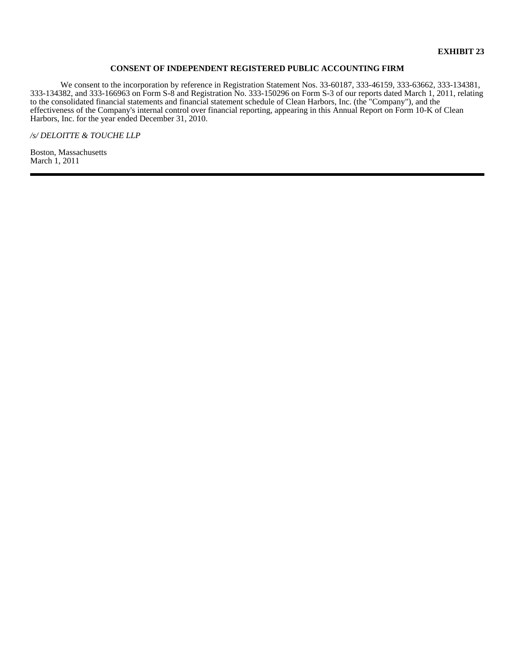### **CONSENT OF INDEPENDENT REGISTERED PUBLIC ACCOUNTING FIRM**

We consent to the incorporation by reference in Registration Statement Nos. 33-60187, 333-46159, 333-63662, 333-134381, 333-134382, and 333-166963 on Form S-8 and Registration No. 333-150296 on Form S-3 of our reports dated March 1, 2011, relating to the consolidated financial statements and financial statement schedule of Clean Harbors, Inc. (the "Company"), and the effectiveness of the Company's internal control over financial reporting, appearing in this Annual Report on Form 10-K of Clean Harbors, Inc. for the year ended December 31, 2010.

*/s/ DELOITTE & TOUCHE LLP*

Boston, Massachusetts March 1, 2011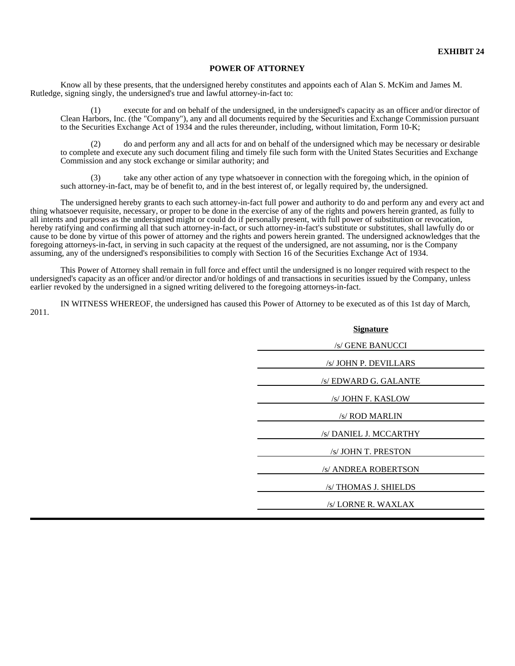#### **POWER OF ATTORNEY**

Know all by these presents, that the undersigned hereby constitutes and appoints each of Alan S. McKim and James M. Rutledge, signing singly, the undersigned's true and lawful attorney-in-fact to:

(1) execute for and on behalf of the undersigned, in the undersigned's capacity as an officer and/or director of Clean Harbors, Inc. (the "Company"), any and all documents required by the Securities and Exchange Commission pursuant to the Securities Exchange Act of 1934 and the rules thereunder, including, without limitation, Form 10-K;

(2) do and perform any and all acts for and on behalf of the undersigned which may be necessary or desirable to complete and execute any such document filing and timely file such form with the United States Securities and Exchange Commission and any stock exchange or similar authority; and

(3) take any other action of any type whatsoever in connection with the foregoing which, in the opinion of such attorney-in-fact, may be of benefit to, and in the best interest of, or legally required by, the undersigned.

The undersigned hereby grants to each such attorney-in-fact full power and authority to do and perform any and every act and thing whatsoever requisite, necessary, or proper to be done in the exercise of any of the rights and powers herein granted, as fully to all intents and purposes as the undersigned might or could do if personally present, with full power of substitution or revocation, hereby ratifying and confirming all that such attorney-in-fact, or such attorney-in-fact's substitute or substitutes, shall lawfully do or cause to be done by virtue of this power of attorney and the rights and powers herein granted. The undersigned acknowledges that the foregoing attorneys-in-fact, in serving in such capacity at the request of the undersigned, are not assuming, nor is the Company assuming, any of the undersigned's responsibilities to comply with Section 16 of the Securities Exchange Act of 1934.

This Power of Attorney shall remain in full force and effect until the undersigned is no longer required with respect to the undersigned's capacity as an officer and/or director and/or holdings of and transactions in securities issued by the Company, unless earlier revoked by the undersigned in a signed writing delivered to the foregoing attorneys-in-fact.

IN WITNESS WHEREOF, the undersigned has caused this Power of Attorney to be executed as of this 1st day of March, 2011.

| <b>Signature</b>       |
|------------------------|
| /s/ GENE BANUCCI       |
| /s/ JOHN P. DEVILLARS  |
| /s/ EDWARD G. GALANTE  |
| /s/ JOHN F. KASLOW     |
| /s/ ROD MARLIN         |
| /s/ DANIEL J. MCCARTHY |
| /s/ JOHN T. PRESTON    |
| /s/ ANDREA ROBERTSON   |
| /s/ THOMAS J. SHIELDS  |
| /s/ LORNE R. WAXLAX    |
|                        |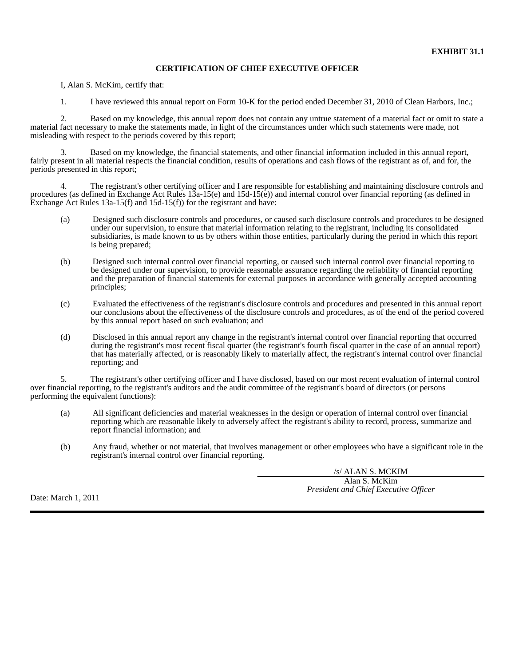# **CERTIFICATION OF CHIEF EXECUTIVE OFFICER**

I, Alan S. McKim, certify that:

1. I have reviewed this annual report on Form 10-K for the period ended December 31, 2010 of Clean Harbors, Inc.;

2. Based on my knowledge, this annual report does not contain any untrue statement of a material fact or omit to state a material fact necessary to make the statements made, in light of the circumstances under which such statements were made, not misleading with respect to the periods covered by this report;

3. Based on my knowledge, the financial statements, and other financial information included in this annual report, fairly present in all material respects the financial condition, results of operations and cash flows of the registrant as of, and for, the periods presented in this report;

4. The registrant's other certifying officer and I are responsible for establishing and maintaining disclosure controls and procedures (as defined in Exchange Act Rules 13a-15(e) and 15d-15(e)) and internal control over financial reporting (as defined in Exchange Act Rules 13a-15(f) and 15d-15(f)) for the registrant and have:

- (a) Designed such disclosure controls and procedures, or caused such disclosure controls and procedures to be designed under our supervision, to ensure that material information relating to the registrant, including its consolidated subsidiaries, is made known to us by others within those entities, particularly during the period in which this report is being prepared;
- (b) Designed such internal control over financial reporting, or caused such internal control over financial reporting to be designed under our supervision, to provide reasonable assurance regarding the reliability of financial reporting and the preparation of financial statements for external purposes in accordance with generally accepted accounting principles;
- (c) Evaluated the effectiveness of the registrant's disclosure controls and procedures and presented in this annual report our conclusions about the effectiveness of the disclosure controls and procedures, as of the end of the period covered by this annual report based on such evaluation; and
- (d) Disclosed in this annual report any change in the registrant's internal control over financial reporting that occurred during the registrant's most recent fiscal quarter (the registrant's fourth fiscal quarter in the case of an annual report) that has materially affected, or is reasonably likely to materially affect, the registrant's internal control over financial reporting; and

5. The registrant's other certifying officer and I have disclosed, based on our most recent evaluation of internal control over financial reporting, to the registrant's auditors and the audit committee of the registrant's board of directors (or persons performing the equivalent functions):

- (a) All significant deficiencies and material weaknesses in the design or operation of internal control over financial reporting which are reasonable likely to adversely affect the registrant's ability to record, process, summarize and report financial information; and
- (b) Any fraud, whether or not material, that involves management or other employees who have a significant role in the registrant's internal control over financial reporting.

/s/ ALAN S. MCKIM

Alan S. McKim *President and Chief Executive Officer*

Date: March 1, 2011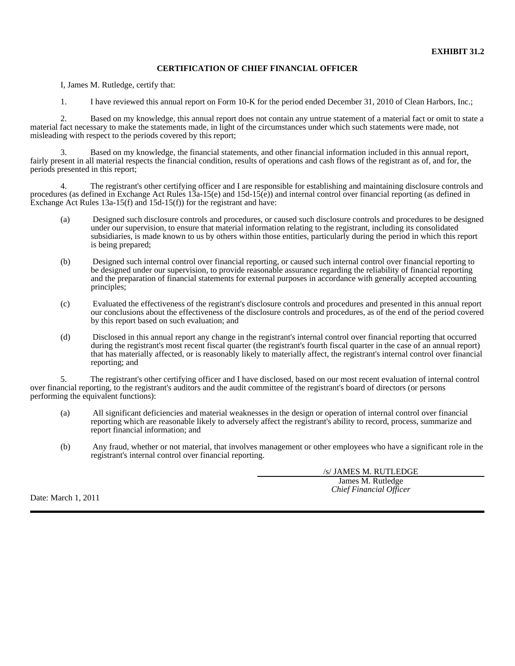# **CERTIFICATION OF CHIEF FINANCIAL OFFICER**

I, James M. Rutledge, certify that:

1. I have reviewed this annual report on Form 10-K for the period ended December 31, 2010 of Clean Harbors, Inc.;

2. Based on my knowledge, this annual report does not contain any untrue statement of a material fact or omit to state a material fact necessary to make the statements made, in light of the circumstances under which such statements were made, not misleading with respect to the periods covered by this report;

3. Based on my knowledge, the financial statements, and other financial information included in this annual report, fairly present in all material respects the financial condition, results of operations and cash flows of the registrant as of, and for, the periods presented in this report;

4. The registrant's other certifying officer and I are responsible for establishing and maintaining disclosure controls and procedures (as defined in Exchange Act Rules 13a-15(e) and 15d-15(e)) and internal control over financial reporting (as defined in Exchange Act Rules  $13a-15(f)$  and  $15d-15(f)$  for the registrant and have:

- (a) Designed such disclosure controls and procedures, or caused such disclosure controls and procedures to be designed under our supervision, to ensure that material information relating to the registrant, including its consolidated subsidiaries, is made known to us by others within those entities, particularly during the period in which this report is being prepared;
- (b) Designed such internal control over financial reporting, or caused such internal control over financial reporting to be designed under our supervision, to provide reasonable assurance regarding the reliability of financial reporting and the preparation of financial statements for external purposes in accordance with generally accepted accounting principles;
- (c) Evaluated the effectiveness of the registrant's disclosure controls and procedures and presented in this annual report our conclusions about the effectiveness of the disclosure controls and procedures, as of the end of the period covered by this report based on such evaluation; and
- (d) Disclosed in this annual report any change in the registrant's internal control over financial reporting that occurred during the registrant's most recent fiscal quarter (the registrant's fourth fiscal quarter in the case of an annual report) that has materially affected, or is reasonably likely to materially affect, the registrant's internal control over financial reporting; and

5. The registrant's other certifying officer and I have disclosed, based on our most recent evaluation of internal control over financial reporting, to the registrant's auditors and the audit committee of the registrant's board of directors (or persons performing the equivalent functions):

- (a) All significant deficiencies and material weaknesses in the design or operation of internal control over financial reporting which are reasonable likely to adversely affect the registrant's ability to record, process, summarize and report financial information; and
- (b) Any fraud, whether or not material, that involves management or other employees who have a significant role in the registrant's internal control over financial reporting.

/s/ JAMES M. RUTLEDGE

James M. Rutledge *Chief Financial Officer*

Date: March 1, 2011